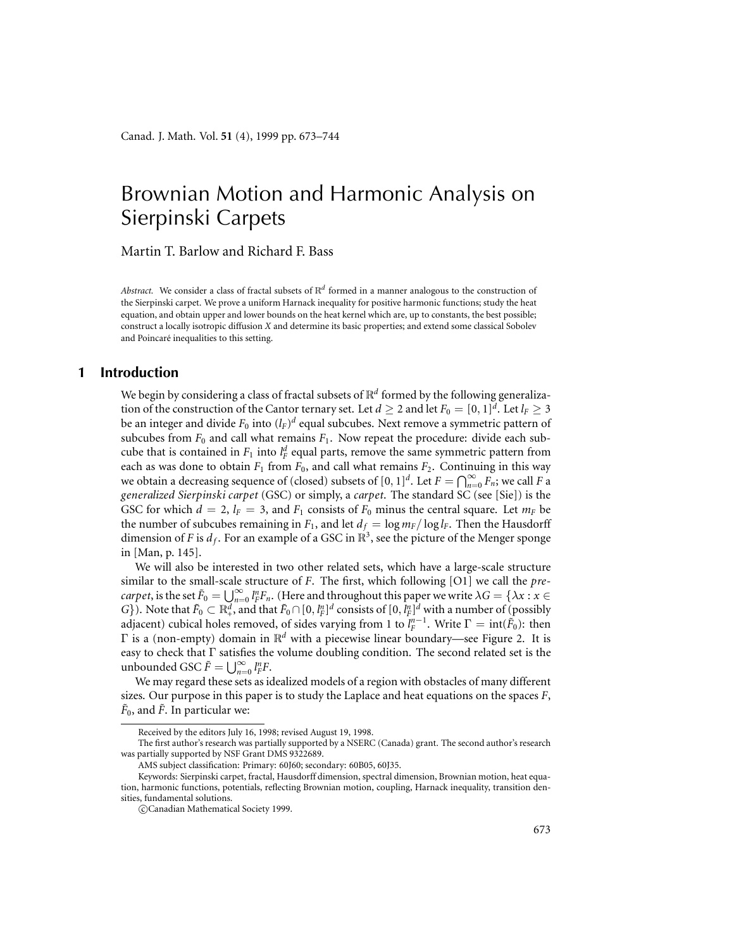# Brownian Motion and Harmonic Analysis on Sierpinski Carpets

Martin T. Barlow and Richard F. Bass

*Abstract.* We consider a class of fractal subsets of R*<sup>d</sup>* formed in a manner analogous to the construction of the Sierpinski carpet. We prove a uniform Harnack inequality for positive harmonic functions; study the heat equation, and obtain upper and lower bounds on the heat kernel which are, up to constants, the best possible; construct a locally isotropic diffusion *X* and determine its basic properties; and extend some classical Sobolev and Poincaré inequalities to this setting.

# **1 Introduction**

We begin by considering a class of fractal subsets of  $\mathbb{R}^d$  formed by the following generalization of the construction of the Cantor ternary set. Let  $d \geq 2$  and let  $F_0 = [0, 1]^d$ . Let  $l_F \geq 3$ be an integer and divide *F*<sup>0</sup> into (*lF*)*<sup>d</sup>* equal subcubes. Next remove a symmetric pattern of subcubes from  $F_0$  and call what remains  $F_1$ . Now repeat the procedure: divide each subcube that is contained in  $F_1$  into  $l_F^d$  equal parts, remove the same symmetric pattern from each as was done to obtain  $F_1$  from  $F_0$ , and call what remains  $F_2$ . Continuing in this way we obtain a decreasing sequence of (closed) subsets of  $[0, 1]^d$ . Let  $F = \bigcap_{n=0}^{\infty} F_n$ ; we call  $F$  a *generalized Sierpinski carpet* (GSC) or simply, a *carpet*. The standard SC (see [Sie]) is the GSC for which  $d = 2$ ,  $l_F = 3$ , and  $F_1$  consists of  $F_0$  minus the central square. Let  $m_F$  be the number of subcubes remaining in  $F_1$ , and let  $d_f = \log m_f / \log l_f$ . Then the Hausdorff dimension of *F* is  $d_f$ . For an example of a GSC in  $\mathbb{R}^3$ , see the picture of the Menger sponge in [Man, p. 145].

We will also be interested in two other related sets, which have a large-scale structure similar to the small-scale structure of *F*. The first, which following [O1] we call the *precarpet*, is the set  $\tilde{F}_0 = \bigcup_{n=0}^{\infty} l_F^n F_n$ . (Here and throughout this paper we write  $\lambda G = \{\lambda x : x \in$ *G*}). Note that  $\tilde{F}_0 \subset \mathbb{R}^d_+$ , and that  $\tilde{F}_0 \cap [0, l_F^n]^d$  consists of  $[0, l_F^n]^d$  with a number of (possibly adjacent) cubical holes removed, of sides varying from 1 to  $l_F^{n-1}$ . Write  $\Gamma = \text{int}(\tilde{F}_0)$ : then Γ is a (non-empty) domain in R*<sup>d</sup>* with a piecewise linear boundary—see Figure 2. It is easy to check that Γ satisfies the volume doubling condition. The second related set is the unbounded GSC  $\tilde{F} = \bigcup_{n=0}^{\infty} l_F^n F$ .

We may regard these sets as idealized models of a region with obstacles of many different sizes. Our purpose in this paper is to study the Laplace and heat equations on the spaces *F*,  $\tilde{F}_0$ , and  $\tilde{F}$ . In particular we:

Received by the editors July 16, 1998; revised August 19, 1998.

The first author's research was partially supported by a NSERC (Canada) grant. The second author's research was partially supported by NSF Grant DMS 9322689.

AMS subject classification: Primary: 60J60; secondary: 60B05, 60J35.

Keywords: Sierpinski carpet, fractal, Hausdorff dimension, spectral dimension, Brownian motion, heat equation, harmonic functions, potentials, reflecting Brownian motion, coupling, Harnack inequality, transition densities, fundamental solutions.

c Canadian Mathematical Society 1999.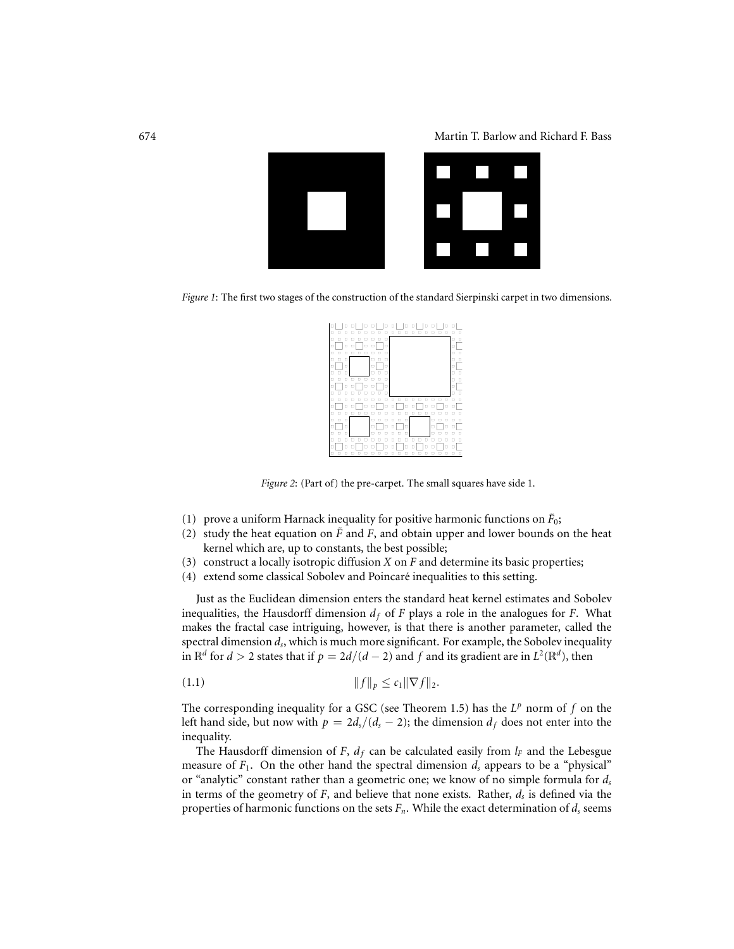

*Figure 1*: The first two stages of the construction of the standard Sierpinski carpet in two dimensions.

| о۱<br>п<br>п<br>п<br>п                                                                                          | п           |
|-----------------------------------------------------------------------------------------------------------------|-------------|
| $\Box$<br>п<br>п<br>п<br>п                                                                                      | п<br>п      |
| α<br>$\Box$<br>$\Box$<br>о<br>п<br>п<br>п<br>п<br>п<br>п                                                        | п<br>Ω<br>Ω |
| о<br>o<br>α<br>□<br>o                                                                                           | п<br>□      |
| α<br>o<br>о<br>о                                                                                                | □           |
| $\Box$<br>о<br>о<br>о<br>□<br>о<br>α<br>п<br>о<br>о                                                             | о<br>α<br>α |
| α<br>α<br>α<br>о<br>о<br>α                                                                                      | о           |
| о<br>о<br>o<br>п<br>о                                                                                           | $\Box$<br>п |
| п<br>o<br>п<br>п<br>о<br>n<br>n<br>п<br>п<br>п<br>n<br>n<br>n<br>▫<br>α<br>α<br>o<br>о<br>о<br>п<br>o<br>o<br>п | n<br>п<br>o |
| п<br>о<br>п<br>п<br>п<br>п                                                                                      |             |
| α<br>$\Box$<br>D<br>п<br>п<br>п<br>о<br>п<br>o<br>п<br>п<br>п                                                   | п<br>п      |
| o<br>▫<br>α<br>о<br>о<br>о<br>o<br>о<br>о<br>o<br>α<br>п<br>α<br>п<br>п<br>п<br>۰<br>п                          | п           |
| п<br>п<br>п<br>п<br>п<br>п<br>□<br>п<br>п<br>п<br>п                                                             | п           |
| $\Box$<br>□<br>п<br>о<br>п<br>п<br>п<br>п                                                                       |             |
| ۰<br>п<br>α<br>о<br>п<br>о                                                                                      | о<br>п      |

*Figure 2*: (Part of) the pre-carpet. The small squares have side 1.

- (1) prove a uniform Harnack inequality for positive harmonic functions on  $\tilde{F}_0$ ;
- (2) study the heat equation on  $\tilde{F}$  and  $F$ , and obtain upper and lower bounds on the heat kernel which are, up to constants, the best possible;
- (3) construct a locally isotropic diffusion *X* on *F* and determine its basic properties;
- (4) extend some classical Sobolev and Poincare inequalities to this setting. ´

Just as the Euclidean dimension enters the standard heat kernel estimates and Sobolev inequalities, the Hausdorff dimension  $d_f$  of *F* plays a role in the analogues for *F*. What makes the fractal case intriguing, however, is that there is another parameter, called the spectral dimension *ds*, which is much more significant. For example, the Sobolev inequality in  $\mathbb{R}^d$  for  $d > 2$  states that if  $p = 2d/(d-2)$  and f and its gradient are in  $L^2(\mathbb{R}^d)$ , then

(1.1) 
$$
||f||_p \le c_1 ||\nabla f||_2.
$$

The corresponding inequality for a GSC (see Theorem 1.5) has the *L<sup>p</sup>* norm of *f* on the left hand side, but now with  $p = 2d_s/(d_s - 2)$ ; the dimension  $d_f$  does not enter into the inequality.

The Hausdorff dimension of *F*,  $d_f$  can be calculated easily from  $l_F$  and the Lebesgue measure of  $F_1$ . On the other hand the spectral dimension  $d_s$  appears to be a "physical" or "analytic" constant rather than a geometric one; we know of no simple formula for *ds* in terms of the geometry of  $F$ , and believe that none exists. Rather,  $d_s$  is defined via the properties of harmonic functions on the sets  $F_n$ . While the exact determination of  $d_s$  seems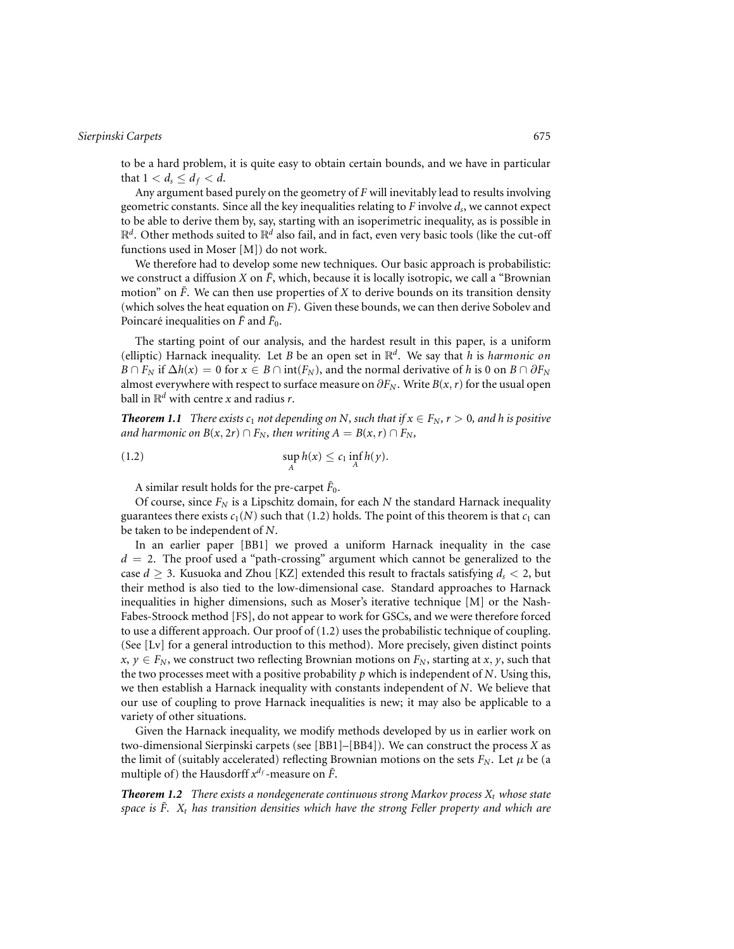to be a hard problem, it is quite easy to obtain certain bounds, and we have in particular that  $1 < d_s \leq d_f < d$ .

Any argument based purely on the geometry of *F* will inevitably lead to results involving geometric constants. Since all the key inequalities relating to *F* involve *ds*, we cannot expect to be able to derive them by, say, starting with an isoperimetric inequality, as is possible in R*<sup>d</sup>*. Other methods suited to R*<sup>d</sup>* also fail, and in fact, even very basic tools (like the cut-off functions used in Moser [M]) do not work.

We therefore had to develop some new techniques. Our basic approach is probabilistic: we construct a diffusion *X* on  $\tilde{F}$ , which, because it is locally isotropic, we call a "Brownian" motion" on  $\tilde{F}$ . We can then use properties of *X* to derive bounds on its transition density (which solves the heat equation on *F*). Given these bounds, we can then derive Sobolev and Poincaré inequalities on  $\tilde{F}$  and  $\tilde{F}_0$ .

The starting point of our analysis, and the hardest result in this paper, is a uniform (elliptic) Harnack inequality. Let *B* be an open set in R*<sup>d</sup>*. We say that *h* is *harmonic on B* ∩ *F<sub>N</sub>* if  $\Delta h(x) = 0$  for  $x \in B \cap \text{int}(F_N)$ , and the normal derivative of *h* is 0 on *B* ∩  $\partial F_N$ almost everywhere with respect to surface measure on  $\partial F_N$ . Write *B*(*x*, *r*) for the usual open ball in  $\mathbb{R}^d$  with centre *x* and radius *r*.

*Theorem 1.1 There exists c<sub>1</sub> not depending on N, such that if*  $x \in F_N$ *,*  $r > 0$ *, and h is positive and harmonic on*  $B(x, 2r) \cap F_N$ , then writing  $A = B(x, r) \cap F_N$ ,

(1.2) 
$$
\sup_{A} h(x) \leq c_1 \inf_{A} h(y).
$$

A similar result holds for the pre-carpet  $\tilde{F}_0$ .

Of course, since  $F_N$  is a Lipschitz domain, for each  $N$  the standard Harnack inequality guarantees there exists  $c_1(N)$  such that (1.2) holds. The point of this theorem is that  $c_1$  can be taken to be independent of *N*.

In an earlier paper [BB1] we proved a uniform Harnack inequality in the case  $d = 2$ . The proof used a "path-crossing" argument which cannot be generalized to the case  $d \geq 3$ . Kusuoka and Zhou [KZ] extended this result to fractals satisfying  $d_s < 2$ , but their method is also tied to the low-dimensional case. Standard approaches to Harnack inequalities in higher dimensions, such as Moser's iterative technique [M] or the Nash-Fabes-Stroock method [FS], do not appear to work for GSCs, and we were therefore forced to use a different approach. Our proof of (1.2) uses the probabilistic technique of coupling. (See [Lv] for a general introduction to this method). More precisely, given distinct points  $x, y \in F_N$ , we construct two reflecting Brownian motions on  $F_N$ , starting at *x*, *y*, such that the two processes meet with a positive probability *p* which is independent of *N*. Using this, we then establish a Harnack inequality with constants independent of *N*. We believe that our use of coupling to prove Harnack inequalities is new; it may also be applicable to a variety of other situations.

Given the Harnack inequality, we modify methods developed by us in earlier work on two-dimensional Sierpinski carpets (see [BB1]–[BB4]). We can construct the process *X* as the limit of (suitably accelerated) reflecting Brownian motions on the sets  $F_N$ . Let  $\mu$  be (a multiple of) the Hausdorff  $x^{d_f}$ -measure on  $\tilde{F}$ .

**Theorem 1.2** There exists a nondegenerate continuous strong Markov process  $X_t$  whose state *space is*  $\tilde{F}$ *.*  $X_t$  *has transition densities which have the strong Feller property and which are*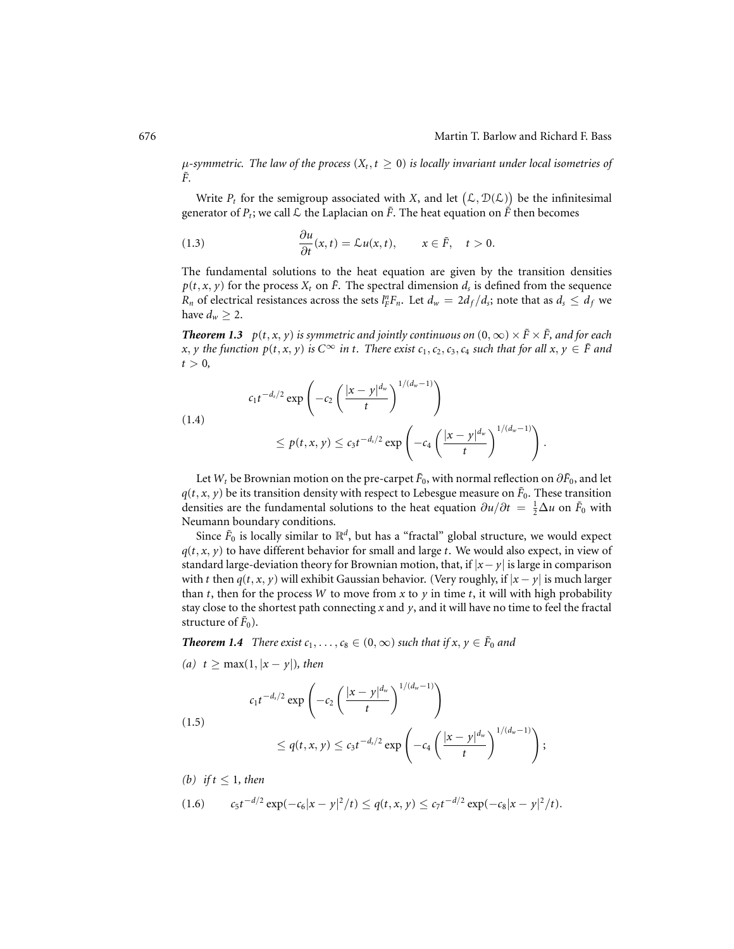$\mu$ -symmetric. The law of the process  $(X_t, t \geq 0)$  is locally invariant under local isometries of  $\tilde{F}$ .

Write  $P_t$  for the semigroup associated with *X*, and let  $(L, \mathcal{D}(L))$  be the infinitesimal generator of  $P_t$ ; we call  $\mathcal L$  the Laplacian on  $\tilde F$ . The heat equation on  $\tilde F$  then becomes

(1.3) 
$$
\frac{\partial u}{\partial t}(x,t) = \mathcal{L}u(x,t), \qquad x \in \tilde{F}, \quad t > 0.
$$

The fundamental solutions to the heat equation are given by the transition densities  $p(t, x, y)$  for the process  $X_t$  on  $\tilde{F}$ . The spectral dimension  $d_s$  is defined from the sequence *R<sub>n</sub>* of electrical resistances across the sets  $l_F^n F_n$ . Let  $d_w = 2d_f/d_s$ ; note that as  $d_s \leq d_f$  we have  $d_w \geq 2$ .

*Theorem 1.3 p*(*t*, *x*, *y*) *is symmetric and jointly continuous on*  $(0, \infty) \times \tilde{F} \times \tilde{F}$ *, and for each x*, *y* the function  $p(t, x, y)$  is  $C^\infty$  in *t*. There exist  $c_1, c_2, c_3, c_4$  such that for all  $x, y ∈ F$  and  $t > 0$ ,

$$
c_1 t^{-d_s/2} \exp\left(-c_2 \left(\frac{|x-y|^{d_w}}{t}\right)^{1/(d_w-1)}\right)
$$
  

$$
\leq p(t, x, y) \leq c_3 t^{-d_s/2} \exp\left(-c_4 \left(\frac{|x-y|^{d_w}}{t}\right)^{1/(d_w-1)}\right).
$$

Let  $W_t$  be Brownian motion on the pre-carpet  $\tilde{F}_0$ , with normal reflection on  $\partial \tilde{F}_0$ , and let  $q(t, x, y)$  be its transition density with respect to Lebesgue measure on  $\tilde{F}_0$ . These transition densities are the fundamental solutions to the heat equation  $\partial u/\partial t = \frac{1}{2}\Delta u$  on  $\tilde{F}_0$  with Neumann boundary conditions.

Since  $\tilde{F}_0$  is locally similar to  $\mathbb{R}^d$ , but has a "fractal" global structure, we would expect  $q(t, x, y)$  to have different behavior for small and large *t*. We would also expect, in view of standard large-deviation theory for Brownian motion, that, if |*x*− *y*| is large in comparison with *t* then  $q(t, x, y)$  will exhibit Gaussian behavior. (Very roughly, if  $|x - y|$  is much larger than *t*, then for the process *W* to move from *x* to *y* in time *t*, it will with high probability stay close to the shortest path connecting *x* and *y*, and it will have no time to feel the fractal structure of  $\tilde{F}_0$ ).

*Theorem 1.4 <i>There exist*  $c_1, \ldots, c_8 \in (0, \infty)$  *such that if x, y*  $\in \tilde{F}_0$  *and* 

(a) 
$$
t \ge \max(1, |x - y|)
$$
, then

$$
c_1t^{-d_s/2}\exp\left(-c_2\left(\frac{|x-y|^{d_w}}{t}\right)\right)
$$

$$
\leq q(t,x,y) \leq c_3 t^{-d_s/2} \exp\left(-c_4 \left(\frac{|x-y|^{d_w}}{t}\right)^{1/(d_w-1)}\right);
$$

 $\left.\sum_{w} \frac{1}{(d_w-1)}\right.$ 

(b) if 
$$
t \leq 1
$$
, then

(1.5)

$$
(1.6) \t c_5 t^{-d/2} \exp(-c_6 |x-y|^2/t) \leq q(t,x,y) \leq c_7 t^{-d/2} \exp(-c_8 |x-y|^2/t).
$$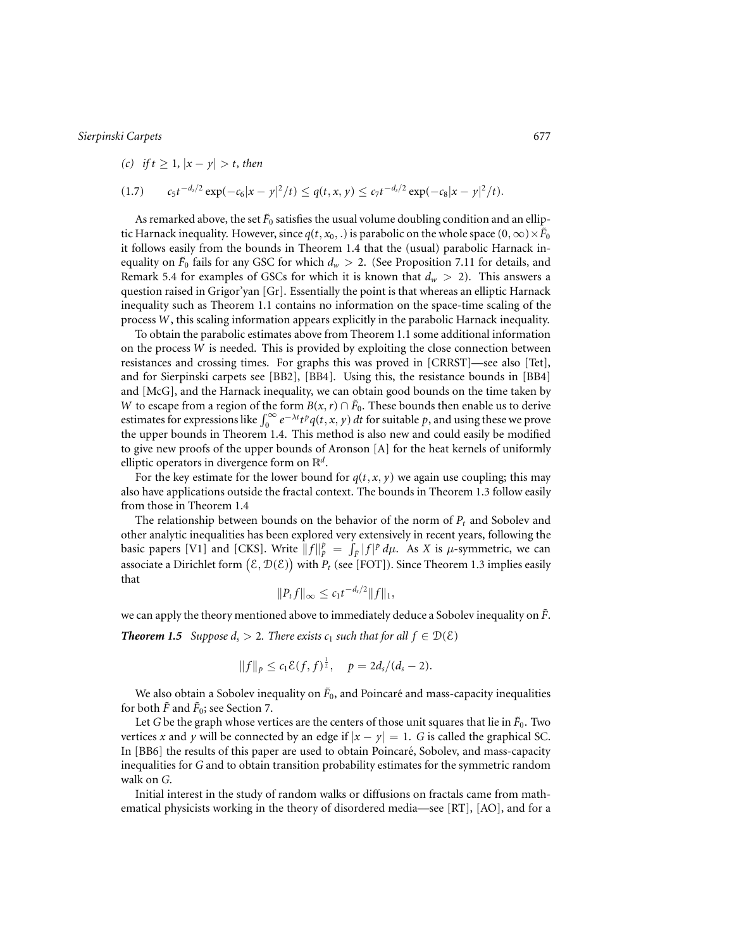*(c) if t* ≥ 1*,* |*x* − *y*| > *t, then*

$$
(1.7) \t c_5 t^{-d_s/2} \exp(-c_6 |x-y|^2/t) \leq q(t,x,y) \leq c_7 t^{-d_s/2} \exp(-c_8 |x-y|^2/t).
$$

As remarked above, the set  $\tilde{F}_0$  satisfies the usual volume doubling condition and an elliptic Harnack inequality. However, since  $q(t, x_0, \cdot)$  is parabolic on the whole space  $(0, \infty) \times \tilde{F}_0$ it follows easily from the bounds in Theorem 1.4 that the (usual) parabolic Harnack inequality on  $\tilde{F}_0$  fails for any GSC for which  $d_w > 2$ . (See Proposition 7.11 for details, and Remark 5.4 for examples of GSCs for which it is known that  $d_w > 2$ ). This answers a question raised in Grigor'yan [Gr]. Essentially the point is that whereas an elliptic Harnack inequality such as Theorem 1.1 contains no information on the space-time scaling of the process *W*, this scaling information appears explicitly in the parabolic Harnack inequality.

To obtain the parabolic estimates above from Theorem 1.1 some additional information on the process *W* is needed. This is provided by exploiting the close connection between resistances and crossing times. For graphs this was proved in [CRRST]—see also [Tet], and for Sierpinski carpets see [BB2], [BB4]. Using this, the resistance bounds in [BB4] and [McG], and the Harnack inequality, we can obtain good bounds on the time taken by *W* to escape from a region of the form *B*(*x*,*r*) ∩  $\tilde{F}_0$ . These bounds then enable us to derive estimates for expressions like  $\int_0^\infty e^{-\lambda t} t^p q(t, x, y) dt$  for suitable *p*, and using these we prove the upper bounds in Theorem 1.4. This method is also new and could easily be modified to give new proofs of the upper bounds of Aronson [A] for the heat kernels of uniformly elliptic operators in divergence form on R*<sup>d</sup>*.

For the key estimate for the lower bound for  $q(t, x, y)$  we again use coupling; this may also have applications outside the fractal context. The bounds in Theorem 1.3 follow easily from those in Theorem 1.4

The relationship between bounds on the behavior of the norm of  $P_t$  and Sobolev and other analytic inequalities has been explored very extensively in recent years, following the basic papers [V1] and [CKS]. Write  $||f||_p^p = \int_{\tilde{F}} |f|^p d\mu$ . As *X* is *µ*-symmetric, we can associate a Dirichlet form  $(\mathcal{E},\mathcal{D}(\mathcal{E}))$  with  $P_t$  (see [FOT]). Since Theorem 1.3 implies easily that

$$
||P_t f||_{\infty} \leq c_1 t^{-d_s/2} ||f||_1,
$$

we can apply the theory mentioned above to immediately deduce a Sobolev inequality on *F*˜.

*Theorem 1.5 Suppose d<sub>s</sub>* > 2*. There exists c<sub>1</sub> such that for all*  $f \in D(\mathcal{E})$ 

$$
||f||_p \leq c_1 \mathcal{E}(f, f)^{\frac{1}{2}}, \quad p = 2d_s/(d_s - 2).
$$

We also obtain a Sobolev inequality on  $\tilde{F}_0$ , and Poincaré and mass-capacity inequalities for both  $\bar{F}$  and  $\bar{F}_0$ ; see Section 7.

Let *G* be the graph whose vertices are the centers of those unit squares that lie in  $\tilde{F}_0$ . Two vertices *x* and *y* will be connected by an edge if  $|x - y| = 1$ . *G* is called the graphical SC. In [BB6] the results of this paper are used to obtain Poincare, Sobolev, and mass-capacity ´ inequalities for *G* and to obtain transition probability estimates for the symmetric random walk on *G*.

Initial interest in the study of random walks or diffusions on fractals came from mathematical physicists working in the theory of disordered media—see [RT], [AO], and for a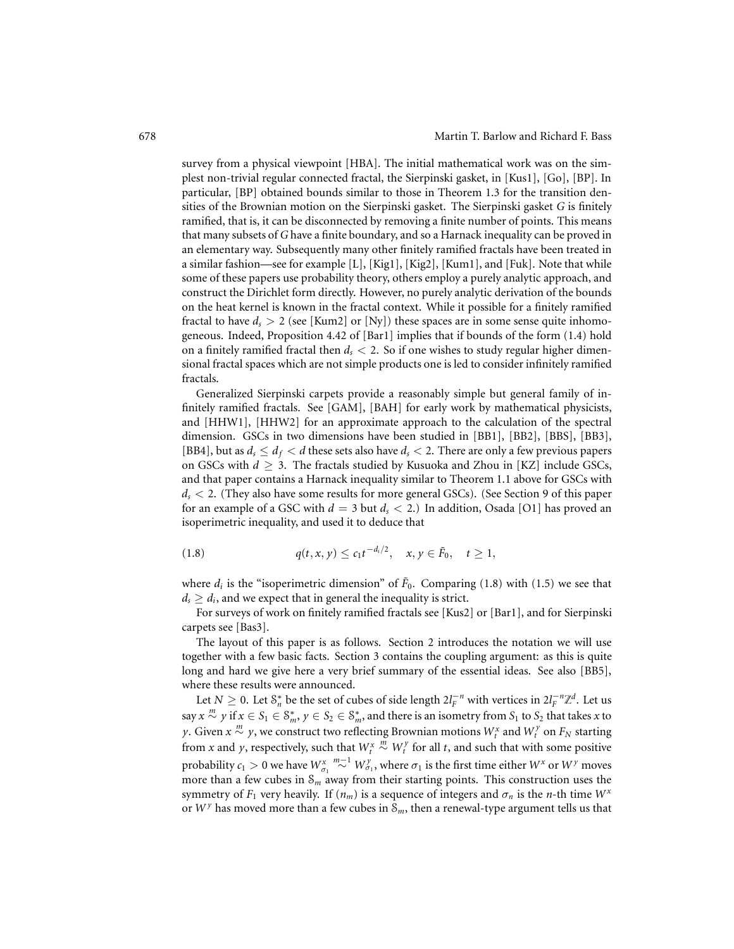survey from a physical viewpoint [HBA]. The initial mathematical work was on the simplest non-trivial regular connected fractal, the Sierpinski gasket, in [Kus1], [Go], [BP]. In particular, [BP] obtained bounds similar to those in Theorem 1.3 for the transition densities of the Brownian motion on the Sierpinski gasket. The Sierpinski gasket *G* is finitely ramified, that is, it can be disconnected by removing a finite number of points. This means that many subsets of *G* have a finite boundary, and so a Harnack inequality can be proved in an elementary way. Subsequently many other finitely ramified fractals have been treated in a similar fashion—see for example [L], [Kig1], [Kig2], [Kum1], and [Fuk]. Note that while some of these papers use probability theory, others employ a purely analytic approach, and construct the Dirichlet form directly. However, no purely analytic derivation of the bounds on the heat kernel is known in the fractal context. While it possible for a finitely ramified fractal to have  $d_s > 2$  (see [Kum2] or [Ny]) these spaces are in some sense quite inhomogeneous. Indeed, Proposition 4.42 of [Bar1] implies that if bounds of the form (1.4) hold on a finitely ramified fractal then *ds* < 2. So if one wishes to study regular higher dimensional fractal spaces which are not simple products one is led to consider infinitely ramified fractals.

Generalized Sierpinski carpets provide a reasonably simple but general family of infinitely ramified fractals. See [GAM], [BAH] for early work by mathematical physicists, and [HHW1], [HHW2] for an approximate approach to the calculation of the spectral dimension. GSCs in two dimensions have been studied in [BB1], [BB2], [BBS], [BB3], [BB4], but as  $d_s \leq d_f < d$  these sets also have  $d_s < 2$ . There are only a few previous papers on GSCs with  $d \geq 3$ . The fractals studied by Kusuoka and Zhou in [KZ] include GSCs, and that paper contains a Harnack inequality similar to Theorem 1.1 above for GSCs with *ds* < 2. (They also have some results for more general GSCs). (See Section 9 of this paper for an example of a GSC with *d* = 3 but *ds* < 2.) In addition, Osada [O1] has proved an isoperimetric inequality, and used it to deduce that

(1.8) 
$$
q(t, x, y) \leq c_1 t^{-d_i/2}, \quad x, y \in \tilde{F}_0, \quad t \geq 1,
$$

where  $d_i$  is the "isoperimetric dimension" of  $\tilde{F}_0$ . Comparing (1.8) with (1.5) we see that  $d_s \geq d_i$ , and we expect that in general the inequality is strict.

For surveys of work on finitely ramified fractals see [Kus2] or [Bar1], and for Sierpinski carpets see [Bas3].

The layout of this paper is as follows. Section 2 introduces the notation we will use together with a few basic facts. Section 3 contains the coupling argument: as this is quite long and hard we give here a very brief summary of the essential ideas. See also [BB5], where these results were announced.

Let  $N \geq 0$ . Let  $S_n^*$  be the set of cubes of side length  $2l_F^{-n}$  with vertices in  $2l_F^{-n}\mathbb{Z}^d$ . Let us  $\sup x \stackrel{m}{\sim} y$  if  $x \in S_1 \in \mathcal{S}_m^*$ ,  $y \in S_2 \in \mathcal{S}_m^*$ , and there is an isometry from  $S_1$  to  $S_2$  that takes *x* to *y*. Given  $x \stackrel{m}{\sim} y$ , we construct two reflecting Brownian motions  $W_t^x$  and  $W_t^y$  on  $F_N$  starting from *x* and *y*, respectively, such that  $W_t^x$  $\stackrel{m}{\sim} W_t^{\gamma}$  for all *t*, and such that with some positive probability  $c_1 > 0$  we have  $W^x_{\sigma_1} \stackrel{m-1}{\sim} W^y_{\sigma_1}$ , where  $\sigma_1$  is the first time either  $W^x$  or  $W^y$  moves more than a few cubes in  $S_m$  away from their starting points. This construction uses the symmetry of  $F_1$  very heavily. If  $(n_m)$  is a sequence of integers and  $\sigma_n$  is the *n*-th time  $W^x$ or  $W<sup>y</sup>$  has moved more than a few cubes in  $S<sub>m</sub>$ , then a renewal-type argument tells us that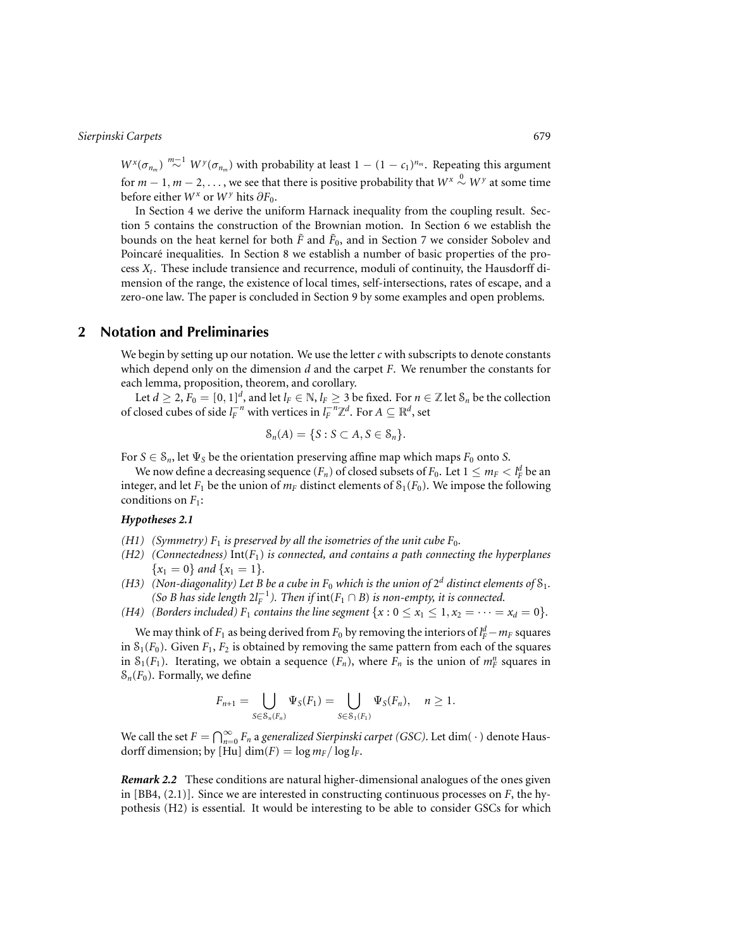$W^x(\sigma_{n_m}) \stackrel{m-1}{\sim} W^y(\sigma_{n_m})$  with probability at least  $1 - (1 - c_1)^{n_m}$ . Repeating this argument for  $m-1, m-2, \ldots$  , we see that there is positive probability that  $W^{\text{x}} \stackrel{0}{\sim} W^{\text{y}}$  at some time before either  $W^x$  or  $W^y$  hits  $\partial F_0$ .

In Section 4 we derive the uniform Harnack inequality from the coupling result. Section 5 contains the construction of the Brownian motion. In Section 6 we establish the bounds on the heat kernel for both  $\tilde{F}$  and  $\tilde{F}_0$ , and in Section 7 we consider Sobolev and Poincaré inequalities. In Section 8 we establish a number of basic properties of the process  $X_t$ . These include transience and recurrence, moduli of continuity, the Hausdorff dimension of the range, the existence of local times, self-intersections, rates of escape, and a zero-one law. The paper is concluded in Section 9 by some examples and open problems.

# **2 Notation and Preliminaries**

We begin by setting up our notation. We use the letter *c* with subscripts to denote constants which depend only on the dimension *d* and the carpet *F*. We renumber the constants for each lemma, proposition, theorem, and corollary.

Let  $d \geq 2$ ,  $F_0 = [0, 1]^d$ , and let  $l_F \in \mathbb{N}$ ,  $l_F \geq 3$  be fixed. For  $n \in \mathbb{Z}$  let  $S_n$  be the collection of closed cubes of side  $l_F^{-n}$  with vertices in  $l_F^{-n}\mathbb{Z}^d$ . For  $A\subseteq \mathbb{R}^d$ , set

$$
\mathcal{S}_n(A) = \{ S : S \subset A, S \in \mathcal{S}_n \}.
$$

For  $S \in S_n$ , let  $\Psi_S$  be the orientation preserving affine map which maps  $F_0$  onto *S*.

We now define a decreasing sequence  $(F_n)$  of closed subsets of  $F_0.$  Let  $1 \leq m_F < l_F^d$  be an integer, and let  $F_1$  be the union of  $m_F$  distinct elements of  $S_1(F_0)$ . We impose the following conditions on *F*1:

# *Hypotheses 2.1*

- *(H1) (Symmetry)*  $F_1$  *is preserved by all the isometries of the unit cube*  $F_0$ *.*
- *(H2) (Connectedness)* Int(*F*1) *is connected, and contains a path connecting the hyperplanes*  ${x_1 = 0}$  *and*  ${x_1 = 1}$ *.*
- *(H3) (Non-diagonality) Let B be a cube in*  $F_0$  *which is the union of*  $2^d$  *distinct elements of*  $S_1$ *. (So B has side length*  $2l_F^{-1}$ ). *Then if*  $\text{int}(F_1 \cap B)$  *is non-empty, it is connected.*
- *(H4) (Borders included)*  $F_1$  *contains the line segment*  $\{x : 0 \le x_1 \le 1, x_2 = \cdots = x_d = 0\}$ *.*

We may think of  $F_1$  as being derived from  $F_0$  by removing the interiors of  $l_F^d - m_F$  squares in  $S_1(F_0)$ . Given  $F_1, F_2$  is obtained by removing the same pattern from each of the squares in  $S_1(F_1)$ . Iterating, we obtain a sequence  $(F_n)$ , where  $F_n$  is the union of  $m_F^n$  squares in  $S_n(F_0)$ . Formally, we define

$$
F_{n+1} = \bigcup_{S \in \mathcal{S}_n(F_n)} \Psi_S(F_1) = \bigcup_{S \in \mathcal{S}_1(F_1)} \Psi_S(F_n), \quad n \geq 1.
$$

We call the set  $F = \bigcap_{n=0}^{\infty} F_n$  a *generalized Sierpinski carpet (GSC)*. Let  $\dim(\cdot)$  denote Hausdorff dimension; by [Hu] dim(*F*) =  $\log m_F / \log l_F$ .

*Remark 2.2* These conditions are natural higher-dimensional analogues of the ones given in [BB4, (2.1)]. Since we are interested in constructing continuous processes on *F*, the hypothesis (H2) is essential. It would be interesting to be able to consider GSCs for which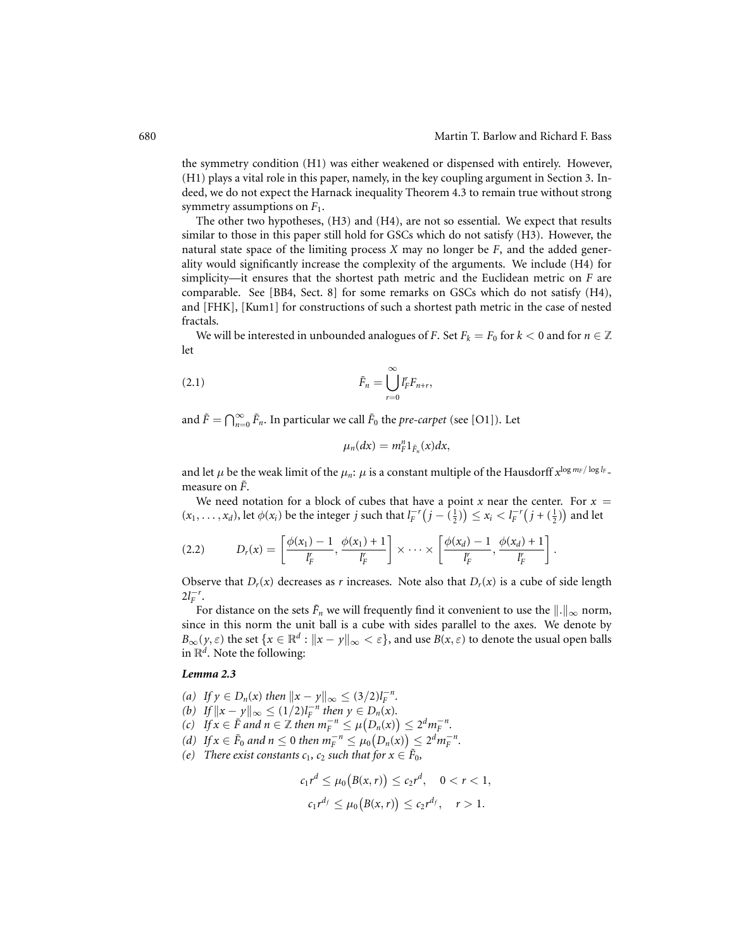the symmetry condition (H1) was either weakened or dispensed with entirely. However, (H1) plays a vital role in this paper, namely, in the key coupling argument in Section 3. Indeed, we do not expect the Harnack inequality Theorem 4.3 to remain true without strong symmetry assumptions on *F*1.

The other two hypotheses, (H3) and (H4), are not so essential. We expect that results similar to those in this paper still hold for GSCs which do not satisfy (H3). However, the natural state space of the limiting process *X* may no longer be *F*, and the added generality would significantly increase the complexity of the arguments. We include (H4) for simplicity—it ensures that the shortest path metric and the Euclidean metric on *F* are comparable. See [BB4, Sect. 8] for some remarks on GSCs which do not satisfy (H4), and [FHK], [Kum1] for constructions of such a shortest path metric in the case of nested fractals.

We will be interested in unbounded analogues of *F*. Set  $F_k = F_0$  for  $k < 0$  and for  $n \in \mathbb{Z}$ let

$$
\tilde{F}_n = \bigcup_{r=0}^{\infty} I_r^r F_{n+r},
$$

and  $\tilde{F} = \bigcap_{n=0}^{\infty} \tilde{F}_n$ . In particular we call  $\tilde{F}_0$  the *pre-carpet* (see [O1]). Let

$$
\mu_n(dx)=m_F^n1_{\tilde{F}_n}(x)dx,
$$

and let  $\mu$  be the weak limit of the  $\mu_n$ :  $\mu$  is a constant multiple of the Hausdorff  $x^{\log m_F/\log l_F}$ . measure on  $\tilde{F}$ .

We need notation for a block of cubes that have a point *x* near the center. For  $x =$  $f(x_1,...,x_d)$ , let  $\phi(x_i)$  be the integer *j* such that  $l_F^{-r}(j - (\frac{1}{2})) \le x_i < l_F^{-r}(j + (\frac{1}{2}))$  and let

$$
(2.2) \tD_r(x) = \left[\frac{\phi(x_1)-1}{l_F^r}, \frac{\phi(x_1)+1}{l_F^r}\right] \times \cdots \times \left[\frac{\phi(x_d)-1}{l_F^r}, \frac{\phi(x_d)+1}{l_F^r}\right].
$$

Observe that  $D_r(x)$  decreases as *r* increases. Note also that  $D_r(x)$  is a cube of side length  $2l_F^{-r}$ .

For distance on the sets  $\tilde{F}_n$  we will frequently find it convenient to use the  $\|\cdot\|_{\infty}$  norm, since in this norm the unit ball is a cube with sides parallel to the axes. We denote by  $B_{\infty}(y, \varepsilon)$  the set  $\{x \in \mathbb{R}^d : ||x - y||_{\infty} < \varepsilon\}$ , and use  $B(x, \varepsilon)$  to denote the usual open balls in  $\mathbb{R}^d$ . Note the following:

#### *Lemma 2.3*

- *(a) If*  $y \in D_n(x)$  *then*  $||x y||_{\infty} \leq (3/2)l_F^{-n}$ *.*
- *(b) If*  $||x y||_{\infty} \le (1/2)l_F^{-n}$  *then*  $y \in D_n(x)$ *.*
- *(c) If*  $x \in \tilde{F}$  *and*  $n \in \mathbb{Z}$  *then*  $m_F^{-n} \leq \mu(D_n(x)) \leq 2^d m_F^{-n}$ .
- *(d) If*  $x \in \tilde{F}_0$  *and*  $n \le 0$  *then*  $m_F^{-n} \le \mu_0(D_n(x)) \le 2^d m_F^{-n}$ .
- *(e)* There exist constants  $c_1$ ,  $c_2$  such that for  $x \in \tilde{F}_0$ ,

$$
c_1 r^d \le \mu_0(B(x,r)) \le c_2 r^d, \quad 0 < r < 1,
$$
  

$$
c_1 r^{d_f} \le \mu_0(B(x,r)) \le c_2 r^{d_f}, \quad r > 1.
$$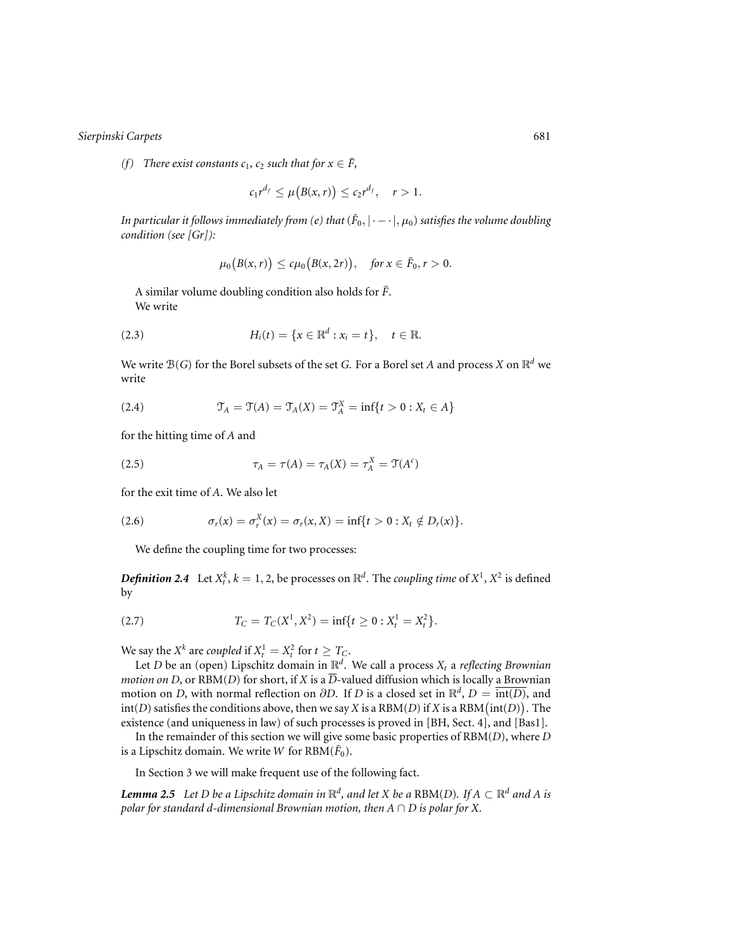*(f)* There exist constants  $c_1$ ,  $c_2$  such that for  $x \in \tilde{F}$ ,

$$
c_1r^{d_f} \leq \mu\big(B(x,r)\big) \leq c_2r^{d_f}, \quad r > 1.
$$

*In particular it follows immediately from (e) that*  $(F_0, |·-·|, \mu_0)$  *satisfies the volume doubling condition (see [Gr]):*

$$
\mu_0\big(B(x,r)\big)\leq c\mu_0\big(B(x,2r)\big),\quad \text{for }x\in\tilde{F}_0,r>0.
$$

A similar volume doubling condition also holds for  $\tilde{F}$ . We write

(2.3) 
$$
H_i(t) = \{x \in \mathbb{R}^d : x_i = t\}, \quad t \in \mathbb{R}.
$$

We write  $B(G)$  for the Borel subsets of the set *G*. For a Borel set *A* and process *X* on  $\mathbb{R}^d$  we write

(2.4) 
$$
\mathfrak{T}_A = \mathfrak{T}(A) = \mathfrak{T}_A(X) = \mathfrak{T}_A^X = \inf\{t > 0 : X_t \in A\}
$$

for the hitting time of *A* and

(2.5) 
$$
\tau_A = \tau(A) = \tau_A(X) = \tau_A^X = \mathfrak{T}(A^c)
$$

for the exit time of *A*. We also let

(2.6) 
$$
\sigma_r(x) = \sigma_r^X(x) = \sigma_r(x, X) = \inf\{t > 0 : X_t \notin D_r(x)\}.
$$

We define the coupling time for two processes:

*Definition 2.4* Let  $X_t^k$ ,  $k = 1, 2$ , be processes on  $\mathbb{R}^d$ . The *coupling time* of  $X^1$ ,  $X^2$  is defined by

$$
(2.7) \t\t TC = TC(X1, X2) = inf{t \ge 0 : Xt1 = Xt2}.
$$

We say the  $X^k$  are *coupled* if  $X_t^1 = X_t^2$  for  $t \geq T_C$ .

Let *D* be an (open) Lipschitz domain in  $\mathbb{R}^d$ . We call a process  $X_t$  a *reflecting Brownian motion on D*, or RBM(*D*) for short, if *X* is a  $\overline{D}$ -valued diffusion which is locally a Brownian motion on *D*, with normal reflection on  $\partial D$ . If *D* is a closed set in  $\mathbb{R}^d$ ,  $D = \overline{\text{int}(D)}$ , and  $\text{int}(D)$  satisfies the conditions above, then we say *X* is a RBM(*D*) if *X* is a RBM( $\text{int}(D)$ ). The existence (and uniqueness in law) of such processes is proved in [BH, Sect. 4], and [Bas1].

In the remainder of this section we will give some basic properties of RBM(*D*), where *D* is a Lipschitz domain. We write *W* for  $RBM(\tilde{F}_0)$ .

In Section 3 we will make frequent use of the following fact.

*Lemma 2.5 Let D be a Lipschitz domain in*  $\mathbb{R}^d$ , and let X be a RBM(*D*)*.* If  $A \subset \mathbb{R}^d$  and A is *polar for standard d-dimensional Brownian motion, then A* ∩ *D is polar for X.*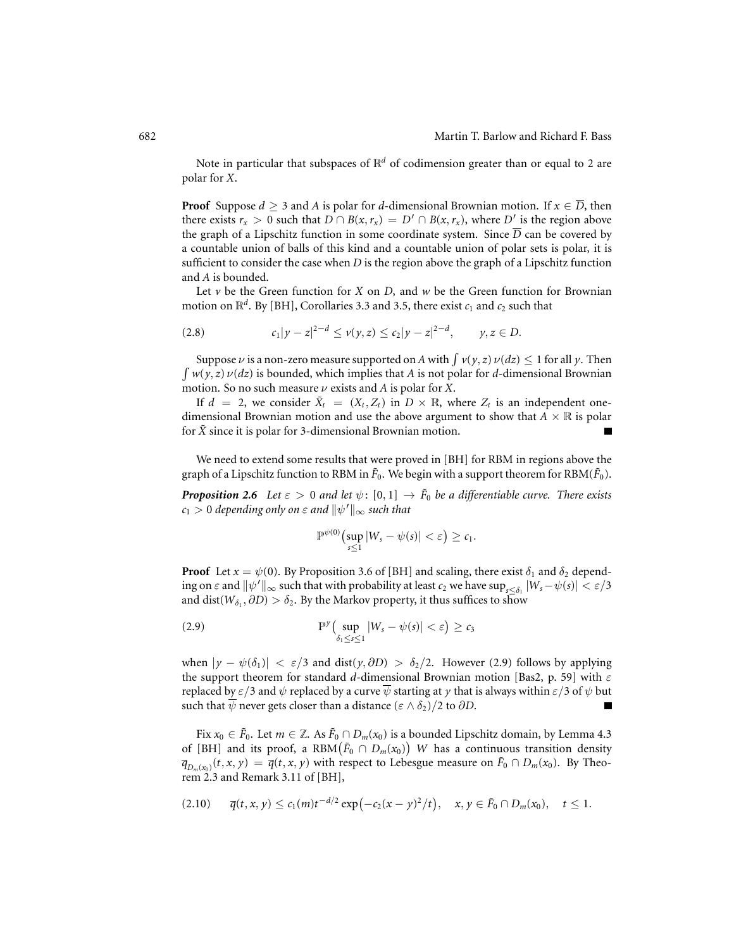Note in particular that subspaces of  $\mathbb{R}^d$  of codimension greater than or equal to 2 are polar for *X*.

**Proof** Suppose  $d > 3$  and A is polar for *d*-dimensional Brownian motion. If  $x \in \overline{D}$ , then there exists  $r_x > 0$  such that  $D \cap B(x, r_x) = D' \cap B(x, r_x)$ , where  $D'$  is the region above the graph of a Lipschitz function in some coordinate system. Since  $\overline{D}$  can be covered by a countable union of balls of this kind and a countable union of polar sets is polar, it is sufficient to consider the case when *D* is the region above the graph of a Lipschitz function and *A* is bounded.

Let  $\nu$  be the Green function for *X* on *D*, and  $\nu$  be the Green function for Brownian motion on  $\mathbb{R}^d$ . By [BH], Corollaries 3.3 and 3.5, there exist  $c_1$  and  $c_2$  such that

$$
(2.8) \t\t\t c_1|y-z|^{2-d} \le v(y,z) \le c_2|y-z|^{2-d}, \t y,z \in D.
$$

Suppose  $\nu$  is a non-zero measure supported on *A* with  $\int \nu(y, z) \nu(dz) \leq 1$  for all  $\gamma$ . Then  $\int w(y, z) \nu(dz)$  is bounded, which implies that *A* is not polar for *d*-dimensional Brownian motion. So no such measure ν exists and *A* is polar for *X*.

If  $d = 2$ , we consider  $\tilde{X}_t = (X_t, Z_t)$  in  $D \times \mathbb{R}$ , where  $Z_t$  is an independent onedimensional Brownian motion and use the above argument to show that  $A \times \mathbb{R}$  is polar for  $\tilde{X}$  since it is polar for 3-dimensional Brownian motion. Г

We need to extend some results that were proved in [BH] for RBM in regions above the graph of a Lipschitz function to RBM in  $\tilde{F}_0$ . We begin with a support theorem for RBM( $\tilde{F}_0$ ).

*Proposition 2.6 Let*  $\varepsilon > 0$  *and let*  $\psi$ *:*  $[0, 1] \rightarrow \tilde{F}_0$  *be a differentiable curve. There exists*  $c_1 > 0$  depending only on  $\varepsilon$  and  $\|\psi'\|_\infty$  such that

$$
\mathbb{P}^{\psi(0)}\big(\sup_{s\leq 1}|W_s-\psi(s)|<\varepsilon\big)\geq c_1.
$$

**Proof** Let  $x = \psi(0)$ . By Proposition 3.6 of [BH] and scaling, there exist  $\delta_1$  and  $\delta_2$  depending on  $\varepsilon$  and  $\|\psi'\|_\infty$  such that with probability at least  $c_2$  we have  $\sup_{s\leq\delta_1}|W_s-\psi(s)|<\varepsilon/3$ and dist( $W_{\delta_1}, \partial D$ ) >  $\delta_2$ . By the Markov property, it thus suffices to show

(2.9) 
$$
\mathbb{P}^{\gamma}\left(\sup_{\delta_1\leq s\leq 1}|W_s-\psi(s)|<\varepsilon\right)\geq c_3
$$

when  $|y - \psi(\delta_1)| < \varepsilon/3$  and dist(*y*,  $\partial D) > \delta_2/2$ . However (2.9) follows by applying the support theorem for standard *d*-dimensional Brownian motion [Bas2, p. 59] with ε replaced by  $\varepsilon/3$  and  $\psi$  replaced by a curve  $\overline{\psi}$  starting at *y* that is always within  $\varepsilon/3$  of  $\psi$  but such that  $\overline{\psi}$  never gets closer than a distance ( $\varepsilon \wedge \delta_2$ )/2 to  $\partial D$ .  $\blacksquare$ 

Fix  $x_0 \in \tilde{F}_0$ . Let  $m \in \mathbb{Z}$ . As  $\tilde{F}_0 \cap D_m(x_0)$  is a bounded Lipschitz domain, by Lemma 4.3 of [BH] and its proof, a RBM $(\tilde{F}_0 \cap D_m(x_0))$  W has a continuous transition density  $\overline{q}_{D_m(x_0)}(t, x, y) = \overline{q}(t, x, y)$  with respect to Lebesgue measure on  $\tilde{F}_0 \cap D_m(x_0)$ . By Theorem 2.3 and Remark 3.11 of [BH],

$$
(2.10) \quad \overline{q}(t,x,y) \le c_1(m)t^{-d/2} \exp(-c_2(x-y)^2/t), \quad x,y \in \tilde{F}_0 \cap D_m(x_0), \quad t \le 1.
$$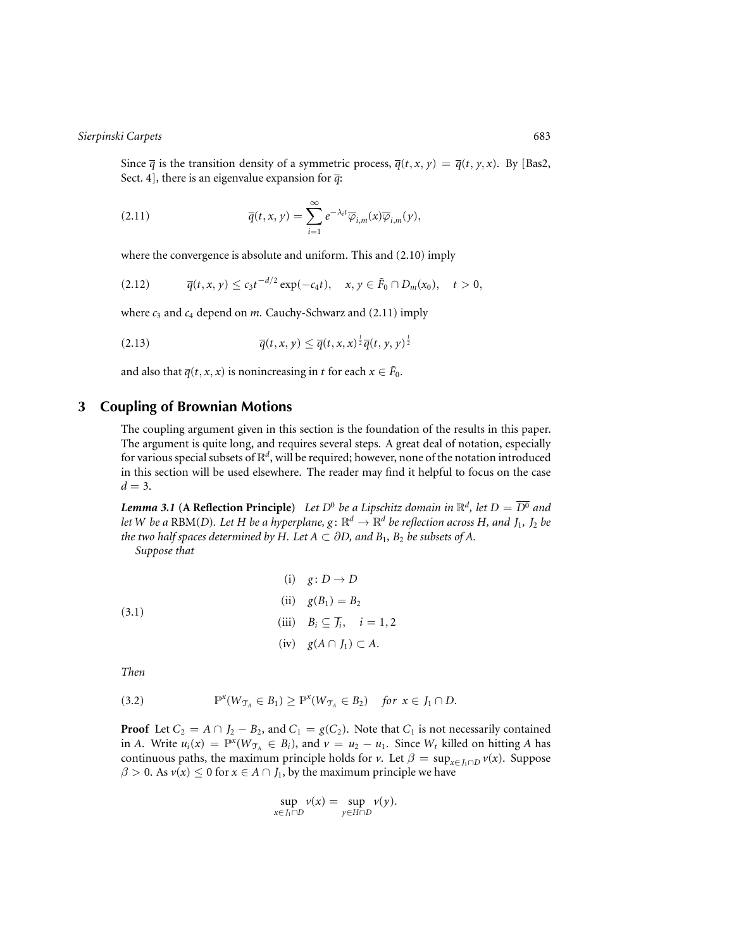Since  $\overline{q}$  is the transition density of a symmetric process,  $\overline{q}(t, x, y) = \overline{q}(t, y, x)$ . By [Bas2, Sect. 4], there is an eigenvalue expansion for  $\overline{q}$ :

(2.11) 
$$
\overline{q}(t,x,y) = \sum_{i=1}^{\infty} e^{-\lambda_i t} \overline{\varphi}_{i,m}(x) \overline{\varphi}_{i,m}(y),
$$

where the convergence is absolute and uniform. This and (2.10) imply

$$
(2.12) \t\t \overline{q}(t,x,y) \leq c_3 t^{-d/2} \exp(-c_4 t), \t x, y \in \tilde{F}_0 \cap D_m(x_0), \t t > 0,
$$

where  $c_3$  and  $c_4$  depend on *m*. Cauchy-Schwarz and (2.11) imply

$$
\overline{q}(t,x,y) \leq \overline{q}(t,x,x)^{\frac{1}{2}}\overline{q}(t,y,y)^{\frac{1}{2}}
$$

and also that  $\overline{q}(t, x, x)$  is nonincreasing in *t* for each  $x \in \overline{F}_0$ .

# **3 Coupling of Brownian Motions**

The coupling argument given in this section is the foundation of the results in this paper. The argument is quite long, and requires several steps. A great deal of notation, especially for various special subsets of R*<sup>d</sup>*, will be required; however, none of the notation introduced in this section will be used elsewhere. The reader may find it helpful to focus on the case  $d = 3$ .

*Lemma 3.1* (A Reflection Principle) Let  $D^0$  be a Lipschitz domain in  $\mathbb{R}^d$ , let  $D = \overline{D^0}$  and *let W be a* RBM(*D*)*. Let H be a hyperplane, g*:  $\mathbb{R}^d \to \mathbb{R}^d$  *be reflection across H, and*  $J_1$ *,*  $J_2$  *be the two half spaces determined by H. Let*  $A \subset \partial D$ *, and*  $B_1$ *,*  $B_2$  *be subsets of A.* 

*Suppose that*

(3.1)  
\n(i) 
$$
g: D \rightarrow D
$$
  
\n(ii)  $g(B_1) = B_2$   
\n(iii)  $B_i \subseteq \overline{J_i}$ ,  $i = 1, 2$   
\n(iv)  $g(A \cap J_1) \subset A$ .

*Then*

(3.2) 
$$
\mathbb{P}^x(W_{\mathcal{T}_A} \in B_1) \geq \mathbb{P}^x(W_{\mathcal{T}_A} \in B_2) \text{ for } x \in J_1 \cap D.
$$

**Proof** Let  $C_2 = A \cap J_2 - B_2$ , and  $C_1 = g(C_2)$ . Note that  $C_1$  is not necessarily contained in *A*. Write  $u_i(x) = \mathbb{P}^x(W_{\mathcal{T}_A} \in B_i)$ , and  $v = u_2 - u_1$ . Since  $W_t$  killed on hitting *A* has continuous paths, the maximum principle holds for *v*. Let  $\beta = \sup_{x \in J_1 \cap D} v(x)$ . Suppose  $\beta > 0$ . As  $v(x) \le 0$  for  $x \in A \cap J_1$ , by the maximum principle we have

$$
\sup_{x \in J_1 \cap D} v(x) = \sup_{y \in H \cap D} v(y).
$$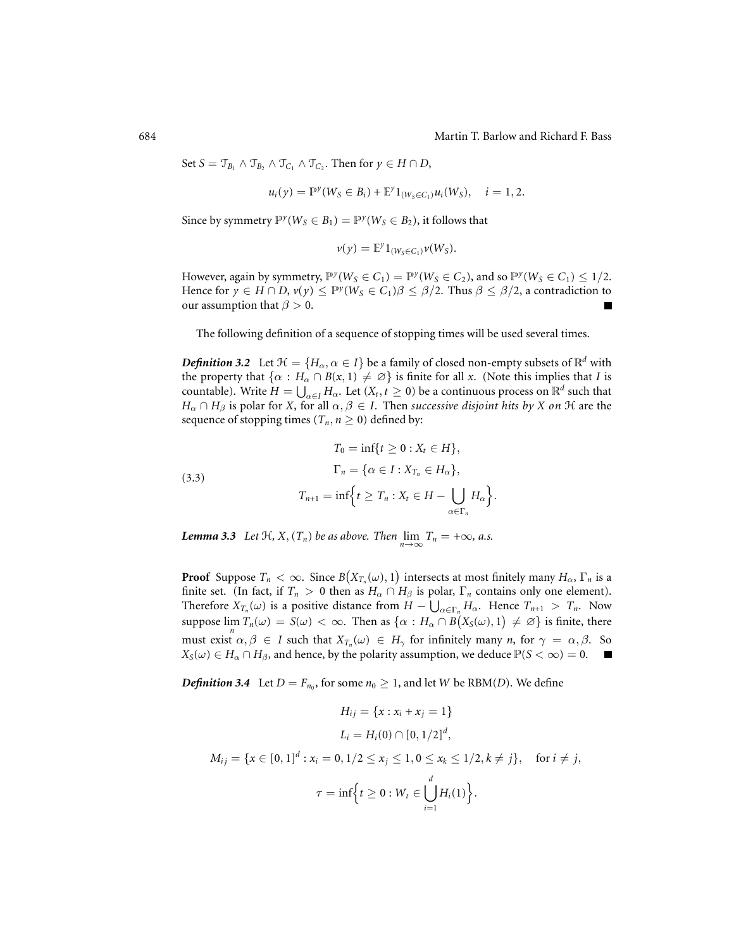Set  $S = \mathcal{T}_{B_1} \wedge \mathcal{T}_{B_2} \wedge \mathcal{T}_{C_1} \wedge \mathcal{T}_{C_2}$ . Then for  $y \in H \cap D$ ,

$$
u_i(y) = \mathbb{P}^y(W_S \in B_i) + \mathbb{E}^y 1_{(W_S \in C_1)} u_i(W_S), \quad i = 1, 2.
$$

Since by symmetry  $\mathbb{P}^{y}(W_S \in B_1) = \mathbb{P}^{y}(W_S \in B_2)$ , it follows that

$$
v(y) = \mathbb{E}^y 1_{(W_S \in C_1)} v(W_S).
$$

However, again by symmetry,  $\mathbb{P}^{y}(W_S \in C_1) = \mathbb{P}^{y}(W_S \in C_2)$ , and so  $\mathbb{P}^{y}(W_S \in C_1) \leq 1/2$ . Hence for  $\gamma \in H \cap D$ ,  $\nu(\gamma) \leq \mathbb{P}^{\gamma}(W_S \in C_1)\beta \leq \beta/2$ . Thus  $\beta \leq \beta/2$ , a contradiction to our assumption that  $\beta > 0$ . Г

The following definition of a sequence of stopping times will be used several times.

*Definition 3.2* Let  $\mathcal{H} = \{H_\alpha, \alpha \in I\}$  be a family of closed non-empty subsets of  $\mathbb{R}^d$  with the property that  $\{\alpha : H_\alpha \cap B(x, 1) \neq \emptyset\}$  is finite for all *x*. (Note this implies that *I* is countable). Write  $H = \bigcup_{\alpha \in I} H_{\alpha}$ . Let  $(X_t, t \geq 0)$  be a continuous process on  $\mathbb{R}^d$  such that *H*<sub>α</sub> ∩ *H*<sub>β</sub> is polar for *X*, for all  $\alpha, \beta \in I$ . Then *successive disjoint hits by X on*  $\mathcal H$  are the sequence of stopping times ( $T_n$ ,  $n \geq 0$ ) defined by:

(3.3)  
\n
$$
T_0 = \inf\{t \ge 0 : X_t \in H\},
$$
\n
$$
\Gamma_n = \{\alpha \in I : X_{T_n} \in H_\alpha\},
$$
\n
$$
T_{n+1} = \inf\{t \ge T_n : X_t \in H - \bigcup_{\alpha \in \Gamma_n} H_\alpha\}.
$$

*Lemma 3.3 Let*  $\mathcal{H}, X, (T_n)$  *be as above. Then*  $\lim_{n \to \infty} T_n = +\infty$ *, a.s.* 

**Proof** Suppose  $T_n < \infty$ . Since  $B(X_{T_n}(\omega), 1)$  intersects at most finitely many  $H_\alpha$ ,  $\Gamma_n$  is a finite set. (In fact, if  $T_n > 0$  then as  $H_\alpha \cap H_\beta$  is polar,  $\Gamma_n$  contains only one element). Therefore  $X_{T_n}(\omega)$  is a positive distance from  $H - \bigcup_{\alpha \in \Gamma_n} H_\alpha$ . Hence  $T_{n+1} > T_n$ . Now suppose  $\lim_{n} T_n(\omega) = S(\omega) < \infty$ . Then as  $\{\alpha : H_\alpha \cap B(X_S(\omega), 1) \neq \varnothing\}$  is finite, there must exist  $\alpha, \beta \in I$  such that  $X_{T_n}(\omega) \in H_\gamma$  for infinitely many *n*, for  $\gamma = \alpha, \beta$ . So  $X_S(\omega) \in H_\alpha \cap H_\beta$ , and hence, by the polarity assumption, we deduce  $\mathbb{P}(S < \infty) = 0$ .

*Definition 3.4* Let  $D = F_{n_0}$ , for some  $n_0 \geq 1$ , and let *W* be RBM(*D*). We define

$$
H_{ij} = \{x : x_i + x_j = 1\}
$$
  
\n
$$
L_i = H_i(0) \cap [0, 1/2]^d,
$$
  
\n
$$
M_{ij} = \{x \in [0, 1]^d : x_i = 0, 1/2 \le x_j \le 1, 0 \le x_k \le 1/2, k \ne j\}, \text{ for } i \ne j,
$$
  
\n
$$
\tau = \inf \{t \ge 0 : W_t \in \bigcup_{i=1}^d H_i(1)\}.
$$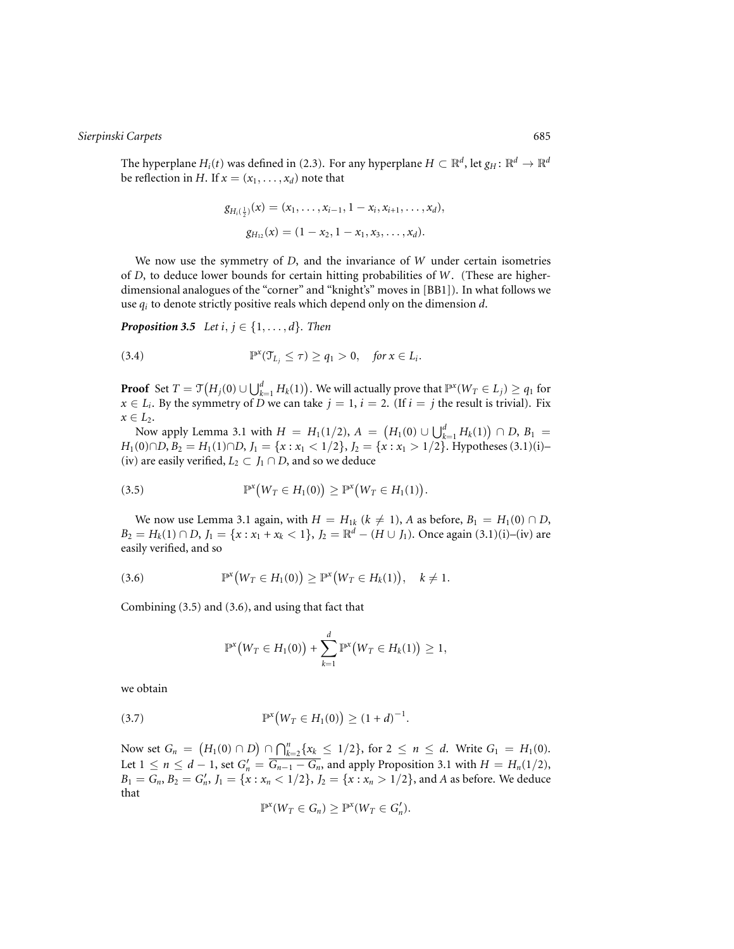The hyperplane *H<sub>i</sub>*(*t*) was defined in (2.3). For any hyperplane  $H \subset \mathbb{R}^d$ , let  $g_H: \mathbb{R}^d \to \mathbb{R}^d$ be reflection in *H*. If  $x = (x_1, \ldots, x_d)$  note that

$$
g_{H_i(\frac{1}{2})}(x) = (x_1, \ldots, x_{i-1}, 1 - x_i, x_{i+1}, \ldots, x_d),
$$
  

$$
g_{H_{12}}(x) = (1 - x_2, 1 - x_1, x_3, \ldots, x_d).
$$

We now use the symmetry of *D*, and the invariance of *W* under certain isometries of *D*, to deduce lower bounds for certain hitting probabilities of *W*. (These are higherdimensional analogues of the "corner" and "knight's" moves in [BB1]). In what follows we use *qi* to denote strictly positive reals which depend only on the dimension *d*.

*Proposition 3.5 Let i, j*  $\in$  {1,...,*d*}*. Then* 

(3.4) 
$$
\mathbb{P}^x(\mathcal{T}_{L_j} \leq \tau) \geq q_1 > 0, \quad \text{for } x \in L_i.
$$

**Proof** Set  $T = \mathfrak{T}\big(H_j(0) \cup \bigcup_{k=1}^d H_k(1)\big).$  We will actually prove that  $\mathbb{P}^{\mathsf{x}}(W_T \in L_j) \geq q_1$  for  $x \in L_i$ . By the symmetry of *D* we can take  $j = 1$ ,  $i = 2$ . (If  $i = j$  the result is trivial). Fix  $x \in L_2$ .

Now apply Lemma 3.1 with  $H = H_1(1/2)$ ,  $A = (H_1(0) \cup \bigcup_{k=1}^d H_k(1)) \cap D$ ,  $B_1 =$ *H*<sub>1</sub>(0)∩*D*, *B*<sub>2</sub> = *H*<sub>1</sub>(1)∩*D*, *J*<sub>1</sub> = {*x* : *x*<sub>1</sub> < 1/2}, *J*<sub>2</sub> = {*x* : *x*<sub>1</sub> > 1/2}. Hypotheses (3.1)(i)– (iv) are easily verified,  $L_2 \subset J_1 \cap D$ , and so we deduce

$$
(3.5) \t\t\t\t\t\mathbb{P}^x\big(W_T \in H_1(0)\big) \geq \mathbb{P}^x\big(W_T \in H_1(1)\big).
$$

We now use Lemma 3.1 again, with  $H = H_{1k}$  ( $k \neq 1$ ), *A* as before,  $B_1 = H_1(0) \cap D$ ,  $B_2 = H_k(1) \cap D$ ,  $J_1 = \{x : x_1 + x_k < 1\}$ ,  $J_2 = \mathbb{R}^d - (H \cup J_1)$ . Once again (3.1)(i)–(iv) are easily verified, and so

(3.6) 
$$
\mathbb{P}^{x}(W_{T} \in H_{1}(0)) \geq \mathbb{P}^{x}(W_{T} \in H_{k}(1)), \quad k \neq 1.
$$

Combining (3.5) and (3.6), and using that fact that

$$
\mathbb{P}^{x}(W_T \in H_1(0)) + \sum_{k=1}^{d} \mathbb{P}^{x}(W_T \in H_k(1)) \geq 1,
$$

we obtain

(3.7) 
$$
\mathbb{P}^{x}(W_T \in H_1(0)) \geq (1+d)^{-1}.
$$

Now set  $G_n = (H_1(0) \cap D) \cap \bigcap_{k=2}^n \{x_k \leq 1/2\}$ , for 2 ≤ *n* ≤ *d*. Write  $G_1 = H_1(0)$ . Let  $1 ≤ n ≤ d - 1$ , set  $G'_n = \overline{G_{n-1} - G_n}$ , and apply Proposition 3.1 with  $H = H_n(1/2)$ ,  $B_1 = G_n, B_2 = G'_n, J_1 = \{x : x_n < 1/2\}, J_2 = \{x : x_n > 1/2\}$ , and *A* as before. We deduce that

$$
\mathbb{P}^x(W_T \in G_n) \geq \mathbb{P}^x(W_T \in G'_n).
$$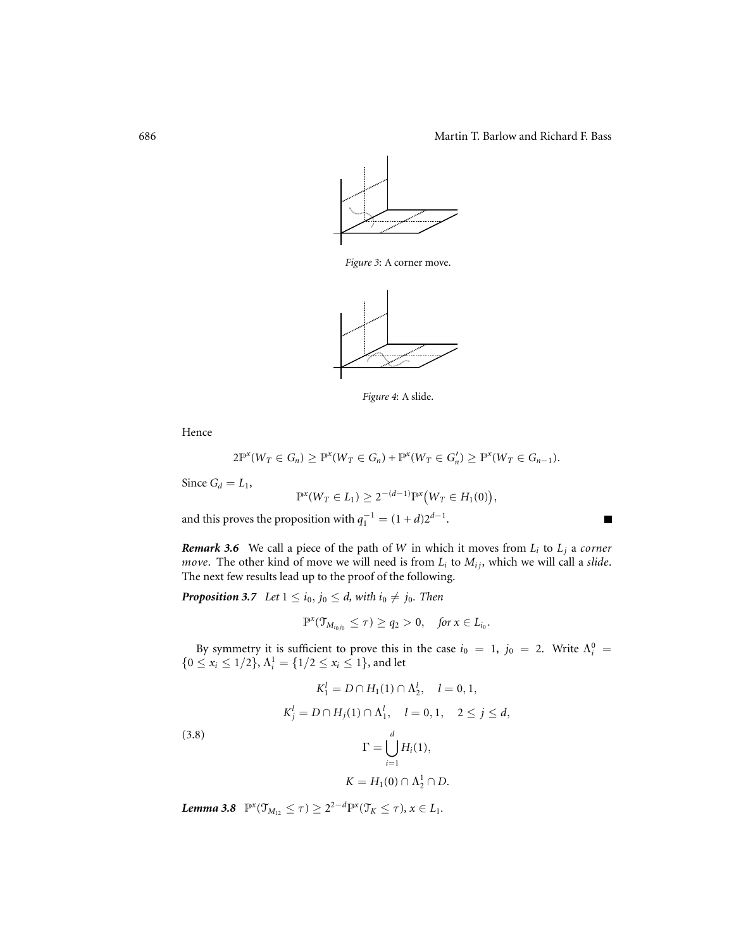Г



*Figure 3*: A corner move.



*Figure 4*: A slide.

Hence

$$
2\mathbb{P}^{x}(W_T \in G_n) \geq \mathbb{P}^{x}(W_T \in G_n) + \mathbb{P}^{x}(W_T \in G'_n) \geq \mathbb{P}^{x}(W_T \in G_{n-1}).
$$

Since  $G_d = L_1$ ,

$$
\mathbb{P}^x(W_T \in L_1) \ge 2^{-(d-1)} \mathbb{P}^x\big(W_T \in H_1(0)\big),
$$

and this proves the proposition with  $q_1^{-1} = (1 + d)2^{d-1}$ .

*Remark 3.6* We call a piece of the path of *W* in which it moves from *Li* to *Lj* a *corner move*. The other kind of move we will need is from  $L_i$  to  $M_{ij}$ , which we will call a *slide*. The next few results lead up to the proof of the following.

*Proposition 3.7 Let*  $1 \le i_0, j_0 \le d$ , *with*  $i_0 \ne j_0$ *. Then* 

$$
\mathbb{P}^x(\mathfrak{T}_{M_{i_0j_0}}\leq \tau)\geq q_2>0,\quad \text{for } x\in L_{i_0}.
$$

By symmetry it is sufficient to prove this in the case  $i_0 = 1$ ,  $j_0 = 2$ . Write  $\Lambda_i^0$  ${0 \le x_i \le 1/2}, \Lambda_i^1 = {1/2 \le x_i \le 1}, \text{ and let}$ 

(3.8)  
\n
$$
K_1^l = D \cap H_1(1) \cap \Lambda_2^l, \quad l = 0, 1,
$$
\n
$$
K_j^l = D \cap H_j(1) \cap \Lambda_1^l, \quad l = 0, 1, \quad 2 \le j \le d,
$$
\n
$$
\Gamma = \bigcup_{i=1}^d H_i(1),
$$
\n
$$
K = H_1(0) \cap \Lambda_2^1 \cap D.
$$

*Lemma* 3.8  $\mathbb{P}^x(\mathcal{T}_{M_{12}} \leq \tau) \geq 2^{2-d} \mathbb{P}^x(\mathcal{T}_K \leq \tau), x \in L_1$ .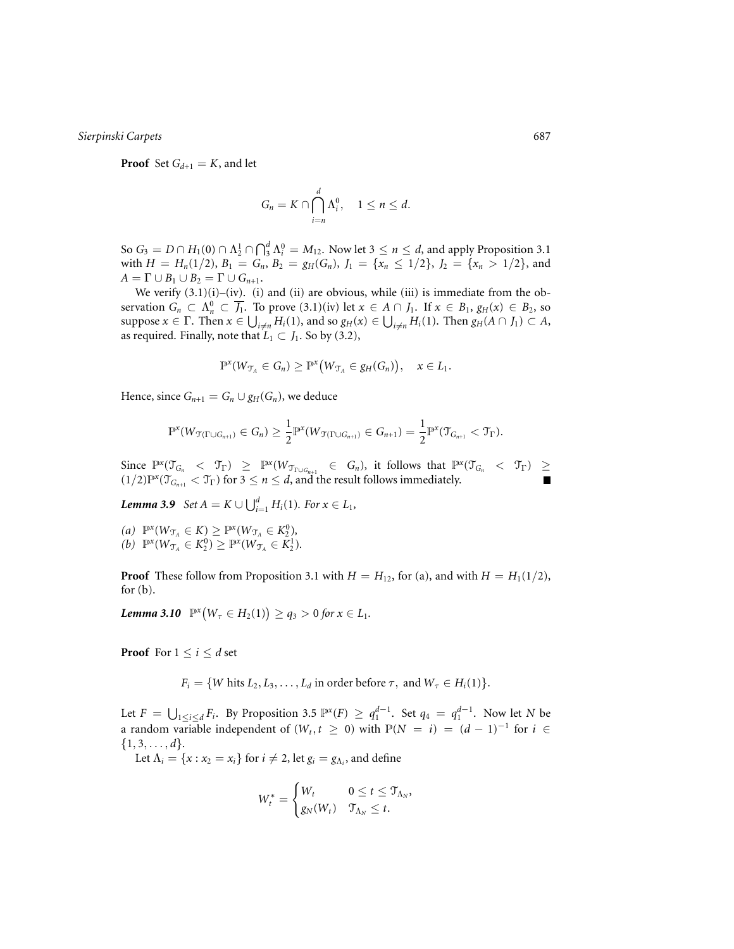**Proof** Set  $G_{d+1} = K$ , and let

$$
G_n = K \cap \bigcap_{i=n}^d \Lambda_i^0, \quad 1 \leq n \leq d.
$$

So  $G_3 = D \cap H_1(0) \cap \Lambda^1_2 \cap \bigcap_3^d \Lambda^0_i = M_{12}.$  Now let  $3 \le n \le d$ , and apply Proposition 3.1 with  $H = H_n(1/2), B_1 = G_n, B_2 = g_H(G_n), J_1 = \{x_n \leq 1/2\}, J_2 = \{x_n > 1/2\}$ , and  $A = \Gamma \cup B_1 \cup B_2 = \Gamma \cup G_{n+1}.$ 

We verify  $(3.1)(i)$ –(iv). (i) and (ii) are obvious, while (iii) is immediate from the observation  $G_n \subset \Lambda_n^0 \subset \overline{J_1}$ . To prove  $(3.1)(iv)$  let  $x \in A \cap J_1$ . If  $x \in B_1$ ,  $g_H(x) \in B_2$ , so  $\sup$ <sub>i</sub>  $x \in \Gamma$ . Then  $x \in \bigcup_{i \neq n} H_i(1)$ , and so  $g_H(x) \in \bigcup_{i \neq n} H_i(1)$ . Then  $g_H(A \cap J_1) \subset A$ , as required. Finally, note that  $L_1 \subset J_1$ . So by (3.2),

$$
\mathbb{P}^{x}(W_{\mathcal{T}_A} \in G_n) \geq \mathbb{P}^{x}\big(W_{\mathcal{T}_A} \in g_H(G_n)\big), \quad x \in L_1.
$$

Hence, since  $G_{n+1} = G_n \cup g_H(G_n)$ , we deduce

$$
\mathbb{P}^{x}(W_{\mathcal{T}(\Gamma \cup G_{n+1})} \in G_n) \geq \frac{1}{2} \mathbb{P}^{x}(W_{\mathcal{T}(\Gamma \cup G_{n+1})} \in G_{n+1}) = \frac{1}{2} \mathbb{P}^{x}(\mathcal{T}_{G_{n+1}} < \mathcal{T}_{\Gamma}).
$$

Since  $\mathbb{P}^x(\mathcal{T}_{G_n} < \mathcal{T}_{\Gamma}) \geq \mathbb{P}^x(W_{\mathcal{T}_{\Gamma \cup G_{n+1}} } \in G_n)$ , it follows that  $\mathbb{P}^x(\mathcal{T}_{G_n} < \mathcal{T}_{\Gamma}) \geq$  $(1/2)\mathbb{P}^{\mathbf{x}}(\mathcal{T}_{G_{n+1}} < \mathcal{T}_{\Gamma})$  for  $3 \leq n \leq d$ , and the result follows immediately.

*Lemma* 3.9  $\text{Set } A = K \cup \bigcup_{i=1}^{d} H_i(1)$ *. For*  $x \in L_1$ *,* 

 $P(X \in K) \ge P(X \in K) \ge P(X \in K_2^0)$ ,  $(b)$   $\mathbb{P}^x(W_{\mathcal{T}_A} \in K_2^0) \geq \mathbb{P}^x(W_{\mathcal{T}_A} \in K_2^1)$ *.* 

**Proof** These follow from Proposition 3.1 with  $H = H_{12}$ , for (a), and with  $H = H_1(1/2)$ , for  $(b)$ .

 $\textbf{Lemma 3.10} \quad P^{\text{x}}(W_{\tau} \in H_2(1)) \geq q_3 > 0 \text{ for } x \in L_1.$ 

**Proof** For  $1 \leq i \leq d$  set

 $F_i = \{W \text{ hits } L_2, L_3, \ldots, L_d \text{ in order before } \tau, \text{ and } W_\tau \in H_i(1)\}.$ 

Let  $F = \bigcup_{1 \leq i \leq d} F_i$ . By Proposition 3.5  $\mathbb{P}^x(F) \geq q_1^{d-1}$ . Set  $q_4 = q_1^{d-1}$ . Now let *N* be a random variable independent of  $(W_t, t \geq 0)$  with  $\mathbb{P}(N = i) = (d - 1)^{-1}$  for  $i \in$  $\{1, 3, \ldots, d\}.$ 

Let  $\Lambda_i = \{x : x_2 = x_i\}$  for  $i \neq 2$ , let  $g_i = g_{\Lambda_i}$ , and define

$$
W_t^* = \begin{cases} W_t & 0 \leq t \leq \mathfrak{T}_{\Lambda_N}, \\ g_N(W_t) & \mathfrak{T}_{\Lambda_N} \leq t. \end{cases}
$$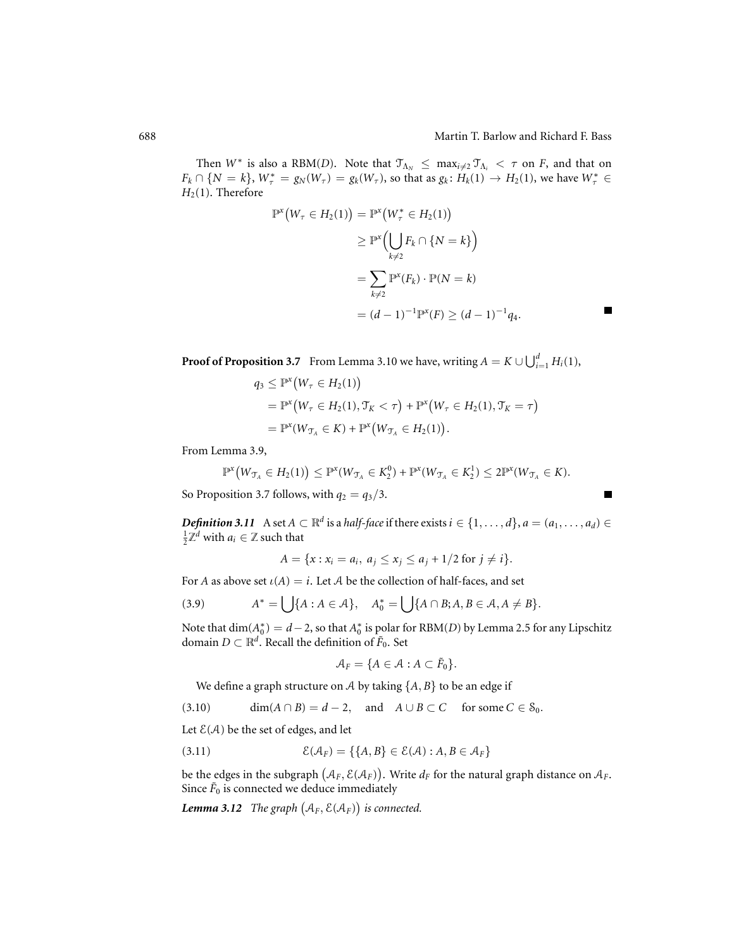Е

Then  $W^*$  is also a RBM(*D*). Note that  $\mathcal{T}_{\Lambda_N} \leq \max_{i \neq 2} \mathcal{T}_{\Lambda_i} < \tau$  on *F*, and that on  $F_k \cap \{N = k\}, W^*_{\tau} = g_N(W_{\tau}) = g_k(W_{\tau})$ , so that as  $g_k : H_k(1) \to H_2(1)$ , we have  $W^*_{\tau} \in$  $H_2(1)$ . Therefore

$$
\mathbb{P}^{x}(W_{\tau} \in H_{2}(1)) = \mathbb{P}^{x}(W_{\tau}^{*} \in H_{2}(1))
$$
  
\n
$$
\geq \mathbb{P}^{x}(\bigcup_{k \neq 2} F_{k} \cap \{N = k\})
$$
  
\n
$$
= \sum_{k \neq 2} \mathbb{P}^{x}(F_{k}) \cdot \mathbb{P}(N = k)
$$
  
\n
$$
= (d - 1)^{-1} \mathbb{P}^{x}(F) \geq (d - 1)^{-1} q_{4}.
$$

**Proof of Proposition 3.7** From Lemma 3.10 we have, writing  $A = K \cup \bigcup_{i=1}^{d} H_i(1)$ ,

$$
q_3 \leq \mathbb{P}^{x}(W_{\tau} \in H_2(1))
$$
  
=  $\mathbb{P}^{x}(W_{\tau} \in H_2(1), \mathcal{T}_K < \tau) + \mathbb{P}^{x}(W_{\tau} \in H_2(1), \mathcal{T}_K = \tau)$   
=  $\mathbb{P}^{x}(W_{\mathcal{T}_A} \in K) + \mathbb{P}^{x}(W_{\mathcal{T}_A} \in H_2(1)).$ 

From Lemma 3.9,

$$
\mathbb{P}^x\big(W_{\mathcal{T}_A} \in H_2(1)\big) \leq \mathbb{P}^x(W_{\mathcal{T}_A} \in K_2^0) + \mathbb{P}^x(W_{\mathcal{T}_A} \in K_2^1) \leq 2\mathbb{P}^x(W_{\mathcal{T}_A} \in K).
$$

So Proposition 3.7 follows, with  $q_2 = q_3/3$ .

*Definition 3.11* A set  $A \subset \mathbb{R}^d$  is a *half-face* if there exists  $i \in \{1, ..., d\}$ ,  $a = (a_1, ..., a_d) \in$  $\frac{1}{2}\mathbb{Z}^d$  with  $a_i \in \mathbb{Z}$  such that

$$
A = \{x : x_i = a_i, \ a_j \le x_j \le a_j + 1/2 \text{ for } j \ne i\}.
$$

For *A* as above set  $\iota(A) = i$ . Let *A* be the collection of half-faces, and set

$$
(3.9) \qquad A^* = \bigcup \{A : A \in \mathcal{A}\}, \quad A_0^* = \bigcup \{A \cap B; A, B \in \mathcal{A}, A \neq B\}.
$$

Note that  $\dim(A_0^*) = d - 2$ , so that  $A_0^*$  is polar for RBM(*D*) by Lemma 2.5 for any Lipschitz domain  $D \subset \mathbb{R}^d$ . Recall the definition of  $\tilde{F}_0$ . Set

$$
\mathcal{A}_F = \{ A \in \mathcal{A} : A \subset \tilde{F}_0 \}.
$$

We define a graph structure on  $A$  by taking  $\{A, B\}$  to be an edge if

(3.10)  $\dim(A \cap B) = d - 2$ , and  $A \cup B \subset C$  for some  $C \in S_0$ .

Let  $\mathcal{E}(\mathcal{A})$  be the set of edges, and let

(3.11) 
$$
\mathcal{E}(\mathcal{A}_F) = \{\{A, B\} \in \mathcal{E}(\mathcal{A}) : A, B \in \mathcal{A}_F\}
$$

be the edges in the subgraph  $(A_F, \mathcal{E}(A_F))$ . Write  $d_F$  for the natural graph distance on  $\mathcal{A}_F$ . Since  $\tilde{F}_0$  is connected we deduce immediately

**Lemma 3.12** The graph  $(A_F, \mathcal{E}(A_F))$  is connected.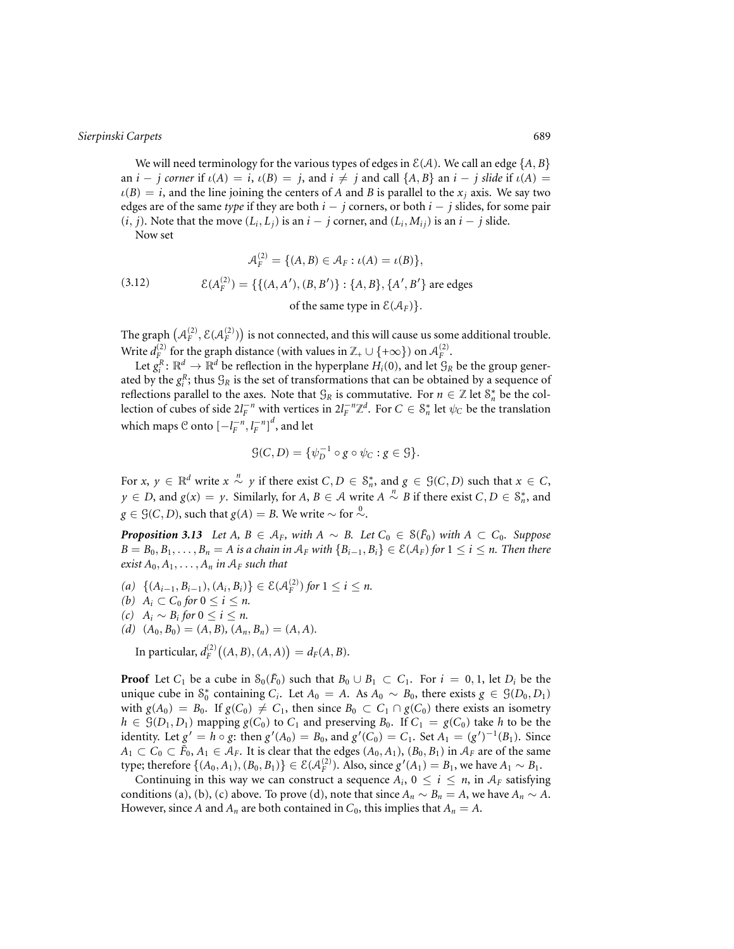We will need terminology for the various types of edges in  $E(A)$ . We call an edge  $\{A, B\}$ an  $i - j$  corner if  $\iota(A) = i$ ,  $\iota(B) = j$ , and  $i \neq j$  and call  $\{A, B\}$  an  $i - j$  slide if  $\iota(A) =$  $\iota(B) = i$ , and the line joining the centers of *A* and *B* is parallel to the  $x_i$  axis. We say two edges are of the same *type* if they are both *i* − *j* corners, or both *i* − *j* slides, for some pair (*i*, *j*). Note that the move  $(L_i, L_j)$  is an *i* − *j* corner, and  $(L_i, M_{ij})$  is an *i* − *j* slide.

Now set

(3.12) 
$$
\mathcal{A}_F^{(2)} = \{(A, B) \in \mathcal{A}_F : \iota(A) = \iota(B)\},
$$

$$
\mathcal{E}(A_F^{(2)}) = \{\{(A, A'), (B, B')\} : \{A, B\}, \{A', B'\} \text{ are edges of the same type in } \mathcal{E}(\mathcal{A}_F)\}.
$$

The graph  $\left(\mathcal{A}_F^{(2)},\mathcal{E}(\mathcal{A}_F^{(2)})\right)$  is not connected, and this will cause us some additional trouble. Write  $d_F^{(2)}$  for the graph distance (with values in  $\mathbb{Z}_+ \cup \{+\infty\}$ ) on  $\mathcal{A}_F^{(2)}$ .

Let  $g_i^R$ :  $\mathbb{R}^d \to \mathbb{R}^d$  be reflection in the hyperplane  $H_i(0)$ , and let  $\mathcal{G}_R$  be the group generated by the  $g_i^R$ ; thus  $\mathcal{G}_R$  is the set of transformations that can be obtained by a sequence of reflections parallel to the axes. Note that  $\mathcal{G}_R$  is commutative. For  $n \in \mathbb{Z}$  let  $\mathcal{S}_n^*$  be the collection of cubes of side  $2l_F^{-n}$  with vertices in  $2l_F^{-n}\mathbb{Z}^d$ . For  $C \in \mathcal{S}_n^*$  let  $\psi_C$  be the translation which maps  $\mathcal C$  onto  $\left[-l_F^{-n}, l_F^{-n}\right]^d$ , and let

$$
\mathcal{G}(C,D) = \{ \psi_D^{-1} \circ g \circ \psi_C : g \in \mathcal{G} \}.
$$

For  $x, y \in \mathbb{R}^d$  write  $x \stackrel{n}{\sim} y$  if there exist  $C, D \in \mathcal{S}_n^*$ , and  $g \in \mathcal{G}(C, D)$  such that  $x \in C$ , *y* ∈ *D*, and *g*(*x*) = *y*. Similarly, for *A*, *B* ∈ *A* write *A*  $\stackrel{n}{\sim}$  *B* if there exist *C*, *D* ∈  $S_n^*$ , and *g* ∈ *G*(*C*, *D*), such that *g*(*A*) = *B*. We write ∼ for ∼.

*Proposition 3.13 Let A, B* ∈  $A_F$ *, with A* ∼ *B. Let*  $C_0$  ∈  $S(\tilde{F}_0)$  *with A* ⊂  $C_0$ *. Suppose*  $B = B_0, B_1, \ldots, B_n = A$  is a chain in  $A_F$  with  ${B_{i-1}, B_i} \in \mathcal{E}(\mathcal{A}_F)$  for  $1 \le i \le n$ . Then there *exist*  $A_0, A_1, \ldots, A_n$  *in*  $A_F$  *such that* 

- *(a)*  $\{(A_{i-1}, B_{i-1}), (A_i, B_i)\}\in \mathcal{E}(\mathcal{A}_F^{(2)})$  *for*  $1 ≤ i ≤ n$ .
- *(b)*  $A_i \subset C_0$  *for*  $0 \le i \le n$ *.*
- *(c)*  $A_i$  ∼  $B_i$  *for*  $0 \le i \le n$ .
- $(d)$   $(A_0, B_0) = (A, B), (A_n, B_n) = (A, A).$

 $\text{In particular, } d_F^{(2)}\big((A, B), (A, A)\big) = d_F(A, B).$ 

**Proof** Let  $C_1$  be a cube in  $S_0(\tilde{F}_0)$  such that  $B_0 \cup B_1 \subset C_1$ . For  $i = 0, 1$ , let  $D_i$  be the unique cube in  $S_0^*$  containing *C<sub>i</sub>*. Let *A*<sup>0</sup> = *A*. As *A*<sup>0</sup> ∼ *B*<sub>0</sub>, there exists *g* ∈  $\mathcal{G}(D_0, D_1)$ with  $g(A_0) = B_0$ . If  $g(C_0) \neq C_1$ , then since  $B_0 \subset C_1 \cap g(C_0)$  there exists an isometry  $h \in \mathcal{G}(D_1, D_1)$  mapping  $g(C_0)$  to  $C_1$  and preserving  $B_0$ . If  $C_1 = g(C_0)$  take *h* to be the identity. Let  $g' = h \circ g$ : then  $g'(A_0) = B_0$ , and  $g'(C_0) = C_1$ . Set  $A_1 = (g')^{-1}(B_1)$ . Since *A*<sub>1</sub> ⊂ *C*<sub>0</sub> ⊂  $\tilde{F}_0$ , *A*<sub>1</sub> ∈ *A<sub>F</sub>*. It is clear that the edges  $(A_0, A_1)$ ,  $(B_0, B_1)$  in  $A_F$  are of the same type; therefore  $\{(A_0, A_1), (B_0, B_1)\}\in \mathcal{E}(\mathcal{A}_F^{(2)})$ . Also, since  $g'(A_1) = B_1$ , we have  $A_1 \sim B_1$ .

Continuing in this way we can construct a sequence  $A_i$ ,  $0 \le i \le n$ , in  $A_F$  satisfying conditions (a), (b), (c) above. To prove (d), note that since  $A_n \sim B_n = A$ , we have  $A_n \sim A$ . However, since *A* and  $A_n$  are both contained in  $C_0$ , this implies that  $A_n = A$ .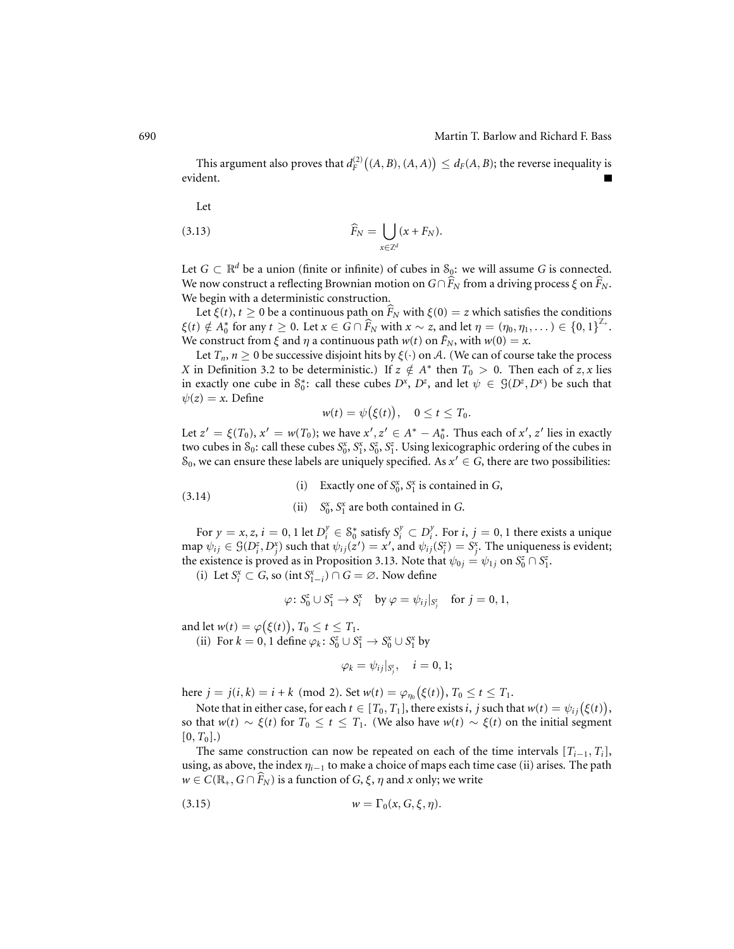This argument also proves that  $d_F^{(2)}\big((A, B), (A, A)\big) \le d_F(A, B)$ ; the reverse inequality is evident.  $\blacksquare$ 

Let

$$
\widehat{F}_N = \bigcup_{x \in \mathbb{Z}^d} (x + F_N).
$$

Let  $G \subset \mathbb{R}^d$  be a union (finite or infinite) of cubes in  $\mathcal{S}_{\mathfrak{Q}}$ : we will assume *G* is connected. We now construct a reflecting Brownian motion on  $G \cap F_N$  from a driving process  $\xi$  on  $F_N$ . We begin with a deterministic construction.

Let  $\xi(t)$ ,  $t \ge 0$  be a continuous path on  $\hat{F}_N$  with  $\xi(0) = z$  which satisfies the conditions  $\xi(t) \notin A_0^*$  for any  $t \ge 0$ . Let  $x \in G \cap \widehat{F}_N$  with  $x \sim z$ , and let  $\eta = (\eta_0, \eta_1, \dots) \in \{0, 1\}^{\mathbb{Z}_+}.$ We construct from  $\xi$  and  $\eta$  a continuous path  $w(t)$  on  $\tilde{F}_N$ , with  $w(0) = x$ .

Let  $T_n$ ,  $n \geq 0$  be successive disjoint hits by  $\xi(\cdot)$  on A. (We can of course take the process *X* in Definition 3.2 to be deterministic.) If  $z \notin A^*$  then  $T_0 > 0$ . Then each of  $z, x$  lies in exactly one cube in  $S_0^*$ : call these cubes  $D^*$ ,  $D^z$ , and let  $\psi \in \mathcal{G}(D^z, D^x)$  be such that  $\psi(z) = x$ . Define

$$
w(t) = \psi\big(\xi(t)\big), \quad 0 \le t \le T_0.
$$

Let  $z' = \xi(T_0)$ ,  $x' = w(T_0)$ ; we have  $x', z' \in A^* - A_0^*$ . Thus each of  $x', z'$  lies in exactly two cubes in  $S_0$ : call these cubes  $S_0^x$ ,  $S_1^x$ ,  $S_0^z$ ,  $S_1^z$ . Using lexicographic ordering of the cubes in S<sub>0</sub>, we can ensure these labels are uniquely specified. As  $x' \in G$ , there are two possibilities:

(i) Exactly one of  $S_0^x$ ,  $S_1^x$  is contained in *G*,

(3.14) (ii)  $S_0^x$ ,  $S_1^x$  are both contained in *G*.

For  $y = x, z, i = 0, 1$  let  $D_i^y \in S_0^*$  satisfy  $S_i^y \subset D_i^y$ . For  $i, j = 0, 1$  there exists a unique  $\hat{\psi}_{ij} \in \mathcal{G}(D_i^z, D_j^x)$  such that  $\psi_{ij}(z') = x'$ , and  $\psi_{ij}(S_i^z) = S_j^x$ . The uniqueness is evident; the existence is proved as in Proposition 3.13. Note that  $\psi_{0j} = \psi_{1j}$  on  $S_0^z \cap S_1^z$ .

(i) Let  $S_i^x$  ⊂ *G*, so (int  $S_{1-i}^x$ ) ∩ *G* = ∅. Now define

$$
\varphi\colon S_0^z\cup S_1^z\to S_i^x\quad\text{by}\ \varphi=\psi_{ij}|_{S_j^z}\quad\text{for}\ j=0,1,
$$

and let  $w(t) = \varphi\big(\xi(t)\big)$ ,  $T_0 \le t \le T_1$ . (ii) For  $k = 0, 1$  define  $\varphi_k : S_0^z \cup S_1^z \to S_0^x \cup S_1^x$  by

$$
\varphi_k=\psi_{ij}|_{S_j^z},\quad i=0,1;
$$

here  $j = j(i, k) = i + k \pmod{2}$ . Set  $w(t) = \varphi_{\eta_0}(\xi(t))$ ,  $T_0 \le t \le T_1$ .

Note that in either case, for each  $t \in [T_0, T_1]$ , there exists *i*, *j* such that  $w(t) = \psi_{ij}(\xi(t))$ , so that  $w(t) \sim \xi(t)$  for  $T_0 \le t \le T_1$ . (We also have  $w(t) \sim \xi(t)$  on the initial segment  $[0, T_0]$ .)

The same construction can now be repeated on each of the time intervals  $[T_{i-1}, T_i]$ , using, as above, the index  $\eta_{i-1}$  to make a choice of maps each time case (ii) arises. The path  $w \in C(\mathbb{R}_+, G \cap F_N)$  is a function of *G*,  $\xi$ ,  $\eta$  and  $x$  only; we write

$$
(3.15) \t\t\t w = \Gamma_0(x, G, \xi, \eta).
$$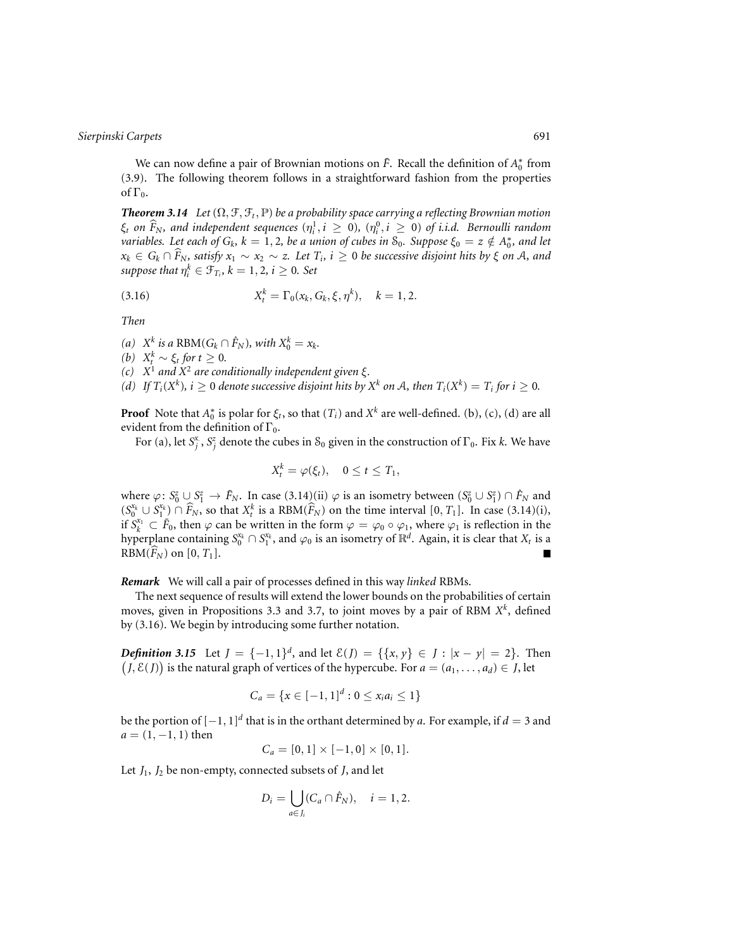We can now define a pair of Brownian motions on  $\tilde{F}$ . Recall the definition of  $A_0^*$  from (3.9). The following theorem follows in a straightforward fashion from the properties of  $\Gamma_0$ .

*Theorem 3.14 Let*  $(\Omega, \mathcal{F}, \mathcal{F}_t, \mathbb{P})$  *be a probability space carrying a reflecting Brownian motion*  $\xi_t$  *on*  $\widehat{F}_N$ , and independent sequences  $(\eta_i^1, i \ge 0)$ ,  $(\eta_i^0, i \ge 0)$  *of i.i.d. Bernoulli random variables. Let each of*  $G_k$ *,*  $k = 1, 2$ *, be a union of cubes in*  $S_0$ *. Suppose*  $\xi_0 = z \notin A_0^*$ , and let  $x_k \in G_k \cap F_N$ , satisfy  $x_1 \sim x_2 \sim z$ . Let  $T_i$ ,  $i \geq 0$  be successive disjoint hits by  $\xi$  on  ${\mathcal A},$  and *suppose that*  $\eta_i^k \in \mathcal{F}_{T_i}$ ,  $k = 1, 2, i \geq 0$ *. Set* 

(3.16) 
$$
X_t^k = \Gamma_0(x_k, G_k, \xi, \eta^k), \quad k = 1, 2.
$$

*Then*

*(a)*  $X^k$  *is a* RBM( $G_k \cap \hat{F}_N$ )*, with*  $X^k_0 = x_k$ .

*(b)*  $X_t^k$  ∼  $\xi_t$  *for*  $t \geq 0$ *.* 

*(c) X*<sup>1</sup> *and X*<sup>2</sup> *are conditionally independent given* ξ*.*

*(d)* If  $T_i(X^k)$ ,  $i \geq 0$  *denote successive disjoint hits by*  $X^k$  *on*  $A$ *, then*  $T_i(X^k) = T_i$  *for*  $i \geq 0$ *.* 

**Proof** Note that  $A_0^*$  is polar for  $\xi_t$ , so that  $(T_i)$  and  $X^k$  are well-defined. (b), (c), (d) are all evident from the definition of  $\Gamma_0$ .

For (a), let  $S_j^x$ ,  $S_j^z$  denote the cubes in  $S_0$  given in the construction of  $\Gamma_0$ . Fix *k*. We have

$$
X_t^k = \varphi(\xi_t), \quad 0 \le t \le T_1,
$$

where  $\varphi: S_0^z \cup S_1^z \to \tilde{F}_N$ . In case  $(3.14)$ (ii)  $\varphi$  is an isometry between  $(S_0^z \cup S_1^z) \cap \tilde{F}_N$  and  $(S_0^{x_k} \cup S_1^{x_k}) \cap \widehat{F}_N$ , so that  $X_t^k$  is a RBM( $\widehat{F}_N$ ) on the time interval [0, *T*<sub>1</sub>]. In case (3.14)(i), if  $S_k^{x_1} \subset \tilde{F}_0$ , then  $\varphi$  can be written in the form  $\varphi = \varphi_0 \circ \varphi_1$ , where  $\varphi_1$  is reflection in the hyperplane containing  $S_0^{x_k} \cap S_1^{x_k}$ , and  $\varphi_0$  is an isometry of  $\mathbb{R}^d$ . Again, it is clear that  $X_t$  is a  $RBM(F_N)$  on  $[0, T_1]$ .

*Remark* We will call a pair of processes defined in this way *linked* RBMs.

The next sequence of results will extend the lower bounds on the probabilities of certain moves, given in Propositions 3.3 and 3.7, to joint moves by a pair of RBM *X<sup>k</sup>*, defined by (3.16). We begin by introducing some further notation.

*Definition 3.15* Let *J* = {−1, 1}<sup>*d*</sup>, and let  $\mathcal{E}(J) = \{ \{x, y\} \in J : |x - y| = 2 \}$ . Then  $J$ ,  $E$ (*J*) is the natural graph of vertices of the hypercube. For  $a = (a_1, \ldots, a_d) \in J$ , let

$$
C_a = \{x \in [-1,1]^d : 0 \le x_i a_i \le 1\}
$$

be the portion of  $[-1, 1]^d$  that is in the orthant determined by *a*. For example, if  $d = 3$  and  $a = (1, -1, 1)$  then

$$
C_a = [0,1] \times [-1,0] \times [0,1].
$$

Let *J*1, *J*<sup>2</sup> be non-empty, connected subsets of *J*, and let

$$
D_i = \bigcup_{a \in J_i} (C_a \cap \hat{F}_N), \quad i = 1, 2.
$$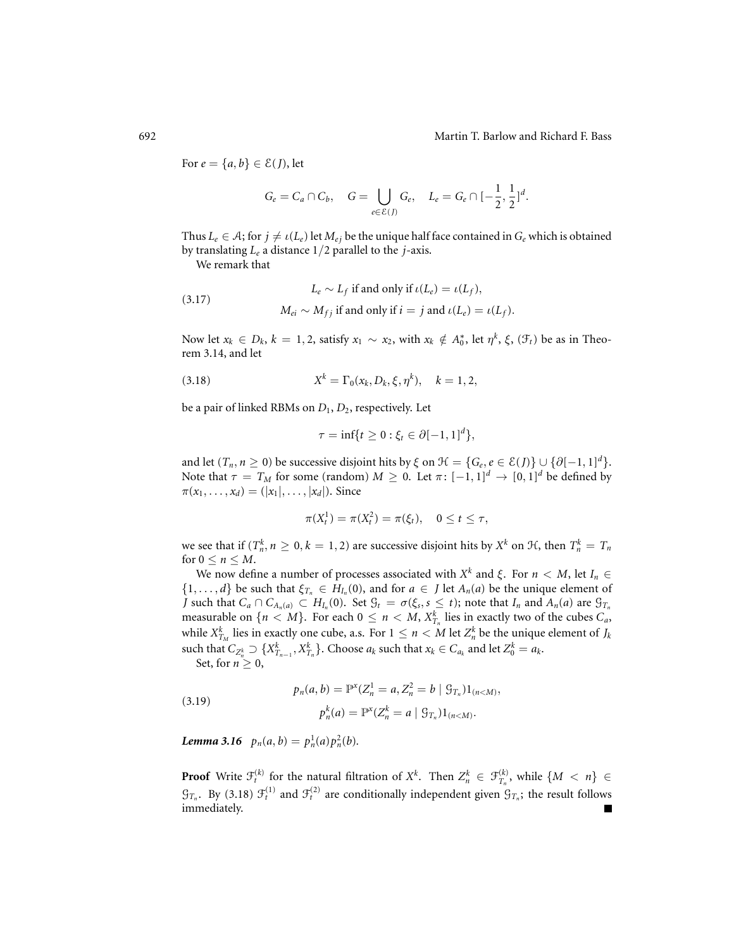For  $e = \{a, b\} \in \mathcal{E}(J)$ , let

$$
G_e = C_a \cap C_b, \quad G = \bigcup_{e \in \mathcal{E}(J)} G_e, \quad L_e = G_e \cap [-\frac{1}{2}, \frac{1}{2}]^d.
$$

Thus  $L_e \in A$ ; for  $j \neq \iota(L_e)$  let  $M_{ej}$  be the unique half face contained in  $G_e$  which is obtained by translating *Le* a distance 1/2 parallel to the *j*-axis.

We remark that

(3.17) 
$$
L_e \sim L_f \text{ if and only if } \iota(L_e) = \iota(L_f),
$$

$$
M_{ei} \sim M_{fj} \text{ if and only if } i = j \text{ and } \iota(L_e) = \iota(L_f).
$$

Now let  $x_k \in D_k$ ,  $k = 1, 2$ , satisfy  $x_1 \sim x_2$ , with  $x_k \notin A_0^*$ , let  $\eta^k$ ,  $\xi$ ,  $(\mathcal{F}_t)$  be as in Theorem 3.14, and let

(3.18) 
$$
X^{k} = \Gamma_{0}(x_{k}, D_{k}, \xi, \eta^{k}), \quad k = 1, 2,
$$

be a pair of linked RBMs on *D*1, *D*2, respectively. Let

$$
\tau = \inf\{t \ge 0 : \xi_t \in \partial[-1,1]^d\},\
$$

and let  $(T_n, n \ge 0)$  be successive disjoint hits by  $\xi$  on  $\mathcal{H} = \{G_e, e \in \mathcal{E}(J)\} \cup \{\partial [-1, 1]^d\}.$ Note that  $\tau = T_M$  for some (random)  $M \geq 0$ . Let  $\pi: [-1,1]^d \to [0,1]^d$  be defined by  $\pi(x_1, \ldots, x_d) = (|x_1|, \ldots, |x_d|)$ . Since

$$
\pi(X_t^1) = \pi(X_t^2) = \pi(\xi_t), \quad 0 \le t \le \tau,
$$

we see that if  $(T_n^k, n \ge 0, k = 1, 2)$  are successive disjoint hits by  $X^k$  on  $H$ , then  $T_n^k = T_n$ for  $0 \le n \le M$ .

We now define a number of processes associated with  $X^k$  and  $\xi$ . For  $n < M$ , let  $I_n \in$  $\{1,\ldots,d\}$  be such that  $\xi_{T_n} \in H_{I_n}(0)$ , and for  $a \in J$  let  $A_n(a)$  be the unique element of *J* such that  $C_a \cap C_{A_n(a)} \subset H_{I_n}(0)$ . Set  $\mathcal{G}_t = \sigma(\xi_s, s \leq t)$ ; note that  $I_n$  and  $A_n(a)$  are  $\mathcal{G}_{T_n}$ measurable on  $\{n < M\}$ . For each  $0 \le n < M$ ,  $X_{T_n}^k$  lies in exactly two of the cubes  $C_a$ , while  $X_{T_M}^k$  lies in exactly one cube, a.s. For  $1 \leq n < M$  let  $Z_n^k$  be the unique element of  $J_k$ such that  $C_{Z_n^k} \supset \{X_{T_{n-1}}^k, X_{T_n}^k\}$ . Choose  $a_k$  such that  $x_k \in C_{a_k}$  and let  $Z_0^k = a_k$ .

Set, for  $n \geq 0$ ,

(3.19) 
$$
p_n(a, b) = \mathbb{P}^x(Z_n^1 = a, Z_n^2 = b \mid \mathcal{G}_{T_n})1_{(n < M)},
$$

$$
p_n^k(a) = \mathbb{P}^x(Z_n^k = a \mid \mathcal{G}_{T_n})1_{(n < M)}.
$$

*Lemma* 3.16  $p_n(a, b) = p_n^1(a)p_n^2(b)$ .

**Proof** Write  $\mathcal{F}_t^{(k)}$  for the natural filtration of  $X^k$ . Then  $Z_n^k \in \mathcal{F}_{T_n}^{(k)}$ , while  $\{M \leq n\} \in$  $\mathcal{G}_{T_n}$ . By (3.18)  $\mathcal{F}_t^{(1)}$  and  $\mathcal{F}_t^{(2)}$  are conditionally independent given  $\mathcal{G}_{T_n}$ ; the result follows immediately.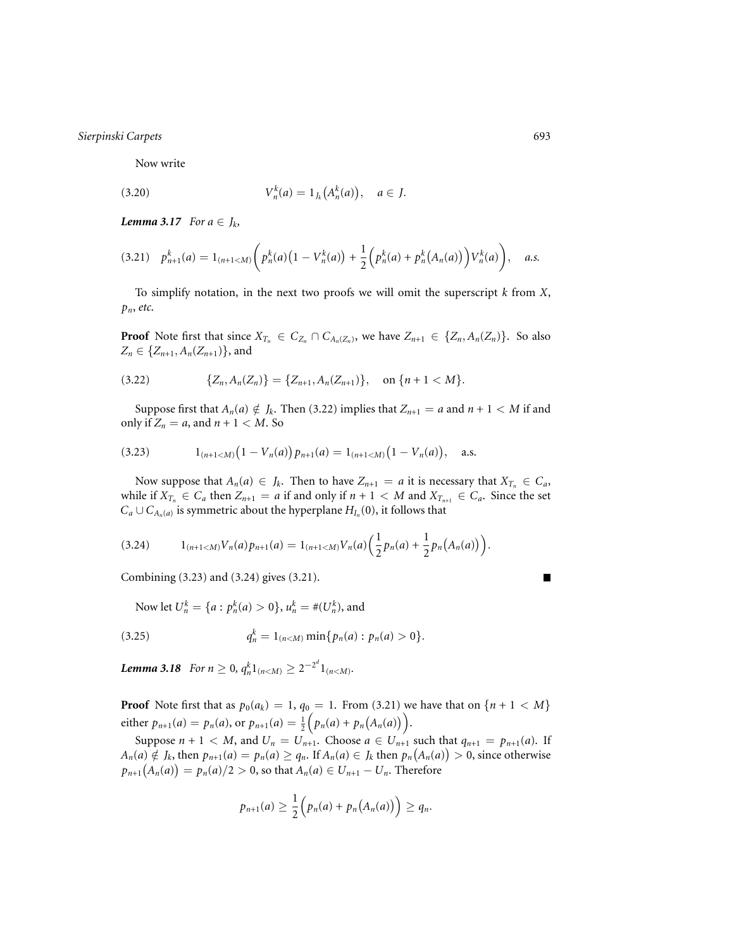Now write

(3.20) 
$$
V_n^k(a) = 1_{J_k}(A_n^k(a)), \quad a \in J.
$$

*Lemma 3.17 For*  $a \in J_k$ *,* 

$$
(3.21) \quad p_{n+1}^k(a) = 1_{(n+1
$$

To simplify notation, in the next two proofs we will omit the superscript *k* from *X*, *pn*, *etc*.

**Proof** Note first that since  $X_{T_n} \in C_{Z_n} \cap C_{A_n(Z_n)}$ , we have  $Z_{n+1} \in \{Z_n, A_n(Z_n)\}$ . So also  $Z_n \in \{Z_{n+1}, A_n(Z_{n+1})\}$ , and

$$
(3.22) \qquad \{Z_n, A_n(Z_n)\} = \{Z_{n+1}, A_n(Z_{n+1})\}, \quad \text{on } \{n+1 < M\}.
$$

Suppose first that  $A_n(a) \notin J_k$ . Then (3.22) implies that  $Z_{n+1} = a$  and  $n+1 < M$  if and only if  $Z_n = a$ , and  $n + 1 < M$ . So

(3.23) 
$$
1_{(n+1
$$

Now suppose that  $A_n(a) \in J_k$ . Then to have  $Z_{n+1} = a$  it is necessary that  $X_{T_n} \in C_a$ , while if  $X_{T_n} \in C_a$  then  $Z_{n+1} = a$  if and only if  $n + 1 < M$  and  $X_{T_{n+1}} \in C_a$ . Since the set  $C_a \cup C_{A_n(a)}$  is symmetric about the hyperplane  $H_{I_n}(0)$ , it follows that

$$
(3.24) \t 1_{(n+1
$$

Combining (3.23) and (3.24) gives (3.21).

Now let 
$$
U_n^k = \{a : p_n^k(a) > 0\}
$$
,  $u_n^k = \#(U_n^k)$ , and

(3.25) 
$$
q_n^k = 1_{(n < M)} \min\{p_n(a) : p_n(a) > 0\}.
$$

*Lemma* 3.18 *For*  $n \geq 0$ ,  $q_n^k 1_{(n < M)} \geq 2^{-2^d} 1_{(n < M)}$ .

**Proof** Note first that as  $p_0(a_k) = 1$ ,  $q_0 = 1$ . From (3.21) we have that on  $\{n + 1 < M\}$ either  $p_{n+1}(a) = p_n(a)$ , or  $p_{n+1}(a) = \frac{1}{2}$  $(p_n(a) + p_n(A_n(a)))$ .

Suppose  $n + 1 < M$ , and  $U_n = U_{n+1}$ . Choose  $a \in U_{n+1}$  such that  $q_{n+1} = p_{n+1}(a)$ . If  $A_n(a) \notin J_k$ , then  $p_{n+1}(a) = p_n(a) \ge q_n$ . If  $A_n(a) \in J_k$  then  $p_n(A_n(a)) > 0$ , since otherwise  $p_{n+1}(A_n(a)) = p_n(a)/2 > 0$ , so that  $A_n(a) \in U_{n+1} - U_n$ . Therefore

$$
p_{n+1}(a) \geq \frac{1}{2}\Big(p_n(a)+p_n(A_n(a))\Big) \geq q_n.
$$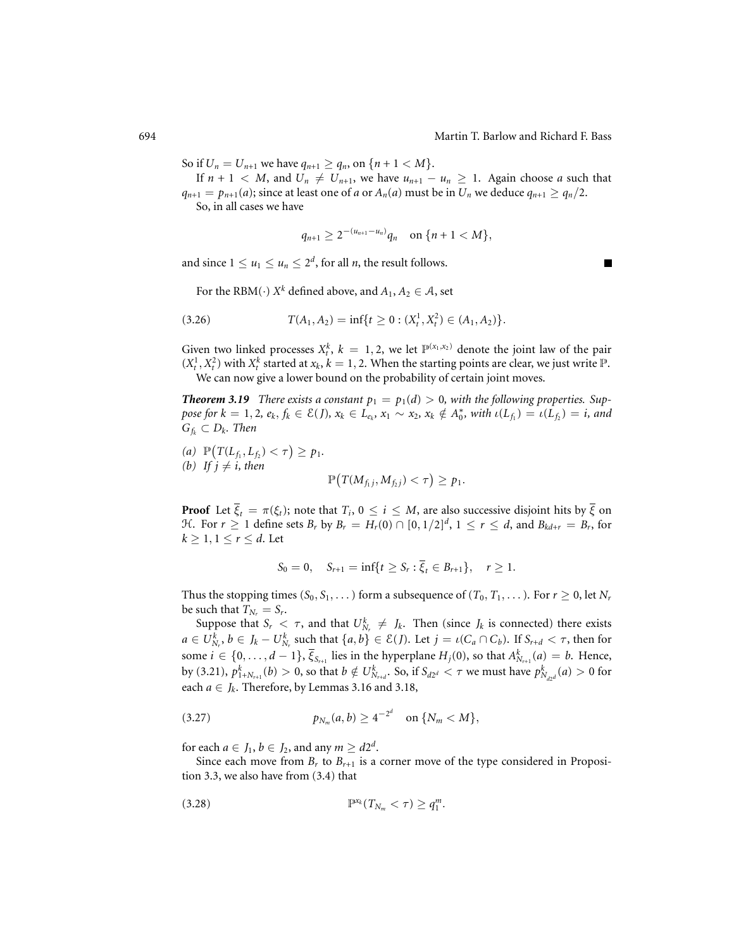So if  $U_n = U_{n+1}$  we have  $q_{n+1} \ge q_n$ , on  $\{n+1 < M\}.$ 

If  $n + 1 < M$ , and  $U_n \neq U_{n+1}$ , we have  $u_{n+1} - u_n \geq 1$ . Again choose *a* such that  $q_{n+1} = p_{n+1}(a)$ ; since at least one of *a* or  $A_n(a)$  must be in  $U_n$  we deduce  $q_{n+1} \geq q_n/2$ . So, in all cases we have

$$
q_{n+1} \geq 2^{-(u_{n+1}-u_n)}q_n \quad \text{on } \{n+1 < M\},\
$$

and since  $1 \le u_1 \le u_n \le 2^d$ , for all *n*, the result follows.

For the RBM(·)  $X^k$  defined above, and  $A_1, A_2 \in \mathcal{A}$ , set

$$
(3.26) \tT(A_1, A_2) = \inf\{t \ge 0 : (X_t^1, X_t^2) \in (A_1, A_2)\}.
$$

Given two linked processes  $X_t^k$ ,  $k = 1, 2$ , we let  $\mathbb{P}^{(x_1, x_2)}$  denote the joint law of the pair  $(X_t^1, X_t^2)$  with  $X_t^k$  started at  $x_k$ ,  $k = 1, 2$ . When the starting points are clear, we just write  $\mathbb{P}$ . We can now give a lower bound on the probability of certain joint moves.

*Theorem 3.19 There exists a constant*  $p_1 = p_1(d) > 0$ *, with the following properties. Suppose for*  $k = 1, 2, e_k, f_k \in \mathcal{E}(J)$ ,  $x_k \in L_{e_k}, x_1 \sim x_2, x_k \notin A_0^*$ , with  $\iota(L_{f_1}) = \iota(L_{f_2}) = i$ , and  $G_{f_k} \subset D_k$ . Then

(a) 
$$
\mathbb{P}(T(L_{f_1}, L_{f_2}) < \tau) \ge p_1
$$
.  
\n(b) If  $j \neq i$ , then  $\mathbb{P}(T(M_{f_1j}, M_{f_2j}) < \tau) \ge p_1$ .

**Proof** Let  $\overline{\xi}_t = \pi(\xi_t)$ ; note that  $T_i$ ,  $0 \le i \le M$ , are also successive disjoint hits by  $\overline{\xi}$  on H. For  $r \geq 1$  define sets  $B_r$  by  $B_r = H_r(0) \cap [0, 1/2]^d$ ,  $1 \leq r \leq d$ , and  $B_{kd+r} = B_r$ , for  $k \geq 1, 1 \leq r \leq d$ . Let

$$
S_0 = 0, \quad S_{r+1} = \inf\{t \ge S_r : \overline{\xi}_t \in B_{r+1}\}, \quad r \ge 1.
$$

Thus the stopping times  $(S_0, S_1, \ldots)$  form a subsequence of  $(T_0, T_1, \ldots)$ . For  $r \ge 0$ , let  $N_r$ be such that  $T_{N_r} = S_r$ .

Suppose that  $S_r < \tau$ , and that  $U_{N_r}^k \neq J_k$ . Then (since  $J_k$  is connected) there exists  $a \in U_{N_r}^k$ ,  $b \in J_k - U_{N_r}^k$  such that  $\{a, b\} \in \mathcal{E}(J)$ . Let  $j = \iota(C_a \cap C_b)$ . If  $S_{r+d} < \tau$ , then for some  $i \in \{0, \ldots, d-1\}$ ,  $\overline{\xi}_{S_{r+1}}$  lies in the hyperplane  $H_j(0)$ , so that  $A^k_{N_{r+1}}(a) = b$ . Hence, by (3.21),  $p_{1+N_{r+1}}^k(b) > 0$ , so that  $b \notin U_{N_{r+d}}^k$ . So, if  $S_{d2^d} < \tau$  we must have  $p_{N_{d2^d}}^k(a) > 0$  for each  $a \in J_k$ . Therefore, by Lemmas 3.16 and 3.18,

(3.27) 
$$
p_{N_m}(a,b) \geq 4^{-2^d} \quad \text{on } \{N_m < M\},
$$

for each  $a \in J_1, b \in J_2$ , and any  $m \ge d2^d$ .

Since each move from  $B_r$  to  $B_{r+1}$  is a corner move of the type considered in Proposition 3.3, we also have from (3.4) that

P*xk* (*TNm* < τ ) ≥ *q<sup>m</sup>* <sup>1</sup> (3.28) .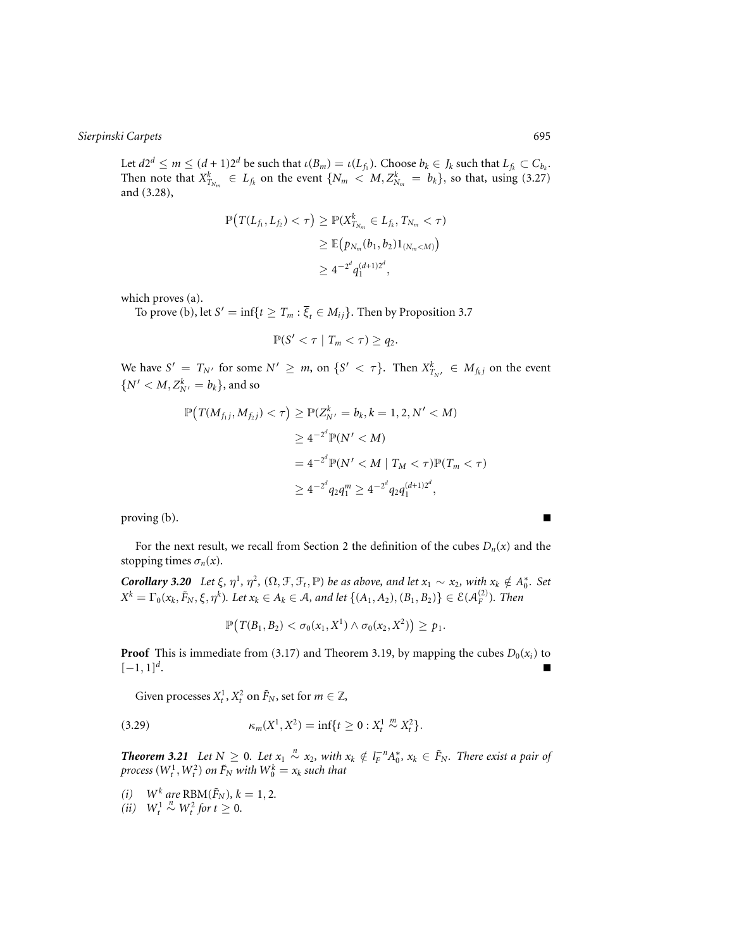Let  $d2^d \le m \le (d+1)2^d$  be such that  $\iota(B_m) = \iota(L_{f_1})$ . Choose  $b_k \in J_k$  such that  $L_{f_k} \subset C_{b_k}$ . Then note that  $X_{T_{N_m}}^k \in L_{f_k}$  on the event  $\{N_m \langle M, Z_{N_m}^k = b_k\}$ , so that, using (3.27) and (3.28),

$$
\mathbb{P}\big(T(L_{f_1}, L_{f_2}) < \tau\big) \ge \mathbb{P}(X_{T_{N_m}}^k \in L_{f_k}, T_{N_m} < \tau) \\
\ge \mathbb{E}\big(p_{N_m}(b_1, b_2)1_{(N_m < M)}\big) \\
\ge 4^{-2^d} q_1^{(d+1)2^d},
$$

which proves (a).

To prove (b), let  $S' = \inf\{t \geq T_m : \overline{\xi}_t \in M_{ij}\}.$  Then by Proposition 3.7

$$
\mathbb{P}(S' < \tau \mid T_m < \tau) \ge q_2.
$$

We have  $S' = T_{N'}$  for some  $N' \ge m$ , on  $\{S' < \tau\}$ . Then  $X^k_{T_{N'}} \in M_{f_k}$  on the event  $\{N' < M, Z_{N'}^k = b_k\}$ , and so

$$
\mathbb{P}\left(T(M_{f_1j}, M_{f_2j}) < \tau\right) \ge \mathbb{P}(Z_{N'}^k = b_k, k = 1, 2, N' < M)
$$
\n
$$
\ge 4^{-2^d} \mathbb{P}(N' < M)
$$
\n
$$
= 4^{-2^d} \mathbb{P}(N' < M \mid T_M < \tau) \mathbb{P}(T_m < \tau)
$$
\n
$$
\ge 4^{-2^d} q_2 q_1^m \ge 4^{-2^d} q_2 q_1^{(d+1)2^d},
$$

proving (b).

For the next result, we recall from Section 2 the definition of the cubes  $D_n(x)$  and the stopping times  $\sigma_n(x)$ .

*Corollary 3.20 Let*  $\xi$ ,  $\eta^1$ ,  $\eta^2$ ,  $(\Omega, \mathcal{F}, \mathcal{F}_t, \mathbb{P})$  *be as above, and let*  $x_1 \sim x_2$ , with  $x_k \notin A_0^*$ . Set  $X^k = \Gamma_0(x_k, \tilde{F}_N, \xi, \eta^k)$ *. Let*  $x_k \in A_k \in A$ *, and let*  $\{(A_1, A_2), (B_1, B_2)\} \in \mathcal{E}(\mathcal{A}_F^{(2)})$ *. Then* 

$$
\mathbb{P}\big(T(B_1,B_2) < \sigma_0(x_1,X^1) \land \sigma_0(x_2,X^2)\big) \geq p_1.
$$

**Proof** This is immediate from (3.17) and Theorem 3.19, by mapping the cubes  $D_0(x_i)$  to  $[-1, 1]^{d}$ .

Given processes  $X_t^1$ ,  $X_t^2$  on  $\tilde{F}_N$ , set for  $m \in \mathbb{Z}$ ,

(3.29) 
$$
\kappa_m(X^1, X^2) = \inf\{t \ge 0 : X_t^1 \stackrel{m}{\sim} X_t^2\}.
$$

*Theorem 3.21 Let*  $N \ge 0$ *. Let*  $x_1 \stackrel{n}{\sim} x_2$ *, with*  $x_k \notin l_F^{-n}A_0^*$ *,*  $x_k \in F_N$ *. There exist a pair of process*  $(W_t^1, W_t^2)$  *on*  $\tilde{F}_N$  *with*  $W_0^k = x_k$  *such that* 

*(i)*  $W^k$  are  $RBM(\tilde{F}_N)$ ,  $k = 1, 2$ .  $(iii)$   $W_t^1$  $\stackrel{n}{\sim}$  *W*<sub>t</sub><sup>2</sup> *for t* ≥ 0*.* 

П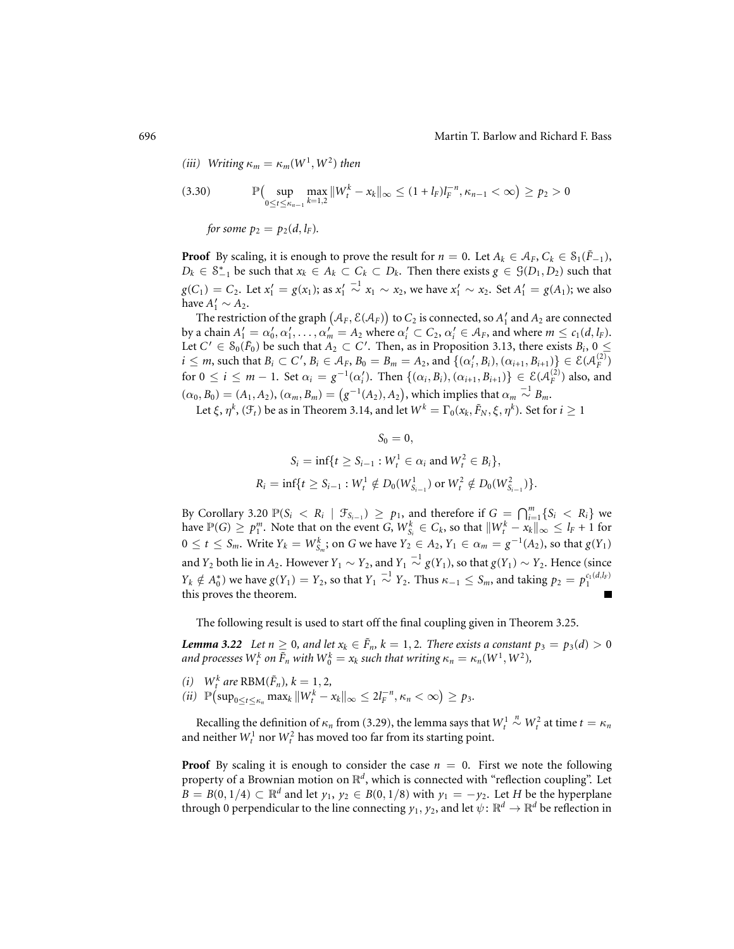(*iii*) Writing 
$$
\kappa_m = \kappa_m(W^1, W^2)
$$
 then

(3.30) 
$$
\mathbb{P}\Big(\sup_{0 \le t \le \kappa_{n-1}} \max_{k=1,2} ||W_t^k - x_k||_{\infty} \le (1 + l_F)l_F^{-n}, \kappa_{n-1} < \infty \Big) \ge p_2 > 0
$$
  
for some  $p_2 = p_2(d, l_F)$ .

**Proof** By scaling, it is enough to prove the result for  $n = 0$ . Let  $A_k \in A_F$ ,  $C_k \in S_1(\tilde{F}_{-1})$ , *D<sub>k</sub>* ∈  $S_{-1}^*$  be such that  $x_k$  ∈  $A_k$  ⊂  $C_k$  ⊂  $D_k$ . Then there exists  $g$  ∈  $\mathcal{G}(D_1, D_2)$  such that  $g(C_1) = C_2$ . Let  $x'_1 = g(x_1)$ ; as  $x'_1$  $\sim$ <sup>-1</sup> *x*<sub>1</sub> ∼ *x*<sub>2</sub>, we have *x*<sup>1</sup><sub>1</sub> ∼ *x*<sub>2</sub>. Set *A*<sup>1</sup><sub>1</sub> = *g*(*A*<sub>1</sub>); we also have  $A'_1 \sim A_2$ .

The restriction of the graph  $\big(A_F,\mathcal{E}( \mathcal{A}_F)\big)$  to  $C_2$  is connected, so  $A_1'$  and  $A_2$  are connected by a chain  $A'_1 = \alpha'_0, \alpha'_1, \ldots, \alpha'_m = A_2$  where  $\alpha'_i \subset C_2, \alpha'_i \in A_F$ , and where  $m \le c_1(d, l_F)$ . Let  $C' \in S_0(\tilde{F}_0)$  be such that  $A_2 \subset C'$ . Then, as in Proposition 3.13, there exists  $B_i$ ,  $0 \leq$  $i \leq m$ , such that  $B_i \subset C'$ ,  $B_i \in A_F$ ,  $B_0 = B_m = A_2$ , and  $\{(\alpha'_i, B_i), (\alpha_{i+1}, B_{i+1})\} \in \mathcal{E}(\mathcal{A}_F^{(2)})$  $for 0 ≤ i ≤ m − 1.$  Set  $α_i = g^{-1}(α'_i)$ . Then  ${(α_i, B_i), (α_{i+1}, B_{i+1})} ∈ E(A_F^{(2)})$  also, and  $(\alpha_0, B_0) = (A_1, A_2), (\alpha_m, B_m) = (g^{-1}(A_2), A_2),$  which implies that  $\alpha_m \stackrel{-1}{\sim} B_m$ .

Let  $\xi, \eta^k$ ,  $(\mathcal{F}_t)$  be as in Theorem 3.14, and let  $W^k = \Gamma_0(x_k, \tilde{F}_N, \xi, \eta^k)$ . Set for  $i \ge 1$ 

$$
S_0 = 0,
$$
  
\n
$$
S_i = \inf\{t \ge S_{i-1} : W_t^1 \in \alpha_i \text{ and } W_t^2 \in B_i\},
$$
  
\n
$$
R_i = \inf\{t \ge S_{i-1} : W_t^1 \notin D_0(W_{S_{i-1}}^1) \text{ or } W_t^2 \notin D_0(W_{S_{i-1}}^2)\}.
$$

By Corollary 3.20  $\mathbb{P}(S_i \leq R_i \mid \mathcal{F}_{S_{i-1}}) \geq p_1$ , and therefore if  $G = \bigcap_{i=1}^m \{S_i \leq R_i\}$  we have  $\mathbb{P}(G) \ge p_1^m$ . Note that on the event *G*,  $W_{S_i}^k \in C_k$ , so that  $\|W_t^k - x_k\|_{\infty} \le l_F + 1$  for  $0 \le t \le S_m$ . Write  $Y_k = W_{S_m}^k$ ; on *G* we have  $Y_2 \in A_2$ ,  $Y_1 \in \alpha_m = g^{-1}(A_2)$ , so that  $g(Y_1)$ and  $Y_2$  both lie in  $A_2$ . However  $Y_1 \sim Y_2$ , and  $Y_1 \stackrel{-1}{\sim} g(Y_1)$ , so that  $g(Y_1) \sim Y_2$ . Hence (since  $Y_k \notin A_0^*$ ) we have  $g(Y_1) = Y_2$ , so that  $Y_1 \stackrel{-1}{\sim} Y_2$ . Thus  $\kappa_{-1} \le S_m$ , and taking  $p_2 = p_1^{c_1(d, l, F)}$ this proves the theorem.

The following result is used to start off the final coupling given in Theorem 3.25.

*Lemma* 3.22 *Let*  $n \geq 0$ *, and let*  $x_k \in \tilde{F}_n$ ,  $k = 1, 2$ *. There exists a constant*  $p_3 = p_3(d) > 0$ *and processes*  $W_t^k$  *on*  $\tilde{F}_n$  *with*  $W_0^k = x_k$  *such that writing*  $\kappa_n = \kappa_n (W^1, W^2)$ *,* 

- *(i)*  $W^k$  *are* RBM( $\tilde{F}_n$ )*,*  $k = 1, 2$ *,*
- $(iii)$   $\mathbb{P}(\sup_{0 \le t \le \kappa_n} \max_k ||W_t^k x_k||_{\infty} \le 2l_F^{-n}, \kappa_n < \infty) \ge p_3.$

Recalling the definition of  $\kappa_n$  from (3.29), the lemma says that  $W_t^1$  $\sim$ <sup>*n*</sup> $W_t^2$  at time  $t = \kappa_n$ and neither  $W_t^1$  nor  $W_t^2$  has moved too far from its starting point.

**Proof** By scaling it is enough to consider the case  $n = 0$ . First we note the following property of a Brownian motion on R*<sup>d</sup>*, which is connected with "reflection coupling". Let *B* = *B*(0, 1/4) ⊂  $\mathbb{R}^d$  and let *y*<sub>1</sub>, *y*<sub>2</sub> ∈ *B*(0, 1/8) with *y*<sub>1</sub> = −*y*<sub>2</sub>. Let *H* be the hyperplane through 0 perpendicular to the line connecting  $y_1, y_2$ , and let  $\psi \colon \mathbb{R}^d \to \mathbb{R}^d$  be reflection in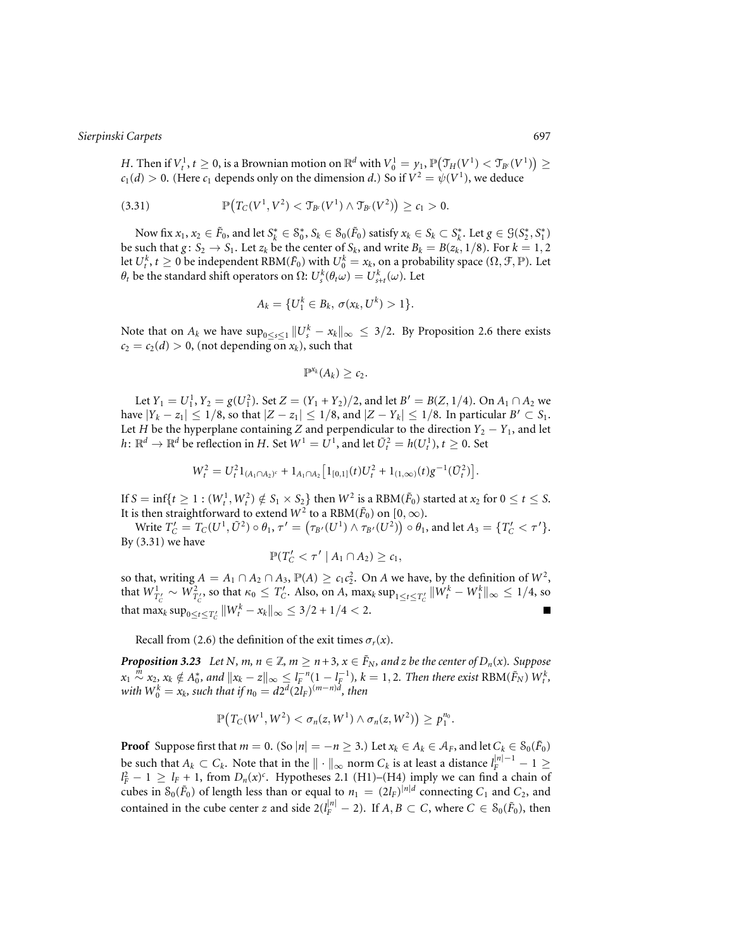*H*. Then if  $V_t^1$ ,  $t \ge 0$ , is a Brownian motion on  $\mathbb{R}^d$  with  $V_0^1 = \gamma_1$ ,  $\mathbb{P}(\mathfrak{T}_H(V^1) < \mathfrak{T}_{B^c}(V^1)) \ge 0$  $c_1(d) > 0$ . (Here  $c_1$  depends only on the dimension *d*.) So if  $V^2 = \psi(V^1)$ , we deduce

(3.31) 
$$
\mathbb{P}\big(T_C(V^1,V^2) < \mathfrak{T}_{B^c}(V^1) \land \mathfrak{T}_{B^c}(V^2)\big) \geq c_1 > 0.
$$

Now fix  $x_1, x_2 \in \tilde{F}_0$ , and let  $S_k^* \in S_0^*, S_k \in S_0(\tilde{F}_0)$  satisfy  $x_k \in S_k \subset S_k^*$ . Let  $g \in \mathcal{G}(S_2^*, S_1^*)$ be such that  $g: S_2 \to S_1$ . Let  $z_k$  be the center of  $S_k$ , and write  $B_k = B(z_k, 1/8)$ . For  $k = 1, 2$ let  $U_t^k$ ,  $t \ge 0$  be independent RBM( $\tilde{F}_0$ ) with  $U_0^k = x_k$ , on a probability space ( $\Omega, \mathcal{F}, \mathbb{P}$ ). Let  $θ_t$  be the standard shift operators on  $Ω: U_s^k(θ_tω) = U_{s+t}^k(ω)$ . Let

$$
A_k = \{U_1^k \in B_k, \, \sigma(x_k, U^k) > 1\}.
$$

Note that on  $A_k$  we have  $\sup_{0 \le s \le 1} \|U_s^k - x_k\|_{\infty} \le 3/2$ . By Proposition 2.6 there exists  $c_2 = c_2(d) > 0$ , (not depending on  $x_k$ ), such that

$$
\mathbb{P}^{x_k}(A_k)\geq c_2.
$$

Let  $Y_1 = U_1^1$ ,  $Y_2 = g(U_1^2)$ . Set  $Z = (Y_1 + Y_2)/2$ , and let  $B' = B(Z, 1/4)$ . On  $A_1 \cap A_2$  we have  $|Y_k - z_1| \leq 1/8$ , so that  $|Z - z_1| \leq 1/8$ , and  $|Z - Y_k| \leq 1/8$ . In particular  $B' \subset S_1$ . Let *H* be the hyperplane containing *Z* and perpendicular to the direction  $Y_2 - Y_1$ , and let  $h\colon \mathbb{R}^d \to \mathbb{R}^d$  be reflection in *H*. Set  $W^1 = U^1$ , and let  $\tilde{U}_t^2 = h(U_t^1),$   $t \geq 0$ . Set

$$
W_t^2 = U_t^2 1_{(A_1 \cap A_2)^c} + 1_{A_1 \cap A_2} \left[ 1_{[0,1]}(t) U_t^2 + 1_{(1,\infty)}(t) g^{-1}(\tilde{U}_t^2) \right].
$$

If  $S = \inf\{t \ge 1 : (W_t^1, W_t^2) \notin S_1 \times S_2\}$  then  $W^2$  is a  $RBM(\tilde{F}_0)$  started at  $x_2$  for  $0 \le t \le S$ . It is then straightforward to extend  $W^2$  to a RBM( $\tilde{F}_0$ ) on [0,  $\infty$ ).

Write  $T'_C = T_C(U^1, \tilde{U}^2) \circ \theta_1$ ,  $\tau' = (\tau_{B'}(U^1) \wedge \tau_{B'}(U^2)) \circ \theta_1$ , and let  $A_3 = \{T'_C < \tau'\}.$ By (3.31) we have

$$
\mathbb{P}(T'_C<\tau'\mid A_1\cap A_2)\geq c_1,
$$

so that, writing  $A = A_1 \cap A_2 \cap A_3$ ,  $\mathbb{P}(A) \ge c_1 c_2^2$ . On *A* we have, by the definition of  $W^2$ , that  $W_{T'_C}^1 \sim W_{T'_C}^2$ , so that  $\kappa_0 \leq T'_C$ . Also, on *A*,  $\max_k \sup_{1 \leq t \leq T'_C} \|W_t^k - W_1^k\|_\infty \leq 1/4$ , so that  $\max_k \sup_{0 \le t \le T'_C} ||W_t^k - x_k||_\infty \le 3/2 + 1/4 < 2$ .

Recall from (2.6) the definition of the exit times  $\sigma_r(x)$ .

*Proposition 3.23 Let N, m, n*  $\in \mathbb{Z}$ *, m*  $\geq$  *n*+3*, x*  $\in \tilde{F}_N$ *, and z be the center of D<sub>n</sub>(x). Suppose*  $x_1 \stackrel{m}{\sim} x_2, x_k \notin A_0^*$ , and  $\|x_k - z\|_{\infty} \leq l_F^{-n} (1 - l_F^{-1}), k = 1, 2$ . Then there exist  $\text{RBM}(\tilde{F}_N)$   $W_t^k$ , *with*  $W_0^k = x_k$ *, such that if*  $n_0 = d2^d (2l_F)^{(m-n)d}$ *, then* 

$$
\mathbb{P}\big(T_C(W^1,W^2)<\sigma_n(z,W^1)\wedge\sigma_n(z,W^2)\big)\geq p_1^{n_0}.
$$

**Proof** Suppose first that  $m = 0$ . (So  $|n| = -n \ge 3$ .) Let  $x_k \in A_k \in A_F$ , and let  $C_k \in S_0(\tilde{F}_0)$ be such that  $A_k \subset C_k$ . Note that in the  $\| \cdot \|_\infty$  norm  $C_k$  is at least a distance  $l_F^{|n|-1} - 1 \geq$  $l_F^2 - 1 \ge l_F + 1$ , from  $D_n(x)^c$ . Hypotheses 2.1 (H1)–(H4) imply we can find a chain of cubes in  $S_0(\tilde{F}_0)$  of length less than or equal to  $n_1 = (2l_F)^{|n|d}$  connecting  $C_1$  and  $C_2$ , and contained in the cube center *z* and side  $2(l_F^{|n|} - 2)$ . If  $A, B \subset C$ , where  $C \in \mathcal{S}_0(\tilde{F}_0)$ , then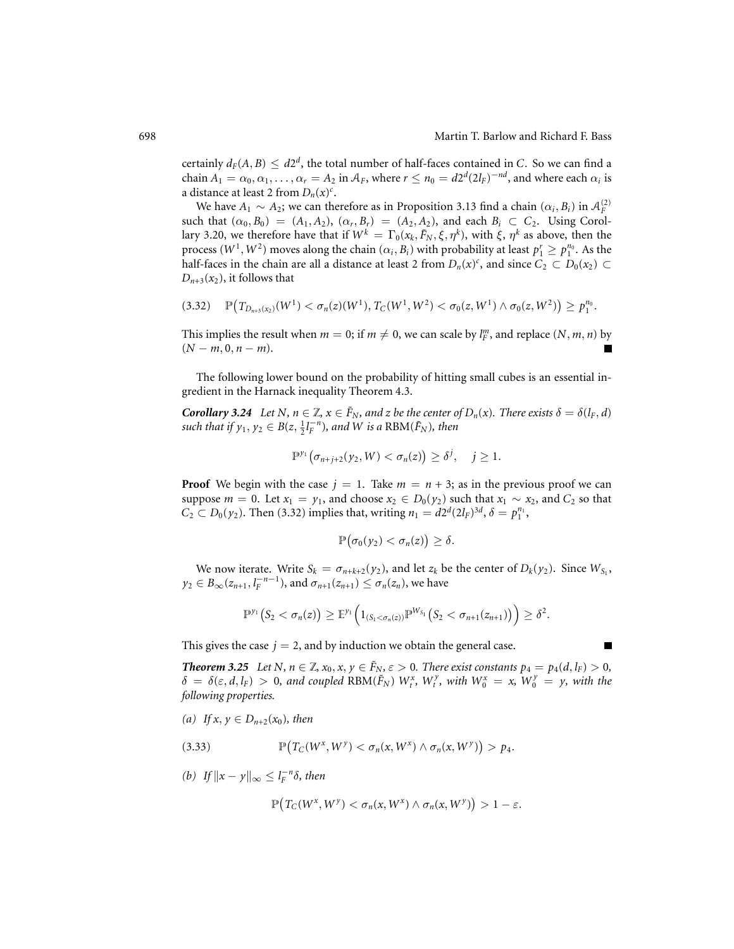г

certainly  $d_F(A, B) \leq d2^d$ , the total number of half-faces contained in *C*. So we can find a chain  $A_1 = \alpha_0, \alpha_1, \ldots, \alpha_r = A_2$  in  $A_F$ , where  $r \le n_0 = d2^d(2l_F)^{-nd}$ , and where each  $\alpha_i$  is a distance at least 2 from  $D_n(x)^c$ .

We have  $A_1 \sim A_2$ ; we can therefore as in Proposition 3.13 find a chain  $(\alpha_i, B_i)$  in  $A_F^{(2)}$ such that  $(\alpha_0, B_0) = (A_1, A_2), (\alpha_r, B_r) = (A_2, A_2)$ , and each  $B_i \subset C_2$ . Using Corollary 3.20, we therefore have that if  $W^k = \Gamma_0(x_k, \tilde{F}_N, \xi, \eta^k)$ , with  $\xi$ ,  $\eta^k$  as above, then the process  $(W^1, W^2)$  moves along the chain  $(\alpha_i, B_i)$  with probability at least  $p_1^r \ge p_1^{n_0}$ . As the half-faces in the chain are all a distance at least 2 from  $D_n(x)^c$ , and since  $C_2 \subset D_0(x_2) \subset$  $D_{n+3}(x_2)$ , it follows that

$$
(3.32) \quad \mathbb{P}\big(T_{D_{n+3}(x_2)}(W^1) < \sigma_n(z)(W^1),\, T_C(W^1,W^2) < \sigma_0(z,W^1) \land \sigma_0(z,W^2)\big) \geq p_1^{n_0}.
$$

This implies the result when  $m = 0$ ; if  $m \neq 0$ , we can scale by  $l_F^m$ , and replace  $(N, m, n)$  by  $(N - m, 0, n - m).$ 

The following lower bound on the probability of hitting small cubes is an essential ingredient in the Harnack inequality Theorem 4.3.

*Corollary 3.24 Let N,*  $n \in \mathbb{Z}$ *,*  $x \in \tilde{F}_N$ *, and z be the center of*  $D_n(x)$ *. There exists*  $\delta = \delta(l_F, d)$ *such that if*  $y_1, y_2 \in B(z, \frac{1}{2}l_F^{-n})$ *, and W is a* RBM( $\tilde{F}_N$ )*, then* 

$$
\mathbb{P}^{\gamma_1}\big(\sigma_{n+j+2}(\gamma_2,W)<\sigma_n(z)\big)\geq \delta^j,\quad j\geq 1.
$$

**Proof** We begin with the case  $j = 1$ . Take  $m = n + 3$ ; as in the previous proof we can suppose  $m = 0$ . Let  $x_1 = y_1$ , and choose  $x_2 \in D_0(y_2)$  such that  $x_1 \sim x_2$ , and  $C_2$  so that  $C_2 \subset D_0(y_2)$ . Then (3.32) implies that, writing  $n_1 = d2^d(2l_F)^{3d}$ ,  $\delta = p_1^{n_1}$ ,

$$
\mathbb{P}\big(\sigma_0(y_2)<\sigma_n(z)\big)\geq \delta.
$$

We now iterate. Write  $S_k = \sigma_{n+k+2}(y_2)$ , and let  $z_k$  be the center of  $D_k(y_2)$ . Since  $W_{S_1}$ ,  $y_2 \in B_{\infty}(z_{n+1}, l_F^{-n-1})$ , and  $\sigma_{n+1}(z_{n+1}) \le \sigma_n(z_n)$ , we have

$$
\mathbb{P}^{\gamma_1}\big(S_2 < \sigma_n(z)\big) \geq \mathbb{E}^{\gamma_1}\Big(1_{(S_1 < \sigma_n(z))}\mathbb{P}^{W_{S_1}}\big(S_2 < \sigma_{n+1}(z_{n+1})\big)\Big) \geq \delta^2.
$$

This gives the case  $j = 2$ , and by induction we obtain the general case.

*Theorem 3.25* Let N,  $n \in \mathbb{Z}$ ,  $x_0, x, y \in \tilde{F}_N$ ,  $\varepsilon > 0$ . There exist constants  $p_4 = p_4(d, l_F) > 0$ ,  $\delta = \delta(\varepsilon, d, l_F) > 0$ , and coupled RBM( $\tilde{F}_N$ )  $W_t^x$ ,  $W_t^y$ , with  $W_0^x = x$ ,  $W_0^y = y$ , with the *following properties.*

*(a) If x*, *y* ∈ *D*<sub>*n*+2</sub>(*x*<sub>0</sub>)*, then* 

(3.33) 
$$
\mathbb{P}\big(T_C(W^x, W^y) < \sigma_n(x, W^x) \land \sigma_n(x, W^y)\big) > p_4.
$$

*(b) If*  $||x - y||_{∞} ≤ l<sub>F</sub><sup>-n</sup>δ$ *, then* 

$$
\mathbb{P}\big(T_C(W^x, W^y) < \sigma_n(x, W^x) \land \sigma_n(x, W^y)\big) > 1 - \varepsilon.
$$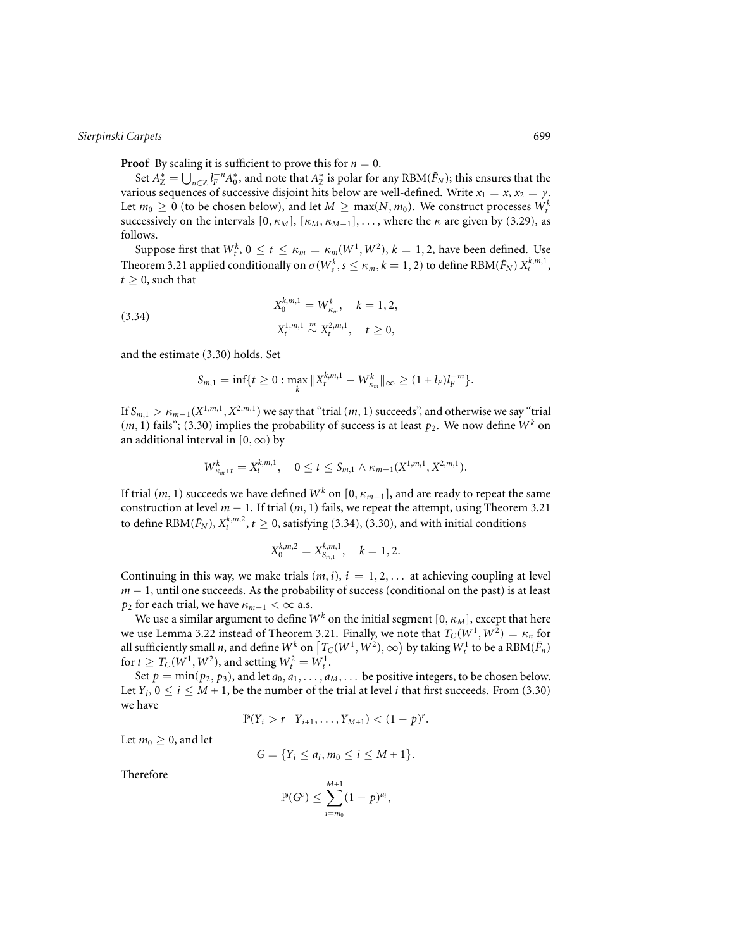**Proof** By scaling it is sufficient to prove this for  $n = 0$ .

Set  $A^*_{\mathbb{Z}} = \bigcup_{n \in \mathbb{Z}} l_F^{-n} A_0^*$ , and note that  $A^*_{\mathbb{Z}}$  is polar for any RBM( $\tilde{F}_N$ ); this ensures that the various sequences of successive disjoint hits below are well-defined. Write  $x_1 = x$ ,  $x_2 = y$ . Let  $m_0 \geq 0$  (to be chosen below), and let  $M \geq \max(N, m_0)$ . We construct processes  $W_t^k$ successively on the intervals  $[0, \kappa_M]$ ,  $[\kappa_M, \kappa_{M-1}]$ ,..., where the  $\kappa$  are given by (3.29), as follows.

Suppose first that  $W_t^k$ ,  $0 \le t \le \kappa_m = \kappa_m(W^1, W^2)$ ,  $k = 1, 2$ , have been defined. Use Theorem 3.21 applied conditionally on  $\sigma(W_s^k, s \leq \kappa_m, k=1,2)$  to define  $\text{RBM}(\tilde{F}_N)$   $X_t^{k,m,1},$  $t \geq 0$ , such that

(3.34) 
$$
X_0^{k,m,1} = W_{\kappa_m}^k, \quad k = 1, 2,
$$

$$
X_t^{1,m,1} \stackrel{m}{\sim} X_t^{2,m,1}, \quad t \ge 0,
$$

and the estimate (3.30) holds. Set

$$
S_{m,1} = \inf\{t \geq 0 : \max_{k} ||X_t^{k,m,1} - W_{\kappa_m}^k||_{\infty} \geq (1 + l_F)l_F^{-m}\}.
$$

If  $S_{m,1} > \kappa_{m-1}(X^{1,m,1}, X^{2,m,1})$  we say that "trial  $(m, 1)$  succeeds", and otherwise we say "trial"  $(m, 1)$  fails"; (3.30) implies the probability of success is at least  $p_2$ . We now define  $W^k$  on an additional interval in [0,  $\infty$ ) by

$$
W_{\kappa_m+t}^k = X_t^{k,m,1}, \quad 0 \le t \le S_{m,1} \wedge \kappa_{m-1}(X^{1,m,1},X^{2,m,1}).
$$

If trial  $(m, 1)$  succeeds we have defined  $W^k$  on  $[0, \kappa_{m-1}]$ , and are ready to repeat the same construction at level *m* − 1. If trial (*m*, 1) fails, we repeat the attempt, using Theorem 3.21 to define RBM( $\tilde{F}_N$ ),  $X_t^{k,m,2}$ ,  $t \ge 0$ , satisfying (3.34), (3.30), and with initial conditions

$$
X_0^{k,m,2}=X_{S_{m,1}}^{k,m,1}, \quad k=1,2.
$$

Continuing in this way, we make trials  $(m, i)$ ,  $i = 1, 2, \ldots$  at achieving coupling at level *m* − 1, until one succeeds. As the probability of success (conditional on the past) is at least *p*<sub>2</sub> for each trial, we have  $\kappa_{m-1} < \infty$  a.s.

We use a similar argument to define  $W^k$  on the initial segment  $[0, \kappa_M]$ , except that here we use Lemma 3.22 instead of Theorem 3.21. Finally, we note that  $T_C(W^1, W^2) = \kappa_n$  for all sufficiently small *n*, and define  $W^k$  on  $\left[T_C(W^1,W^2),\infty\right)$  by taking  $W^1_t$  to be a  $\text{RBM}(\tilde{F}_n)$ for  $t \geq T_C(W^1, W^2)$ , and setting  $W_t^2 = W_t^1$ .

Set  $p = min(p_2, p_3)$ , and let  $a_0, a_1, \ldots, a_M, \ldots$  be positive integers, to be chosen below. Let  $Y_i$ ,  $0 \le i \le M + 1$ , be the number of the trial at level *i* that first succeeds. From (3.30) we have

$$
\mathbb{P}(Y_i > r | Y_{i+1}, \ldots, Y_{M+1}) < (1-p)^r.
$$

Let  $m_0 \geq 0$ , and let

$$
G = \{Y_i \leq a_i, m_0 \leq i \leq M+1\}.
$$

Therefore

$$
\mathbb{P}(G^{c}) \leq \sum_{i=m_0}^{M+1} (1-p)^{a_i},
$$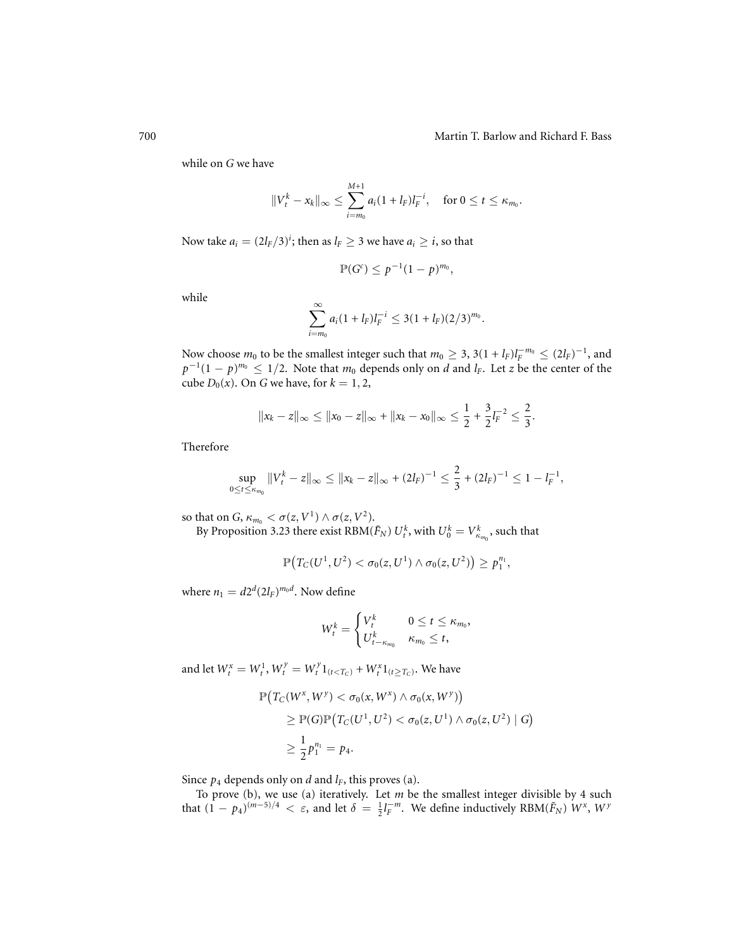while on *G* we have

$$
||V_t^k - x_k||_{\infty} \le \sum_{i=m_0}^{M+1} a_i (1 + l_F) l_F^{-i}, \quad \text{ for } 0 \le t \le \kappa_{m_0}.
$$

Now take  $a_i = (2l_F/3)^i$ ; then as  $l_F \geq 3$  we have  $a_i \geq i$ , so that

$$
\mathbb{P}(G^c)\leq p^{-1}(1-p)^{m_0},
$$

while

$$
\sum_{i=m_0}^{\infty} a_i (1+l_F) l_F^{-i} \leq 3(1+l_F) (2/3)^{m_0}.
$$

Now choose  $m_0$  to be the smallest integer such that  $m_0 \geq 3$ ,  $3(1 + l_F)l_F^{-m_0} \leq (2l_F)^{-1}$ , and  $p^{-1}(1-p)^{m_0} \leq 1/2$ . Note that  $m_0$  depends only on *d* and *l<sub>F</sub>*. Let *z* be the center of the cube  $D_0(x)$ . On *G* we have, for  $k = 1, 2$ ,

$$
||x_k - z||_{\infty} \le ||x_0 - z||_{\infty} + ||x_k - x_0||_{\infty} \le \frac{1}{2} + \frac{3}{2}l_F^{-2} \le \frac{2}{3}.
$$

Therefore

$$
\sup_{0\leq t\leq\kappa_{m_0}}\|V_t^k-z\|_\infty\leq\|x_k-z\|_\infty+(2l_F)^{-1}\leq\frac{2}{3}+(2l_F)^{-1}\leq1-l_F^{-1},
$$

so that on *G*,  $\kappa_{m_0} < \sigma(z, V^1) \wedge \sigma(z, V^2)$ .

By Proposition 3.23 there exist  $\text{RBM}(\tilde{F}_N)$   $U_t^k$ , with  $U_0^k = V_{\kappa_{m_0}}^k$ , such that

$$
\mathbb{P}\big(T_C(U^1,U^2)<\sigma_0(z,U^1)\wedge \sigma_0(z,U^2)\big)\geq p_1^{n_1},
$$

where  $n_1 = d2^d(2l_F)^{m_0d}$ . Now define

$$
W_t^k = \begin{cases} V_t^k & 0 \leq t \leq \kappa_{m_0}, \\ U_{t-\kappa_{m_0}}^k & \kappa_{m_0} \leq t, \end{cases}
$$

and let  $W_t^x = W_t^1$ ,  $W_t^y = W_t^y 1_{(t < T_C)} + W_t^x 1_{(t \ge T_C)}$ . We have

$$
\mathbb{P}\left(T_C(W^x, W^y) < \sigma_0(x, W^x) \land \sigma_0(x, W^y)\right) \\
\geq \mathbb{P}(G)\mathbb{P}\left(T_C(U^1, U^2) < \sigma_0(z, U^1) \land \sigma_0(z, U^2) \mid G\right) \\
\geq \frac{1}{2}p_1^{n_1} = p_4.
$$

Since  $p_4$  depends only on *d* and  $l_F$ , this proves (a).

To prove (b), we use (a) iteratively. Let *m* be the smallest integer divisible by 4 such that  $(1 - p_4)^{(m-5)/4} < \varepsilon$ , and let  $\delta = \frac{1}{2}l_F^{-m}$ . We define inductively RBM( $\tilde{F}_N$ )  $W^x$ ,  $W^y$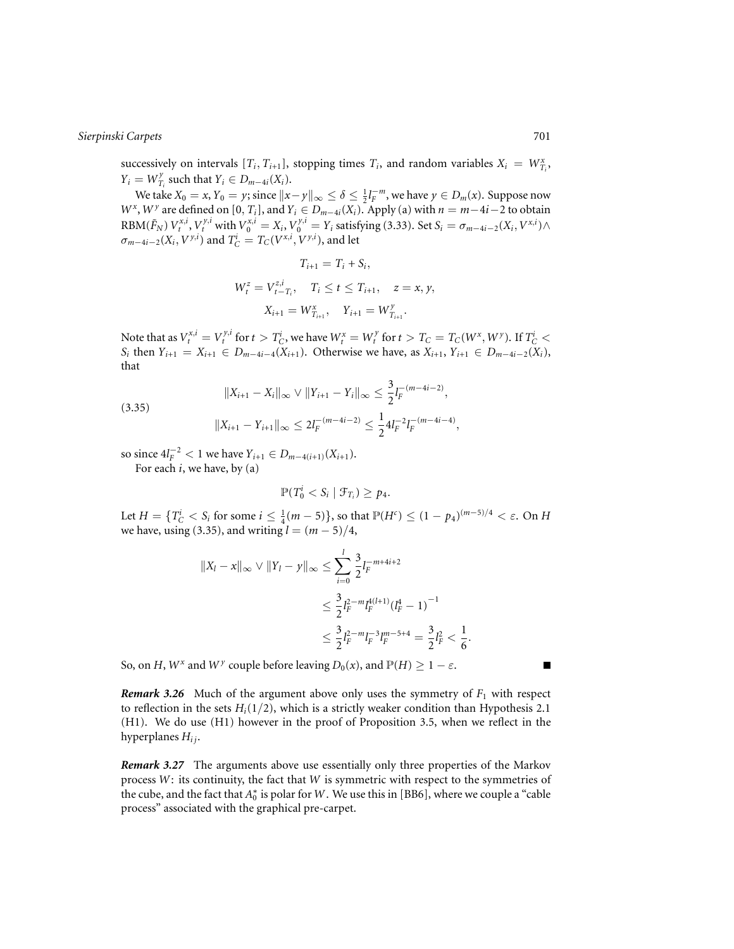successively on intervals  $[T_i, T_{i+1}]$ , stopping times  $T_i$ , and random variables  $X_i = W_{T_i}^x$ ,  $Y_i = W_{T_i}^y$  such that  $Y_i \in D_{m-4i}(X_i)$ .

We take  $X_0 = x$ ,  $Y_0 = y$ ; since  $||x - y||_{\infty} \le \delta \le \frac{1}{2}l_F^{-m}$ , we have  $y \in D_m(x)$ . Suppose now *W<sup><i>x*</sup>, *W*<sup>*y*</sup> are defined on [0, *T<sub>i</sub>*], and *Y<sub>i</sub>* ∈ *D<sub>m−4<i>i*</sub>(*X<sub>i</sub>*). Apply (a) with *n* = *m*−4*i*−2 to obtain RBM $(\tilde{F}_N)$   $V_t^{x,i}$ ,  $V_t^{y,i}$  with  $V_0^{x,i} = X_i$ ,  $V_0^{y,i} = Y_i$  satisfying (3.33). Set  $S_i = \sigma_{m-4i-2}(X_i, V^{x,i}) \wedge$  $\sigma_{m-4i-2}(X_i, V^{\gamma,i})$  and  $T_C^i = T_C(V^{\mathbf{x},i}, V^{\gamma,i})$ , and let

$$
T_{i+1} = T_i + S_i,
$$
  
\n
$$
W_t^z = V_{t-T_i}^{z,i}, \quad T_i \le t \le T_{i+1}, \quad z = x, y,
$$
  
\n
$$
X_{i+1} = W_{T_{i+1}}^x, \quad Y_{i+1} = W_{T_{i+1}}^y.
$$

Note that as  $V_t^{x,i} = V_t^{y,i}$  for  $t>T_C^i$ , we have  $W_t^x = W_t^y$  for  $t>T_C=T_C(W^x,W^y).$  If  $T_C^i<\infty$ *S<sub>i</sub>* then  $Y_{i+1} = X_{i+1}$  ∈  $D_{m-4i-4}(X_{i+1})$ . Otherwise we have, as  $X_{i+1}$ ,  $Y_{i+1}$  ∈  $D_{m-4i-2}(X_i)$ , that

(3.35)  
\n
$$
||X_{i+1} - X_i||_{\infty} \vee ||Y_{i+1} - Y_i||_{\infty} \le \frac{3}{2} I_F^{-(m-4i-2)},
$$
\n
$$
||X_{i+1} - Y_{i+1}||_{\infty} \le 2I_F^{-(m-4i-2)} \le \frac{1}{2} 4I_F^{-2} I_F^{-(m-4i-4)},
$$

so since  $4l_F^{-2} < 1$  we have  $Y_{i+1} \in D_{m-4(i+1)}(X_{i+1})$ .

For each *i*, we have, by (a)

$$
\mathbb{P}(T_0^i
$$

Let  $H = \{T_C^i < S_i \text{ for some } i \leq \frac{1}{4}(m-5)\}\text{, so that } \mathbb{P}(H^c) \leq (1 - p_4)^{(m-5)/4} < \varepsilon \text{. On } H$ we have, using (3.35), and writing  $l = (m - 5)/4$ ,

$$
||X_{l} - x||_{\infty} \vee ||Y_{l} - y||_{\infty} \le \sum_{i=0}^{l} \frac{3}{2} l_{F}^{-m+4i+2}
$$
  

$$
\le \frac{3}{2} l_{F}^{2-m} l_{F}^{4(l+1)} (l_{F}^{4} - 1)^{-1}
$$
  

$$
\le \frac{3}{2} l_{F}^{2-m} l_{F}^{-3} l_{F}^{m-5+4} = \frac{3}{2} l_{F}^{2} < \frac{1}{6}.
$$

So, on *H*,  $W^x$  and  $W^y$  couple before leaving  $D_0(x)$ , and  $\mathbb{P}(H) \geq 1 - \varepsilon$ .

*Remark 3.26* Much of the argument above only uses the symmetry of  $F_1$  with respect to reflection in the sets  $H_i(1/2)$ , which is a strictly weaker condition than Hypothesis 2.1 (H1). We do use (H1) however in the proof of Proposition 3.5, when we reflect in the hyperplanes  $H_{ij}$ .

*Remark 3.27* The arguments above use essentially only three properties of the Markov process *W*: its continuity, the fact that *W* is symmetric with respect to the symmetries of the cube, and the fact that  $A_0^*$  is polar for W. We use this in [BB6], where we couple a "cable" process" associated with the graphical pre-carpet.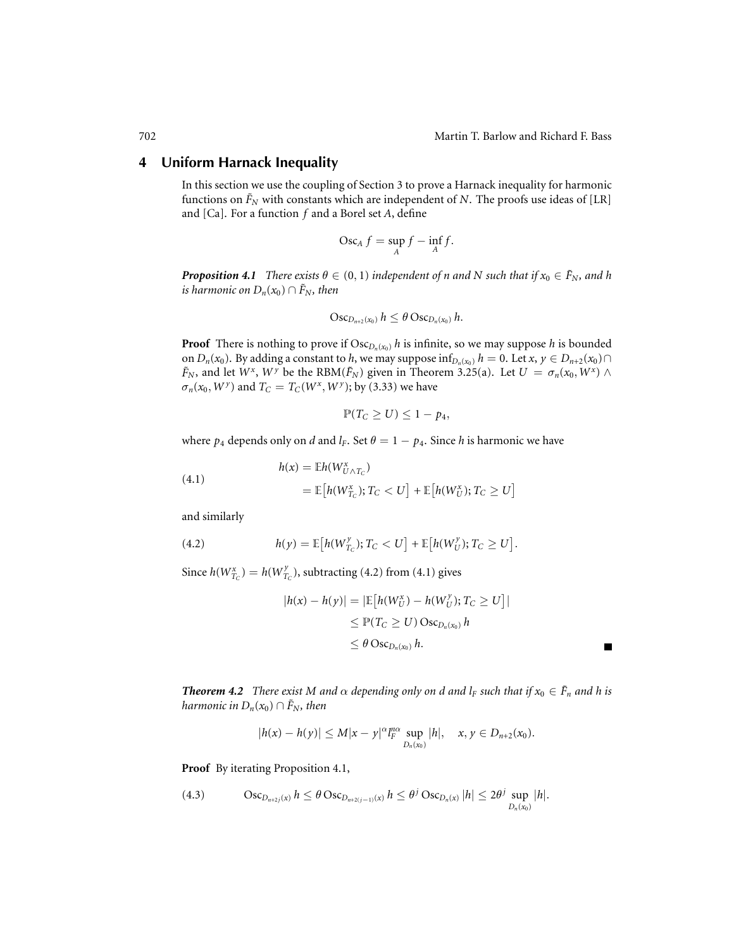Г

# **4 Uniform Harnack Inequality**

In this section we use the coupling of Section 3 to prove a Harnack inequality for harmonic functions on  $\tilde{F}_N$  with constants which are independent of *N*. The proofs use ideas of [LR] and [Ca]. For a function *f* and a Borel set *A*, define

$$
\operatorname{Osc}_A f = \sup_A f - \inf_A f.
$$

*Proposition 4.1 There exists*  $\theta \in (0, 1)$  *independent of n and N such that if*  $x_0 \in \tilde{F}_N$ *, and h is harmonic on*  $D_n(x_0) \cap \tilde{F}_N$ *, then* 

$$
\operatorname{Osc}_{D_{n+2}(x_0)} h \leq \theta \operatorname{Osc}_{D_n(x_0)} h.
$$

**Proof** There is nothing to prove if  $\text{Osc}_{D_n(x_0)} h$  is infinite, so we may suppose *h* is bounded on *D<sub>n</sub>*(*x*<sub>0</sub>). By adding a constant to *h*, we may suppose inf<sub>*D<sub>n</sub>*(*x*<sub>0</sub>)</sub> *h* = 0. Let *x*, *y*  $\in$  *D<sub>n+2</sub>*(*x*<sub>0</sub>) $\cap$  $\tilde{F}_N$ , and let  $W^x$ ,  $W^y$  be the RBM( $\tilde{F}_N$ ) given in Theorem 3.25(a). Let  $U = \sigma_n(x_0, W^x) \wedge$  $\sigma_n(x_0, W^y)$  and  $T_C = T_C(W^x, W^y)$ ; by (3.33) we have

$$
\mathbb{P}(T_C \geq U) \leq 1 - p_4,
$$

where  $p_4$  depends only on *d* and  $l_F$ . Set  $\theta = 1 - p_4$ . Since *h* is harmonic we have

(4.1) 
$$
h(x) = \mathbb{E}h(W_{U \wedge T_C}^x)
$$

$$
= \mathbb{E}\big[h(W_{T_C}^x); T_C < U\big] + \mathbb{E}\big[h(W_U^x); T_C \geq U\big]
$$

and similarly

(4.2) 
$$
h(y) = \mathbb{E}\big[h(W_{T_C}^y); T_C < U\big] + \mathbb{E}\big[h(W_U^y); T_C \geq U\big].
$$

Since  $h(W_{T_C}^x) = h(W_{T_C}^y)$ , subtracting (4.2) from (4.1) gives

$$
|h(x) - h(y)| = |\mathbb{E}\left[h(W_U^x) - h(W_U^y); T_C \ge U\right]|
$$
  

$$
\le \mathbb{P}(T_C \ge U) \operatorname{Osc}_{D_n(x_0)} h
$$
  

$$
\le \theta \operatorname{Osc}_{D_n(x_0)} h.
$$

*Theorem 4.2 <i>There exist* M and  $\alpha$  *depending only on d and*  $l_F$  *such that if*  $x_0 \in \tilde{F}_n$  *and* h *is harmonic in*  $D_n(x_0) \cap \tilde{F}_N$ *, then* 

$$
|h(x) - h(y)| \le M|x - y|^{\alpha} \lim_{D_n(x_0)} |h|, \quad x, y \in D_{n+2}(x_0).
$$

**Proof** By iterating Proposition 4.1,

(4.3) 
$$
\operatorname{Osc}_{D_{n+2j}(x)} h \leq \theta \operatorname{Osc}_{D_{n+2(j-1)}(x)} h \leq \theta^j \operatorname{Osc}_{D_n(x)} |h| \leq 2\theta^j \sup_{D_n(x_0)} |h|.
$$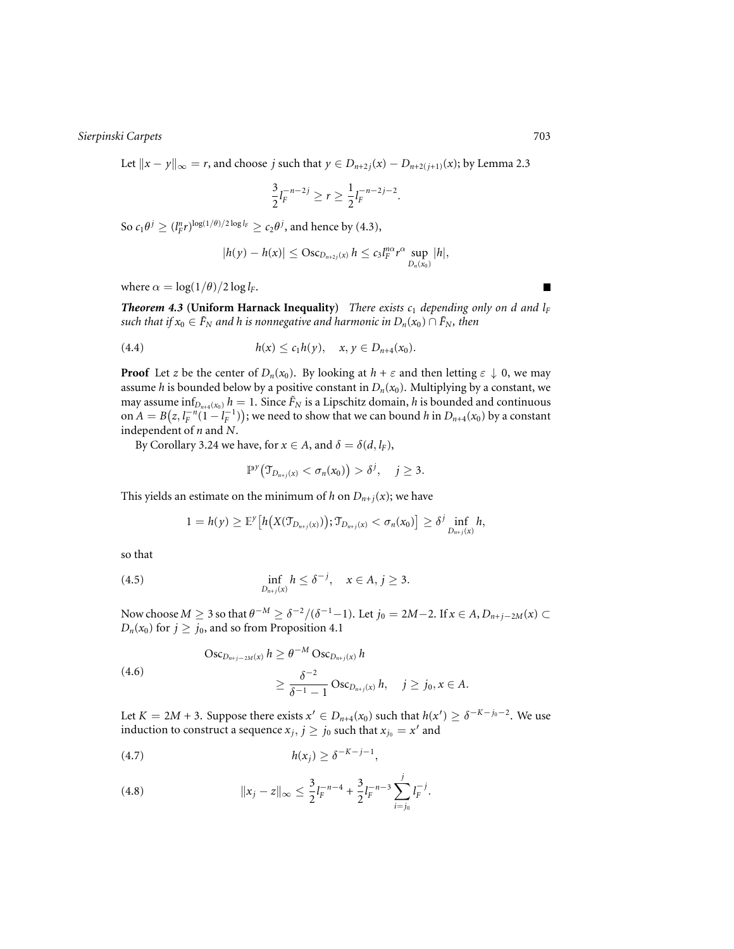Let  $||x - y||_{\infty} = r$ , and choose *j* such that *y* ∈ *D*<sub>*n*+2*j*</sub>(*x*) − *D*<sub>*n*+2(*j*+1)</sub>(*x*); by Lemma 2.3

$$
\frac{3}{2}l_F^{-n-2j} \ge r \ge \frac{1}{2}l_F^{-n-2j-2}.
$$

So  $c_1\theta^j \ge (l_F^n r)^{\log(1/\theta)/2 \log l_F} \ge c_2\theta^j$ , and hence by (4.3),

$$
|h(y)-h(x)| \leq \mathrm{Osc}_{D_{n+2j}(x)} h \leq c_3 l_F^{n\alpha} r^{\alpha} \sup_{D_n(x_0)} |h|,
$$

where  $\alpha = \log(1/\theta)/2 \log l_F$ .

*Theorem 4.3* **(Uniform Harnack Inequality)** *There exists*  $c_1$  *depending only on d and*  $l_F$ *such that if*  $x_0 \in \tilde{F}_N$  *and h is nonnegative and harmonic in*  $D_n(x_0) \cap \tilde{F}_N$ *, then* 

(4.4) 
$$
h(x) \leq c_1 h(y), \quad x, y \in D_{n+4}(x_0).
$$

**Proof** Let *z* be the center of  $D_n(x_0)$ . By looking at  $h + \varepsilon$  and then letting  $\varepsilon \downarrow 0$ , we may assume *h* is bounded below by a positive constant in  $D_n(x_0)$ . Multiplying by a constant, we may assume  $\inf_{D_{n+4}(x_0)} h = 1$ . Since  $\tilde{F}_N$  is a Lipschitz domain, *h* is bounded and continuous on  $A = B(z, l_F^{-n}(\overline{1-l_F}^{-1}))$ ; we need to show that we can bound *h* in  $D_{n+4}(x_0)$  by a constant independent of *n* and *N*.

By Corollary 3.24 we have, for  $x \in A$ , and  $\delta = \delta(d, l_F)$ ,

$$
\mathbb{P}^{\mathcal{Y}}\big(\mathfrak{T}_{D_{n+j}(x)} < \sigma_n(x_0)\big) > \delta^j, \quad j \geq 3.
$$

This yields an estimate on the minimum of *h* on  $D_{n+j}(x)$ ; we have

$$
1 = h(y) \geq \mathbb{E}^y \big[ h\big(X(\mathfrak{T}_{D_{n+j}(x)})\big); \mathfrak{T}_{D_{n+j}(x)} < \sigma_n(x_0) \big] \geq \delta^j \inf_{D_{n+j}(x)} h,
$$

so that

(4.5) 
$$
\inf_{D_{n+j}(x)} h \leq \delta^{-j}, \quad x \in A, j \geq 3.
$$

Now choose  $M \ge 3$  so that  $\theta^{-M} \ge \delta^{-2}/(\delta^{-1}-1)$ . Let  $j_0 = 2M-2$ . If  $x \in A$ ,  $D_{n+j-2M}(x) \subset$  $D_n(x_0)$  for  $j \ge j_0$ , and so from Proposition 4.1

(4.6) 
$$
\begin{aligned} \text{Osc}_{D_{n+j-2M}(x)} \, h &\geq \theta^{-M} \, \text{Osc}_{D_{n+j}(x)} \, h \\ &\geq \frac{\delta^{-2}}{\delta^{-1} - 1} \, \text{Osc}_{D_{n+j}(x)} \, h, \quad j \geq j_0, x \in A. \end{aligned}
$$

Let  $K = 2M + 3$ . Suppose there exists  $x' \in D_{n+4}(x_0)$  such that  $h(x') \geq \delta^{-K-j_0-2}$ . We use induction to construct a sequence  $x_j$ ,  $j \ge j_0$  such that  $x_{j_0} = x^j$  and

$$
h(x_j) \geq \delta^{-K-j-1},
$$

(4.8) 
$$
||x_j - z||_{\infty} \leq \frac{3}{2} l_F^{-n-4} + \frac{3}{2} l_F^{-n-3} \sum_{i=j_0}^{j} l_i^{-j}.
$$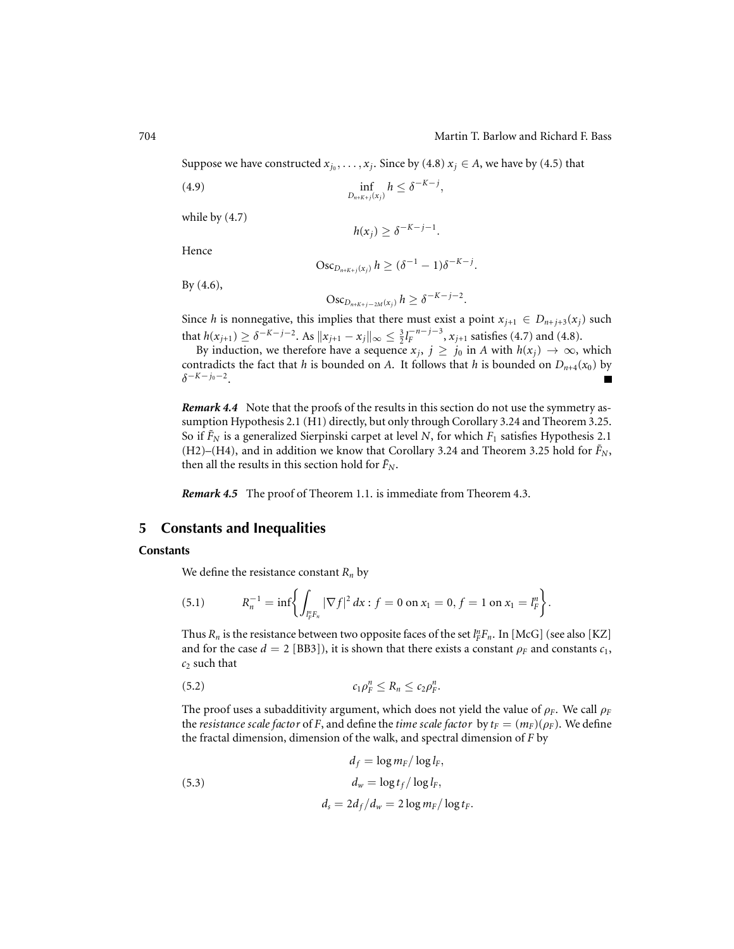Suppose we have constructed  $x_{j_0}, \ldots, x_j$ . Since by (4.8)  $x_j \in A$ , we have by (4.5) that

$$
\inf_{D_{n+K+j}(x_j)} h \leq \delta^{-K-j},
$$

while by (4.7)

 $h(x_j) \geq \delta^{-K-j-1}$ .

Hence

$$
Osc_{D_{n+K+j}(x_j)} h \geq (\delta^{-1} - 1)\delta^{-K-j}.
$$

By (4.6),

$$
Osc_{D_{n+K+j-2M}(x_j)} h \geq \delta^{-K-j-2}.
$$

Since *h* is nonnegative, this implies that there must exist a point  $x_{j+1} \in D_{n+j+3}(x_j)$  such that  $h(x_{j+1}) \ge \delta^{-K-j-2}$ . As  $||x_{j+1} - x_j||_{\infty} \le \frac{3}{2} l_F^{-n-j-3}$ ,  $x_{j+1}$  satisfies (4.7) and (4.8).

By induction, we therefore have a sequence  $x_j$ ,  $j \geq j_0$  in *A* with  $h(x_j) \to \infty$ , which contradicts the fact that *h* is bounded on *A*. It follows that *h* is bounded on  $D_{n+4}(x_0)$  by δ<sup>−</sup>*K*−*j*0<sup>−</sup>2. П

*Remark 4.4* Note that the proofs of the results in this section do not use the symmetry assumption Hypothesis 2.1 (H1) directly, but only through Corollary 3.24 and Theorem 3.25. So if  $\tilde{F}_N$  is a generalized Sierpinski carpet at level *N*, for which  $F_1$  satisfies Hypothesis 2.1  $(H2)$ – $(H4)$ , and in addition we know that Corollary 3.24 and Theorem 3.25 hold for  $\tilde{F}_N$ , then all the results in this section hold for  $\tilde{F}_N$ .

*Remark 4.5* The proof of Theorem 1.1. is immediate from Theorem 4.3.

# **5 Constants and Inequalities**

## **Constants**

We define the resistance constant  $R_n$  by

(5.1) 
$$
R_n^{-1} = \inf \biggl\{ \int_{l_F^n F_n} |\nabla f|^2 dx : f = 0 \text{ on } x_1 = 0, f = 1 \text{ on } x_1 = l_F^n \biggr\}.
$$

Thus  $R_n$  is the resistance between two opposite faces of the set  $l_F^n F_n$ . In [McG] (see also [KZ] and for the case  $d = 2$  [BB3]), it is shown that there exists a constant  $\rho_F$  and constants  $c_1$ , *c*<sup>2</sup> such that

$$
c_1\rho_F^n \leq R_n \leq c_2\rho_F^n.
$$

The proof uses a subadditivity argument, which does not yield the value of  $\rho_F$ . We call  $\rho_F$ the *resistance scale factor* of *F*, and define the *time scale factor* by  $t_F = (m_F)(\rho_F)$ . We define the fractal dimension, dimension of the walk, and spectral dimension of *F* by

(5.3)  
\n
$$
d_f = \log m_F / \log l_F,
$$
\n
$$
d_w = \log t_f / \log l_F,
$$
\n
$$
d_s = 2d_f / d_w = 2 \log m_F / \log t_F.
$$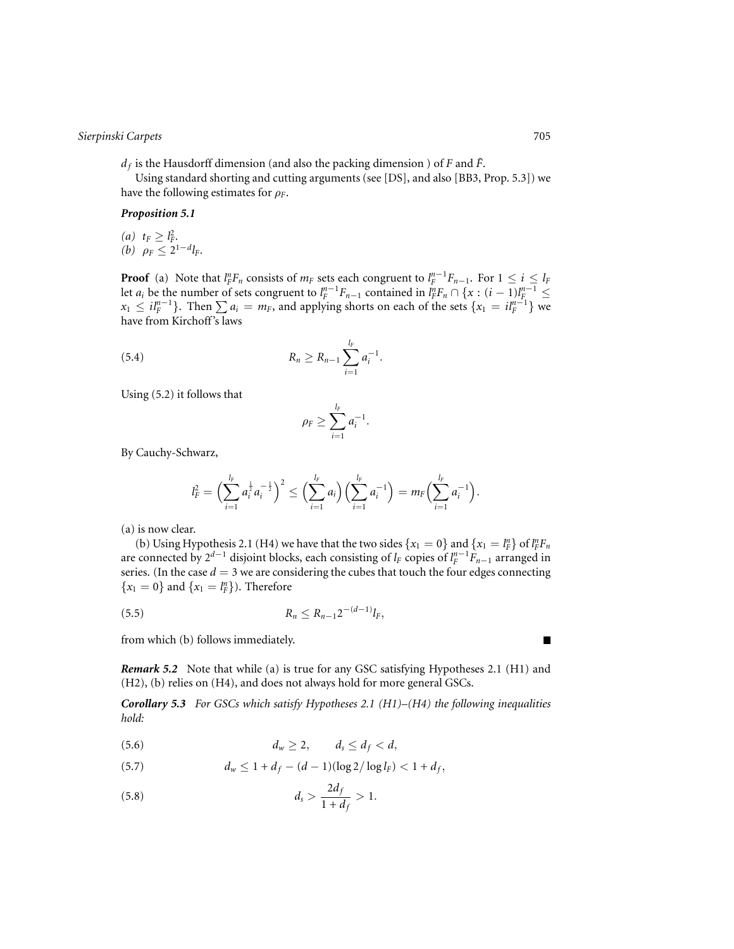$d_f$  is the Hausdorff dimension (and also the packing dimension) of *F* and  $\tilde{F}$ .

Using standard shorting and cutting arguments (see [DS], and also [BB3, Prop. 5.3]) we have the following estimates for  $\rho_F$ .

## *Proposition 5.1*

 $(a)$   $t_F \geq l_F^2$ . *(b)*  $\rho_F \leq 2^{1-d}l_F$ .

**Proof** (a) Note that  $l_F^n F_n$  consists of  $m_F$  sets each congruent to  $l_F^{n-1} F_{n-1}$ . For  $1 \le i \le l_F$ let *a<sub>i</sub>* be the number of sets congruent to  $l_F^{n-1}F_{n-1}$  contained in  $l_F^nF_n \cap \{x: (i-1)l_F^{n-1} \leq$ *x*<sub>1</sub> ≤ *il*<sup>*n*−1</sup>}. Then  $\sum a_i = m_F$ , and applying shorts on each of the sets {*x*<sub>1</sub> = *il*<sup>*n*−1</sup>} we have from Kirchoff's laws

(5.4) 
$$
R_n \geq R_{n-1} \sum_{i=1}^{l_F} a_i^{-1}.
$$

Using (5.2) it follows that

$$
\rho_F \geq \sum_{i=1}^{l_F} a_i^{-1}.
$$

By Cauchy-Schwarz,

$$
l_F^2 = \Big(\sum_{i=1}^{l_F} a_i^{\frac{1}{2}} a_i^{-\frac{1}{2}}\Big)^2 \le \Big(\sum_{i=1}^{l_F} a_i\Big) \Big(\sum_{i=1}^{l_F} a_i^{-1}\Big) = m_F \Big(\sum_{i=1}^{l_F} a_i^{-1}\Big).
$$

(a) is now clear.

(b) Using Hypothesis 2.1 (H4) we have that the two sides  $\{x_1 = 0\}$  and  $\{x_1 = l_F^n\}$  of  $l_F^n F_n$ are connected by 2*<sup>d</sup>*−<sup>1</sup> disjoint blocks, each consisting of *lF* copies of *l <sup>n</sup>*−<sup>1</sup> *<sup>F</sup> Fn*<sup>−</sup><sup>1</sup> arranged in series. (In the case  $d = 3$  we are considering the cubes that touch the four edges connecting  ${x_1 = 0}$  and  ${x_1 = l_F^n}$ ). Therefore

$$
R_n \le R_{n-1} 2^{-(d-1)} l_F,
$$

from which (b) follows immediately.

*Remark 5.2* Note that while (a) is true for any GSC satisfying Hypotheses 2.1 (H1) and (H2), (b) relies on (H4), and does not always hold for more general GSCs.

*Corollary 5.3 For GSCs which satisfy Hypotheses 2.1 (H1)–(H4) the following inequalities hold:*

$$
d_w \geq 2, \qquad d_s \leq d_f < d,
$$

(5.7) 
$$
d_w \leq 1 + d_f - (d-1)(\log 2/\log l_F) < 1 + d_f,
$$

(5.8) 
$$
d_s > \frac{2d_f}{1 + d_f} > 1.
$$

П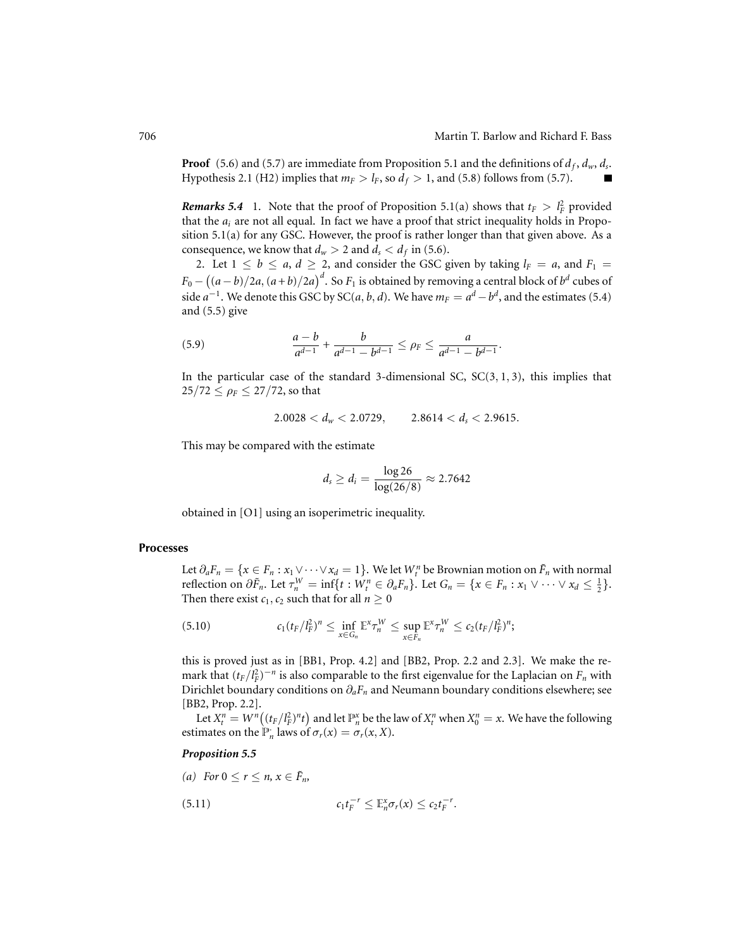**Proof** (5.6) and (5.7) are immediate from Proposition 5.1 and the definitions of  $d_f$ ,  $d_w$ ,  $d_s$ . Hypothesis 2.1 (H2) implies that  $m_F > l_F$ , so  $d_f > 1$ , and (5.8) follows from (5.7). г

*Remarks* 5.4 1. Note that the proof of Proposition 5.1(a) shows that  $t_F > l_F^2$  provided that the  $a_i$  are not all equal. In fact we have a proof that strict inequality holds in Proposition 5.1(a) for any GSC. However, the proof is rather longer than that given above. As a consequence, we know that  $d_w > 2$  and  $d_s < d_f$  in (5.6).

2. Let  $1 \leq b \leq a, d \geq 2$ , and consider the GSC given by taking  $l_F = a$ , and  $F_1 = a$  $F_0- \big((a-b)/2a,(a+b)/2a\big)^d.$  So  $F_1$  is obtained by removing a central block of  $b^d$  cubes of side  $a^{-1}$ . We denote this GSC by SC(*a*, *b*, *d*). We have  $m_F = a^d - b^d$ , and the estimates (5.4) and (5.5) give

(5.9) 
$$
\frac{a-b}{a^{d-1}} + \frac{b}{a^{d-1} - b^{d-1}} \le \rho_F \le \frac{a}{a^{d-1} - b^{d-1}}.
$$

In the particular case of the standard 3-dimensional SC,  $SC(3, 1, 3)$ , this implies that  $25/72 \le \rho_F \le 27/72$ , so that

$$
2.0028 < d_w < 2.0729, \qquad 2.8614 < d_s < 2.9615.
$$

This may be compared with the estimate

$$
d_s \geq d_i = \frac{\log 26}{\log(26/8)} \approx 2.7642
$$

obtained in [O1] using an isoperimetric inequality.

#### **Processes**

Let  $\partial_a F_n = \{x \in F_n : x_1 \vee \cdots \vee x_d = 1\}$ . We let  $W_i^n$  be Brownian motion on  $\tilde{F}_n$  with normal reflection on  $\partial \tilde{F}_n$ . Let  $\tau_n^W = \inf\{t : W_t^n \in \partial_a F_n\}$ . Let  $G_n = \{x \in F_n : x_1 \vee \cdots \vee x_d \le \frac{1}{2}\}.$ Then there exist  $c_1$ ,  $c_2$  such that for all  $n \geq 0$ 

$$
(5.10) \t c_1(t_F/l_F^2)^n \leq \inf_{x \in G_n} \mathbb{E}^x \tau_n^W \leq \sup_{x \in F_n} \mathbb{E}^x \tau_n^W \leq c_2(t_F/l_F^2)^n;
$$

this is proved just as in [BB1, Prop. 4.2] and [BB2, Prop. 2.2 and 2.3]. We make the remark that  $(t_F/l_F^2)^{-n}$  is also comparable to the first eigenvalue for the Laplacian on  $F_n$  with Dirichlet boundary conditions on ∂*aFn* and Neumann boundary conditions elsewhere; see [BB2, Prop. 2.2].

Let  $X_t^n = W^n((t_F/l_F^2)^n t)$  and let  $\mathbb{P}_n^x$  be the law of  $X_t^n$  when  $X_0^n = x$ . We have the following estimates on the  $\mathbb{P}_n^{\cdot}$  laws of  $\sigma_r(x) = \sigma_r(x, X)$ .

# *Proposition 5.5*

*(a) For*  $0 \leq r \leq n$ ,  $x \in \tilde{F}_n$ ,  $c_1 t_F^{-r} \leq \mathbb{E}_n^x \sigma_r(x) \leq c_2 t_F^{-r}.$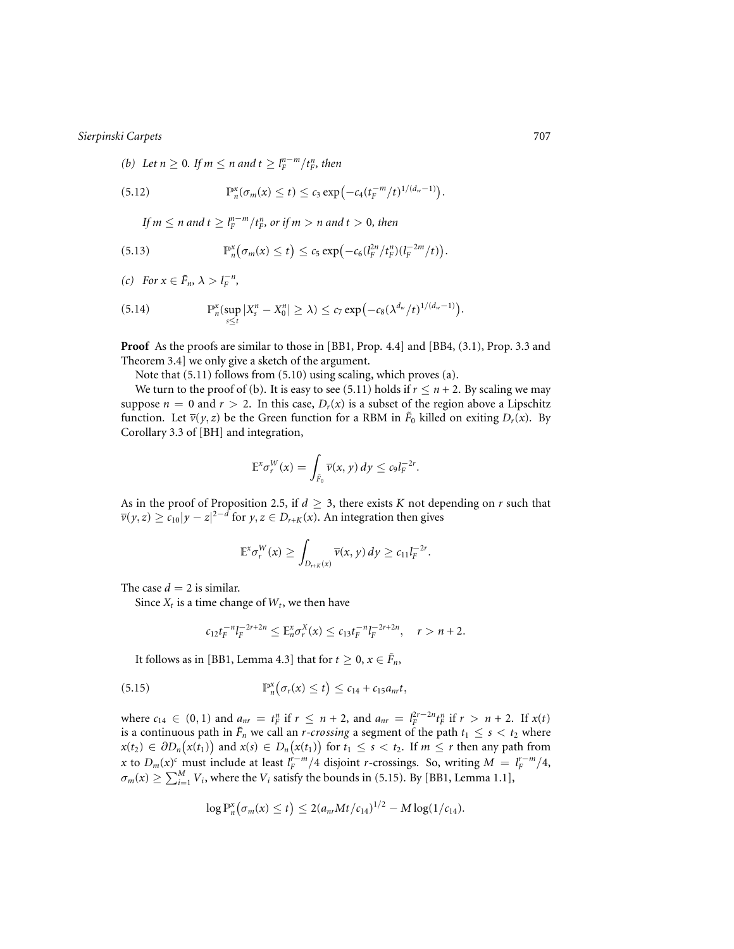(b) Let 
$$
n \ge 0
$$
. If  $m \le n$  and  $t \ge l_F^{n-m}/t_F^n$ , then

(5.12) 
$$
\mathbb{P}_n^x(\sigma_m(x) \leq t) \leq c_3 \exp(-c_4(t_F^{-m}/t)^{1/(d_w-1)}).
$$

*If*  $m \le n$  and  $t \ge l_F^{n-m}/t_F^n$ , or if  $m > n$  and  $t > 0$ , then

(5.13) 
$$
\mathbb{P}_n^x(\sigma_m(x) \leq t) \leq c_5 \exp\left(-c_6 (l_F^{2n}/t_F^n)(l_F^{-2m}/t)\right).
$$

*(c) For*  $x \in \tilde{F}_n$ ,  $\lambda > l_F^{-n}$ ,

(5.14) 
$$
\mathbb{P}_n^{\mathsf{x}}(\sup_{s\leq t}|X_s^n-X_0^n|\geq\lambda)\leq c_7\exp\bigl(-c_8(\lambda^{d_w}/t)^{1/(d_w-1)}\bigr).
$$

**Proof** As the proofs are similar to those in [BB1, Prop. 4.4] and [BB4, (3.1), Prop. 3.3 and Theorem 3.4] we only give a sketch of the argument.

Note that (5.11) follows from (5.10) using scaling, which proves (a).

We turn to the proof of (b). It is easy to see (5.11) holds if  $r \leq n + 2$ . By scaling we may suppose  $n = 0$  and  $r > 2$ . In this case,  $D_r(x)$  is a subset of the region above a Lipschitz function. Let  $\overline{v}(y, z)$  be the Green function for a RBM in  $\tilde{F}_0$  killed on exiting  $D_r(x)$ . By Corollary 3.3 of [BH] and integration,

$$
\mathbb{E}^x \sigma_r^W(x) = \int_{\bar{F}_0} \overline{\nu}(x, y) \, dy \le c_9 l_F^{-2r}.
$$

As in the proof of Proposition 2.5, if  $d \geq 3$ , there exists *K* not depending on *r* such that  $\overline{v}(y, z) \geq c_{10}|y - z|^{2-d}$  for  $y, z \in D_{r+K}(x)$ . An integration then gives

$$
\mathbb{E}^{\mathbf{x}} \sigma_r^W(\mathbf{x}) \ge \int_{D_{r+K}(\mathbf{x})} \overline{\nu}(\mathbf{x}, \mathbf{y}) \, d\mathbf{y} \ge c_{11} l_F^{-2r}.
$$

The case  $d = 2$  is similar.

Since  $X_t$  is a time change of  $W_t$ , we then have

$$
c_{12}t_F^{-n}l_F^{-2r+2n} \leq \mathbb{E}_n^x \sigma_r^X(x) \leq c_{13}t_F^{-n}l_F^{-2r+2n}, \quad r > n+2.
$$

It follows as in [BB1, Lemma 4.3] that for  $t \geq 0, x \in \tilde{F}_n$ ,

(5.15) 
$$
\mathbb{P}_n^x(\sigma_r(x) \leq t) \leq c_{14} + c_{15}a_{nr}t,
$$

where  $c_{14} \in (0, 1)$  and  $a_{nr} = t_F^n$  if  $r \leq n + 2$ , and  $a_{nr} = l_F^{2r-2n} t_F^n$  if  $r > n + 2$ . If  $x(t)$ is a continuous path in  $\tilde{F}_n$  we call an *r-crossing* a segment of the path  $t_1 \leq s \leq t_2$  where *x*(*t*<sub>2</sub>) ∈  $\partial D_n(x(t_1))$  and  $x(s) \in D_n(x(t_1))$  for  $t_1 \leq s < t_2$ . If  $m \leq r$  then any path from *x* to  $D_m(x)^c$  must include at least  $l_F^{r-m}/4$  disjoint *r*-crossings. So, writing  $M = l_F^{r-m}/4$ ,  $\sigma_m(x) \geq \sum_{i=1}^M V_i$ , where the  $V_i$  satisfy the bounds in (5.15). By [BB1, Lemma 1.1],

$$
\log \mathbb{P}_n^{\mathbf{x}}(\sigma_m(x) \leq t) \leq 2(a_{nr}Mt/c_{14})^{1/2} - M\log(1/c_{14}).
$$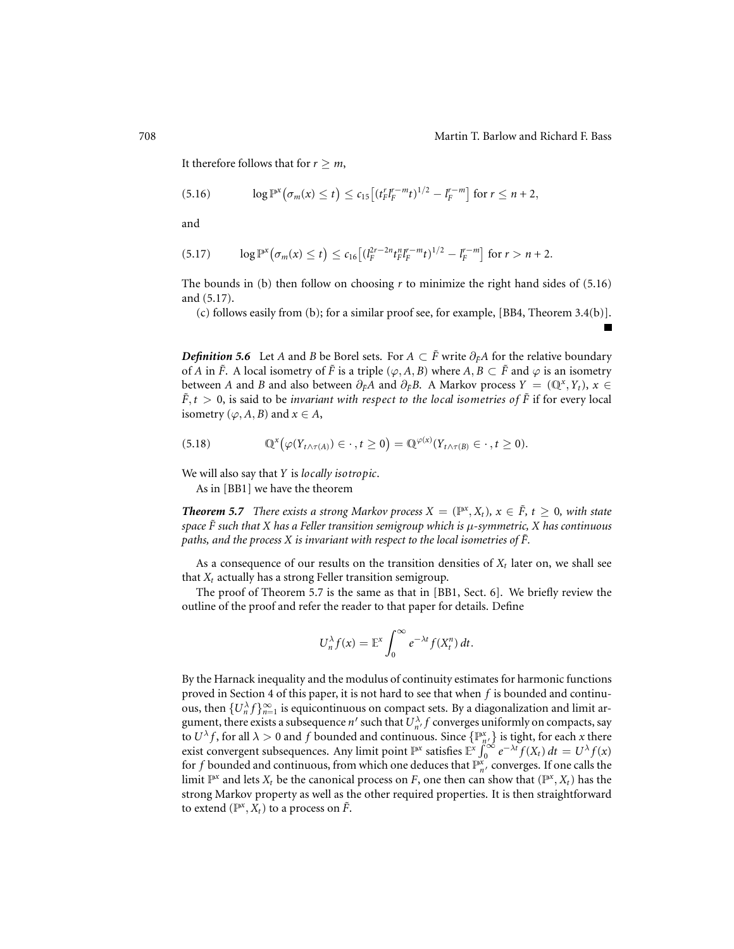$\blacksquare$ 

It therefore follows that for  $r \geq m$ ,

$$
(5.16) \t\t \log \mathbb{P}^x(\sigma_m(x) \leq t) \leq c_{15} \big[ (t_F^r l_F^{r-m} t)^{1/2} - l_F^{r-m} \big] \t\t \text{for } r \leq n+2,
$$

and

$$
(5.17) \qquad \log \mathbb{P}^x(\sigma_m(x) \leq t) \leq c_{16} \left[ (l_F^{2r-2n} t_F^{n} l_F^{n-m} t)^{1/2} - l_F^{r-m} \right] \text{ for } r > n+2.
$$

The bounds in (b) then follow on choosing *r* to minimize the right hand sides of (5.16) and (5.17).

(c) follows easily from (b); for a similar proof see, for example, [BB4, Theorem 3.4(b)].

*Definition* 5.6 Let *A* and *B* be Borel sets. For  $A \subset \tilde{F}$  write  $\partial_{\tilde{F}}A$  for the relative boundary of *A* in  $\tilde{F}$ . A local isometry of  $\tilde{F}$  is a triple ( $\varphi$ , *A*, *B*) where *A*, *B*  $\subset \tilde{F}$  and  $\varphi$  is an isometry between *A* and *B* and also between  $\partial_F A$  and  $\partial_F B$ . A Markov process  $Y = (\mathbb{Q}^x, Y_t)$ ,  $x \in$  $\hat{F}, t > 0$ , is said to be *invariant with respect to the local isometries of*  $\hat{F}$  if for every local isometry ( $\varphi$ , *A*, *B*) and  $x \in A$ ,

(5.18) 
$$
\mathbb{Q}^{x}(\varphi(Y_{t\wedge \tau(A)})\in \cdot\,,t\geq 0)=\mathbb{Q}^{\varphi(x)}(Y_{t\wedge \tau(B)}\in \cdot\,,t\geq 0).
$$

We will also say that *Y* is *locally isotropic*.

As in [BB1] we have the theorem

*Theorem 5.7 There exists a strong Markov process*  $X = (\mathbb{P}^x, X_t)$ ,  $x \in \overline{F}$ ,  $t \geq 0$ , with state *space*  $\tilde{F}$  such that X has a Feller transition semigroup which is  $\mu$ -symmetric, X has continuous *paths, and the process X is invariant with respect to the local isometries of*  $\tilde{F}$ *.* 

As a consequence of our results on the transition densities of  $X_t$  later on, we shall see that  $X_t$  actually has a strong Feller transition semigroup.

The proof of Theorem 5.7 is the same as that in [BB1, Sect. 6]. We briefly review the outline of the proof and refer the reader to that paper for details. Define

$$
U_n^{\lambda} f(x) = \mathbb{E}^x \int_0^{\infty} e^{-\lambda t} f(X_t^n) dt.
$$

By the Harnack inequality and the modulus of continuity estimates for harmonic functions proved in Section 4 of this paper, it is not hard to see that when *f* is bounded and continuous, then  $\{U_n^{\lambda} f\}_{n=1}^{\infty}$  is equicontinuous on compact sets. By a diagonalization and limit argument, there exists a subsequence  $n'$  such that  $U_{n'}^{\lambda} f$  converges uniformly on compacts, say to  $U^{\lambda}f$ , for all  $\lambda > 0$  and  $f$  bounded and continuous. Since  $\{ \mathbb{P}^x_{n,\lambda} \}$  is tight, for each  $x$  there exist convergent subsequences. Any limit point  $\mathbb{P}^x$  satisfies  $\mathbb{E}^x \int_0^\infty e^{-\lambda t} f(X_t) dt = U^{\lambda} f(x)$ for *f* bounded and continuous, from which one deduces that  $\mathbb{P}_{n'}^{\mathbf{x}}$  converges. If one calls the limit  $\mathbb{P}^x$  and lets  $X_t$  be the canonical process on *F*, one then can show that  $(\mathbb{P}^x, X_t)$  has the strong Markov property as well as the other required properties. It is then straightforward to extend ( $\mathbb{P}^{x}, X_t$ ) to a process on  $\tilde{F}$ .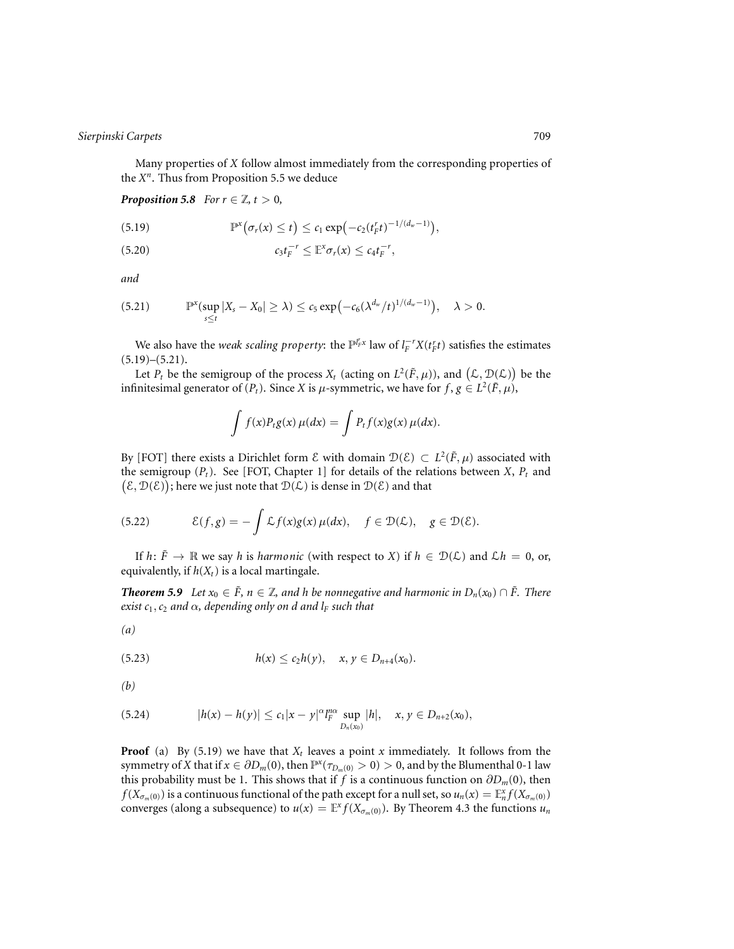Many properties of *X* follow almost immediately from the corresponding properties of the *X<sup>n</sup>*. Thus from Proposition 5.5 we deduce

*Proposition 5.8 For*  $r \in \mathbb{Z}$ ,  $t > 0$ ,

(5.19) 
$$
\mathbb{P}^{x}(\sigma_r(x) \leq t) \leq c_1 \exp(-c_2(t_r^r t)^{-1/(d_w-1)}),
$$

$$
(5.20) \t\t\t c_3t_F^{-r} \leq \mathbb{E}^x \sigma_r(x) \leq c_4t_F^{-r},
$$

*and*

$$
(5.21) \qquad \mathbb{P}^x(\sup_{s\leq t}|X_s-X_0|\geq\lambda)\leq c_5\exp\bigl(-c_6(\lambda^{d_w}/t)^{1/(d_w-1)}\bigr),\quad \lambda>0.
$$

We also have the *weak scaling property*: the  $\mathbb{P}^{l_F^r x}$  law of  $l_F^{-r} X(t_F^r t)$  satisfies the estimates  $(5.19)$ – $(5.21)$ .

Let  $P_t$  be the semigroup of the process  $X_t$  (acting on  $L^2(\tilde{F}, \mu)$ ), and  $(\mathcal{L}, \mathcal{D}(\mathcal{L}))$  be the infinitesimal generator of  $(P_t)$ . Since *X* is  $\mu$ -symmetric, we have for  $f, g \in L^2(\tilde{F}, \mu)$ ,

$$
\int f(x)P_t g(x) \mu(dx) = \int P_t f(x)g(x) \mu(dx).
$$

By [FOT] there exists a Dirichlet form  $\mathcal E$  with domain  $\mathcal D(\mathcal E) \subset L^2(\tilde{F}, \mu)$  associated with the semigroup  $(P_t)$ . See [FOT, Chapter 1] for details of the relations between *X*,  $P_t$  and  $(\mathcal{E}, \mathcal{D}(\mathcal{E}))$ ; here we just note that  $\mathcal{D}(\mathcal{L})$  is dense in  $\mathcal{D}(\mathcal{E})$  and that

(5.22) 
$$
\mathcal{E}(f,g) = -\int \mathcal{L}f(x)g(x)\,\mu(dx), \quad f \in \mathcal{D}(\mathcal{L}), \quad g \in \mathcal{D}(\mathcal{E}).
$$

If  $h: \tilde{F} \to \mathbb{R}$  we say *h* is *harmonic* (with respect to *X*) if  $h \in \mathcal{D}(\mathcal{L})$  and  $\mathcal{L}h = 0$ , or, equivalently, if  $h(X_t)$  is a local martingale.

*Theorem 5.9 Let*  $x_0$  ∈  $\tilde{F}$ ,  $n \in \mathbb{Z}$ , and h be nonnegative and harmonic in  $D_n(x_0) \cap \tilde{F}$ . There *exist*  $c_1$ *,*  $c_2$  *and*  $\alpha$ *, depending only on d and*  $l_F$  *such that* 

$$
(a)
$$

(5.23) 
$$
h(x) \le c_2 h(y), \quad x, y \in D_{n+4}(x_0).
$$

*(b)*

(5.24) 
$$
|h(x) - h(y)| \leq c_1 |x - y|^{\alpha} \lim_{D_n(x_0)} |h|, \quad x, y \in D_{n+2}(x_0),
$$

**Proof** (a) By (5.19) we have that  $X_t$  leaves a point *x* immediately. It follows from the symmetry of *X* that if  $x \in \partial D_m(0)$ , then  $\mathbb{P}^x(\tau_{D_m(0)} > 0) > 0$ , and by the Blumenthal 0-1 law this probability must be 1. This shows that if *f* is a continuous function on  $\partial D_m(0)$ , then *f*( $X_{\sigma_m(0)}$ ) is a continuous functional of the path except for a null set, so  $u_n(x) = \mathbb{E}_n^x f(X_{\sigma_m(0)})$ converges (along a subsequence) to  $u(x) = \mathbb{E}^x f(X_{\sigma_m(0)})$ . By Theorem 4.3 the functions  $u_n$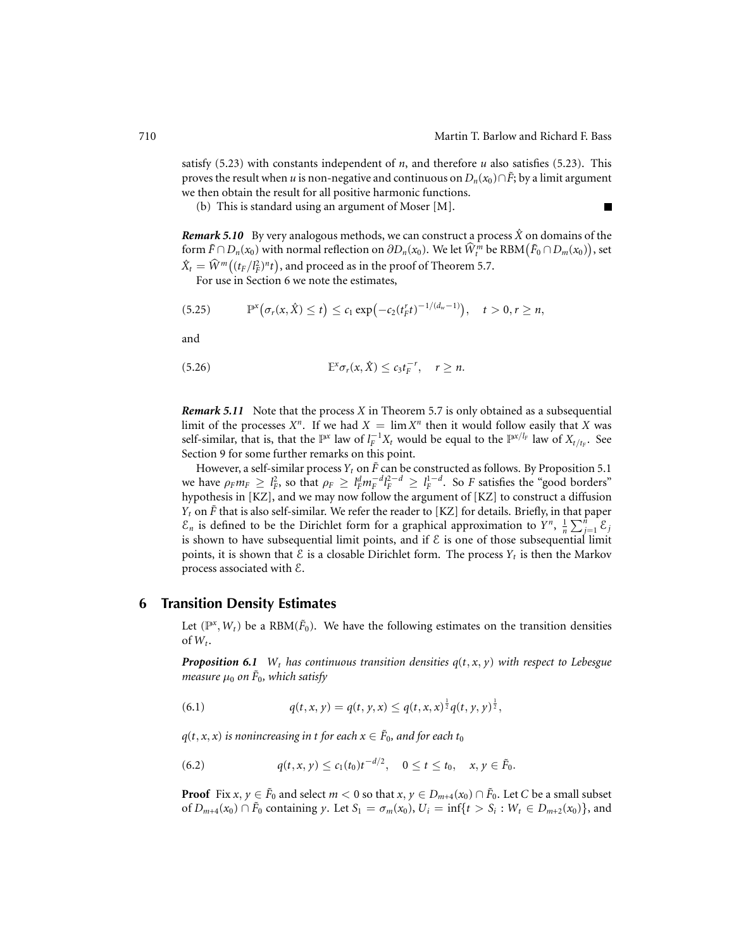Ē

satisfy (5.23) with constants independent of *n*, and therefore *u* also satisfies (5.23). This proves the result when *u* is non-negative and continuous on  $D_n(x_0) \cap \tilde{F}$ ; by a limit argument we then obtain the result for all positive harmonic functions.

(b) This is standard using an argument of Moser [M].

*Remark 5.10* By very analogous methods, we can construct a process  $\hat{X}$  on domains of the form  $\tilde{F} \cap D_n(x_0)$  with normal reflection on  $\partial D_n(x_0)$ . We let  $\hat{W}^m_t$  be  $RBM(\tilde{F}_0 \cap D_m(x_0))$ , set  $\hat{X}_t = \hat{W}^m((t_F/l_F^2)^n t)$ , and proceed as in the proof of Theorem 5.7.

For use in Section 6 we note the estimates,

$$
(5.25) \qquad \mathbb{P}^{x}\big(\sigma_{r}(x,\hat{X})\leq t\big)\leq c_{1}\exp\big(-c_{2}(t_{F}^{r}t)^{-1/(d_{w}-1)}\big), \quad t>0, r\geq n,
$$

and

$$
(5.26) \t\t\t\t\mathbb{E}^x \sigma_r(x,\hat{X}) \leq c_3 t_F^{-r}, \quad r \geq n.
$$

*Remark 5.11* Note that the process *X* in Theorem 5.7 is only obtained as a subsequential limit of the processes  $X^n$ . If we had  $X = \lim X^n$  then it would follow easily that X was self-similar, that is, that the  $\mathbb{P}^x$  law of  $l_F^{-1}X_t$  would be equal to the  $\mathbb{P}^{x/l_F}$  law of  $X_{t/t_F}$ . See Section 9 for some further remarks on this point.

However, a self-similar process  $Y_t$  on  $\tilde{F}$  can be constructed as follows. By Proposition 5.1 we have  $\rho_F m_F \geq l_F^2$ , so that  $\rho_F \geq l_F^d m_F^{-d} l_F^{2-d} \geq l_F^{1-d}$ . So *F* satisfies the "good borders" hypothesis in [KZ], and we may now follow the argument of [KZ] to construct a diffusion *Y<sub>t</sub>* on  $\tilde{F}$  that is also self-similar. We refer the reader to [KZ] for details. Briefly, in that paper  $\mathcal{E}_n$  is defined to be the Dirichlet form for a graphical approximation to  $Y^n$ ,  $\frac{1}{n} \sum_{j=1}^n \mathcal{E}_j$ is shown to have subsequential limit points, and if  $\mathcal E$  is one of those subsequential limit points, it is shown that  $\mathcal E$  is a closable Dirichlet form. The process  $Y_t$  is then the Markov process associated with E.

# **6 Transition Density Estimates**

Let  $(\mathbb{P}^x, W_t)$  be a RBM( $\tilde{F}_0$ ). We have the following estimates on the transition densities of  $W_t$ .

*Proposition 6.1 W<sub>t</sub> has continuous transition densities*  $q(t, x, y)$  *with respect to Lebesgue measure*  $\mu_0$  *on*  $\bar{F}_0$ *, which satisfy* 

(6.1) 
$$
q(t, x, y) = q(t, y, x) \leq q(t, x, x)^{\frac{1}{2}} q(t, y, y)^{\frac{1}{2}},
$$

 $q(t, x, x)$  *is nonincreasing in t for each*  $x \in \overline{F}_0$ *, and for each*  $t_0$ 

(6.2) 
$$
q(t,x,y) \leq c_1(t_0)t^{-d/2}, \quad 0 \leq t \leq t_0, \quad x, y \in \tilde{F}_0.
$$

**Proof** Fix  $x, y \in \tilde{F}_0$  and select  $m < 0$  so that  $x, y \in D_{m+4}(x_0) \cap \tilde{F}_0$ . Let *C* be a small subset of  $D_{m+4}(x_0) \cap \tilde{F}_0$  containing *y*. Let  $S_1 = \sigma_m(x_0)$ ,  $U_i = \inf\{t > S_i : W_t \in D_{m+2}(x_0)\}$ , and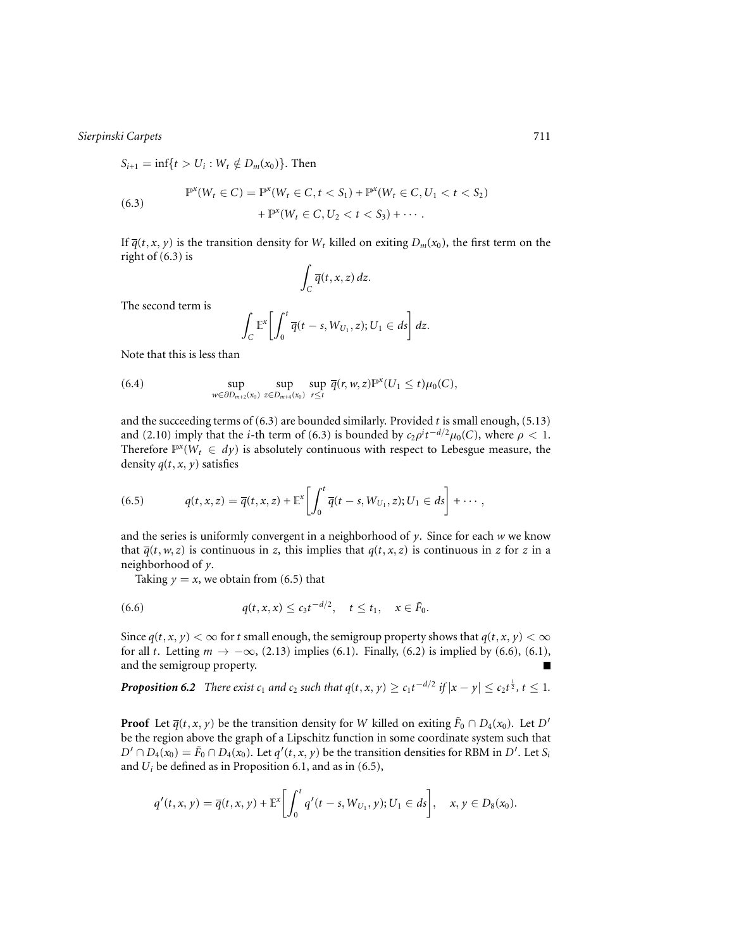$S_{i+1} = \inf\{t > U_i : W_t \notin D_m(x_0)\}.$  Then

(6.3) 
$$
\mathbb{P}^{x}(W_{t} \in C) = \mathbb{P}^{x}(W_{t} \in C, t < S_{1}) + \mathbb{P}^{x}(W_{t} \in C, U_{1} < t < S_{2}) + \mathbb{P}^{x}(W_{t} \in C, U_{2} < t < S_{3}) + \cdots
$$

If  $\overline{q}(t, x, y)$  is the transition density for  $W_t$  killed on exiting  $D_m(x_0)$ , the first term on the right of (6.3) is

$$
\int_C \overline{q}(t,x,z)\,dz.
$$

The second term is

$$
\int_C \mathbb{E}^x \bigg[ \int_0^t \overline{q}(t-s, W_{U_1}, z); U_1 \in ds \bigg] dz.
$$

Note that this is less than

(6.4) 
$$
\sup_{w \in \partial D_{m+2}(x_0)} \sup_{z \in D_{m+4}(x_0)} \sup_{r \leq t} \overline{q}(r, w, z) \mathbb{P}^x(U_1 \leq t) \mu_0(C),
$$

and the succeeding terms of (6.3) are bounded similarly. Provided *t* is small enough, (5.13) and (2.10) imply that the *i*-th term of (6.3) is bounded by  $c_2 \rho^i t^{-d/2} \mu_0(C)$ , where  $\rho < 1$ . Therefore  $\mathbb{P}^x(W_t \in dy)$  is absolutely continuous with respect to Lebesgue measure, the density  $q(t, x, y)$  satisfies

(6.5) 
$$
q(t, x, z) = \overline{q}(t, x, z) + \mathbb{E}^{x} \left[ \int_{0}^{t} \overline{q}(t - s, W_{U_{1}}, z); U_{1} \in ds \right] + \cdots,
$$

and the series is uniformly convergent in a neighborhood of *y*. Since for each *w* we know that  $\overline{q}(t, w, z)$  is continuous in *z*, this implies that  $q(t, x, z)$  is continuous in *z* for *z* in a neighborhood of *y*.

Taking  $y = x$ , we obtain from (6.5) that

(6.6) 
$$
q(t,x,x) \leq c_3 t^{-d/2}, \quad t \leq t_1, \quad x \in \tilde{F}_0.
$$

Since  $q(t, x, y) < \infty$  for *t* small enough, the semigroup property shows that  $q(t, x, y) < \infty$ for all *t*. Letting  $m \to -\infty$ , (2.13) implies (6.1). Finally, (6.2) is implied by (6.6), (6.1), and the semigroup property.

*Proposition 6.2 There exist c*<sub>1</sub> *and c*<sub>2</sub> *such that*  $q(t, x, y) \ge c_1 t^{-d/2}$  *<i>if*  $|x - y| \le c_2 t^{\frac{1}{2}}$ ,  $t \le 1$ .

**Proof** Let  $\overline{q}(t, x, y)$  be the transition density for *W* killed on exiting  $\tilde{F}_0 \cap D_4(x_0)$ . Let *D'* be the region above the graph of a Lipschitz function in some coordinate system such that  $D' \cap D_4(x_0) = \tilde{F}_0 \cap D_4(x_0)$ . Let  $q'(t,x,y)$  be the transition densities for RBM in  $D'$ . Let  $S_i$ and *Ui* be defined as in Proposition 6.1, and as in (6.5),

$$
q'(t,x,y) = \overline{q}(t,x,y) + \mathbb{E}^{x} \bigg[ \int_{0}^{t} q'(t-s, W_{U_{1}}, y); U_{1} \in ds \bigg], \quad x, y \in D_{8}(x_{0}).
$$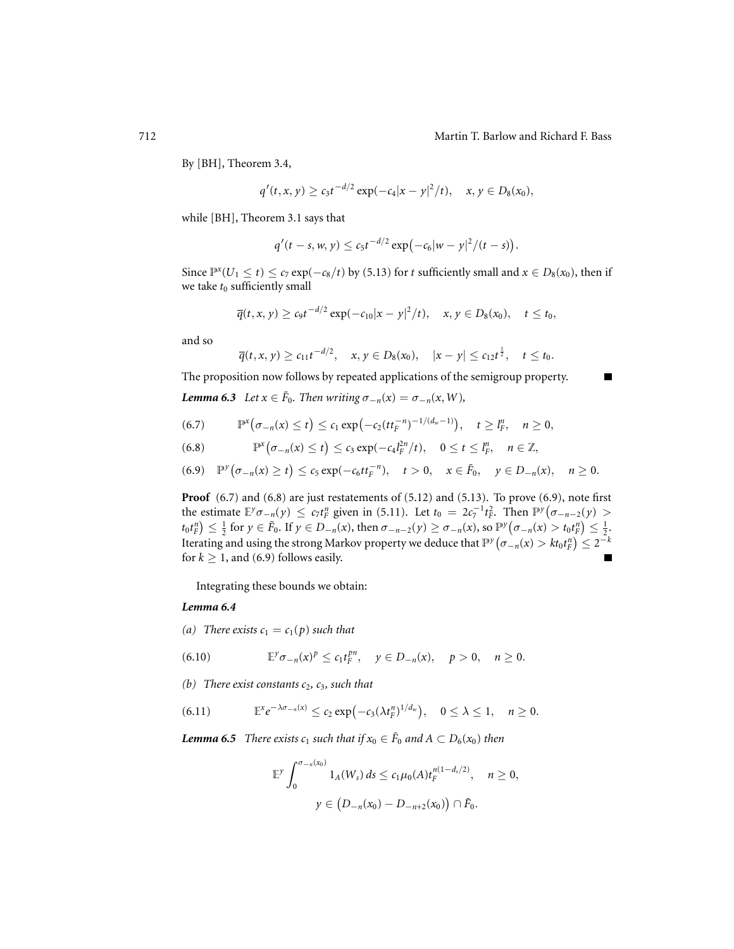П

By [BH], Theorem 3.4,

$$
q'(t,x,y) \ge c_3 t^{-d/2} \exp(-c_4 |x-y|^2/t), \quad x, y \in D_8(x_0),
$$

while [BH], Theorem 3.1 says that

$$
q'(t-s, w, y) \leq c_5 t^{-d/2} \exp(-c_6|w-y|^2/(t-s)).
$$

Since  $\mathbb{P}^x(U_1 \le t)$  ≤ *c*<sub>7</sub> exp(−*c*<sub>8</sub>/*t*) by (5.13) for *t* sufficiently small and *x* ∈ *D*<sub>8</sub>(*x*<sub>0</sub>), then if we take  $t_0$  sufficiently small

$$
\overline{q}(t,x,y) \ge c_9 t^{-d/2} \exp(-c_{10}|x-y|^2/t), \quad x,y \in D_8(x_0), \quad t \le t_0,
$$

and so

$$
\overline{q}(t,x,y) \geq c_{11}t^{-d/2}, \quad x,y \in D_8(x_0), \quad |x-y| \leq c_{12}t^{\frac{1}{2}}, \quad t \leq t_0.
$$

The proposition now follows by repeated applications of the semigroup property.

*Lemma 6.3 Let*  $x \in \tilde{F}_0$ *. Then writing*  $\sigma_{-n}(x) = \sigma_{-n}(x, W)$ *,* 

$$
(6.7) \qquad \mathbb{P}^{x}\big(\sigma_{-n}(x) \leq t\big) \leq c_1 \exp\big(-c_2 (t t_F^{-n})^{-1/(d_w-1)}\big), \quad t \geq l_F^n, \quad n \geq 0,
$$

(6.8) 
$$
\mathbb{P}^{x}\big(\sigma_{-n}(x)\leq t\big)\leq c_{3}\exp(-c_{4}l_{F}^{2n}/t), \quad 0\leq t\leq l_{F}^{n}, \quad n\in\mathbb{Z},
$$

$$
(6.9) \quad \mathbb{P}^{\mathcal{Y}}(\sigma_{-n}(x) \geq t) \leq c_5 \exp(-c_6 t t_F^{-n}), \quad t > 0, \quad x \in \tilde{F}_0, \quad y \in D_{-n}(x), \quad n \geq 0.
$$

**Proof** (6.7) and (6.8) are just restatements of (5.12) and (5.13). To prove (6.9), note first the estimate  $\mathbb{E}^{\gamma}\sigma_{-n}(y) \leq c_7 t_F^n$  given in (5.11). Let  $t_0 = 2c_7^{-1} t_F^2$ . Then  $\mathbb{P}^{\gamma}(\sigma_{-n-2}(y) >$  $t_0t_f^n$   $\leq \frac{1}{2}$  for  $y \in \tilde{F}_0$ . If  $y \in D_{-n}(x)$ , then  $\sigma_{-n-2}(y) \geq \sigma_{-n}(x)$ , so  $\mathbb{P}^y(\sigma_{-n}(x) > t_0t_f^n) \leq \frac{1}{2}$ . Iterating and using the strong Markov property we deduce that  $\mathbb{P}^y\big(\sigma_{-n}(x)>kt_0t_F^n\big)\leq 2^{-k}$ for  $k \geq 1$ , and (6.9) follows easily.

Integrating these bounds we obtain:

#### *Lemma 6.4*

*(a)* There exists  $c_1 = c_1(p)$  such that

(6.10) 
$$
\mathbb{E}^{\gamma}\sigma_{-n}(x)^p \leq c_1 t_F^{pn}, \quad y \in D_{-n}(x), \quad p > 0, \quad n \geq 0.
$$

*(b) There exist constants c*2*, c*3*, such that*

(6.11) 
$$
\mathbb{E}^x e^{-\lambda \sigma_{-n}(x)} \leq c_2 \exp(-c_3(\lambda t_F^{n})^{1/d_w}), \quad 0 \leq \lambda \leq 1, \quad n \geq 0.
$$

*Lemma 6.5 There exists c<sub>1</sub> such that if*  $x_0 \text{ } \in \text{ } \tilde{F}_0$  *and*  $A \text{ } \subset D_6(x_0)$  *then* 

$$
\mathbb{E}^{y} \int_{0}^{\sigma_{-n}(x_{0})} 1_{A}(W_{s}) ds \leq c_{1} \mu_{0}(A) t_{F}^{n(1-d_{s}/2)}, \quad n \geq 0,
$$

$$
y \in (D_{-n}(x_{0}) - D_{-n+2}(x_{0})) \cap \tilde{F}_{0}.
$$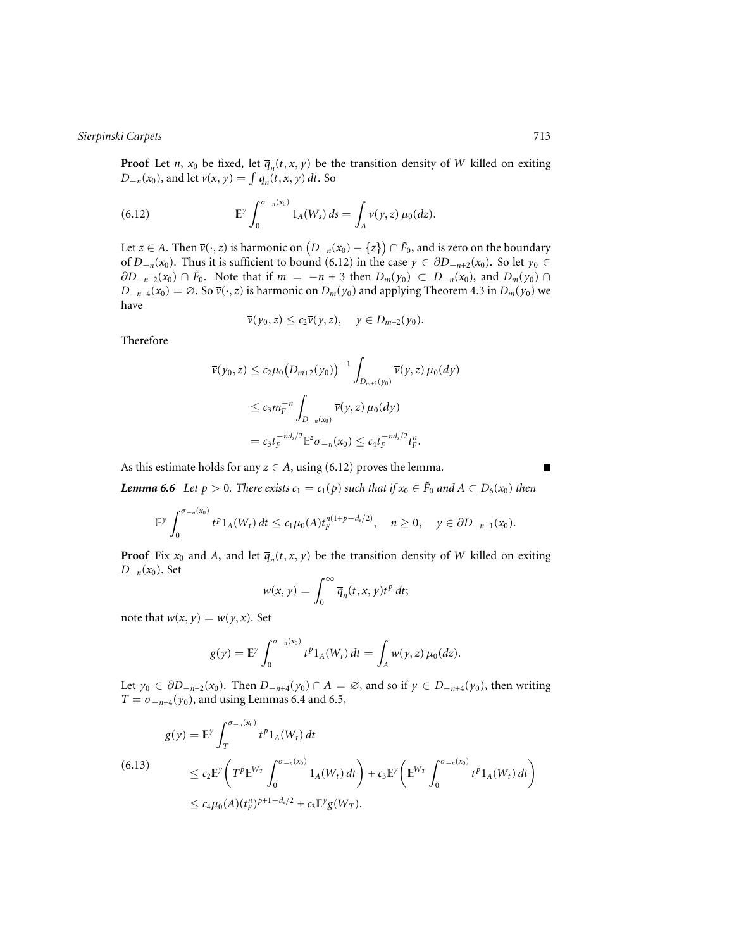**Proof** Let *n*,  $x_0$  be fixed, let  $\overline{q}_n(t, x, y)$  be the transition density of *W* killed on exiting *D*−*n*(*x*<sub>0</sub>), and let  $\overline{v}(x, y) = \int \overline{q}_n(t, x, y) dt$ . So

(6.12) 
$$
\mathbb{E}^{\gamma} \int_0^{\sigma_{-n}(x_0)} 1_A(W_s) ds = \int_A \overline{\nu}(y, z) \mu_0(dz).
$$

Let *z* ∈ *A*. Then  $\overline{v}(\cdot, z)$  is harmonic on  $(D_{-n}(x_0) - \{z\}) \cap \tilde{F}_0$ , and is zero on the boundary of *D*<sub>−*n*</sub>(*x*<sub>0</sub>). Thus it is sufficient to bound (6.12) in the case  $y \text{ ∈ } ∂D_{-n+2}(x_0)$ . So let  $y_0 \text{ ∈ }$ ∂*D*<sub>−*n*+2</sub>(*x*<sub>0</sub>) ∩  $\tilde{F}_0$ . Note that if  $m = -n + 3$  then  $D_m(y_0) \subset D_{-n}(x_0)$ , and  $D_m(y_0)$  ∩ *D*−*n*+4(*x*<sub>0</sub>) = ∅. So  $\overline{v}(\cdot, z)$  is harmonic on *D<sub>m</sub>*(*y*<sub>0</sub>) and applying Theorem 4.3 in *D<sub>m</sub>*(*y*<sub>0</sub>) we have

$$
\overline{\nu}(\gamma_0,z)\leq c_2\overline{\nu}(\gamma,z),\quad y\in D_{m+2}(\gamma_0).
$$

Therefore

$$
\overline{\nu}(\gamma_0, z) \le c_2 \mu_0 \big( D_{m+2}(\gamma_0) \big)^{-1} \int_{D_{m+2}(\gamma_0)} \overline{\nu}(\gamma, z) \, \mu_0(dy)
$$
\n
$$
\le c_3 m_F^{-n} \int_{D_{-n}(x_0)} \overline{\nu}(\gamma, z) \, \mu_0(dy)
$$
\n
$$
= c_3 t_F^{-nd_s/2} \mathbb{E}^z \sigma_{-n}(x_0) \le c_4 t_F^{-nd_s/2} t_F^n.
$$

As this estimate holds for any  $z \in A$ , using (6.12) proves the lemma.

 $\blacksquare$ 

*Lemma* 6.6 *Let*  $p > 0$ *. There exists*  $c_1 = c_1(p)$  *such that if*  $x_0 \in \tilde{F}_0$  *and*  $A \subset D_6(x_0)$  *then* 

$$
\mathbb{E}^{\gamma}\int_0^{\sigma_{-n}(x_0)}t^p1_A(W_t)\,dt\leq c_1\mu_0(A)t_F^{n(1+p-d_s/2)},\quad n\geq 0,\quad y\in\partial D_{-n+1}(x_0).
$$

**Proof** Fix  $x_0$  and *A*, and let  $\overline{q}_n(t, x, y)$  be the transition density of *W* killed on exiting *D*−*n*(*x*<sub>0</sub>). Set

$$
w(x, y) = \int_0^\infty \overline{q}_n(t, x, y) t^p dt;
$$

note that  $w(x, y) = w(y, x)$ . Set

$$
g(y) = \mathbb{E}^y \int_0^{\sigma_{-n}(x_0)} t^p 1_A(W_t) dt = \int_A w(y, z) \mu_0(dz).
$$

Let *y*<sub>0</sub> ∈  $\partial D_{-n+2}(x_0)$ . Then  $D_{-n+4}(y_0) \cap A = \emptyset$ , and so if  $y \in D_{-n+4}(y_0)$ , then writing *T* =  $\sigma$ <sub>−n+4</sub>( $y_0$ ), and using Lemmas 6.4 and 6.5,

$$
\begin{split} g(y) &= \mathbb{E}^y \int_T^{\sigma_{-n}(x_0)} t^p 1_A(W_t) \, dt \\ &\leq c_2 \mathbb{E}^y \bigg( T^p \mathbb{E}^{W_T} \int_0^{\sigma_{-n}(x_0)} 1_A(W_t) \, dt \bigg) + c_3 \mathbb{E}^y \bigg( \mathbb{E}^{W_T} \int_0^{\sigma_{-n}(x_0)} t^p 1_A(W_t) \, dt \bigg) \\ &\leq c_4 \mu_0(A) (t_F^n)^{p+1-d_s/2} + c_3 \mathbb{E}^y g(W_T). \end{split}
$$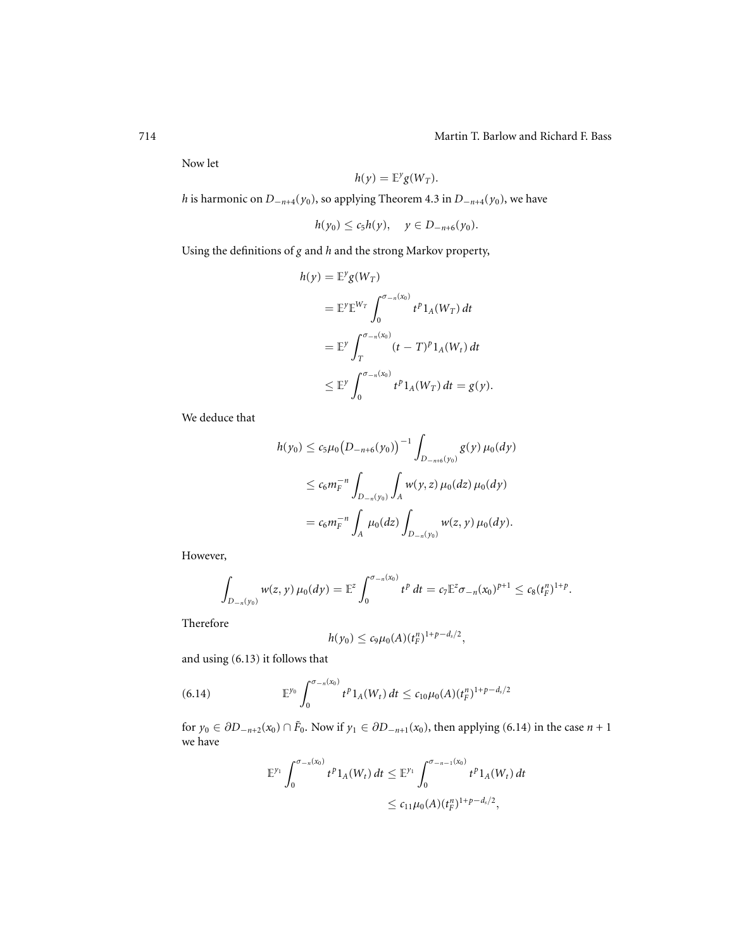Now let

$$
h(y) = \mathbb{E}^y g(W_T).
$$

*h* is harmonic on *D*<sup>−</sup>*n*+4(*y*0), so applying Theorem 4.3 in *D*<sup>−</sup>*n*+4(*y*0), we have

$$
h(y_0) \leq c_5 h(y), \quad y \in D_{-n+6}(y_0).
$$

Using the definitions of *g* and *h* and the strong Markov property,

$$
h(y) = \mathbb{E}^y g(W_T)
$$
  
\n
$$
= \mathbb{E}^y \mathbb{E}^{W_T} \int_0^{\sigma_{-n}(x_0)} t^p 1_A(W_T) dt
$$
  
\n
$$
= \mathbb{E}^y \int_T^{\sigma_{-n}(x_0)} (t - T)^p 1_A(W_T) dt
$$
  
\n
$$
\leq \mathbb{E}^y \int_0^{\sigma_{-n}(x_0)} t^p 1_A(W_T) dt = g(y).
$$

We deduce that

$$
h(y_0) \le c_5 \mu_0 (D_{-n+6}(y_0))^{-1} \int_{D_{-n+6}(y_0)} g(y) \mu_0(dy)
$$
  

$$
\le c_6 m_F^{-n} \int_{D_{-n}(y_0)} \int_A w(y, z) \mu_0(dz) \mu_0(dy)
$$
  

$$
= c_6 m_F^{-n} \int_A \mu_0(dz) \int_{D_{-n}(y_0)} w(z, y) \mu_0(dy).
$$

However,

$$
\int_{D_{-n}(y_0)} w(z, y) \,\mu_0(dy) = \mathbb{E}^z \int_0^{\sigma_{-n}(x_0)} t^p dt = c_7 \mathbb{E}^z \sigma_{-n}(x_0)^{p+1} \leq c_8 (t_F^{n})^{1+p}.
$$

Therefore

$$
h(y_0) \leq c_9 \mu_0(A) (t_F^n)^{1+p-d_s/2},
$$

and using (6.13) it follows that

(6.14) 
$$
\mathbb{E}^{y_0} \int_0^{\sigma_{-n}(x_0)} t^p 1_A(W_t) dt \leq c_{10} \mu_0(A) (t_F^n)^{1+p-d_s/2}
$$

for  $y_0 \in \partial D_{-n+2}(x_0) \cap \tilde{F}_0$ . Now if  $y_1 \in \partial D_{-n+1}(x_0)$ , then applying (6.14) in the case  $n+1$ we have

$$
\mathbb{E}^{y_1} \int_0^{\sigma_{-n}(x_0)} t^p 1_A(W_t) dt \leq \mathbb{E}^{y_1} \int_0^{\sigma_{-n-1}(x_0)} t^p 1_A(W_t) dt
$$
  

$$
\leq c_{11} \mu_0(A) (t_L^n)^{1+p-d_s/2},
$$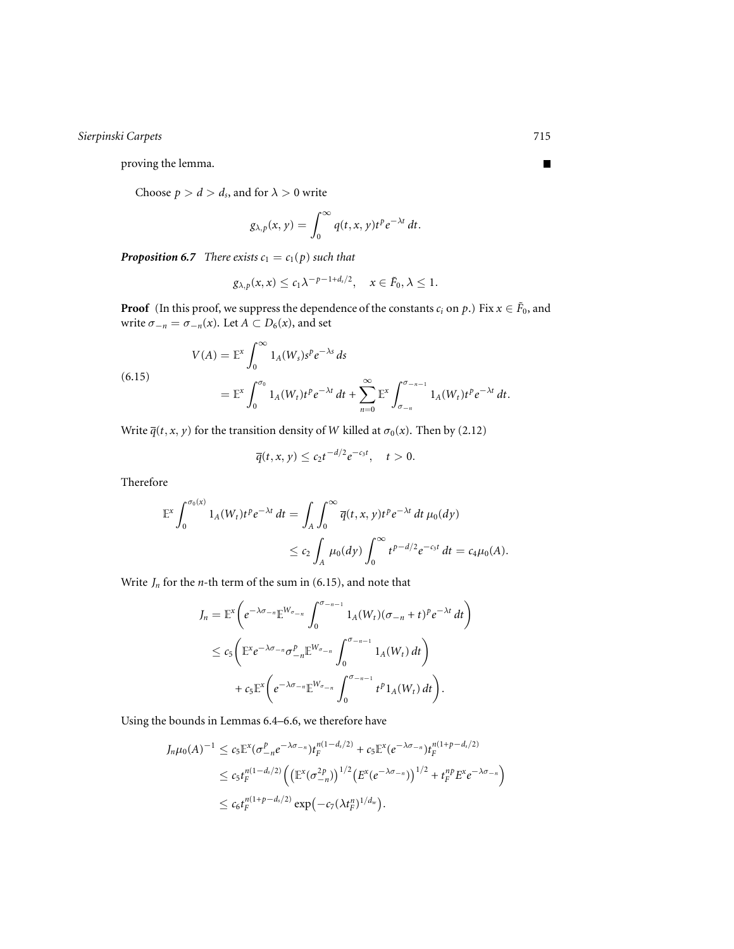proving the lemma.

Choose  $p > d > d_s$ , and for  $\lambda > 0$  write

$$
g_{\lambda,p}(x,y)=\int_0^\infty q(t,x,y)t^pe^{-\lambda t}\,dt.
$$

*Proposition 6.7 There exists*  $c_1 = c_1(p)$  *such that* 

$$
g_{\lambda,p}(x,x) \leq c_1 \lambda^{-p-1+d_s/2}, \quad x \in \tilde{F}_0, \lambda \leq 1.
$$

**Proof** (In this proof, we suppress the dependence of the constants  $c_i$  on  $p$ .) Fix  $x \in \tilde{F}_0$ , and write  $\sigma_{-n} = \sigma_{-n}(x)$ . Let  $A \subset D_6(x)$ , and set

(6.15)  
\n
$$
V(A) = \mathbb{E}^{x} \int_{0}^{\infty} 1_{A}(W_{s}) s^{p} e^{-\lambda s} ds
$$
\n
$$
= \mathbb{E}^{x} \int_{0}^{\sigma_{0}} 1_{A}(W_{t}) t^{p} e^{-\lambda t} dt + \sum_{n=0}^{\infty} \mathbb{E}^{x} \int_{\sigma_{-n}}^{\sigma_{-n-1}} 1_{A}(W_{t}) t^{p} e^{-\lambda t} dt.
$$

Write  $\overline{q}(t, x, y)$  for the transition density of *W* killed at  $\sigma_0(x)$ . Then by (2.12)

$$
\overline{q}(t,x,y)\leq c_2t^{-d/2}e^{-c_3t},\quad t>0.
$$

Therefore

$$
\mathbb{E}^{x} \int_{0}^{\sigma_{0}(x)} 1_{A}(W_{t}) t^{p} e^{-\lambda t} dt = \int_{A} \int_{0}^{\infty} \overline{q}(t, x, y) t^{p} e^{-\lambda t} dt \mu_{0}(dy)
$$
  

$$
\leq c_{2} \int_{A} \mu_{0}(dy) \int_{0}^{\infty} t^{p-d/2} e^{-c_{3}t} dt = c_{4} \mu_{0}(A).
$$

Write  $J_n$  for the *n*-th term of the sum in (6.15), and note that

$$
J_n = \mathbb{E}^x \bigg( e^{-\lambda \sigma_{-n}} \mathbb{E}^{W_{\sigma_{-n}}} \int_0^{\sigma_{-n-1}} 1_A(W_t) (\sigma_{-n} + t)^p e^{-\lambda t} dt \bigg)
$$
  
\n
$$
\leq c_5 \bigg( \mathbb{E}^x e^{-\lambda \sigma_{-n}} \sigma_{-n}^p \mathbb{E}^{W_{\sigma_{-n}}} \int_0^{\sigma_{-n-1}} 1_A(W_t) dt \bigg)
$$
  
\n
$$
+ c_5 \mathbb{E}^x \bigg( e^{-\lambda \sigma_{-n}} \mathbb{E}^{W_{\sigma_{-n}}} \int_0^{\sigma_{-n-1}} t^p 1_A(W_t) dt \bigg).
$$

Using the bounds in Lemmas 6.4–6.6, we therefore have

$$
J_n\mu_0(A)^{-1} \leq c_5 \mathbb{E}^x (\sigma_{-n}^p e^{-\lambda \sigma_{-n}}) t_F^{n(1-d_s/2)} + c_5 \mathbb{E}^x (e^{-\lambda \sigma_{-n}}) t_F^{n(1+p-d_s/2)}
$$
  

$$
\leq c_5 t_F^{n(1-d_s/2)} \Big( \big(\mathbb{E}^x (\sigma_{-n}^{2p})\big)^{1/2} \big(E^x (e^{-\lambda \sigma_{-n}})\big)^{1/2} + t_F^{np} E^x e^{-\lambda \sigma_{-n}} \Big)
$$
  

$$
\leq c_6 t_F^{n(1+p-d_s/2)} \exp(-c_7 (\lambda t_F^{n})^{1/d_w}).
$$

 $\blacksquare$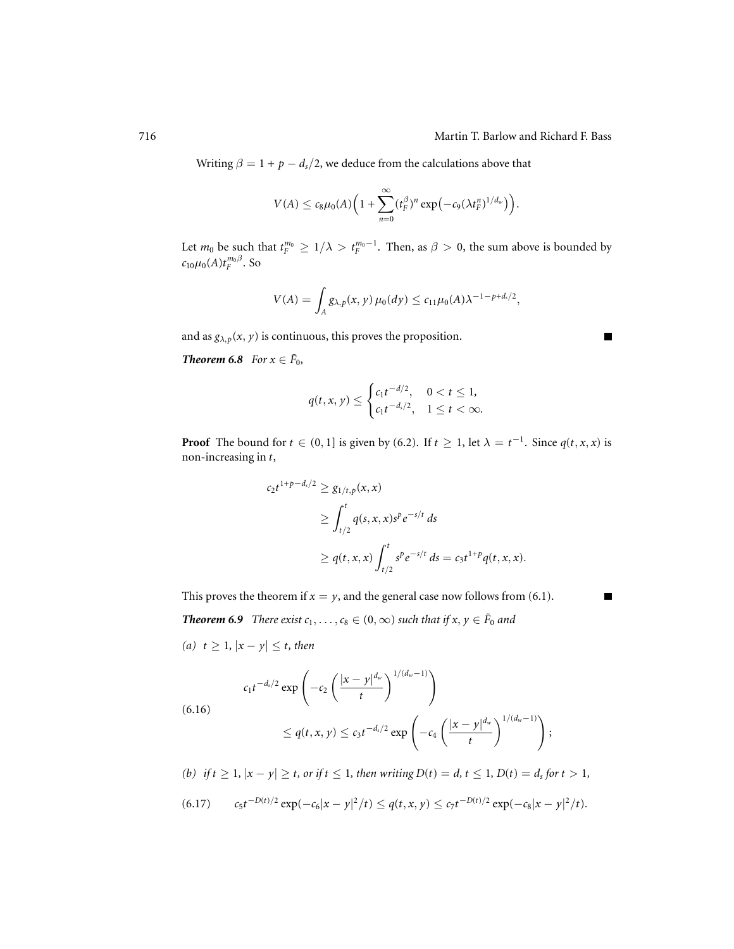Г

Г

Writing  $\beta = 1 + p - d_s/2$ , we deduce from the calculations above that

$$
V(A) \leq c_8\mu_0(A)\Big(1+\sum_{n=0}^{\infty} (t_F^{\beta})^n\exp\big(-c_9(\lambda t_F^n)^{1/d_w}\big)\Big).
$$

Let  $m_0$  be such that  $t_F^{m_0} \geq 1/\lambda > t_F^{m_0-1}$ . Then, as  $\beta > 0$ , the sum above is bounded by  $c_{10}\mu_0(A)t_F^{m_0\beta}$ . So

$$
V(A) = \int_A g_{\lambda, p}(x, y) \mu_0(dy) \leq c_{11} \mu_0(A) \lambda^{-1 - p + d_s/2},
$$

and as  $g_{\lambda, p}(x, y)$  is continuous, this proves the proposition.

*Theorem* 6.8 *For*  $x \in \tilde{F}_0$ *,* 

$$
q(t, x, y) \le \begin{cases} c_1 t^{-d/2}, & 0 < t \le 1, \\ c_1 t^{-d_s/2}, & 1 \le t < \infty. \end{cases}
$$

**Proof** The bound for  $t \in (0, 1]$  is given by (6.2). If  $t \ge 1$ , let  $\lambda = t^{-1}$ . Since  $q(t, x, x)$  is non-increasing in *t*,

$$
c_2 t^{1+p-d_s/2} \ge g_{1/t,p}(x, x)
$$
  
\n
$$
\ge \int_{t/2}^t q(s, x, x) s^p e^{-s/t} ds
$$
  
\n
$$
\ge q(t, x, x) \int_{t/2}^t s^p e^{-s/t} ds = c_3 t^{1+p} q(t, x, x).
$$

This proves the theorem if  $x = y$ , and the general case now follows from (6.1).

*Theorem 6.9 <i>There exist*  $c_1, \ldots, c_8 \in (0, \infty)$  *such that if*  $x, y \in \tilde{F}_0$  *and* 

*(a) t* ≥ 1*,*  $|x - y|$  ≤ *t, then* 

$$
c_1 t^{-d_s/2} \exp \left(-c_2 \left(\frac{|x-y|^{d_w}}{t}\right)^{1/(d_w-1)}\right)
$$

(6.16)

$$
\leq q(t, x, y) \leq c_3 t^{-d_s/2} \exp \left(-c_4 \left(\frac{|x-y|^{d_w}}{t}\right)^{1/(d_w-1)}\right);
$$

*(b)* if  $t \ge 1$ ,  $|x - y| \ge t$ , or if  $t \le 1$ , then writing  $D(t) = d$ ,  $t \le 1$ ,  $D(t) = d$ , for  $t > 1$ ,

$$
(6.17) \t c_5 t^{-D(t)/2} \exp(-c_6 |x-y|^2/t) \le q(t,x,y) \le c_7 t^{-D(t)/2} \exp(-c_8 |x-y|^2/t).
$$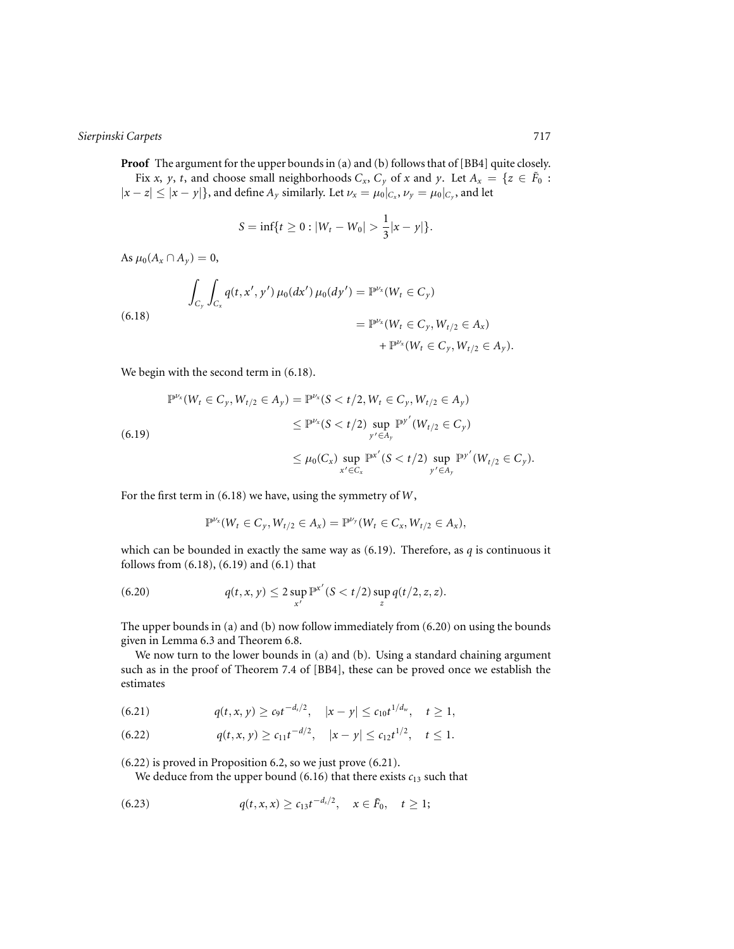**Proof** The argument for the upper bounds in (a) and (b) follows that of [BB4] quite closely. Fix *x*, *y*, *t*, and choose small neighborhoods  $C_x$ ,  $C_y$  of *x* and *y*. Let  $A_x = \{z \in \tilde{F}_0 :$  $|x-z| \le |x-y|$ }, and define  $A_y$  similarly. Let  $\nu_x = \mu_0|_{C_x}$ ,  $\nu_y = \mu_0|_{C_y}$ , and let

$$
S = \inf\{t \ge 0 : |W_t - W_0| > \frac{1}{3}|x - y|\}.
$$

As  $\mu_0(A_x \cap A_y) = 0$ ,

$$
\int_{C_y} \int_{C_x} q(t, x', y') \mu_0(dx') \mu_0(dy') = \mathbb{P}^{\nu_x}(W_t \in C_y)
$$
\n
$$
= \mathbb{P}^{\nu_x}(W_t \in C_y, W_{t/2} \in A_x)
$$
\n
$$
+ \mathbb{P}^{\nu_x}(W_t \in C_y, W_{t/2} \in A_y).
$$
\n(6.18)

We begin with the second term in  $(6.18)$ .

$$
\mathbb{P}^{\nu_x}(W_t \in C_y, W_{t/2} \in A_y) = \mathbb{P}^{\nu_x}(S < t/2, W_t \in C_y, W_{t/2} \in A_y)
$$
\n
$$
\leq \mathbb{P}^{\nu_x}(S < t/2) \sup_{y' \in A_y} \mathbb{P}^{y'}(W_{t/2} \in C_y)
$$
\n
$$
\leq \mu_0(C_x) \sup_{x' \in C_x} \mathbb{P}^{x'}(S < t/2) \sup_{y' \in A_y} \mathbb{P}^{y'}(W_{t/2} \in C_y).
$$

For the first term in (6.18) we have, using the symmetry of *W*,

$$
\mathbb{P}^{\nu_x}(W_t \in C_y, W_{t/2} \in A_x) = \mathbb{P}^{\nu_y}(W_t \in C_x, W_{t/2} \in A_x),
$$

which can be bounded in exactly the same way as (6.19). Therefore, as *q* is continuous it follows from (6.18), (6.19) and (6.1) that

(6.20) 
$$
q(t, x, y) \leq 2 \sup_{x'} \mathbb{P}^{x'} (S < t/2) \sup_{z} q(t/2, z, z).
$$

The upper bounds in (a) and (b) now follow immediately from (6.20) on using the bounds given in Lemma 6.3 and Theorem 6.8.

We now turn to the lower bounds in (a) and (b). Using a standard chaining argument such as in the proof of Theorem 7.4 of [BB4], these can be proved once we establish the estimates

$$
(6.21) \t q(t,x,y) \geq c_9 t^{-d_s/2}, \t |x-y| \leq c_{10} t^{1/d_w}, \t t \geq 1,
$$

$$
(6.22) \t q(t,x,y) \geq c_{11}t^{-d/2}, \quad |x-y| \leq c_{12}t^{1/2}, \quad t \leq 1.
$$

(6.22) is proved in Proposition 6.2, so we just prove (6.21).

We deduce from the upper bound  $(6.16)$  that there exists  $c_{13}$  such that

(6.23) 
$$
q(t,x,x) \geq c_{13}t^{-d_s/2}, \quad x \in \tilde{F}_0, \quad t \geq 1;
$$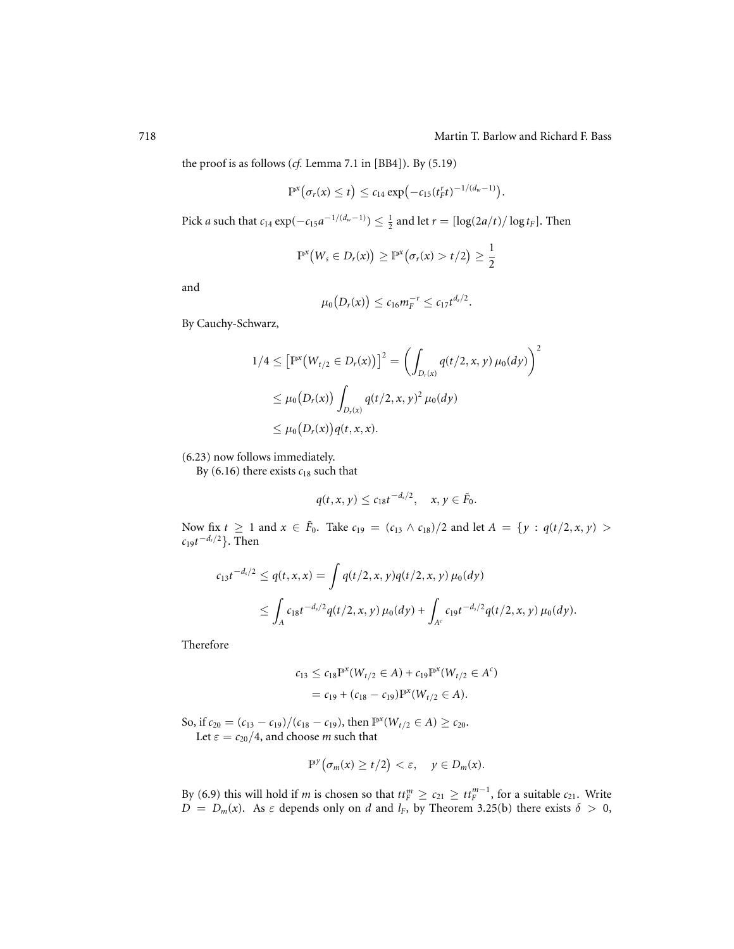.

the proof is as follows (*cf.* Lemma 7.1 in [BB4]). By (5.19)

$$
\mathbb{P}^x(\sigma_r(x) \leq t) \leq c_{14} \exp\left(-c_{15}(t_f^r t)^{-1/(d_w-1)}\right)
$$

Pick *a* such that  $c_{14} \exp(-c_{15}a^{-1/(d_w-1)}) \leq \frac{1}{2}$  and let  $r = \left[\log(2a/t)/\log t_F\right]$ . Then

$$
\mathbb{P}^{\mathsf{x}}\big(W_{s} \in D_{r}(x)\big) \geq \mathbb{P}^{\mathsf{x}}\big(\sigma_{r}(x) > t/2\big) \geq \frac{1}{2}
$$

and

$$
\mu_0(D_r(x)) \leq c_{16}m_F^{-r} \leq c_{17}t^{d_s/2}.
$$

By Cauchy-Schwarz,

$$
1/4 \leq \left[\mathbb{P}^{x}\big(W_{t/2} \in D_{r}(x)\big)\right]^{2} = \left(\int_{D_{r}(x)} q(t/2, x, y) \,\mu_{0}(dy)\right)^{2}
$$
  
 
$$
\leq \mu_{0}\big(D_{r}(x)\big) \int_{D_{r}(x)} q(t/2, x, y)^{2} \,\mu_{0}(dy)
$$
  
 
$$
\leq \mu_{0}\big(D_{r}(x)\big) q(t, x, x).
$$

(6.23) now follows immediately.

By  $(6.16)$  there exists  $c_{18}$  such that

$$
q(t,x,y)\leq c_{18}t^{-d_s/2}, \quad x,y\in \tilde{F}_0.
$$

Now fix  $t \ge 1$  and  $x \in \tilde{F}_0$ . Take  $c_{19} = (c_{13} \wedge c_{18})/2$  and let  $A = \{y : q(t/2, x, y) > 0\}$ *c*19*t*<sup>−</sup>*ds*/<sup>2</sup>}. Then

$$
c_{13}t^{-d_s/2} \le q(t, x, x) = \int q(t/2, x, y)q(t/2, x, y) \mu_0(dy)
$$
  
 
$$
\le \int_A c_{18}t^{-d_s/2}q(t/2, x, y) \mu_0(dy) + \int_{A^c} c_{19}t^{-d_s/2}q(t/2, x, y) \mu_0(dy).
$$

Therefore

$$
c_{13} \le c_{18} \mathbb{P}^x(W_{t/2} \in A) + c_{19} \mathbb{P}^x(W_{t/2} \in A^c)
$$
  
=  $c_{19} + (c_{18} - c_{19}) \mathbb{P}^x(W_{t/2} \in A).$ 

So, if  $c_{20} = (c_{13} - c_{19})/(c_{18} - c_{19})$ , then  $\mathbb{P}^x(W_{t/2} \in A) \ge c_{20}$ . Let  $\varepsilon = c_{20}/4$ , and choose *m* such that

$$
\mathbb{P}^{\gamma}\big(\sigma_m(x)\geq t/2\big)<\varepsilon,\quad y\in D_m(x).
$$

By (6.9) this will hold if *m* is chosen so that  $tt_F^m \ge c_{21} \ge tt_F^{m-1}$ , for a suitable  $c_{21}$ . Write  $D = D_m(x)$ . As  $\varepsilon$  depends only on *d* and *l<sub>F</sub>*, by Theorem 3.25(b) there exists  $\delta > 0$ ,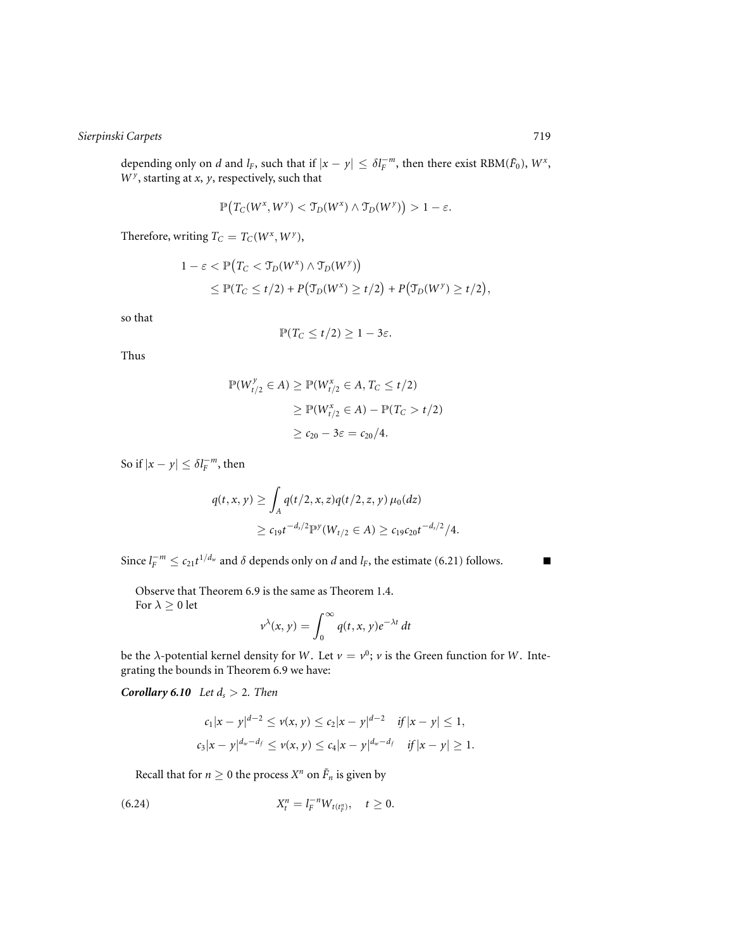depending only on *d* and *l<sub>F</sub>*, such that if  $|x - y| \leq \delta l_F^{-m}$ , then there exist RBM( $\tilde{F}_0$ ),  $W^x$ , *W <sup>y</sup>* , starting at *x*, *y*, respectively, such that

$$
\mathbb{P}\big(T_C(W^x, W^y) < \mathcal{T}_D(W^x) \land \mathcal{T}_D(W^y)\big) > 1 - \varepsilon.
$$

Therefore, writing  $T_C = T_C(W^x, W^y)$ ,

$$
1 - \varepsilon < \mathbb{P}\big(T_C < \mathfrak{T}_D(W^x) \land \mathfrak{T}_D(W^y)\big) \\
\leq \mathbb{P}(T_C \leq t/2) + P\big(\mathfrak{T}_D(W^x) \geq t/2\big) + P\big(\mathfrak{T}_D(W^y) \geq t/2\big),
$$

so that

$$
\mathbb{P}(T_C \leq t/2) \geq 1-3\varepsilon.
$$

Thus

$$
\mathbb{P}(W_{t/2}^y \in A) \ge \mathbb{P}(W_{t/2}^x \in A, T_C \le t/2)
$$
  
\n
$$
\ge \mathbb{P}(W_{t/2}^x \in A) - \mathbb{P}(T_C > t/2)
$$
  
\n
$$
\ge c_{20} - 3\varepsilon = c_{20}/4.
$$

So if  $|x - y| \leq \delta l_F^{-m}$ , then

$$
q(t, x, y) \ge \int_A q(t/2, x, z) q(t/2, z, y) \mu_0(dz)
$$
  
 
$$
\ge c_{19} t^{-d_s/2} \mathbb{P}^y(W_{t/2} \in A) \ge c_{19} c_{20} t^{-d_s/2} / 4.
$$

Since  $l_F^{-m} \le c_{21}t^{1/d_w}$  and  $\delta$  depends only on *d* and  $l_F$ , the estimate (6.21) follows.

Observe that Theorem 6.9 is the same as Theorem 1.4. For  $\lambda \geq 0$  let  $\sim$ 

$$
v^{\lambda}(x, y) = \int_0^{\infty} q(t, x, y) e^{-\lambda t} dt
$$

be the  $\lambda$ -potential kernel density for *W*. Let  $\nu = \nu^0$ ;  $\nu$  is the Green function for *W*. Integrating the bounds in Theorem 6.9 we have:

*Corollary 6.10 Let*  $d_s > 2$ *. Then* 

$$
c_1|x - y|^{d-2} \le v(x, y) \le c_2|x - y|^{d-2} \quad \text{if } |x - y| \le 1,
$$
  

$$
c_3|x - y|^{d_w - d_f} \le v(x, y) \le c_4|x - y|^{d_w - d_f} \quad \text{if } |x - y| \ge 1.
$$

Recall that for  $n \ge 0$  the process  $X^n$  on  $\tilde{F}_n$  is given by

(6.24) 
$$
X_t^n = l_F^{-n} W_{t(t_F^n)}, \quad t \ge 0.
$$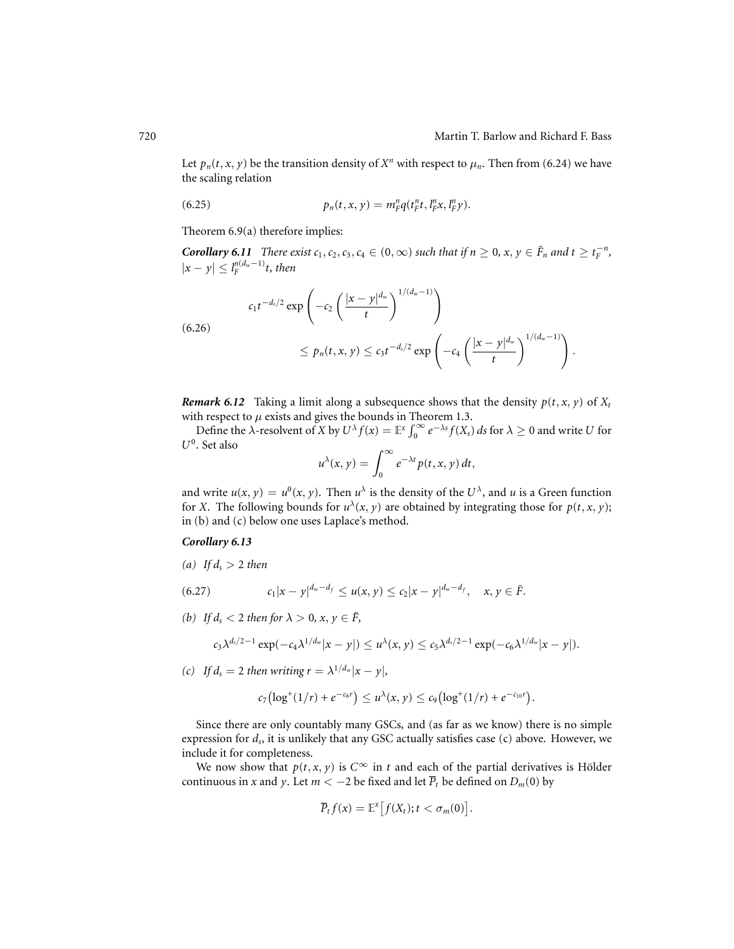Let  $p_n(t, x, y)$  be the transition density of  $X^n$  with respect to  $\mu_n$ . Then from (6.24) we have the scaling relation

(6.25) 
$$
p_n(t, x, y) = m_F^n q(t_F^n t, l_F^n x, l_F^n y).
$$

Theorem 6.9(a) therefore implies:

*Corollary 6.11 There exist*  $c_1, c_2, c_3, c_4 \in (0, \infty)$  *such that if*  $n \geq 0, x, y \in \tilde{F}_n$  *and*  $t \geq t_F^{-n}$ *,*  $|x - y| \leq l_F^{n(d_w - 1)}t$ , then

$$
c_1 t^{-d_s/2} \exp\left(-c_2 \left(\frac{|x-y|^{d_w}}{t}\right)^{1/(d_w-1)}\right)
$$
  

$$
\leq p_n(t, x, y) \leq c_3 t^{-d_s/2} \exp\left(-c_4 \left(\frac{|x-y|^{d_w}}{t}\right)^{1/(d_w-1)}\right).
$$

*Remark 6.12* Taking a limit along a subsequence shows that the density  $p(t, x, y)$  of  $X_t$ with respect to  $\mu$  exists and gives the bounds in Theorem 1.3.

Define the  $\lambda$ -resolvent of *X* by  $U^{\lambda} f(x) = \mathbb{E}^{x} \int_{0}^{\infty} e^{-\lambda s} f(X_{s}) ds$  for  $\lambda \geq 0$  and write *U* for *U*0. Set also

$$
u^{\lambda}(x, y) = \int_0^{\infty} e^{-\lambda t} p(t, x, y) dt,
$$

and write  $u(x, y) = u^0(x, y)$ . Then  $u^{\lambda}$  is the density of the  $U^{\lambda}$ , and *u* is a Green function for *X*. The following bounds for  $u^{\lambda}(x, y)$  are obtained by integrating those for  $p(t, x, y)$ ; in (b) and (c) below one uses Laplace's method.

## *Corollary 6.13*

(a) If  $d_s > 2$  then

(6.27) 
$$
c_1|x-y|^{d_w-d_f} \leq u(x,y) \leq c_2|x-y|^{d_w-d_f}, \quad x, y \in \tilde{F}.
$$

*(b)* If  $d_s < 2$  then for  $\lambda > 0$ ,  $x, y \in \tilde{F}$ ,

$$
c_3 \lambda^{d_s/2-1} \exp(-c_4 \lambda^{1/d_w} |x-y|) \leq u^{\lambda}(x,y) \leq c_5 \lambda^{d_s/2-1} \exp(-c_6 \lambda^{1/d_w} |x-y|).
$$

*(c)* If  $d_s = 2$  *then writing r* =  $\lambda^{1/d_w} |x - y|$ ,

$$
c_7\bigl(\log^+(1/r)+e^{-c_8r}\bigr)\leq u^\lambda(x,y)\leq c_9\bigl(\log^+(1/r)+e^{-c_{10}r}\bigr).
$$

Since there are only countably many GSCs, and (as far as we know) there is no simple expression for *ds*, it is unlikely that any GSC actually satisfies case (c) above. However, we include it for completeness.

We now show that  $p(t, x, y)$  is  $C^{\infty}$  in *t* and each of the partial derivatives is Hölder continuous in *x* and *y*. Let  $m < -2$  be fixed and let  $\overline{P}_t$  be defined on  $D_m(0)$  by

$$
\overline{P}_t f(x) = \mathbb{E}^x \big[ f(X_t); t < \sigma_m(0) \big].
$$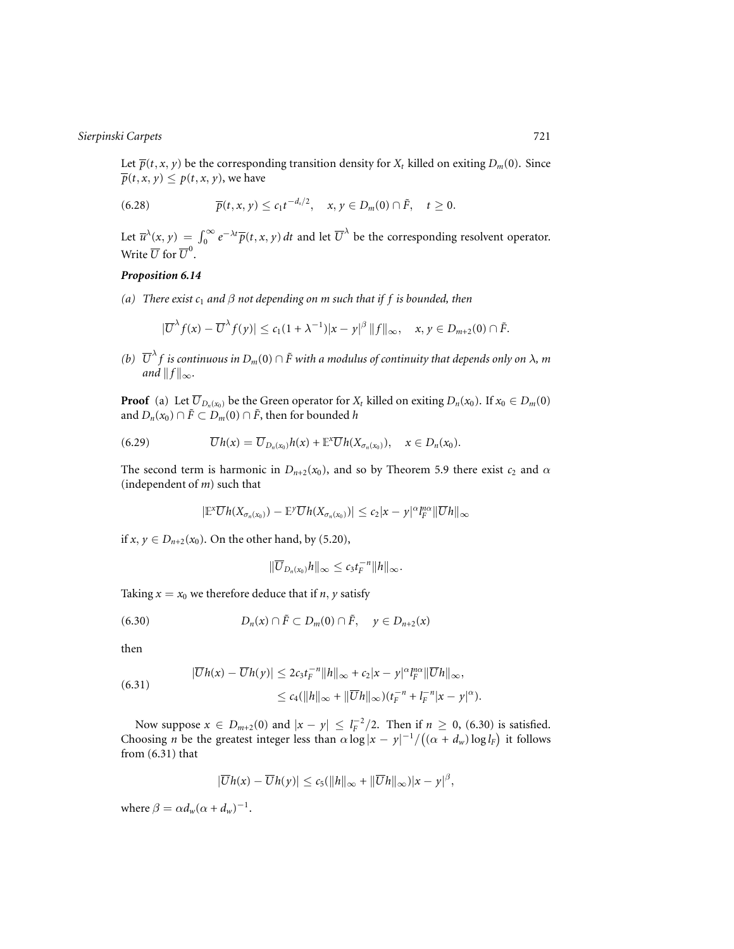Let  $\overline{p}(t, x, y)$  be the corresponding transition density for  $X_t$  killed on exiting  $D_m(0)$ . Since  $\overline{p}(t, x, y) \leq p(t, x, y)$ , we have

(6.28) 
$$
\overline{p}(t,x,y) \leq c_1 t^{-d_s/2}, \quad x,y \in D_m(0) \cap \tilde{F}, \quad t \geq 0.
$$

Let  $\overline{u}^{\lambda}(x, y) = \int_0^{\infty} e^{-\lambda t} \overline{p}(t, x, y) dt$  and let  $\overline{U}^{\lambda}$  be the corresponding resolvent operator. Write  $\overline{U}$  for  $\overline{U}^0$ .

## *Proposition 6.14*

*(a) There exist c*<sup>1</sup> *and* β *not depending on m such that if f is bounded, then*

$$
|\overline{U}^{\lambda} f(x) - \overline{U}^{\lambda} f(y)| \leq c_1 (1 + \lambda^{-1}) |x - y|^{\beta} ||f||_{\infty}, \quad x, y \in D_{m+2}(0) \cap \tilde{F}.
$$

*(b)*  $\overline{U}^{\lambda} f$  *is continuous in*  $D_m(0) \cap \overline{F}$  with a modulus of continuity that depends only on  $\lambda$ *, m and*  $||f||_{\infty}$ *.* 

**Proof** (a) Let  $\overline{U}_{D_n(x_0)}$  be the Green operator for  $X_t$  killed on exiting  $D_n(x_0)$ . If  $x_0 \in D_m(0)$ and  $D_n(x_0) \cap \tilde{F} \subset D_m(0) \cap \tilde{F}$ , then for bounded *h* 

(6.29) 
$$
\overline{U}h(x)=\overline{U}_{D_n(x_0)}h(x)+\mathbb{E}^x\overline{U}h(X_{\sigma_n(x_0)}), x\in D_n(x_0).
$$

The second term is harmonic in  $D_{n+2}(x_0)$ , and so by Theorem 5.9 there exist  $c_2$  and  $\alpha$ (independent of *m*) such that

$$
|\mathbb{E}^{\mathbf{x}}\overline{U}h(X_{\sigma_n(x_0)})-\mathbb{E}^{\mathbf{y}}\overline{U}h(X_{\sigma_n(x_0)})|\leq c_2|x-y|^{\alpha}I_F^{\alpha\alpha}\|\overline{U}h\|_{\infty}
$$

if *x*, *y* ∈ *D*<sub>*n*+2</sub>(*x*<sub>0</sub>). On the other hand, by (5.20),

$$
\|\overline{U}_{D_n(x_0)}h\|_{\infty}\leq c_3t_F^{-n}\|h\|_{\infty}.
$$

Taking  $x = x_0$  we therefore deduce that if *n*, *y* satisfy

(6.30) 
$$
D_n(x) \cap \tilde{F} \subset D_m(0) \cap \tilde{F}, \quad y \in D_{n+2}(x)
$$

then

(6.31) 
$$
|\overline{U}h(x)-\overline{U}h(y)| \leq 2c_3t_F^{-n}||h||_{\infty}+c_2|x-y|^{\alpha}I_F^{n\alpha}||\overline{U}h||_{\infty},
$$

$$
\leq c_4(||h||_{\infty}+||\overline{U}h||_{\infty})(t_F^{-n}+|I_F^{-n}|x-y|^{\alpha}).
$$

Now suppose  $x \in D_{m+2}(0)$  and  $|x - y| \leq l_F^{-2}/2$ . Then if  $n \geq 0$ , (6.30) is satisfied. Choosing *n* be the greatest integer less than  $\alpha \log |x - y|^{-1} / ((\alpha + d_w) \log l_F)$  it follows from (6.31) that

$$
|\overline{U}h(x)-\overline{U}h(y)|\leq c_5(||h||_{\infty}+||\overline{U}h||_{\infty})|x-y|^{\beta},
$$

where  $\beta = \alpha d_w(\alpha + d_w)^{-1}$ .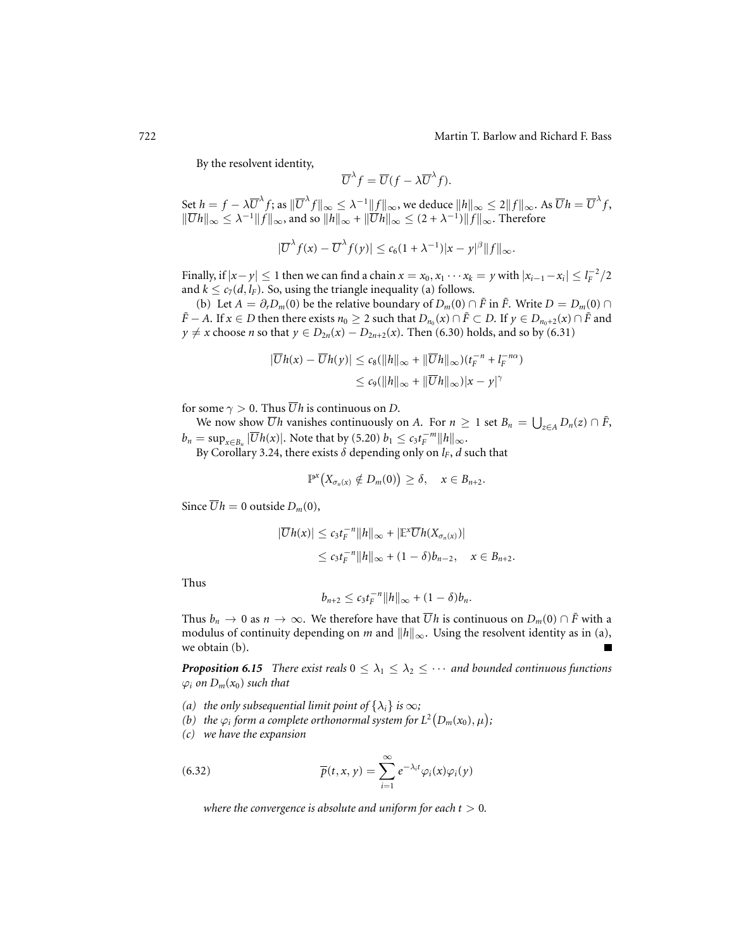By the resolvent identity,

$$
\overline{U}^{\lambda} f = \overline{U} (f - \lambda \overline{U}^{\lambda} f).
$$

Set  $h = f - \lambda \overline{U}^{\lambda} f$ ; as  $\|\overline{U}^{\lambda} f\|_{\infty} \leq \lambda^{-1} \|f\|_{\infty}$ , we deduce  $\|h\|_{\infty} \leq 2 \|f\|_{\infty}$ . As  $\overline{U}h = \overline{U}^{\lambda} f$ ,  $\|\overline{U}h\|_{\infty} \leq \lambda^{-1} \|f\|_{\infty}$ , and so  $\|h\|_{\infty} + \|\overline{U}h\|_{\infty} \leq (2 + \lambda^{-1})\|f\|_{\infty}$ . Therefore

$$
|\overline{U}^{\lambda} f(x) - \overline{U}^{\lambda} f(y)| \leq c_6 (1 + \lambda^{-1}) |x - y|^{\beta} ||f||_{\infty}.
$$

Finally, if  $|x-y| \le 1$  then we can find a chain  $x = x_0, x_1 \cdots x_k = y$  with  $|x_{i-1} - x_i| \le l_F^{-2}/2$ and  $k \leq c_7(d, l_F)$ . So, using the triangle inequality (a) follows.

(b) Let  $A = \partial_r D_m(0)$  be the relative boundary of  $D_m(0) \cap \tilde{F}$  in  $\tilde{F}$ . Write  $D = D_m(0) \cap$ *F* − *A*. If *x* ∈ *D* then there exists *n*<sup>0</sup> ≥ 2 such that  $D_{n_0}(x) \cap \tilde{F} \subset D$ . If  $y \in D_{n_0+2}(x) \cap \tilde{F}$  and *y* ≠ *x* choose *n* so that *y* ∈ *D*<sub>2*n*</sub>(*x*) − *D*<sub>2*n*+2</sub>(*x*). Then (6.30) holds, and so by (6.31)

$$
\begin{aligned} |\overline{U}h(x) - \overline{U}h(y)| &\leq c_8(||h||_{\infty} + \|\overline{U}h\|_{\infty})(t_F^{-n} + l_F^{-n\alpha}) \\ &\leq c_9(||h||_{\infty} + \|\overline{U}h\|_{\infty})|x - y|^{\gamma} \end{aligned}
$$

for some  $\gamma > 0$ . Thus  $\overline{U}h$  is continuous on *D*.

We now show  $\overline{U}h$  vanishes continuously on *A*. For  $n \geq 1$  set  $B_n = \bigcup_{z \in A} D_n(z) \cap \tilde{F}$ ,  $b_n = \sup_{x \in B_n} |\overline{U}h(x)|$ . Note that by (5.20)  $b_1 \le c_3 t_F^{-m} ||h||_{\infty}$ .

By Corollary 3.24, there exists  $\delta$  depending only on  $l_F$ ,  $d$  such that

$$
\mathbb{P}^{x}\big(X_{\sigma_n(x)}\notin D_m(0)\big)\geq \delta, \quad x\in B_{n+2}.
$$

Since  $\overline{U}h = 0$  outside  $D_m(0)$ ,

$$
|\overline{U}h(x)| \leq c_3 t_F^{-n} ||h||_{\infty} + |\mathbb{E}^x \overline{U}h(X_{\sigma_n(x)})|
$$
  

$$
\leq c_3 t_F^{-n} ||h||_{\infty} + (1 - \delta)b_{n-2}, \quad x \in B_{n+2}.
$$

Thus

$$
b_{n+2}\leq c_3t_F^{-n}\|h\|_{\infty}+(1-\delta)b_n.
$$

Thus  $b_n \to 0$  as  $n \to \infty$ . We therefore have that  $\overline{U}h$  is continuous on  $D_m(0) \cap \tilde{F}$  with a modulus of continuity depending on *m* and  $||h||_{\infty}$ . Using the resolvent identity as in (a), we obtain (b).

*Proposition 6.15 There exist reals*  $0 \leq \lambda_1 \leq \lambda_2 \leq \cdots$  *and bounded continuous functions*  $\varphi_i$  *on*  $D_m(x_0)$  *such that* 

- *(a)* the only subsequential limit point of  $\{\lambda_i\}$  is  $\infty$ ;
- *(b)* the  $\varphi_i$  form a complete orthonormal system for  $L^2(D_m(x_0), \mu)$ ;
- *(c) we have the expansion*

(6.32) 
$$
\overline{p}(t,x,y) = \sum_{i=1}^{\infty} e^{-\lambda_i t} \varphi_i(x) \varphi_i(y)
$$

*where the convergence is absolute and uniform for each*  $t > 0$ *.*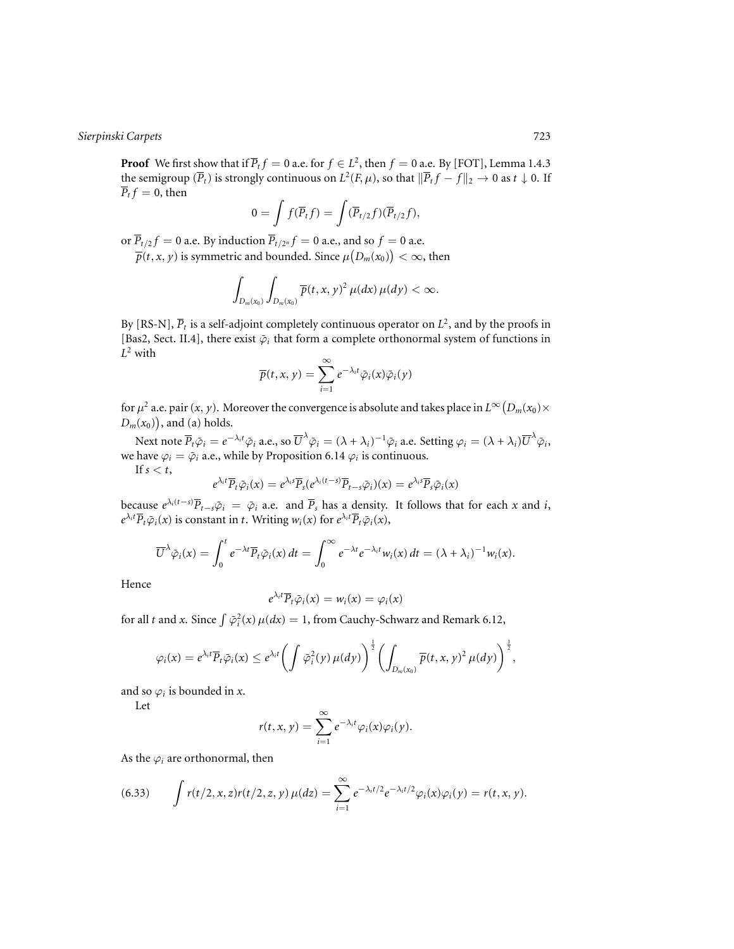**Proof** We first show that if  $\overline{P}_t f = 0$  a.e. for  $f \in L^2$ , then  $f = 0$  a.e. By [FOT], Lemma 1.4.3 the semigroup  $(\overline{P}_t)$  is strongly continuous on  $L^2(F, \mu)$ , so that  $\|\overline{P}_t f - f\|_2 \to 0$  as  $t \downarrow 0$ . If  $\overline{P}_t f = 0$ , then

$$
0 = \int f(\overline{P}_t f) = \int (\overline{P}_{t/2} f)(\overline{P}_{t/2} f),
$$

or  $\overline{P}_{t/2}f = 0$  a.e. By induction  $\overline{P}_{t/2^n}f = 0$  a.e., and so  $f = 0$  a.e.

 $\overline{p}(t,x,y)$  is symmetric and bounded. Since  $\mu\big(D_m(x_0)\big)<\infty,$  then

$$
\int_{D_m(x_0)}\int_{D_m(x_0)}\overline{p}(t,x,y)^2\,\mu(dx)\,\mu(dy)<\infty.
$$

By [RS-N],  $\overline{P}_t$  is a self-adjoint completely continuous operator on  $L^2$ , and by the proofs in [Bas2, Sect. II.4], there exist  $\tilde{\varphi}_i$  that form a complete orthonormal system of functions in *L*<sup>2</sup> with

$$
\overline{p}(t,x,y)=\sum_{i=1}^{\infty}e^{-\lambda_{i}t}\tilde{\varphi}_{i}(x)\tilde{\varphi}_{i}(y)
$$

for  $\mu^2$  a.e. pair  $(x, y)$ . Moreover the convergence is absolute and takes place in  $L^\infty\bigl(D_m(x_0)\times$  $D_m(x_0)$ , and (a) holds.

Next note  $\overline{P}_t \tilde{\varphi}_i = e^{-\lambda_i t} \tilde{\varphi}_i$  a.e., so  $\overline{U}^{\lambda} \tilde{\varphi}_i = (\lambda + \lambda_i)^{-1} \tilde{\varphi}_i$  a.e. Setting  $\varphi_i = (\lambda + \lambda_i) \overline{U}^{\lambda} \tilde{\varphi}_i$ , we have  $\varphi_i = \tilde{\varphi}_i$  a.e., while by Proposition 6.14  $\varphi_i$  is continuous. If  $s < t$ ,

$$
e^{\lambda_i t}\overline{P}_t\tilde{\varphi}_i(x)=e^{\lambda_i s}\overline{P}_s(e^{\lambda_i(t-s)}\overline{P}_{t-s}\tilde{\varphi}_i)(x)=e^{\lambda_i s}\overline{P}_s\tilde{\varphi}_i(x)
$$

because 
$$
e^{\lambda_i(t-s)}\overline{P}_{t-s}\tilde{\varphi}_i = \tilde{\varphi}_i
$$
 a.e. and  $\overline{P}_s$  has a density. It follows that for each *x* and *i*,  $e^{\lambda_i t}\overline{P}_t\tilde{\varphi}_i(x)$  is constant in *t*. Writing  $w_i(x)$  for  $e^{\lambda_i t}\overline{P}_t\tilde{\varphi}_i(x)$ ,

$$
\overline{U}^{\lambda}\tilde{\varphi}_i(x)=\int_0^t e^{-\lambda t}\overline{P}_t\tilde{\varphi}_i(x)\,dt=\int_0^{\infty} e^{-\lambda t}e^{-\lambda_i t}w_i(x)\,dt=(\lambda+\lambda_i)^{-1}w_i(x).
$$

Hence

$$
e^{\lambda_i t} \overline{P}_t \tilde{\varphi}_i(x) = w_i(x) = \varphi_i(x)
$$

for all *t* and *x*. Since  $\int \tilde{\varphi}_i^2(x) \mu(dx) = 1$ , from Cauchy-Schwarz and Remark 6.12,

$$
\varphi_i(x)=e^{\lambda_i t}\overline P_t\tilde\varphi_i(x)\le e^{\lambda_i t}\biggl(\int\tilde\varphi_i^2(y)\,\mu(dy)\biggr)^{\frac{1}{2}}\biggl(\int_{D_m(x_0)}\overline p(t,x,y)^2\,\mu(dy)\biggr)^{\frac{1}{2}},
$$

and so  $\varphi_i$  is bounded in *x*.

Let

$$
r(t,x,y)=\sum_{i=1}^{\infty}e^{-\lambda_i t}\varphi_i(x)\varphi_i(y).
$$

As the  $\varphi_i$  are orthonormal, then

(6.33) 
$$
\int r(t/2, x, z) r(t/2, z, y) \mu(dz) = \sum_{i=1}^{\infty} e^{-\lambda_i t/2} e^{-\lambda_i t/2} \varphi_i(x) \varphi_i(y) = r(t, x, y).
$$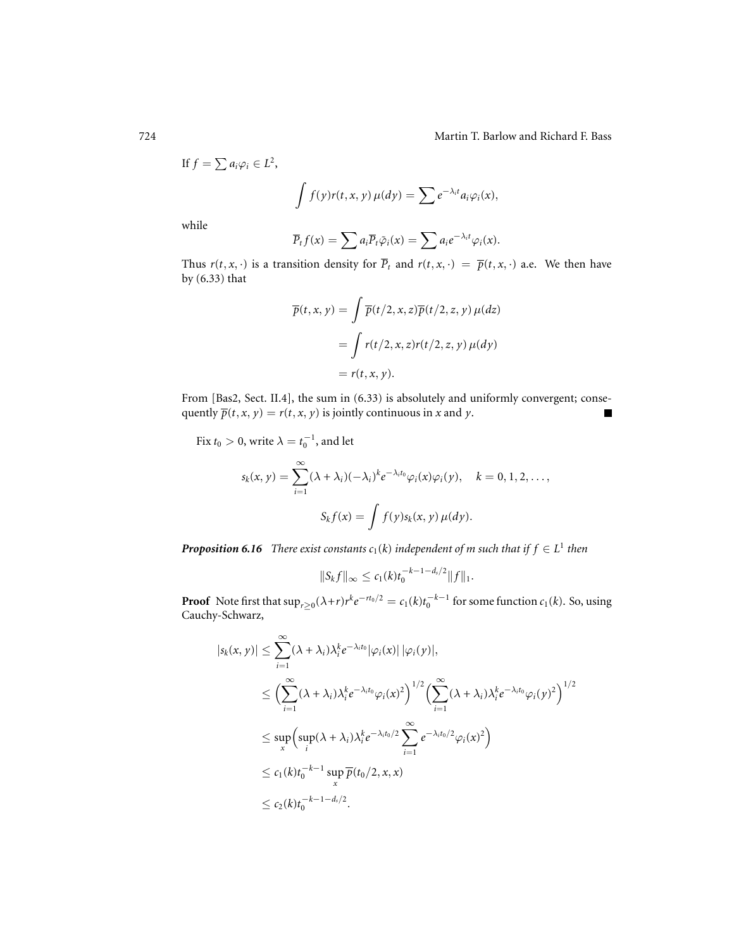$$
\text{If } f = \sum a_i \varphi_i \in L^2,
$$

$$
\int f(y)r(t,x,y)\,\mu(dy)=\sum e^{-\lambda_i t}a_i\varphi_i(x),
$$

while

$$
\overline{P}_t f(x) = \sum a_i \overline{P}_t \tilde{\varphi}_i(x) = \sum a_i e^{-\lambda_i t} \varphi_i(x).
$$

Thus  $r(t, x, \cdot)$  is a transition density for  $\overline{P}_t$  and  $r(t, x, \cdot) = \overline{p}(t, x, \cdot)$  a.e. We then have by (6.33) that

$$
\overline{p}(t, x, y) = \int \overline{p}(t/2, x, z)\overline{p}(t/2, z, y) \mu(dz)
$$

$$
= \int r(t/2, x, z)r(t/2, z, y) \mu(dy)
$$

$$
= r(t, x, y).
$$

From [Bas2, Sect. II.4], the sum in (6.33) is absolutely and uniformly convergent; consequently  $\overline{p}(t, x, y) = r(t, x, y)$  is jointly continuous in *x* and *y*.

Fix  $t_0 > 0$ , write  $\lambda = t_0^{-1}$ , and let

$$
s_k(x, y) = \sum_{i=1}^{\infty} (\lambda + \lambda_i)(-\lambda_i)^k e^{-\lambda_i t_0} \varphi_i(x) \varphi_i(y), \quad k = 0, 1, 2, \dots,
$$

$$
S_k f(x) = \int f(y) s_k(x, y) \mu(dy).
$$

*Proposition 6.16 There exist constants*  $c_1(k)$  *independent of m such that if*  $f \in L^1$  *then* 

$$
||S_k f||_{\infty} \leq c_1(k)t_0^{-k-1-d_s/2}||f||_1.
$$

**Proof** Note first that  $\sup_{r\geq 0} (\lambda+r)r^ke^{-rt_0/2} = c_1(k)t_0^{-k-1}$  for some function  $c_1(k)$ . So, using Cauchy-Schwarz,

$$
|s_k(x, y)| \leq \sum_{i=1}^{\infty} (\lambda + \lambda_i) \lambda_i^k e^{-\lambda_i t_0} |\varphi_i(x)| |\varphi_i(y)|,
$$
  
\n
$$
\leq \Big( \sum_{i=1}^{\infty} (\lambda + \lambda_i) \lambda_i^k e^{-\lambda_i t_0} \varphi_i(x)^2 \Big)^{1/2} \Big( \sum_{i=1}^{\infty} (\lambda + \lambda_i) \lambda_i^k e^{-\lambda_i t_0} \varphi_i(y)^2 \Big)^{1/2}
$$
  
\n
$$
\leq \sup_x \Big( \sup_i (\lambda + \lambda_i) \lambda_i^k e^{-\lambda_i t_0/2} \sum_{i=1}^{\infty} e^{-\lambda_i t_0/2} \varphi_i(x)^2 \Big)
$$
  
\n
$$
\leq c_1 (k) t_0^{-k-1} \sup_x \overline{p}(t_0/2, x, x)
$$
  
\n
$$
\leq c_2 (k) t_0^{-k-1} - d_s/2.
$$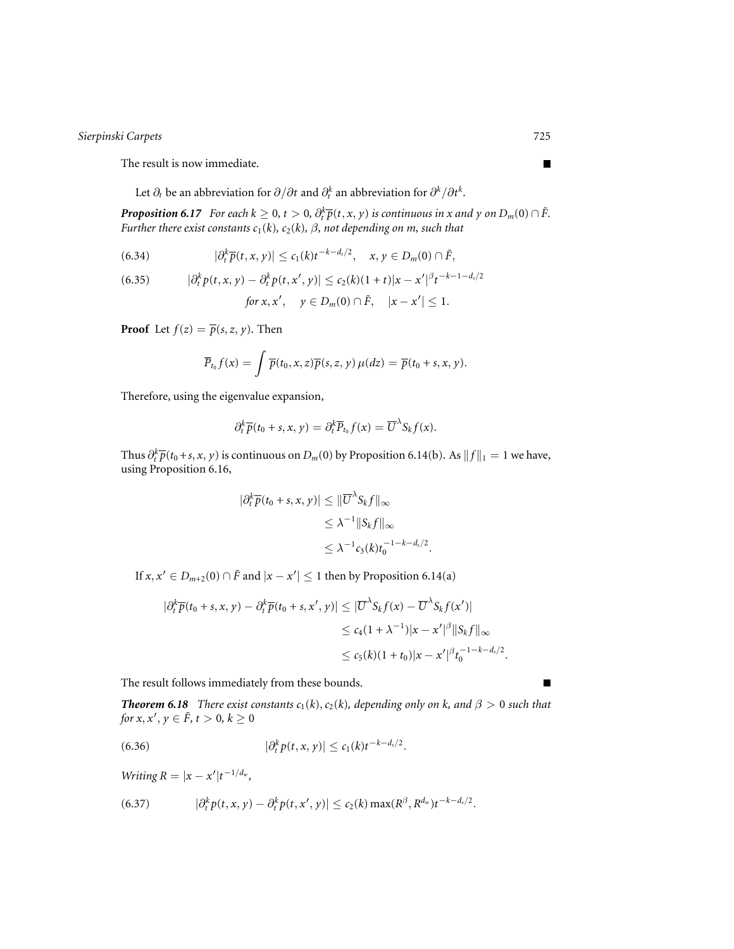The result is now immediate.

Let  $\partial_t$  be an abbreviation for  $\partial/\partial t$  and  $\partial_t^k$  an abbreviation for  $\partial^k/\partial t^k$ .

*Proposition 6.17 For each k*  $\geq 0$ ,  $t > 0$ ,  $\partial_t^k \overline{p}(t, x, y)$  *is continuous in x and y on D<sub>m</sub>*(0)  $\cap$   $\tilde{F}$ . *Further there exist constants c*1(*k*)*, c*2(*k*)*,* β*, not depending on m, such that*

(6.34) 
$$
|\partial_t^k \overline{p}(t,x,y)| \leq c_1(k)t^{-k-d_s/2}, \quad x, y \in D_m(0) \cap \tilde{F},
$$

(6.35) 
$$
|\partial_t^k p(t, x, y) - \partial_t^k p(t, x', y)| \le c_2(k)(1+t)|x - x'|^{\beta} t^{-k-1-d_s/2}
$$
  
for  $x, x', y \in D_m(0) \cap \tilde{F}, |x - x'| \le 1$ .

**Proof** Let  $f(z) = \overline{p}(s, z, y)$ . Then

$$
\overline{P}_{t_0} f(x) = \int \overline{p}(t_0, x, z) \overline{p}(s, z, y) \mu(dz) = \overline{p}(t_0 + s, x, y).
$$

Therefore, using the eigenvalue expansion,

$$
\partial_t^k \overline{p}(t_0+s,x,y) = \partial_t^k \overline{P}_{t_0} f(x) = \overline{U}^{\lambda} S_k f(x).
$$

Thus  $\partial_t^k \overline{p}(t_0+s,x,y)$  is continuous on  $D_m(0)$  by Proposition 6.14(b). As  $||f||_1 = 1$  we have, using Proposition 6.16,

$$
\begin{aligned} |\partial_t^k \overline{p}(t_0+s,x,y)| &\leq \|\overline{U}^{\lambda} S_k f\|_{\infty} \\ &\leq \lambda^{-1} \|S_k f\|_{\infty} \\ &\leq \lambda^{-1} c_3(k) t_0^{-1-k-d_s/2} .\end{aligned}
$$

If  $x, x' \in D_{m+2}(0) \cap \tilde{F}$  and  $|x - x'| \leq 1$  then by Proposition 6.14(a)

$$
\begin{aligned} |\partial_t^k \overline{p}(t_0+s,x,y)-\partial_t^k \overline{p}(t_0+s,x',y)| &\leq |\overline{U}^\lambda S_k f(x)-\overline{U}^\lambda S_k f(x')| \\ &\leq c_4 (1+\lambda^{-1})|x-x'|^\beta \|S_k f\|_\infty \\ &\leq c_5 (k)(1+t_0)|x-x'|^\beta t_0^{-1-k-d_s/2} .\end{aligned}
$$

The result follows immediately from these bounds.

*Theorem 6.18 There exist constants*  $c_1(k)$ ,  $c_2(k)$ *, depending only on k, and*  $\beta > 0$  *such that for*  $x, x', y \in \tilde{F}$ ,  $t > 0$ ,  $k \geq 0$ 

(6.36) 
$$
|\partial_t^k p(t,x,y)| \leq c_1(k)t^{-k-d_s/2}.
$$

*Writing*  $R = |x - x'|t^{-1/d_w}$ ,

(6.37) 
$$
|\partial_t^k p(t,x,y) - \partial_t^k p(t,x',y)| \leq c_2(k) \max(R^{\beta}, R^{d_w}) t^{-k-d_s/2}.
$$

 $\blacksquare$ 

 $\blacksquare$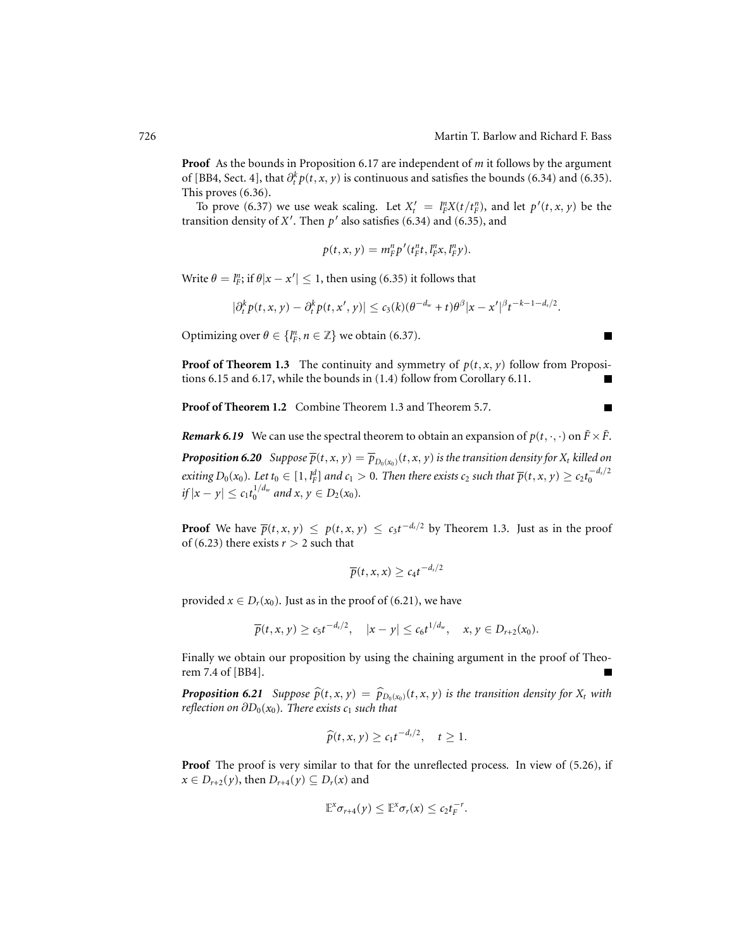Е

Г

**Proof** As the bounds in Proposition 6.17 are independent of *m* it follows by the argument of [BB4, Sect. 4], that  $\partial_t^k p(t, x, y)$  is continuous and satisfies the bounds (6.34) and (6.35). This proves (6.36).

To prove (6.37) we use weak scaling. Let  $X_t' = \frac{\ln X}{\ln X}(t/t_F^n)$ , and let  $p'(t, x, y)$  be the transition density of  $X'$ . Then  $p'$  also satisfies (6.34) and (6.35), and

$$
p(t,x,y)=m_F^n p'(t_F^n t, l_F^n x, l_F^n y).
$$

Write  $\theta = l_F^n$ ; if  $\theta |x - x'| \leq 1$ , then using (6.35) it follows that

$$
|\partial_t^k p(t,x,y)-\partial_t^k p(t,x',y)|\leq c_3(k)(\theta^{-d_w}+t)\theta^{\beta}|x-x'|^{\beta}t^{-k-1-d_s/2}.
$$

Optimizing over  $\theta \in \{l_F^n, n \in \mathbb{Z}\}$  we obtain (6.37).

**Proof of Theorem 1.3** The continuity and symmetry of  $p(t, x, y)$  follow from Propositions 6.15 and 6.17, while the bounds in (1.4) follow from Corollary 6.11. П

**Proof of Theorem 1.2** Combine Theorem 1.3 and Theorem 5.7.

*Remark 6.19* We can use the spectral theorem to obtain an expansion of  $p(t, \cdot, \cdot)$  on  $\tilde{F} \times \tilde{F}$ . *Proposition 6.20 Suppose*  $\overline{p}(t, x, y) = \overline{p}_{D_0(x_0)}(t, x, y)$  *is the transition density for*  $X_t$  *killed on*  $e$ xiting  $D_0(x_0)$ . Let  $t_0\in[1,l_F^d]$  and  $c_1>0$ . Then there exists  $c_2$  such that  $\overline{p}(t,x,y)\geq c_2t_0^{-d_s/2}$  $if |x - y| \leq c_1 t_0^{1/d_w}$  and  $x, y \in D_2(x_0)$ .

**Proof** We have  $\overline{p}(t, x, y) \leq p(t, x, y) \leq c_3 t^{-d_3/2}$  by Theorem 1.3. Just as in the proof of (6.23) there exists  $r > 2$  such that

$$
\overline{p}(t,x,x)\geq c_4t^{-d_s/2}
$$

provided  $x \in D_r(x_0)$ . Just as in the proof of (6.21), we have

$$
\overline{p}(t,x,y)\geq c_5t^{-d_s/2},\quad |x-y|\leq c_6t^{1/d_w},\quad x,y\in D_{r+2}(x_0).
$$

Finally we obtain our proposition by using the chaining argument in the proof of Theorem 7.4 of [BB4].

**Proposition 6.21** Suppose  $\widehat{p}(t, x, y) = \widehat{p}_{D_0(x_0)}(t, x, y)$  is the transition density for  $X_t$  with *reflection on*  $\partial D_0(x_0)$ *. There exists c<sub>1</sub> such that* 

$$
\widehat{p}(t,x,y) \geq c_1 t^{-d_s/2}, \quad t \geq 1.
$$

**Proof** The proof is very similar to that for the unreflected process. In view of (5.26), if  $x \in D_{r+2}(y)$ , then  $D_{r+4}(y) \subseteq D_r(x)$  and

$$
\mathbb{E}^{x} \sigma_{r+4}(y) \leq \mathbb{E}^{x} \sigma_{r}(x) \leq c_2 t_F^{-r}.
$$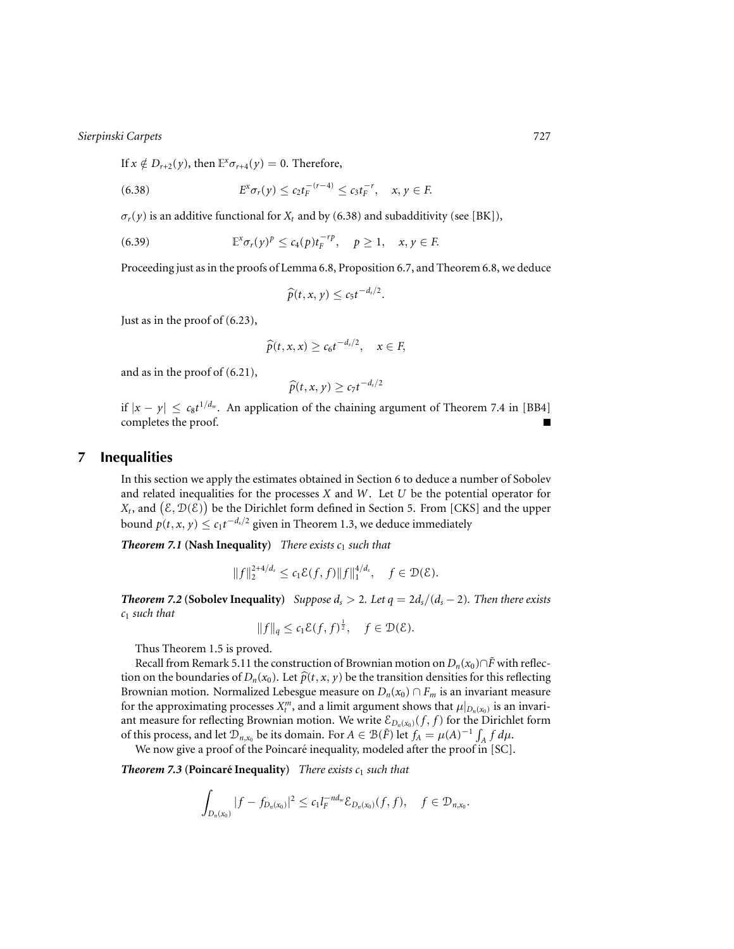If  $x \notin D_{r+2}(y)$ , then  $\mathbb{E}^x \sigma_{r+4}(y) = 0$ . Therefore,

(6.38) 
$$
E^x \sigma_r(y) \leq c_2 t_F^{-(r-4)} \leq c_3 t_F^{-r}, \quad x, y \in F.
$$

 $\sigma_r(y)$  is an additive functional for  $X_t$  and by (6.38) and subadditivity (see [BK]),

(6.39) 
$$
\mathbb{E}^{x} \sigma_r(y)^p \leq c_4(p) t_F^{-rp}, \quad p \geq 1, \quad x, y \in F.
$$

Proceeding just as in the proofs of Lemma 6.8, Proposition 6.7, and Theorem 6.8, we deduce

$$
\widehat{p}(t,x,y)\leq c_5t^{-d_s/2}.
$$

Just as in the proof of (6.23),

$$
\widehat{p}(t,x,x) \geq c_6 t^{-d_s/2}, \quad x \in F,
$$

and as in the proof of (6.21),

$$
\widehat{p}(t,x,y)\geq c_7t^{-d_s/2}
$$

if  $|x - y|$  ≤  $c_8t^{1/d_w}$ . An application of the chaining argument of Theorem 7.4 in [BB4] completes the proof.

# **7 Inequalities**

In this section we apply the estimates obtained in Section 6 to deduce a number of Sobolev and related inequalities for the processes *X* and *W*. Let *U* be the potential operator for  $X_t$ , and  $(\mathcal{E}, \mathcal{D}(\tilde{\mathcal{E}}))$  be the Dirichlet form defined in Section 5. From [CKS] and the upper bound  $p(t, x, y) \leq c_1 t^{-d_s/2}$  given in Theorem 1.3, we deduce immediately

*Theorem 7.1* **(Nash Inequality)** *There exists*  $c_1$  *such that* 

$$
||f||_2^{2+4/d_s} \le c_1 \mathcal{E}(f,f) ||f||_1^{4/d_s}, \quad f \in \mathcal{D}(\mathcal{E}).
$$

*Theorem 7.2* **(Sobolev Inequality)** *Suppose*  $d_s > 2$ *. Let*  $q = 2d_s/(d_s - 2)$ *. Then there exists c*<sup>1</sup> *such that*

$$
||f||_q \leq c_1 \mathcal{E}(f, f)^{\frac{1}{2}}, \quad f \in \mathcal{D}(\mathcal{E}).
$$

Thus Theorem 1.5 is proved.

Recall from Remark 5.11 the construction of Brownian motion on  $D_n(x_0) \cap \tilde{F}$  with reflection on the boundaries of  $D_n(x_0)$ . Let  $\widehat{p}(t, x, y)$  be the transition densities for this reflecting Brownian motion. Normalized Lebesgue measure on  $D_n(x_0) \cap F_m$  is an invariant measure for the approximating processes  $X_t^m$ , and a limit argument shows that  $\mu|_{D_n(x_0)}$  is an invariant measure for reflecting Brownian motion. We write  $\mathcal{E}_{D_n(x_0)}(f, f)$  for the Dirichlet form of this process, and let  $\mathcal{D}_{n,x_0}$  be its domain. For  $A \in \mathcal{B}(\tilde{F})$  let  $f_A = \mu(A)^{-1} \int_A f d\mu$ .

We now give a proof of the Poincaré inequality, modeled after the proof in [SC].

**Theorem 7.3 (Poincaré Inequality)** There exists  $c_1$  such that

$$
\int_{D_n(x_0)}|f-f_{D_n(x_0)}|^2\leq c_1l_F^{-nd_w}\mathcal{E}_{D_n(x_0)}(f,f),\quad f\in \mathcal{D}_{n,x_0}.
$$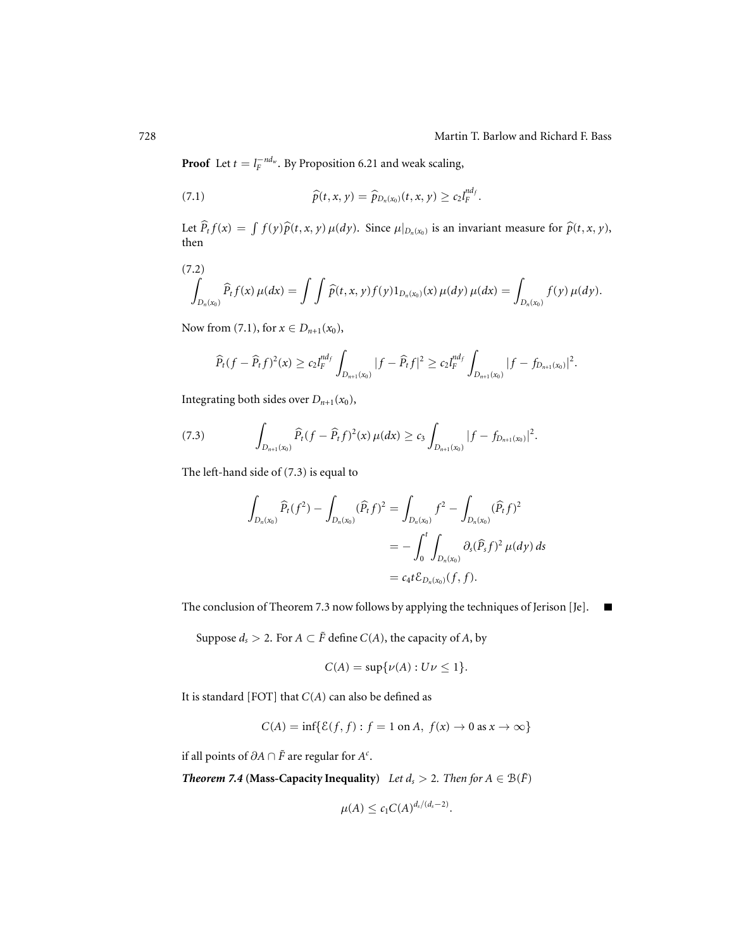**Proof** Let  $t = l_F^{-nd_w}$ . By Proposition 6.21 and weak scaling,

(7.1) 
$$
\widehat{p}(t,x,y) = \widehat{p}_{D_n(x_0)}(t,x,y) \geq c_2 l_F^{n d_f}.
$$

Let  $\widehat{P}_t f(x) = \int f(y) \widehat{p}(t, x, y) \mu(dy)$ . Since  $\mu|_{D_n(x_0)}$  is an invariant measure for  $\widehat{p}(t, x, y)$ , then

(7.2)  

$$
\int_{D_n(x_0)} \widehat{P}_t f(x) \mu(dx) = \int \int \widehat{p}(t,x,y) f(y) 1_{D_n(x_0)}(x) \mu(dy) \mu(dx) = \int_{D_n(x_0)} f(y) \mu(dy).
$$

Now from (7.1), for  $x \in D_{n+1}(x_0)$ ,

$$
\widehat{P}_t(f-\widehat{P}_t f)^2(x) \ge c_2 l_F^{nd_f} \int_{D_{n+1}(x_0)} |f-\widehat{P}_t f|^2 \ge c_2 l_F^{nd_f} \int_{D_{n+1}(x_0)} |f-f_{D_{n+1}(x_0)}|^2.
$$

Integrating both sides over  $D_{n+1}(x_0)$ ,

(7.3) 
$$
\int_{D_{n+1}(x_0)} \widehat{P}_t(f - \widehat{P}_t f)^2(x) \,\mu(dx) \geq c_3 \int_{D_{n+1}(x_0)} |f - f_{D_{n+1}(x_0)}|^2.
$$

The left-hand side of (7.3) is equal to

$$
\int_{D_n(x_0)} \widehat{P}_t(f^2) - \int_{D_n(x_0)} (\widehat{P}_t f)^2 = \int_{D_n(x_0)} f^2 - \int_{D_n(x_0)} (\widehat{P}_t f)^2
$$
  
= 
$$
- \int_0^t \int_{D_n(x_0)} \partial_s (\widehat{P}_s f)^2 \mu(dy) ds
$$
  
= 
$$
c_4 t \mathcal{E}_{D_n(x_0)}(f, f).
$$

The conclusion of Theorem 7.3 now follows by applying the techniques of Jerison [Je].  $\blacksquare$ 

Suppose  $d_s > 2$ . For  $A \subset \tilde{F}$  define  $C(A)$ , the capacity of  $A$ , by

$$
C(A) = \sup \{ \nu(A) : U \nu \le 1 \}.
$$

It is standard [FOT] that  $C(A)$  can also be defined as

$$
C(A) = \inf \{ \mathcal{E}(f, f) : f = 1 \text{ on } A, f(x) \to 0 \text{ as } x \to \infty \}
$$

if all points of  $\partial A \cap \tilde{F}$  are regular for  $A^c$ .

*Theorem 7.4* **(Mass-Capacity Inequality)** *Let*  $d_s > 2$ *. Then for*  $A \in \mathcal{B}(\tilde{F})$ 

$$
\mu(A) \leq c_1 C(A)^{d_s/(d_s-2)}.
$$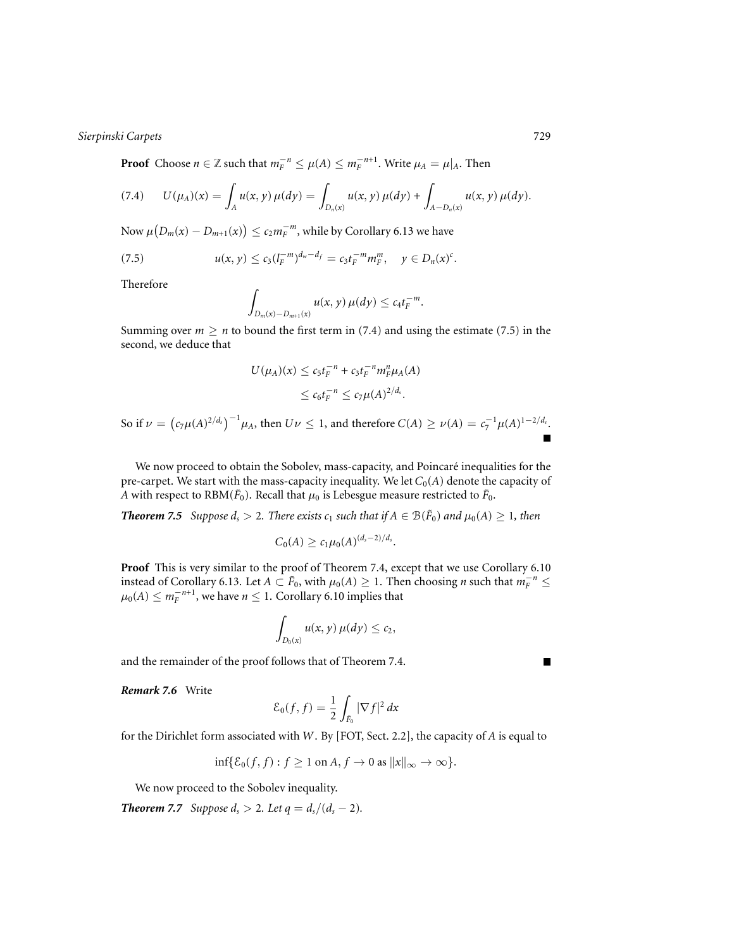**Proof** Choose  $n \in \mathbb{Z}$  such that  $m_F^{-n} \leq \mu(A) \leq m_F^{-n+1}$ . Write  $\mu_A = \mu|_A$ . Then

$$
(7.4) \qquad U(\mu_A)(x) = \int_A u(x, y) \, \mu(dy) = \int_{D_n(x)} u(x, y) \, \mu(dy) + \int_{A-D_n(x)} u(x, y) \, \mu(dy).
$$

Now  $\mu(D_m(x) - D_{m+1}(x)) \le c_2 m_F^{-m}$ , while by Corollary 6.13 we have

(7.5) 
$$
u(x, y) \le c_3 (l_F^{-m})^{d_w - d_f} = c_3 t_F^{-m} m_F^m, \quad y \in D_n(x)^c.
$$

Therefore

$$
\int_{D_m(x)-D_{m+1}(x)} u(x,y) \,\mu(dy) \leq c_4 t_F^{-m}.
$$

Summing over  $m \ge n$  to bound the first term in (7.4) and using the estimate (7.5) in the second, we deduce that

$$
U(\mu_A)(x) \le c_5 t_F^{-n} + c_3 t_F^{-n} m_F^n \mu_A(A)
$$
  

$$
\le c_6 t_F^{-n} \le c_7 \mu(A)^{2/d_s}.
$$

So if  $\nu = (c_7\mu(A)^{2/d_5})^{-1}\mu_A$ , then  $U\nu \le 1$ , and therefore  $C(A) \ge \nu(A) = c_7^{-1}\mu(A)^{1-2/d_5}$ .

We now proceed to obtain the Sobolev, mass-capacity, and Poincaré inequalities for the pre-carpet. We start with the mass-capacity inequality. We let  $C_0(A)$  denote the capacity of *A* with respect to RBM( $\tilde{F}_0$ ). Recall that  $\mu_0$  is Lebesgue measure restricted to  $\tilde{F}_0$ .

*Theorem 7.5 Suppose*  $d_s > 2$ *. There exists*  $c_1$  *such that if*  $A \in \mathcal{B}(\tilde{F}_0)$  *and*  $\mu_0(A) \geq 1$ *, then* 

$$
C_0(A) \geq c_1 \mu_0(A)^{(d_s-2)/d_s}.
$$

**Proof** This is very similar to the proof of Theorem 7.4, except that we use Corollary 6.10 instead of Corollary 6.13. Let  $A \subset \tilde{F}_0$ , with  $\mu_0(A) \geq 1$ . Then choosing *n* such that  $m_F^{-n} \leq$  $\mu_0(A) \leq m_F^{-n+1}$ , we have  $n \leq 1$ . Corollary 6.10 implies that

$$
\int_{D_0(x)} u(x, y) \, \mu(dy) \leq c_2,
$$

and the remainder of the proof follows that of Theorem 7.4.

*Remark 7.6* Write

$$
\mathcal{E}_0(f,f) = \frac{1}{2} \int_{\tilde{F}_0} |\nabla f|^2 dx
$$

for the Dirichlet form associated with *W*. By [FOT, Sect. 2.2], the capacity of *A* is equal to

$$
\inf\{\mathcal{E}_0(f,f):f\geq 1\text{ on }A,f\to 0\text{ as }||x||_{\infty}\to\infty\}.
$$

We now proceed to the Sobolev inequality.

*Theorem 7.7 Suppose*  $d_s > 2$ *. Let*  $q = d_s/(d_s - 2)$ *.*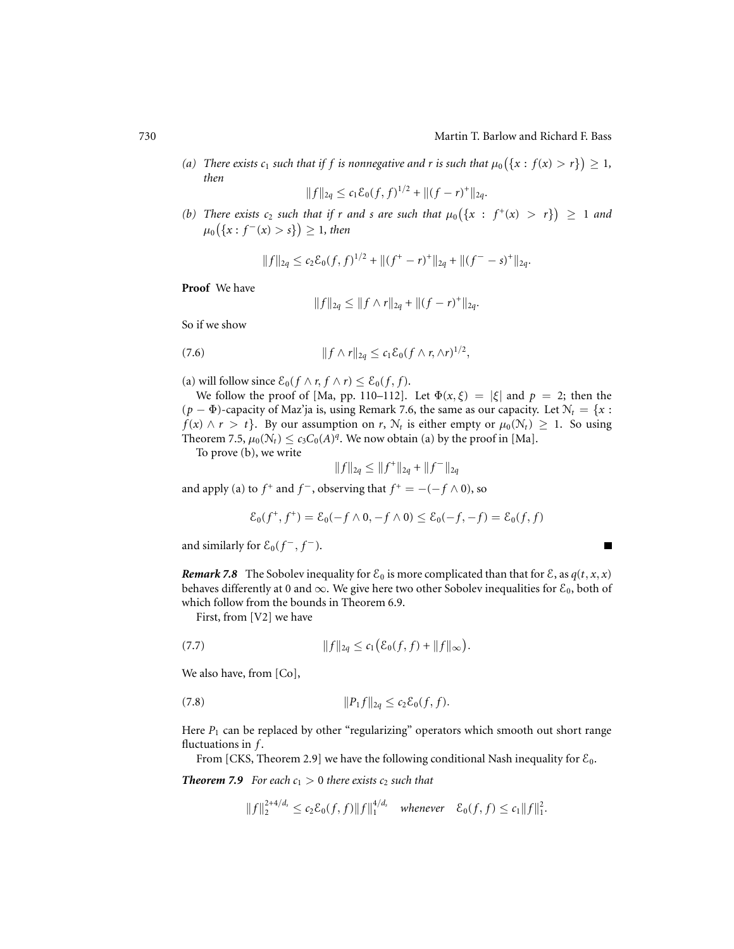$\blacksquare$ 

*(a)* There exists  $c_1$  such that if f is nonnegative and r is such that  $\mu_0(\{x : f(x) > r\}) \geq 1$ , *then*

$$
||f||_{2q} \leq c_1 \mathcal{E}_0(f, f)^{1/2} + ||(f - r)^+||_{2q}.
$$

(b) There exists  $c_2$  such that if r and s are such that  $\mu_0(\{x : f^+(x) > r\}) \geq 1$  and  $\mu_0({x : f^-(x) > s})$  ≥ 1*, then* 

$$
||f||_{2q} \leq c_2 \mathcal{E}_0(f,f)^{1/2} + ||(f^+ - r)^+||_{2q} + ||(f^- - s)^+||_{2q}.
$$

#### **Proof** We have

$$
||f||_{2q} \leq ||f \wedge r||_{2q} + ||(f - r)^{+}||_{2q}.
$$

So if we show

$$
(7.6) \t\t\t ||f \wedge r||_{2q} \leq c_1 \mathcal{E}_0(f \wedge r, \wedge r)^{1/2},
$$

(a) will follow since  $\mathcal{E}_0(f \wedge r, f \wedge r) \leq \mathcal{E}_0(f, f)$ .

We follow the proof of [Ma, pp. 110–112]. Let  $\Phi(x,\xi) = |\xi|$  and  $p = 2$ ; then the  $(p - \Phi)$ -capacity of Maz'ja is, using Remark 7.6, the same as our capacity. Let  $N_t = \{x :$  $f(x) \wedge r > t$ . By our assumption on *r*,  $\mathcal{N}_t$  is either empty or  $\mu_0(\mathcal{N}_t) \geq 1$ . So using Theorem 7.5,  $\mu_0(\mathcal{N}_t) \leq c_3 C_0(A)^q$ . We now obtain (a) by the proof in [Ma].

To prove (b), we write

$$
||f||_{2q} \le ||f^+||_{2q} + ||f^-||_{2q}
$$

and apply (a) to  $f^+$  and  $f^-$ , observing that  $f^+ = -(-f \wedge 0)$ , so

$$
\mathcal{E}_0(f^+, f^+) = \mathcal{E}_0(-f \wedge 0, -f \wedge 0) \le \mathcal{E}_0(-f, -f) = \mathcal{E}_0(f, f)
$$

and similarly for  $\mathcal{E}_0(f^-, f^-)$ .

*Remark 7.8* The Sobolev inequality for  $\mathcal{E}_0$  is more complicated than that for  $\mathcal{E}_1$ , as  $q(t, x, x)$ behaves differently at 0 and  $\infty$ . We give here two other Sobolev inequalities for  $\mathcal{E}_0$ , both of which follow from the bounds in Theorem 6.9.

First, from [V2] we have

(7.7) 
$$
||f||_{2q} \leq c_1 (\mathcal{E}_0(f,f) + ||f||_{\infty}).
$$

We also have, from [Co],

(7.8) 
$$
||P_1 f||_{2q} \leq c_2 \mathcal{E}_0(f, f).
$$

Here  $P_1$  can be replaced by other "regularizing" operators which smooth out short range fluctuations in *f* .

From [CKS, Theorem 2.9] we have the following conditional Nash inequality for  $\mathcal{E}_0$ .

*Theorem 7.9 For each*  $c_1 > 0$  *there exists*  $c_2$  *such that* 

$$
||f||_2^{2+4/d_s} \le c_2 \mathcal{E}_0(f,f)||f||_1^{4/d_s}
$$
 whenever  $\mathcal{E}_0(f,f) \le c_1||f||_1^2$ .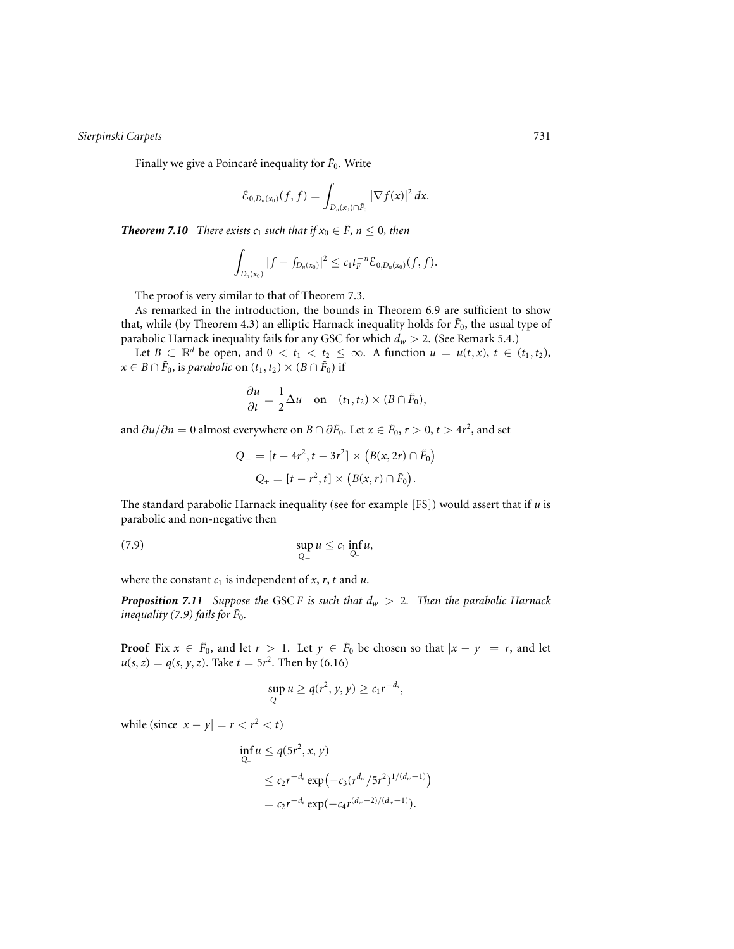Finally we give a Poincaré inequality for  $\tilde{F}_0$ . Write

$$
\mathcal{E}_{0,D_n(x_0)}(f,f)=\int_{D_n(x_0)\cap \tilde{F}_0}|\nabla f(x)|^2\,dx.
$$

*Theorem 7.10 There exists*  $c_1$  *such that if*  $x_0 \in \tilde{F}$ *,*  $n \leq 0$ *, then* 

$$
\int_{D_n(x_0)}|f-f_{D_n(x_0)}|^2\leq c_1t_F^{-n}\mathcal{E}_{0,D_n(x_0)}(f,f).
$$

The proof is very similar to that of Theorem 7.3.

As remarked in the introduction, the bounds in Theorem 6.9 are sufficient to show that, while (by Theorem 4.3) an elliptic Harnack inequality holds for  $\tilde{F}_0$ , the usual type of parabolic Harnack inequality fails for any GSC for which *dw* > 2. (See Remark 5.4.)

Let  $B \subset \mathbb{R}^d$  be open, and  $0 < t_1 < t_2 \leq \infty$ . A function  $u = u(t, x)$ ,  $t \in (t_1, t_2)$ , *x* ∈ *B* ∩  $\tilde{F}_0$ , is *parabolic* on  $(t_1, t_2) \times (B \cap \tilde{F}_0)$  if

$$
\frac{\partial u}{\partial t} = \frac{1}{2} \Delta u \quad \text{on} \quad (t_1, t_2) \times (B \cap \tilde{F}_0),
$$

and  $\partial u / \partial n = 0$  almost everywhere on *B* ∩  $\partial \tilde{F}_0$ . Let *x* ∈  $\tilde{F}_0$ , *r* > 0, *t* > 4*r*<sup>2</sup>, and set

$$
Q_{-} = [t - 4r^{2}, t - 3r^{2}] \times (B(x, 2r) \cap \tilde{F}_{0})
$$
  

$$
Q_{+} = [t - r^{2}, t] \times (B(x, r) \cap \tilde{F}_{0}).
$$

The standard parabolic Harnack inequality (see for example [FS]) would assert that if *u* is parabolic and non-negative then

$$
\sup_{Q_-} u \leq c_1 \inf_{Q_+} u,
$$

where the constant  $c_1$  is independent of  $x$ ,  $r$ ,  $t$  and  $u$ .

**Proposition 7.11** Suppose the GSCF is such that  $d_w > 2$ . Then the parabolic Harnack *inequality (7.9) fails for*  $\tilde{F}_0$ *.* 

**Proof** Fix  $x \in \tilde{F}_0$ , and let  $r > 1$ . Let  $y \in \tilde{F}_0$  be chosen so that  $|x - y| = r$ , and let  $u(s, z) = q(s, y, z)$ . Take  $t = 5r^2$ . Then by (6.16)

$$
\sup_{Q_-} u \ge q(r^2, y, y) \ge c_1 r^{-d_s},
$$

while (since  $|x - y| = r < r^2 < t$ )

$$
\inf_{Q_+} u \leq q(5r^2, x, y)
$$
\n
$$
\leq c_2 r^{-d_s} \exp(-c_3 (r^{d_w}/5r^2)^{1/(d_w-1)})
$$
\n
$$
= c_2 r^{-d_s} \exp(-c_4 r^{(d_w-2)/(d_w-1)}).
$$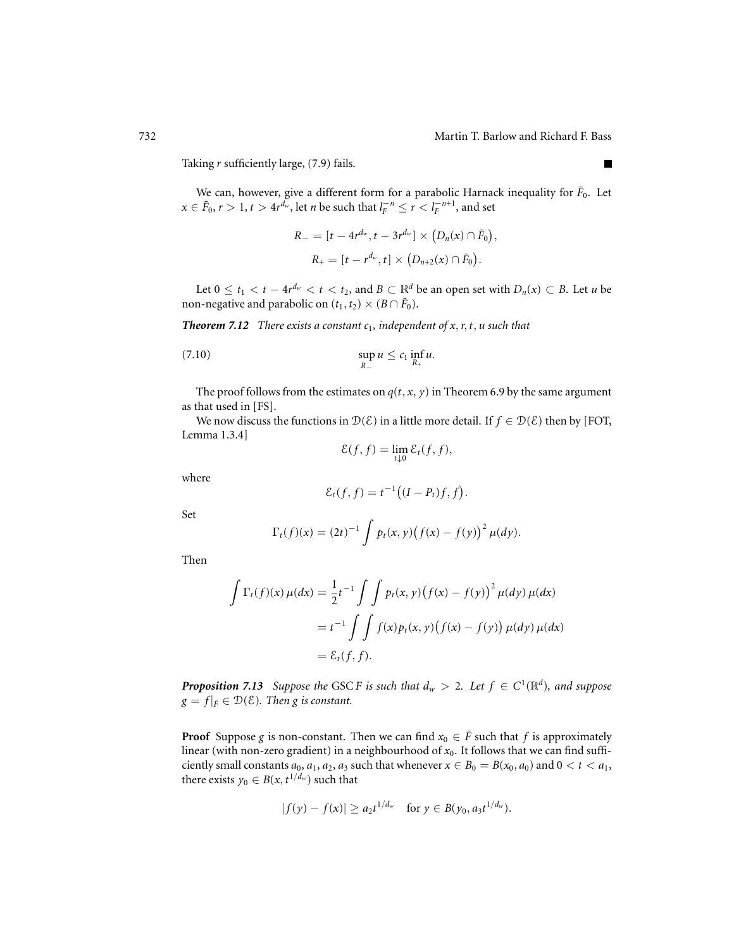$\blacksquare$ 

Taking *r* sufficiently large, (7.9) fails.

We can, however, give a different form for a parabolic Harnack inequality for  $\tilde{F}_0$ . Let  $x \in \tilde{F}_0$ ,  $r > 1$ ,  $t > 4$ *r*<sup>*dw*</sup>, let *n* be such that  $l_F^{-n} \le r < l_F^{-n+1}$ , and set

$$
R_{-} = [t - 4r^{d_w}, t - 3r^{d_w}] \times (D_n(x) \cap \tilde{F}_0),
$$
  

$$
R_{+} = [t - r^{d_w}, t] \times (D_{n+2}(x) \cap \tilde{F}_0).
$$

Let  $0 \le t_1 < t - 4r^{d_w} < t < t_2$ , and  $B \subset \mathbb{R}^d$  be an open set with  $D_n(x) \subset B$ . Let *u* be non-negative and parabolic on  $(t_1, t_2) \times (B \cap \tilde{F}_0)$ .

*Theorem 7.12 There exists a constant c*1*, independent of x*,*r*,*t*, *u such that*

$$
\sup_{R_{-}} u \leq c_1 \inf_{R_{+}} u.
$$

The proof follows from the estimates on  $q(t, x, y)$  in Theorem 6.9 by the same argument as that used in [FS].

We now discuss the functions in  $\mathcal{D}(\mathcal{E})$  in a little more detail. If  $f \in \mathcal{D}(\mathcal{E})$  then by [FOT, Lemma 1.3.4]

$$
\mathcal{E}(f,f)=\lim_{t\downarrow 0}\mathcal{E}_t(f,f),
$$

where

$$
\mathcal{E}_t(f,f) = t^{-1}\big((I-P_t)f,f\big).
$$

Set

$$
\Gamma_t(f)(x) = (2t)^{-1} \int p_t(x, y) (f(x) - f(y))^2 \mu(dy).
$$

Then

$$
\int \Gamma_t(f)(x)\,\mu(dx) = \frac{1}{2}t^{-1} \int \int p_t(x,y) (f(x) - f(y))^2 \,\mu(dy)\,\mu(dx)
$$

$$
= t^{-1} \int \int f(x)p_t(x,y) (f(x) - f(y)) \,\mu(dy)\,\mu(dx)
$$

$$
= \mathcal{E}_t(f, f).
$$

*Proposition 7.13 Suppose the GSCF is such that*  $d_w > 2$ *. Let*  $f \in C^1(\mathbb{R}^d)$ *, and suppose*  $g = f|_{\tilde{F}} \in \mathcal{D}(\mathcal{E})$ *. Then g is constant.* 

**Proof** Suppose *g* is non-constant. Then we can find  $x_0 \in \tilde{F}$  such that *f* is approximately linear (with non-zero gradient) in a neighbourhood of *x*0. It follows that we can find sufficiently small constants  $a_0$ ,  $a_1$ ,  $a_2$ ,  $a_3$  such that whenever  $x \in B_0 = B(x_0, a_0)$  and  $0 < t < a_1$ , there exists  $y_0 \in B(x, t^{1/d_w})$  such that

$$
|f(y) - f(x)| \ge a_2 t^{1/d_w} \quad \text{for } y \in B(y_0, a_3 t^{1/d_w}).
$$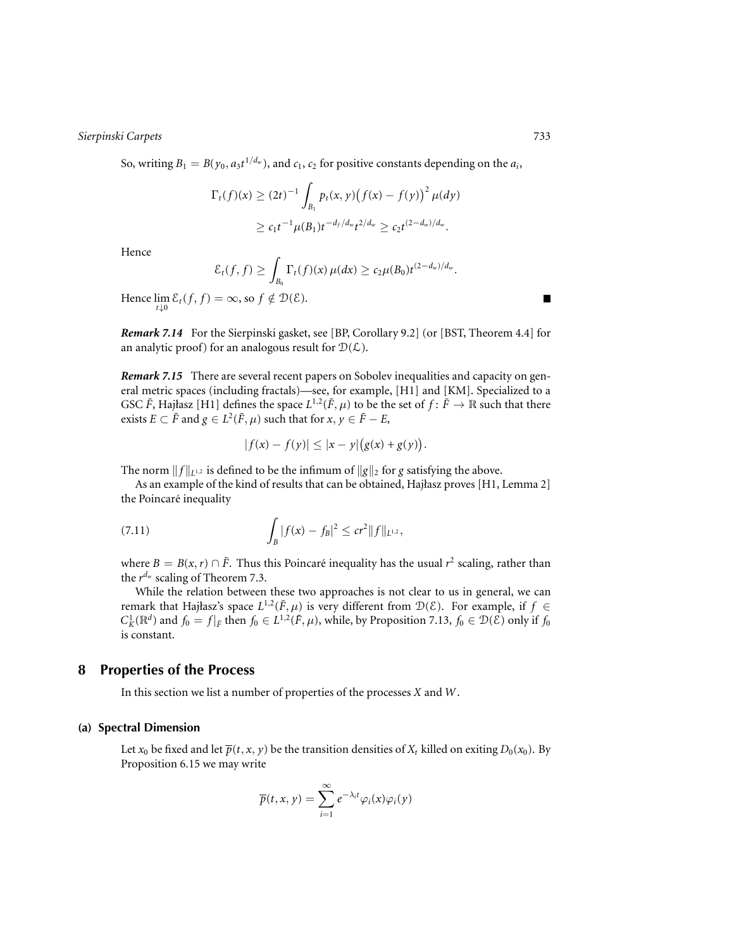So, writing  $B_1 = B(y_0, a_3 t^{1/d_w})$ , and  $c_1, c_2$  for positive constants depending on the  $a_i$ ,

$$
\Gamma_t(f)(x) \ge (2t)^{-1} \int_{B_1} p_t(x, y) (f(x) - f(y))^2 \mu(dy)
$$
  
 
$$
\ge c_1 t^{-1} \mu(B_1) t^{-d_f/d_w} t^{2/d_w} \ge c_2 t^{(2-d_w)/d_w}.
$$

Hence

$$
\mathcal{E}_t(f,f) \geq \int_{B_0} \Gamma_t(f)(x)\,\mu(dx) \geq c_2 \mu(B_0)t^{(2-d_w)/d_w}.
$$

Hence  $\lim_{t \downarrow 0} \mathcal{E}_t(f, f) = \infty$ , so  $f \notin \mathcal{D}(\mathcal{E})$ .

*Remark 7.14* For the Sierpinski gasket, see [BP, Corollary 9.2] (or [BST, Theorem 4.4] for an analytic proof) for an analogous result for  $D(L)$ .

*Remark 7.15* There are several recent papers on Sobolev inequalities and capacity on general metric spaces (including fractals)—see, for example, [H1] and [KM]. Specialized to a GSC  $\tilde{F}$ , Hajłasz [H1] defines the space  $L^{1,2}(\tilde{F}, \mu)$  to be the set of  $f : \tilde{F} \to \mathbb{R}$  such that there exists *E* ⊂ *F* and *g* ∈ *L*<sup>2</sup>( $\tilde{F}$ ,  $\mu$ ) such that for *x*, *y* ∈  $\tilde{F}$  − *E*,

$$
|f(x) - f(y)| \le |x - y| (g(x) + g(y)).
$$

The norm  $||f||_{L^{1,2}}$  is defined to be the infimum of  $||g||_2$  for *g* satisfying the above.

As an example of the kind of results that can be obtained, Hajłasz proves [H1, Lemma 2] the Poincaré inequality

(7.11) 
$$
\int_{B} |f(x) - f_{B}|^{2} \leq c r^{2} ||f||_{L^{1,2}},
$$

where  $B = B(x, r) \cap \tilde{F}$ . Thus this Poincaré inequality has the usual  $r^2$  scaling, rather than the *rdw* scaling of Theorem 7.3.

While the relation between these two approaches is not clear to us in general, we can remark that Hajłasz's space  $L^{1,2}(\tilde{F}, \mu)$  is very different from  $\mathcal{D}(\mathcal{E})$ . For example, if  $f \in$  $C_K^1(\mathbb{R}^d)$  and  $f_0 = f|_{\tilde{F}}$  then  $f_0 \in L^{1,2}(\tilde{F}, \mu)$ , while, by Proposition 7.13,  $f_0 \in \mathcal{D}(\mathcal{E})$  only if  $f_0$ is constant.

# **8 Properties of the Process**

In this section we list a number of properties of the processes *X* and *W*.

### **(a) Spectral Dimension**

Let  $x_0$  be fixed and let  $\overline{p}(t, x, y)$  be the transition densities of  $X_t$  killed on exiting  $D_0(x_0)$ . By Proposition 6.15 we may write

$$
\overline{p}(t,x,y)=\sum_{i=1}^{\infty}e^{-\lambda_i t}\varphi_i(x)\varphi_i(y)
$$

 $\blacksquare$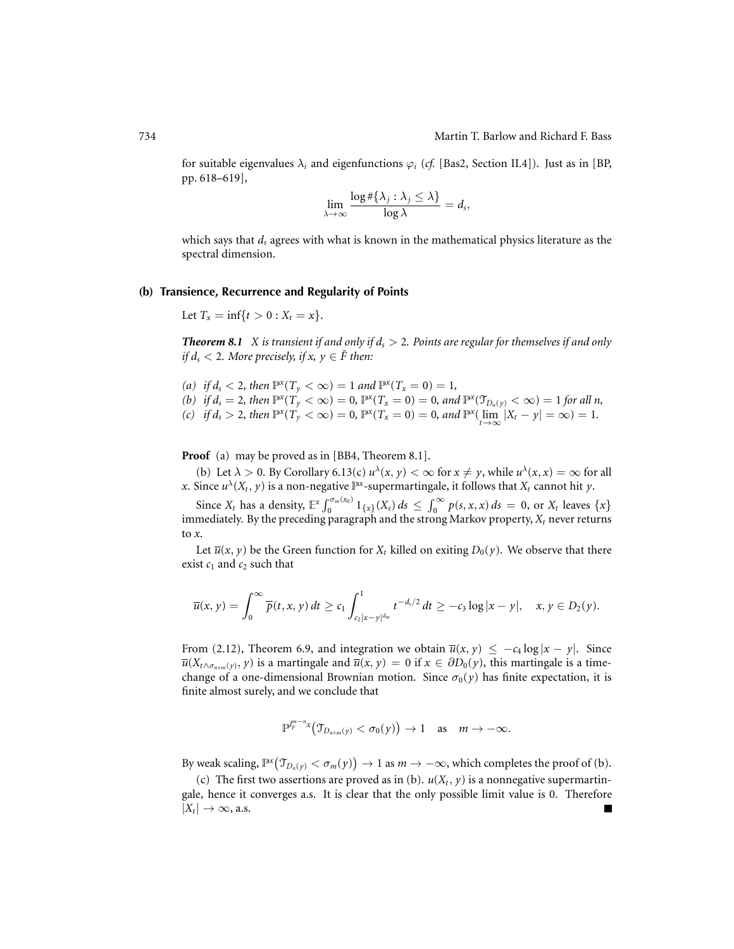for suitable eigenvalues  $\lambda_i$  and eigenfunctions  $\varphi_i$  (*cf.* [Bas2, Section II.4]). Just as in [BP, pp. 618–619],

$$
\lim_{\lambda \to \infty} \frac{\log \#\{\lambda_j : \lambda_j \leq \lambda\}}{\log \lambda} = d_s,
$$

which says that *ds* agrees with what is known in the mathematical physics literature as the spectral dimension.

# **(b) Transience, Recurrence and Regularity of Points**

Let  $T_x = \inf\{t > 0 : X_t = x\}.$ 

**Theorem 8.1** *X* is transient if and only if  $d_s > 2$ . Points are regular for themselves if and only *if d<sub>s</sub>* < 2*. More precisely, if x,*  $y \in \tilde{F}$  *then:* 

\n- (a) if 
$$
d_s < 2
$$
, then  $\mathbb{P}^x(T_y < \infty) = 1$  and  $\mathbb{P}^x(T_x = 0) = 1$ ,
\n- (b) if  $d_s = 2$ , then  $\mathbb{P}^x(T_y < \infty) = 0$ ,  $\mathbb{P}^x(T_x = 0) = 0$ , and  $\mathbb{P}^x(\mathcal{T}_{D_n(y)} < \infty) = 1$  for all n,
\n- (c) if  $d_s > 2$ , then  $\mathbb{P}^x(T_y < \infty) = 0$ ,  $\mathbb{P}^x(T_x = 0) = 0$ , and  $\mathbb{P}^x(\lim_{t \to \infty} |X_t - y| = \infty) = 1$ .
\n

**Proof** (a) may be proved as in [BB4, Theorem 8.1].

(b) Let  $\lambda > 0$ . By Corollary 6.13(c)  $u^{\lambda}(x, y) < \infty$  for  $x \neq y$ , while  $u^{\lambda}(x, x) = \infty$  for all *x*. Since  $u^{\lambda}(X_t, y)$  is a non-negative  $\mathbb{P}^x$ -supermartingale, it follows that  $X_t$  cannot hit *y*.

Since  $X_t$  has a density,  $\mathbb{E}^x \int_0^{\sigma_m(x_0)} 1_{\{x\}}(X_s) ds \leq \int_0^{\infty} p(s, x, x) ds = 0$ , or  $X_t$  leaves  $\{x\}$ immediately. By the preceding paragraph and the strong Markov property,  $X_t$  never returns to *x*.

Let  $\overline{u}(x, y)$  be the Green function for  $X_t$  killed on exiting  $D_0(y)$ . We observe that there exist  $c_1$  and  $c_2$  such that

$$
\overline{u}(x, y) = \int_0^{\infty} \overline{p}(t, x, y) dt \ge c_1 \int_{c_2 |x - y|^{d_w}}^1 t^{-d_s/2} dt \ge -c_3 \log |x - y|, \quad x, y \in D_2(y).
$$

From (2.12), Theorem 6.9, and integration we obtain  $\overline{u}(x, y) \le -c_4 \log |x - y|$ . Since  $\overline{u}(X_{t \wedge \sigma_{n+m}(y)}, y)$  is a martingale and  $\overline{u}(x, y) = 0$  if  $x \in \partial D_0(y)$ , this martingale is a timechange of a one-dimensional Brownian motion. Since  $\sigma_0(y)$  has finite expectation, it is finite almost surely, and we conclude that

$$
\mathbb{P}^{\mathbb{P}^{m-n}_{F}x}\big(\mathfrak{T}_{D_{n+m}(y)} < \sigma_0(y)\big) \to 1 \quad \text{as} \quad m \to -\infty.
$$

By weak scaling,  $\mathbb{P}^{x}(\mathcal{T}_{D_n(y)} < \sigma_m(y)) \to 1$  as  $m \to -\infty$ , which completes the proof of (b).

(c) The first two assertions are proved as in (b).  $u(X_t, y)$  is a nonnegative supermartingale, hence it converges a.s. It is clear that the only possible limit value is 0. Therefore  $|X_t| \to \infty$ , a.s. Г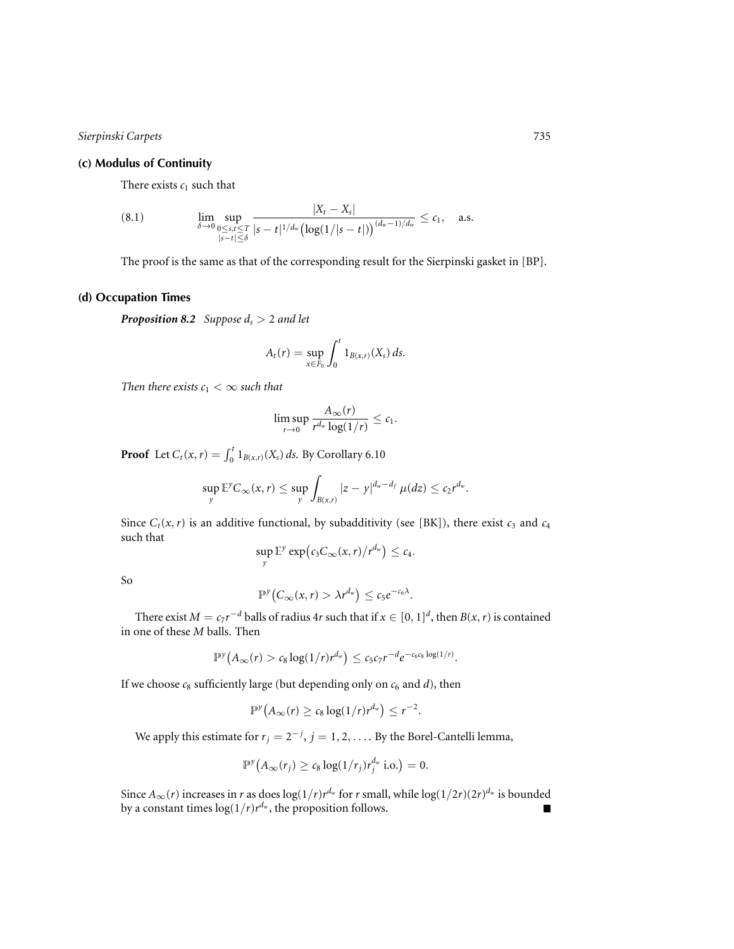# **(c) Modulus of Continuity**

There exists  $c_1$  such that

(8.1) 
$$
\lim_{\delta \to 0} \sup_{\substack{0 \le s,t \le T \\ |s-t| \le \delta}} \frac{|X_t - X_s|}{|s-t|^{1/d_w} (\log(1/|s-t|))^{(d_w-1)/d_w}} \le c_1, \quad \text{a.s.}
$$

The proof is the same as that of the corresponding result for the Sierpinski gasket in [BP].

# **(d) Occupation Times**

*Proposition 8.2 Suppose ds* > 2 *and let*

$$
A_t(r) = \sup_{x \in F_0} \int_0^t 1_{B(x,r)}(X_s) \, ds.
$$

*Then there exists*  $c_1 < \infty$  *such that* 

$$
\limsup_{r\to 0}\frac{A_\infty(r)}{r^{d_w}\log(1/r)}\leq c_1.
$$

**Proof** Let  $C_t(x, r) = \int_0^t 1_{B(x, r)}(X_s) ds$ . By Corollary 6.10

$$
\sup_{y} \mathbb{E}^y C_\infty(x,r) \leq \sup_{y} \int_{B(x,r)} |z-y|^{d_w-d_f} \mu(dz) \leq c_2 r^{d_w}.
$$

Since  $C_t(x, r)$  is an additive functional, by subadditivity (see [BK]), there exist  $c_3$  and  $c_4$ such that

$$
\sup_{y} \mathbb{E}^{y} \exp\big(c_{3}C_{\infty}(x,r)/r^{d_{w}}\big) \leq c_{4}.
$$

So

$$
\mathbb{P}^{\gamma}\big(C_{\infty}(x,r) > \lambda r^{d_w}\big) \leq c_5 e^{-c_6\lambda}.
$$

There exist  $M = c_7 r^{-d}$  balls of radius 4*r* such that if  $x \in [0, 1]^d$ , then  $B(x, r)$  is contained in one of these *M* balls. Then

$$
\mathbb{P}^{\gamma}\big(A_{\infty}(r) > c_8 \log(1/r) r^{d_w}\big) \leq c_5 c_7 r^{-d} e^{-c_6 c_8 \log(1/r)}.
$$

If we choose  $c_8$  sufficiently large (but depending only on  $c_6$  and  $d$ ), then

$$
\mathbb{P}^{\gamma}\big(A_{\infty}(r) \geq c_8 \log(1/r) r^{d_w}\big) \leq r^{-2}.
$$

We apply this estimate for  $r_j = 2^{-j}$ ,  $j = 1, 2, \ldots$  By the Borel-Cantelli lemma,

$$
\mathbb{P}^{\mathcal{Y}}\big(A_{\infty}(r_j) \geq c_8 \log(1/r_j) r_j^{d_w} \text{ i.o.}\big) = 0.
$$

Since  $A_{\infty}(r)$  increases in *r* as does  $\log(1/r)r^{d_w}$  for *r* small, while  $\log(1/2r)(2r)^{d_w}$  is bounded by a constant times  $\log(1/r)r^{d_w}$ , the proposition follows.  $\blacksquare$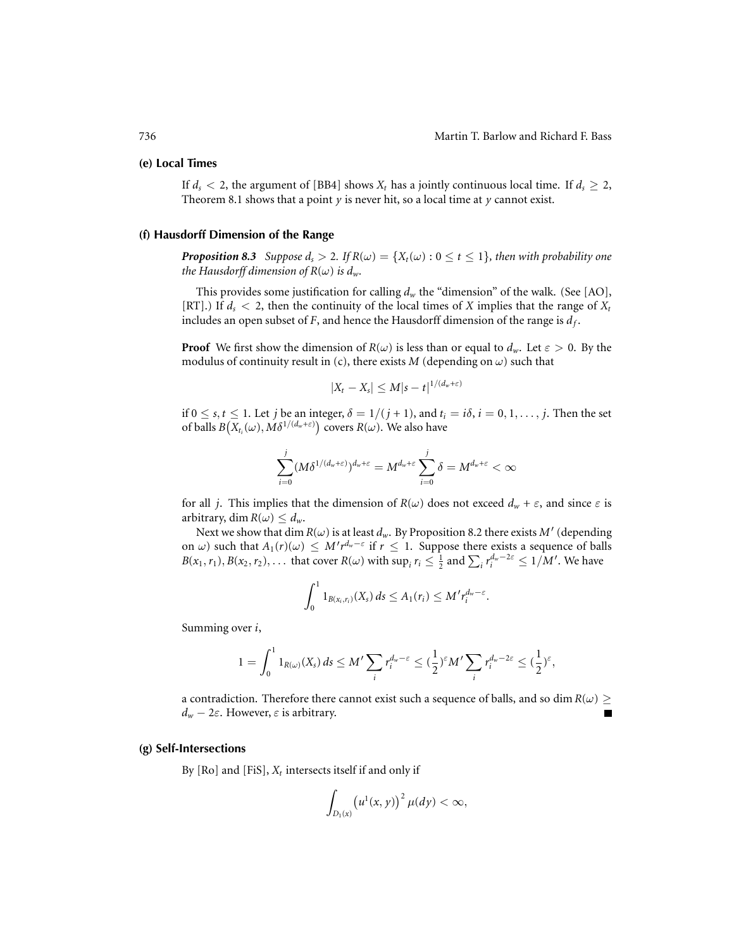### **(e) Local Times**

If  $d_s < 2$ , the argument of [BB4] shows  $X_t$  has a jointly continuous local time. If  $d_s \ge 2$ , Theorem 8.1 shows that a point  $\gamma$  is never hit, so a local time at  $\gamma$  cannot exist.

#### **(f) Hausdorff Dimension of the Range**

*Proposition 8.3 Suppose*  $d_s > 2$ *. If*  $R(\omega) = \{X_t(\omega) : 0 \le t \le 1\}$ *, then with probability one the Hausdorff dimension of R*( $\omega$ ) *is d<sub>w</sub>*.

This provides some justification for calling  $d_w$  the "dimension" of the walk. (See [AO], [RT].) If  $d_s < 2$ , then the continuity of the local times of *X* implies that the range of  $X_t$ includes an open subset of  $F$ , and hence the Hausdorff dimension of the range is  $d_f$ .

**Proof** We first show the dimension of  $R(\omega)$  is less than or equal to  $d_w$ . Let  $\varepsilon > 0$ . By the modulus of continuity result in (c), there exists  $M$  (depending on  $\omega$ ) such that

$$
|X_t - X_s| \leq M|s-t|^{1/(d_w+\varepsilon)}
$$

if  $0 \le s, t \le 1$ . Let *j* be an integer,  $\delta = 1/(j + 1)$ , and  $t_i = i\delta, i = 0, 1, \ldots, j$ . Then the set of balls  $B(X_{t_i}(\omega), \tilde{M} \delta^{1/(d_w+\varepsilon)})$  covers  $R(\omega)$ . We also have

$$
\sum_{i=0}^{j} (M \delta^{1/(d_w+\varepsilon)})^{d_w+\varepsilon} = M^{d_w+\varepsilon} \sum_{i=0}^{j} \delta = M^{d_w+\varepsilon} < \infty
$$

for all *j*. This implies that the dimension of  $R(\omega)$  does not exceed  $d_w + \varepsilon$ , and since  $\varepsilon$  is arbitrary, dim  $R(\omega) \leq d_w$ .

Next we show that dim  $R(\omega)$  is at least  $d_w$ . By Proposition 8.2 there exists  $M'$  (depending on  $\omega$ ) such that  $A_1(r)(\omega) \leq M'r^{d_w-\epsilon}$  if  $r \leq 1$ . Suppose there exists a sequence of balls  $B(x_1, r_1), B(x_2, r_2), \ldots$  that cover  $R(\omega)$  with  $\sup_i r_i \leq \frac{1}{2}$  and  $\sum_i r_i^{d_w-2\varepsilon} \leq 1/M'$ . We have

$$
\int_0^1 1_{B(x_i,r_i)}(X_s) ds \leq A_1(r_i) \leq M'r_i^{d_w-\varepsilon}.
$$

Summing over *i*,

$$
1 = \int_0^1 1_{R(\omega)}(X_s) ds \leq M' \sum_i r_i^{d_w - \varepsilon} \leq (\frac{1}{2})^{\varepsilon} M' \sum_i r_i^{d_w - 2\varepsilon} \leq (\frac{1}{2})^{\varepsilon},
$$

a contradiction. Therefore there cannot exist such a sequence of balls, and so dim  $R(\omega) \geq$  $d_w - 2\varepsilon$ . However,  $\varepsilon$  is arbitrary.

# **(g) Self-Intersections**

By  $[Ro]$  and  $[FiS]$ ,  $X_t$  intersects itself if and only if

$$
\int_{D_1(x)} \left(u^1(x,y)\right)^2 \mu(dy) < \infty,
$$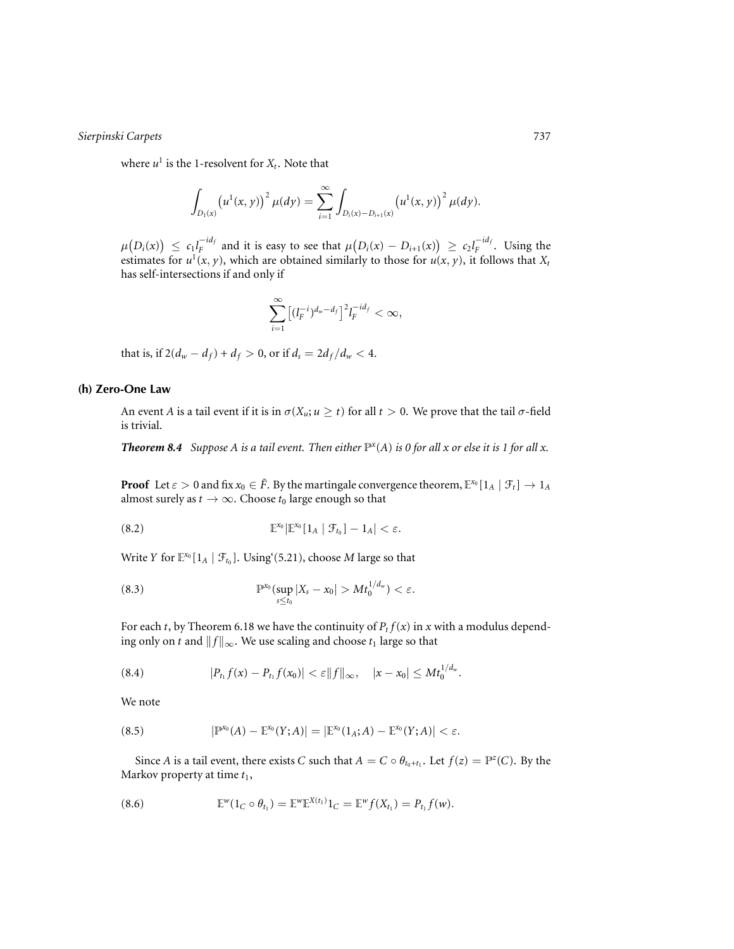where  $u^1$  is the 1-resolvent for  $X_t$ . Note that

$$
\int_{D_1(x)} \left(u^1(x,y)\right)^2 \mu(dy) = \sum_{i=1}^{\infty} \int_{D_i(x)-D_{i+1}(x)} \left(u^1(x,y)\right)^2 \mu(dy).
$$

 $\mu\big(D_i(x)\big) \leq c_1 l_F^{-id_f}$  and it is easy to see that  $\mu\big(D_i(x) - D_{i+1}(x)\big) \geq c_2 l_F^{-id_f}$ . Using the estimates for  $u^1(x, y)$ , which are obtained similarly to those for  $u(x, y)$ , it follows that  $X_t$ has self-intersections if and only if

$$
\sum_{i=1}^{\infty} \left[ (l_F^{-i})^{d_w - d_f} \right]^2 l_F^{-id_f} < \infty,
$$

that is, if  $2(d_w - d_f) + d_f > 0$ , or if  $d_s = 2d_f/d_w < 4$ .

# **(h) Zero-One Law**

An event *A* is a tail event if it is in  $\sigma(X_u; u \ge t)$  for all  $t > 0$ . We prove that the tail  $\sigma$ -field is trivial.

**Theorem 8.4** Suppose A is a tail event. Then either  $\mathbb{P}^x(A)$  is 0 for all x or else it is 1 for all x.

**Proof** Let  $\varepsilon > 0$  and fix  $x_0 \in \tilde{F}$ . By the martingale convergence theorem,  $\mathbb{E}^{x_0}[1_A | \mathcal{F}_t] \to 1_A$ almost surely as  $t \to \infty$ . Choose  $t_0$  large enough so that

(8.2) 
$$
\mathbb{E}^{x_0}[\mathbb{E}^{x_0}[1_A | \mathcal{F}_{t_0}]-1_A] < \varepsilon.
$$

Write *Y* for  $\mathbb{E}^{x_0}[1_A | \mathcal{F}_{t_0}]$ . Using (5.21), choose *M* large so that

(8.3) 
$$
\mathbb{P}^{x_0}(\sup_{s\leq t_0}|X_s-x_0|>Mt_0^{1/d_w})<\varepsilon.
$$

For each *t*, by Theorem 6.18 we have the continuity of  $P_t f(x)$  in *x* with a modulus depending only on *t* and  $||f||_{\infty}$ . We use scaling and choose  $t_1$  large so that

(8.4) 
$$
|P_{t_1}f(x)-P_{t_1}f(x_0)|<\varepsilon||f||_{\infty}, \quad |x-x_0|\leq Mt_0^{1/d_w}.
$$

We note

(8.5) 
$$
|\mathbb{P}^{x_0}(A) - \mathbb{E}^{x_0}(Y;A)| = |\mathbb{E}^{x_0}(1_A;A) - \mathbb{E}^{x_0}(Y;A)| < \varepsilon.
$$

Since *A* is a tail event, there exists *C* such that  $A = C \circ \theta_{t_0 + t_1}$ . Let  $f(z) = \mathbb{P}^z(C)$ . By the Markov property at time  $t_1$ ,

(8.6) 
$$
\mathbb{E}^w(1_C \circ \theta_{t_1}) = \mathbb{E}^w \mathbb{E}^{X(t_1)} 1_C = \mathbb{E}^w f(X_{t_1}) = P_{t_1} f(w).
$$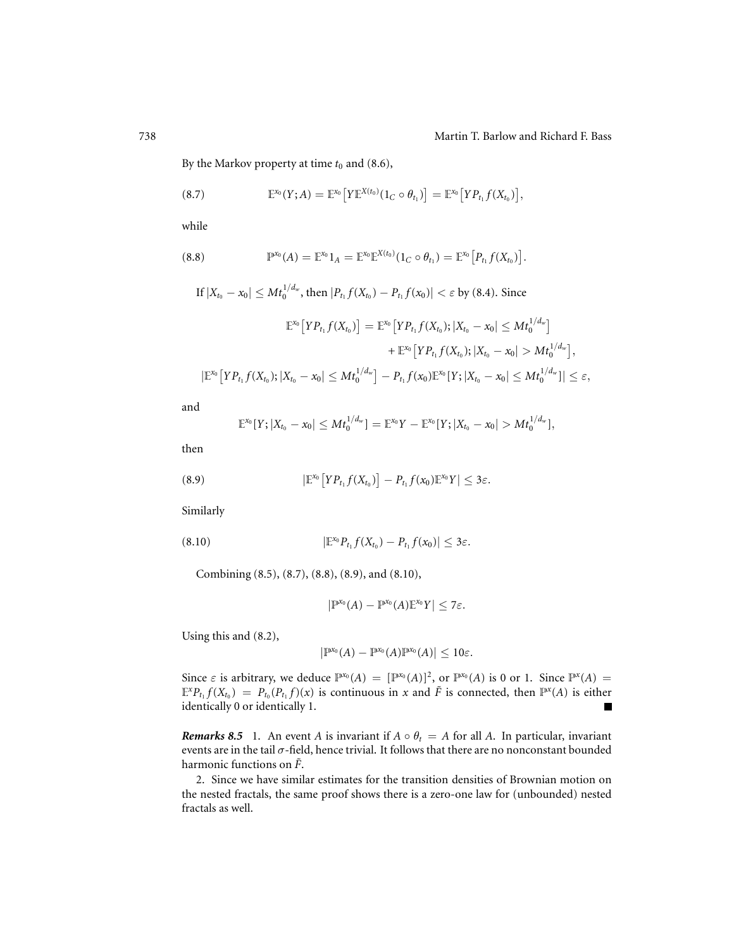,

By the Markov property at time  $t_0$  and (8.6),

(8.7) 
$$
\mathbb{E}^{x_0}(Y;A) = \mathbb{E}^{x_0}[Y\mathbb{E}^{X(t_0)}(1_C \circ \theta_{t_1})] = \mathbb{E}^{x_0}[YP_{t_1}f(X_{t_0})],
$$

while

(8.8) 
$$
\mathbb{P}^{x_0}(A) = \mathbb{E}^{x_0} 1_A = \mathbb{E}^{x_0} \mathbb{E}^{X(t_0)} (1_C \circ \theta_{t_1}) = \mathbb{E}^{x_0} [P_{t_1} f(X_{t_0})].
$$

If 
$$
|X_{t_0} - x_0| \leq Mt_0^{1/d_w}
$$
, then  $|P_{t_1}f(X_{t_0}) - P_{t_1}f(x_0)| < \varepsilon$  by (8.4). Since  

$$
\mathbb{E}^{x_0} \left[YP_{t_1}f(X_{t_0})\right] = \mathbb{E}^{x_0} \left[YP_{t_1}f(X_{t_0}); |X_{t_0} - x_0| \leq Mt_0^{1/d_w}\right]
$$

$$
+ \mathbb{E}^{x_0} \left[YP_{t_1}f(X_{t_0}); |X_{t_0} - x_0| > Mt_0^{1/d_w}\right]
$$

$$
|\mathbb{E}^{x_0}\big[YP_{t_1}f(X_{t_0});|X_{t_0}-x_0|\leq Mt_0^{1/d_w}\big]-P_{t_1}f(x_0)\mathbb{E}^{x_0}[Y;|X_{t_0}-x_0|\leq Mt_0^{1/d_w})|\leq \varepsilon,
$$

and

$$
\mathbb{E}^{x_0}[Y;|X_{t_0}-x_0|\leq Mt_0^{1/d_w}]=\mathbb{E}^{x_0}Y-\mathbb{E}^{x_0}[Y;|X_{t_0}-x_0|>Mt_0^{1/d_w}],
$$

then

(8.9) 
$$
|\mathbb{E}^{x_0}[YP_{t_1}f(X_{t_0})] - P_{t_1}f(x_0)\mathbb{E}^{x_0}Y| \leq 3\varepsilon.
$$

Similarly

$$
(8.10) \t\t\t |\mathbb{E}^{x_0} P_{t_1} f(X_{t_0}) - P_{t_1} f(x_0)| \leq 3\varepsilon.
$$

Combining (8.5), (8.7), (8.8), (8.9), and (8.10),

$$
\left|\mathbb{P}^{x_0}(A)-\mathbb{P}^{x_0}(A)\mathbb{E}^{x_0}Y\right|\leq 7\varepsilon.
$$

Using this and (8.2),

$$
\left|\mathbb{P}^{x_0}(A)-\mathbb{P}^{x_0}(A)\mathbb{P}^{x_0}(A)\right|\leq 10\varepsilon.
$$

Since  $\varepsilon$  is arbitrary, we deduce  $\mathbb{P}^{x_0}(A) = [\mathbb{P}^{x_0}(A)]^2$ , or  $\mathbb{P}^{x_0}(A)$  is 0 or 1. Since  $\mathbb{P}^{x}(A) =$  $\mathbb{E}^x P_{t_1} f(X_{t_0}) = P_{t_0}(P_{t_1} f)(x)$  is continuous in *x* and  $\tilde{F}$  is connected, then  $\mathbb{P}^x(A)$  is either identically 0 or identically 1. identically 0 or identically 1.

*Remarks 8.5* 1. An event *A* is invariant if  $A \circ \theta_t = A$  for all *A*. In particular, invariant events are in the tail  $\sigma$ -field, hence trivial. It follows that there are no nonconstant bounded harmonic functions on  $\tilde{F}$ .

2. Since we have similar estimates for the transition densities of Brownian motion on the nested fractals, the same proof shows there is a zero-one law for (unbounded) nested fractals as well.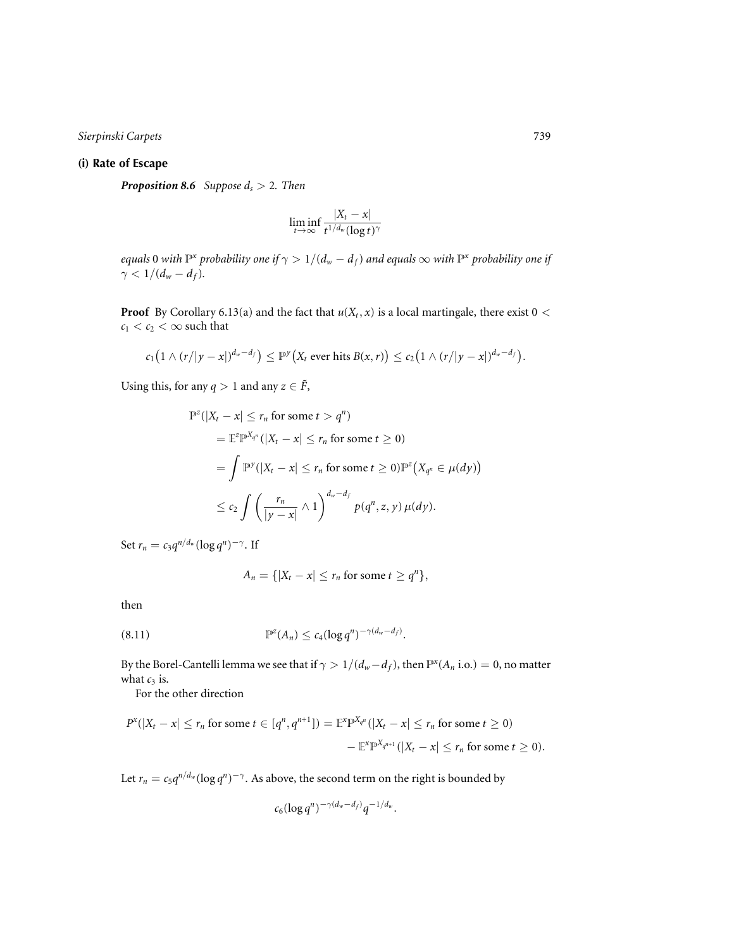# **(i) Rate of Escape**

*Proposition 8.6 Suppose ds* > 2*. Then*

$$
\liminf_{t\to\infty}\frac{|X_t-x|}{t^{1/d_w}(\log t)^\gamma}
$$

*equals* 0 *with*  $\mathbb{P}^x$  *probability one if*  $\gamma > 1/(d_w - d_f)$  *and equals*  $\infty$  *with*  $\mathbb{P}^x$  *probability one if*  $\gamma < 1/(d_w - d_f)$ .

**Proof** By Corollary 6.13(a) and the fact that  $u(X_t, x)$  is a local martingale, there exist  $0 <$  $c_1 < c_2 < \infty$  such that

$$
c_1\big(1 \wedge (r/|y-x|)^{d_w-d_f}\big) \leq \mathbb{P}^y\big(X_t \text{ ever hits } B(x,r)\big) \leq c_2\big(1 \wedge (r/|y-x|)^{d_w-d_f}\big).
$$

Using this, for any  $q > 1$  and any  $z \in \tilde{F}$ ,

$$
\mathbb{P}^{z}(|X_{t}-x| \leq r_{n} \text{ for some } t > q^{n})
$$
  
\n
$$
= \mathbb{E}^{z} \mathbb{P}^{X_{q^{n}}}(|X_{t}-x| \leq r_{n} \text{ for some } t \geq 0)
$$
  
\n
$$
= \int \mathbb{P}^{y}(|X_{t}-x| \leq r_{n} \text{ for some } t \geq 0)\mathbb{P}^{z}(X_{q^{n}} \in \mu(dy))
$$
  
\n
$$
\leq c_{2} \int \left(\frac{r_{n}}{|y-x|} \wedge 1\right)^{d_{w}-d_{f}} p(q^{n}, z, y) \mu(dy).
$$

Set  $r_n = c_3 q^{n/d_w} (\log q^n)^{-\gamma}$ . If

$$
A_n = \{ |X_t - x| \le r_n \text{ for some } t \ge q^n \},
$$

then

(8.11) 
$$
\mathbb{P}^{z}(A_n) \leq c_4(\log q^n)^{-\gamma(d_w - d_f)}.
$$

By the Borel-Cantelli lemma we see that if  $\gamma > 1/(d_w - d_f)$ , then  $\mathbb{P}^x(A_n \text{ i.o.}) = 0$ , no matter what  $c_3$  is.

For the other direction

$$
P^{\mathfrak{X}}(|X_t - x| \leq r_n \text{ for some } t \in [q^n, q^{n+1}]) = \mathbb{E}^{\mathfrak{X}}P^{X_{q^n}}(|X_t - x| \leq r_n \text{ for some } t \geq 0)
$$

$$
-\mathbb{E}^{\mathfrak{X}}P^{X_{q^{n+1}}}(|X_t - x| \leq r_n \text{ for some } t \geq 0).
$$

Let  $r_n = c_5 q^{n/d_w} (\log q^n)^{-\gamma}$ . As above, the second term on the right is bounded by

$$
c_6(\log q^n)^{-\gamma(d_w-d_f)}q^{-1/d_w}.
$$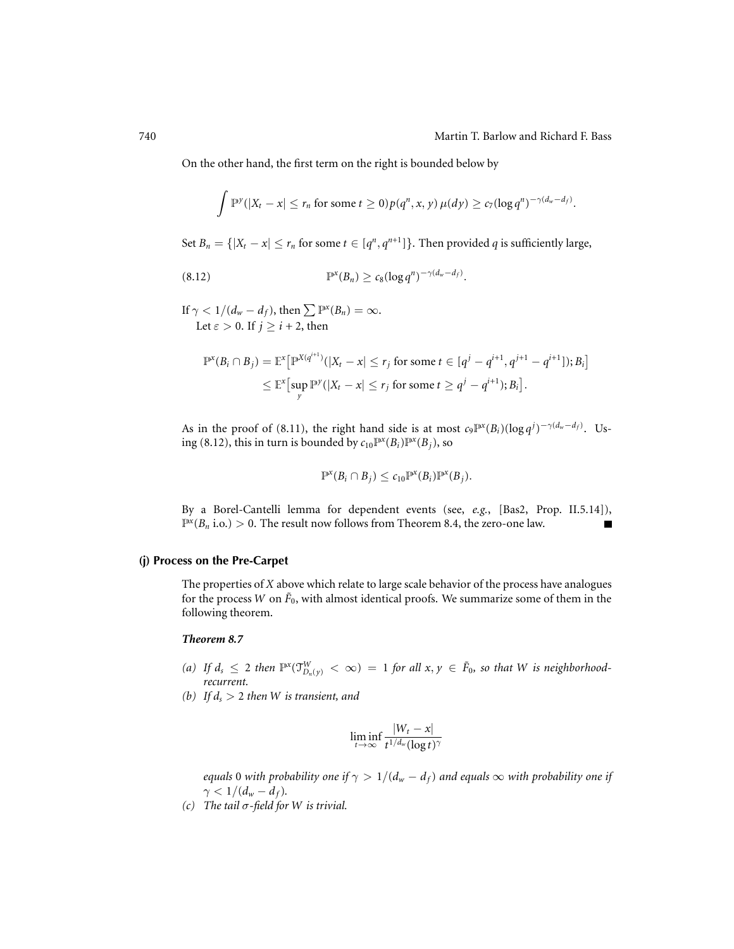.

On the other hand, the first term on the right is bounded below by

$$
\int \mathbb{P}^{\gamma}(|X_t - x| \leq r_n \text{ for some } t \geq 0) p(q^n, x, y) \mu(dy) \geq c_7 (\log q^n)^{-\gamma(d_w - d_f)}
$$

Set *B<sub>n</sub>* = { $|X_t - x|$  ≤ *r<sub>n</sub>* for some *t* ∈  $[q^n, q^{n+1}]$ }. Then provided *q* is sufficiently large,

P*x* (*Bn*) ≥ *c*8(log *q<sup>n</sup>*) <sup>−</sup>γ(*dw*−*df* ) (8.12) .

If  $\gamma < 1/(d_w - d_f)$ , then  $\sum P^x(B_n) = \infty$ . Let  $\varepsilon > 0$ . If  $j > i + 2$ , then

$$
\mathbb{P}^x(B_i \cap B_j) = \mathbb{E}^x \big[ \mathbb{P}^{X(q^{i+1})}(|X_t - x| \le r_j \text{ for some } t \in [q^j - q^{i+1}, q^{j+1} - q^{i+1}]); B_i \big] \newline \le \mathbb{E}^x \big[ \sup_y \mathbb{P}^y(|X_t - x| \le r_j \text{ for some } t \ge q^j - q^{i+1}); B_i \big].
$$

As in the proof of (8.11), the right hand side is at most  $c_9 \mathbb{P}^x(B_i) (\log q^j)^{-\gamma(d_w-d_f)}$ . Using (8.12), this in turn is bounded by  $c_{10} \mathbb{P}^x(B_i) \mathbb{P}^x(B_i)$ , so

$$
\mathbb{P}^{\mathfrak{X}}(B_i \cap B_j) \leq c_{10} \mathbb{P}^{\mathfrak{X}}(B_i) \mathbb{P}^{\mathfrak{X}}(B_j).
$$

By a Borel-Cantelli lemma for dependent events (see, *e.g.*, [Bas2, Prop. II.5.14]),  $\mathbb{P}^{x}(B_n \text{ i.o.}) > 0$ . The result now follows from Theorem 8.4, the zero-one law. Г

# **(j) Process on the Pre-Carpet**

The properties of *X* above which relate to large scale behavior of the process have analogues for the process *W* on  $\tilde{F}_0$ , with almost identical proofs. We summarize some of them in the following theorem.

# *Theorem 8.7*

- *(a)* If  $d_s \leq 2$  then  $\mathbb{P}^x(\mathcal{T}_{D_n(y)}^W < \infty) = 1$  for all  $x, y \in \tilde{F}_0$ , so that W is neighborhood*recurrent.*
- *(b)* If  $d_s > 2$  then W is transient, and

$$
\liminf_{t\to\infty}\frac{|W_t-x|}{t^{1/d_w}(\log t)^\gamma}
$$

*equals* 0 *with probability one if*  $\gamma > 1/(d_w - d_f)$  *and equals*  $\infty$  *with probability one if*  $\gamma < 1/(d_w - d_f)$ .

*(c) The tail* σ*-field for W is trivial.*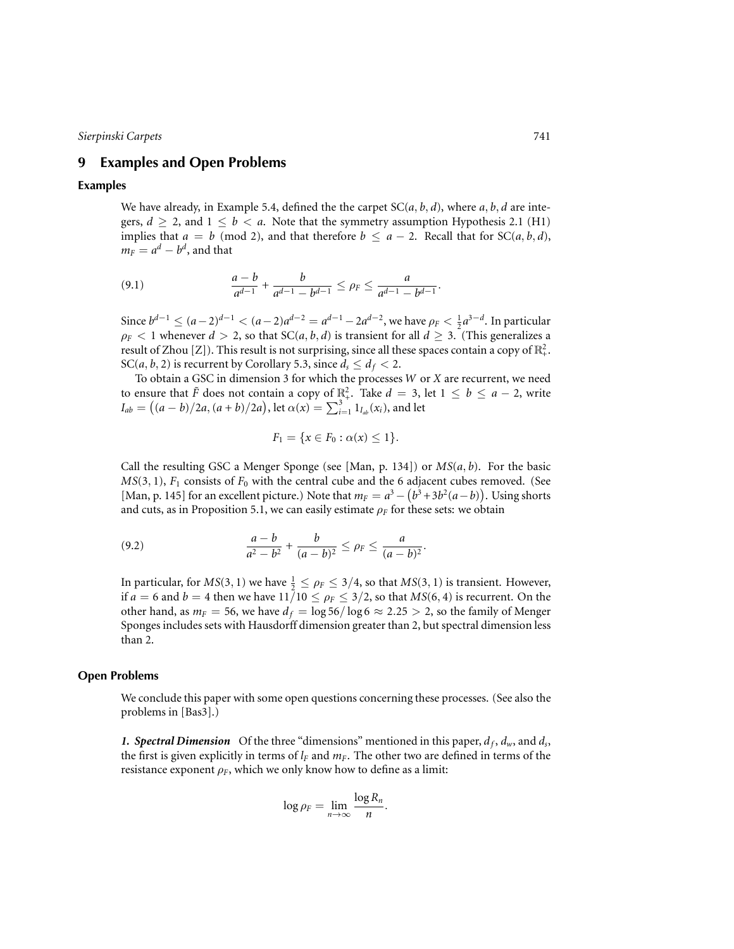# **9 Examples and Open Problems**

## **Examples**

We have already, in Example 5.4, defined the the carpet  $SC(a, b, d)$ , where  $a, b, d$  are integers,  $d \ge 2$ , and  $1 \le b < a$ . Note that the symmetry assumption Hypothesis 2.1 (H1) implies that  $a = b \pmod{2}$ , and that therefore  $b \le a - 2$ . Recall that for SC(*a*, *b*, *d*),  $m_F = a^d - b^d$ , and that

(9.1) 
$$
\frac{a-b}{a^{d-1}} + \frac{b}{a^{d-1} - b^{d-1}} \le \rho_F \le \frac{a}{a^{d-1} - b^{d-1}}.
$$

Since  $b^{d-1}$  ≤  $(a-2)^{d-1}$  <  $(a-2)a^{d-2} = a^{d-1} - 2a^{d-2}$ , we have  $\rho_F$  <  $\frac{1}{2}a^{3-d}$ . In particular  $\rho_F$  < 1 whenever *d* > 2, so that SC(*a*, *b*, *d*) is transient for all *d*  $\geq$  3. (This generalizes a result of Zhou [Z]). This result is not surprising, since all these spaces contain a copy of  $\mathbb{R}^2_+$ . SC(*a*, *b*, 2) is recurrent by Corollary 5.3, since  $d_s \leq d_f < 2$ .

To obtain a GSC in dimension 3 for which the processes *W* or *X* are recurrent, we need to ensure that  $\tilde{F}$  does not contain a copy of  $\mathbb{R}^2_+$ . Take  $d = 3$ , let  $1 \leq b \leq a - 2$ , write  $I_{ab} = \left( (a - b)/2a, (a + b)/2a \right)$ , let  $\alpha(x) = \sum_{i=1}^{3} 1_{I_{ab}}(x_i)$ , and let

$$
F_1 = \{x \in F_0 : \alpha(x) \le 1\}.
$$

Call the resulting GSC a Menger Sponge (see [Man, p. 134]) or *MS*(*a*, *b*). For the basic  $MS(3, 1)$ ,  $F_1$  consists of  $F_0$  with the central cube and the 6 adjacent cubes removed. (See [Man, p. 145] for an excellent picture.) Note that  $m_F = a^3 - (b^3 + 3b^2(a - b))$ . Using shorts and cuts, as in Proposition 5.1, we can easily estimate  $\rho_F$  for these sets: we obtain

(9.2) 
$$
\frac{a-b}{a^2-b^2} + \frac{b}{(a-b)^2} \le \rho_F \le \frac{a}{(a-b)^2}.
$$

In particular, for  $MS(3, 1)$  we have  $\frac{1}{2} \leq \rho_F \leq 3/4$ , so that  $MS(3, 1)$  is transient. However, if  $a = 6$  and  $b = 4$  then we have  $11/10 \le \rho_F \le 3/2$ , so that  $MS(6, 4)$  is recurrent. On the other hand, as  $m_F = 56$ , we have  $d_f = \log 56 / \log 6 \approx 2.25 > 2$ , so the family of Menger Sponges includes sets with Hausdorff dimension greater than 2, but spectral dimension less than 2.

#### **Open Problems**

We conclude this paper with some open questions concerning these processes. (See also the problems in [Bas3].)

1. Spectral Dimension Of the three "dimensions" mentioned in this paper,  $d_f$ ,  $d_w$ , and  $d_s$ , the first is given explicitly in terms of  $l_F$  and  $m_F$ . The other two are defined in terms of the resistance exponent  $\rho_F$ , which we only know how to define as a limit:

$$
\log \rho_F = \lim_{n \to \infty} \frac{\log R_n}{n}.
$$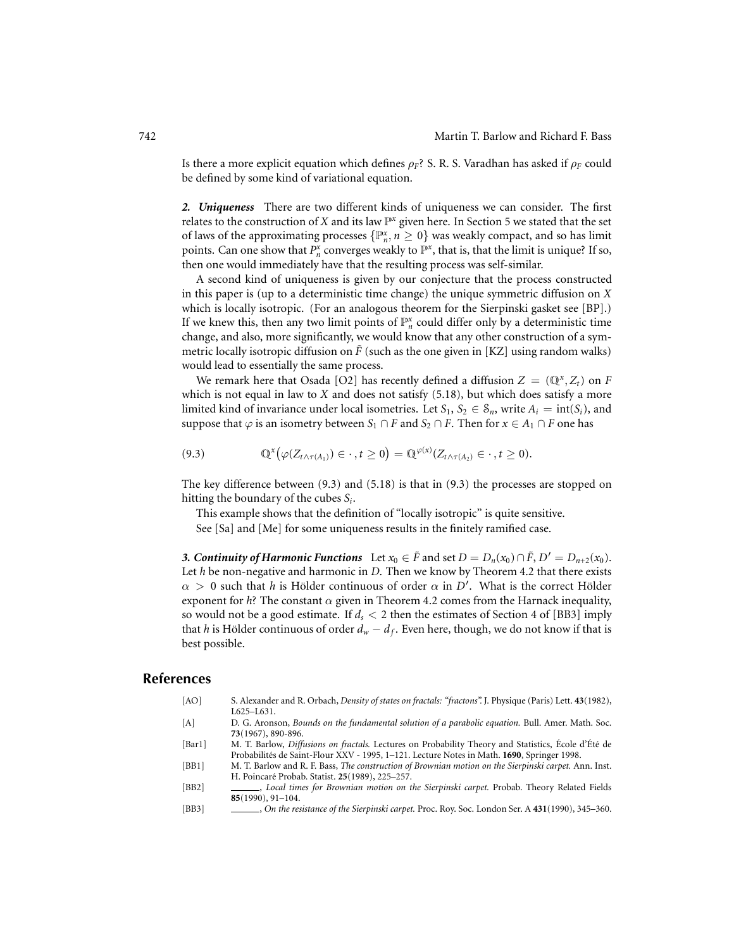Is there a more explicit equation which defines  $\rho_F$ ? S. R. S. Varadhan has asked if  $\rho_F$  could be defined by some kind of variational equation.

*2. Uniqueness* There are two different kinds of uniqueness we can consider. The first relates to the construction of  $X$  and its law  $\mathbb{P}^x$  given here. In Section 5 we stated that the set of laws of the approximating processes  $\{P_n^x, n \geq 0\}$  was weakly compact, and so has limit points. Can one show that  $P_n^x$  converges weakly to  $\mathbb{P}^x$ , that is, that the limit is unique? If so, then one would immediately have that the resulting process was self-similar.

A second kind of uniqueness is given by our conjecture that the process constructed in this paper is (up to a deterministic time change) the unique symmetric diffusion on *X* which is locally isotropic. (For an analogous theorem for the Sierpinski gasket see [BP].) If we knew this, then any two limit points of  $\mathbb{P}^x_n$  could differ only by a deterministic time change, and also, more significantly, we would know that any other construction of a symmetric locally isotropic diffusion on  $\tilde{F}$  (such as the one given in [KZ] using random walks) would lead to essentially the same process.

We remark here that Osada [O2] has recently defined a diffusion  $Z = (\mathbb{Q}^x, Z_t)$  on *F* which is not equal in law to *X* and does not satisfy (5.18), but which does satisfy a more limited kind of invariance under local isometries. Let  $S_1, S_2 \in S_n$ , write  $A_i = \text{int}(S_i)$ , and suppose that  $\varphi$  is an isometry between *S*<sub>1</sub> ∩ *F* and *S*<sub>2</sub> ∩ *F*. Then for  $x \in A_1 \cap F$  one has

$$
(9.3) \t\t\t\t\mathbb{Q}^{\mathfrak{X}}\big(\varphi(Z_{t\wedge\tau(A_{1})})\in\cdot\,,t\geq0\big)=\mathbb{Q}^{\varphi(x)}(Z_{t\wedge\tau(A_{2})}\in\cdot\,,t\geq0).
$$

The key difference between (9.3) and (5.18) is that in (9.3) the processes are stopped on hitting the boundary of the cubes *Si*.

This example shows that the definition of "locally isotropic" is quite sensitive. See [Sa] and [Me] for some uniqueness results in the finitely ramified case.

*3. Continuity of Harmonic Functions* Let  $x_0 \in \tilde{F}$  and set  $D = D_n(x_0) \cap \tilde{F}$ ,  $D' = D_{n+2}(x_0)$ . Let *h* be non-negative and harmonic in *D*. Then we know by Theorem 4.2 that there exists  $\alpha > 0$  such that *h* is Hölder continuous of order  $\alpha$  in *D'*. What is the correct Hölder exponent for  $h$ ? The constant  $\alpha$  given in Theorem 4.2 comes from the Harnack inequality, so would not be a good estimate. If  $d_s < 2$  then the estimates of Section 4 of [BB3] imply that *h* is Hölder continuous of order  $d_w - d_f$ . Even here, though, we do not know if that is best possible.

# **References**

- [AO] S. Alexander and R. Orbach, *Density of states on fractals: "fractons".* J. Physique (Paris) Lett. **43**(1982), L625–L631.
- [A] D. G. Aronson, *Bounds on the fundamental solution of a parabolic equation.* Bull. Amer. Math. Soc. **73**(1967), 890-896.
- [Bar1] M. T. Barlow, *Diffusions on fractals*. Lectures on Probability Theory and Statistics, École d'Été de Probabilités de Saint-Flour XXV - 1995, 1-121. Lecture Notes in Math. 1690, Springer 1998.
- [BB1] M. T. Barlow and R. F. Bass, *The construction of Brownian motion on the Sierpinski carpet.* Ann. Inst. H. Poincaré Probab. Statist. **25**(1989), 225–257.
- [BB2] , *Local times for Brownian motion on the Sierpinski carpet.* Probab. Theory Related Fields **85**(1990), 91–104.
- [BB3] , *On the resistance of the Sierpinski carpet.* Proc. Roy. Soc. London Ser. A **431**(1990), 345–360.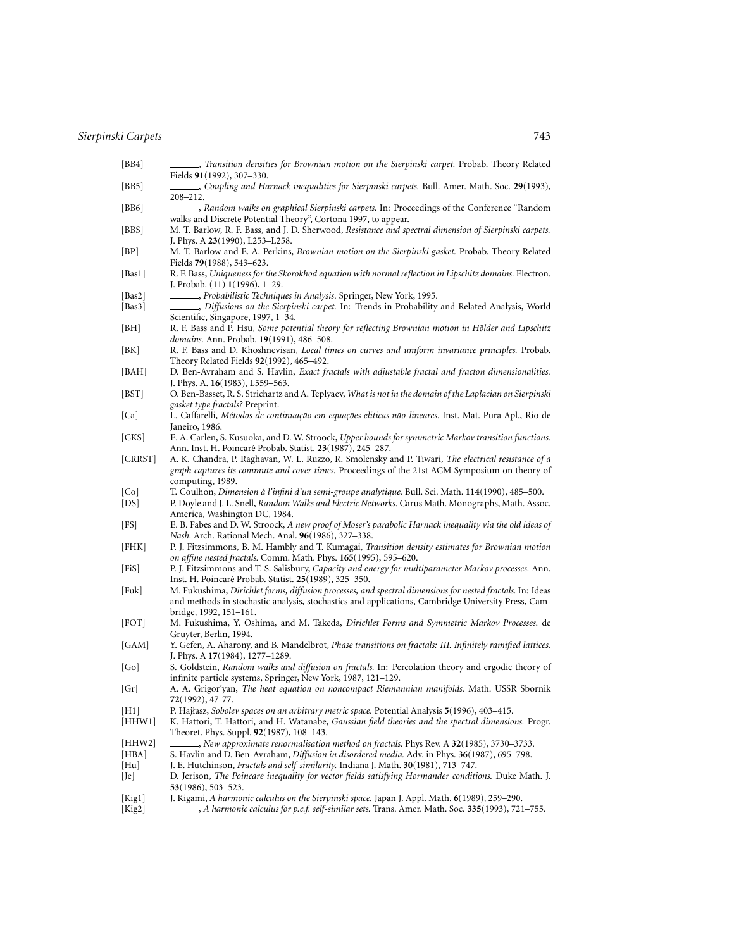- [BB4] , *Transition densities for Brownian motion on the Sierpinski carpet.* Probab. Theory Related Fields **91**(1992), 307–330.
- [BB5] , *Coupling and Harnack inequalities for Sierpinski carpets.* Bull. Amer. Math. Soc. **29**(1993), 208–212.
- [BB6] , *Random walks on graphical Sierpinski carpets.* In: Proceedings of the Conference "Random walks and Discrete Potential Theory", Cortona 1997, to appear.
- [BBS] M. T. Barlow, R. F. Bass, and J. D. Sherwood, *Resistance and spectral dimension of Sierpinski carpets.* J. Phys. A **23**(1990), L253–L258.
- [BP] M. T. Barlow and E. A. Perkins, *Brownian motion on the Sierpinski gasket.* Probab. Theory Related Fields **79**(1988), 543–623.
- [Bas1] R. F. Bass, *Uniqueness for the Skorokhod equation with normal reflection in Lipschitz domains.* Electron. J. Probab. (11) **1**(1996), 1–29.
- [Bas2] , *Probabilistic Techniques in Analysis*. Springer, New York, 1995.
- [Bas3] , *Diffusions on the Sierpinski carpet.* In: Trends in Probability and Related Analysis, World Scientific, Singapore, 1997, 1–34.
- [BH] R. F. Bass and P. Hsu, *Some potential theory for reflecting Brownian motion in Hölder and Lipschitz domains.* Ann. Probab. **19**(1991), 486–508.
- [BK] R. F. Bass and D. Khoshnevisan, *Local times on curves and uniform invariance principles.* Probab. Theory Related Fields **92**(1992), 465–492.
- [BAH] D. Ben-Avraham and S. Havlin, *Exact fractals with adjustable fractal and fracton dimensionalities.* J. Phys. A. **16**(1983), L559–563.
- [BST] O. Ben-Basset, R. S. Strichartz and A. Teplyaev, *What is not in the domain of the Laplacian on Sierpinski gasket type fractals?* Preprint.
- [Ca] L. Caffarelli, *M´etodos de continuac¸ao em equac ˜ ¸oes eliticas n ˜ ao-lineares ˜* . Inst. Mat. Pura Apl., Rio de Janeiro, 1986.
- [CKS] E. A. Carlen, S. Kusuoka, and D. W. Stroock, *Upper bounds for symmetric Markov transition functions.* Ann. Inst. H. Poincare Probab. Statist. ´ **23**(1987), 245–287.
- [CRRST] A. K. Chandra, P. Raghavan, W. L. Ruzzo, R. Smolensky and P. Tiwari, *The electrical resistance of a graph captures its commute and cover times.* Proceedings of the 21st ACM Symposium on theory of computing, 1989.
- 
- [Co] T. Coulhon, *Dimension a l'infini d'un semi-groupe analytique. ´* Bull. Sci. Math. **114**(1990), 485–500. [DS] P. Doyle and J. L. Snell, *Random Walks and Electric Networks*. Carus Math. Monographs, Math. Assoc. America, Washington DC, 1984.
- [FS] E. B. Fabes and D. W. Stroock, *A new proof of Moser's parabolic Harnack inequality via the old ideas of Nash.* Arch. Rational Mech. Anal. **96**(1986), 327–338.
- [FHK] P. J. Fitzsimmons, B. M. Hambly and T. Kumagai, *Transition density estimates for Brownian motion on affine nested fractals.* Comm. Math. Phys. **165**(1995), 595–620.
- [FiS] P. J. Fitzsimmons and T. S. Salisbury, *Capacity and energy for multiparameter Markov processes.* Ann. Inst. H. Poincaré Probab. Statist.  $25(1989)$ , 325–350.
- [Fuk] M. Fukushima, *Dirichlet forms, diffusion processes, and spectral dimensions for nested fractals.* In: Ideas and methods in stochastic analysis, stochastics and applications, Cambridge University Press, Cambridge, 1992, 151–161.
- [FOT] M. Fukushima, Y. Oshima, and M. Takeda, *Dirichlet Forms and Symmetric Markov Processes*. de Gruyter, Berlin, 1994.
- [GAM] Y. Gefen, A. Aharony, and B. Mandelbrot, *Phase transitions on fractals: III. Infinitely ramified lattices.* J. Phys. A **17**(1984), 1277–1289.
- [Go] S. Goldstein, *Random walks and diffusion on fractals.* In: Percolation theory and ergodic theory of infinite particle systems, Springer, New York, 1987, 121–129.
- [Gr] A. A. Grigor'yan, *The heat equation on noncompact Riemannian manifolds.* Math. USSR Sbornik **72**(1992), 47-77.
- [H1] P. Hajłasz, *Sobolev spaces on an arbitrary metric space.* Potential Analysis **5**(1996), 403–415.
- [HHW1] K. Hattori, T. Hattori, and H. Watanabe, *Gaussian field theories and the spectral dimensions.* Progr. Theoret. Phys. Suppl. **92**(1987), 108–143.
- [HHW2] , *New approximate renormalisation method on fractals.* Phys Rev. A **32**(1985), 3730–3733.
- [HBA] S. Havlin and D. Ben-Avraham, *Diffusion in disordered media.* Adv. in Phys. **36**(1987), 695–798.
- [Hu] J. E. Hutchinson, *Fractals and self-similarity.* Indiana J. Math. **30**(1981), 713–747.
- [Je] D. Jerison, *The Poincaré inequality for vector fields satisfying Hörmander conditions. Duke Math. J.* **53**(1986), 503–523.
- [Kig1] J. Kigami, *A harmonic calculus on the Sierpinski space.* Japan J. Appl. Math. **6**(1989), 259–290.
- [Kig2] , *A harmonic calculus for p.c.f. self-similar sets.* Trans. Amer. Math. Soc. **335**(1993), 721–755.